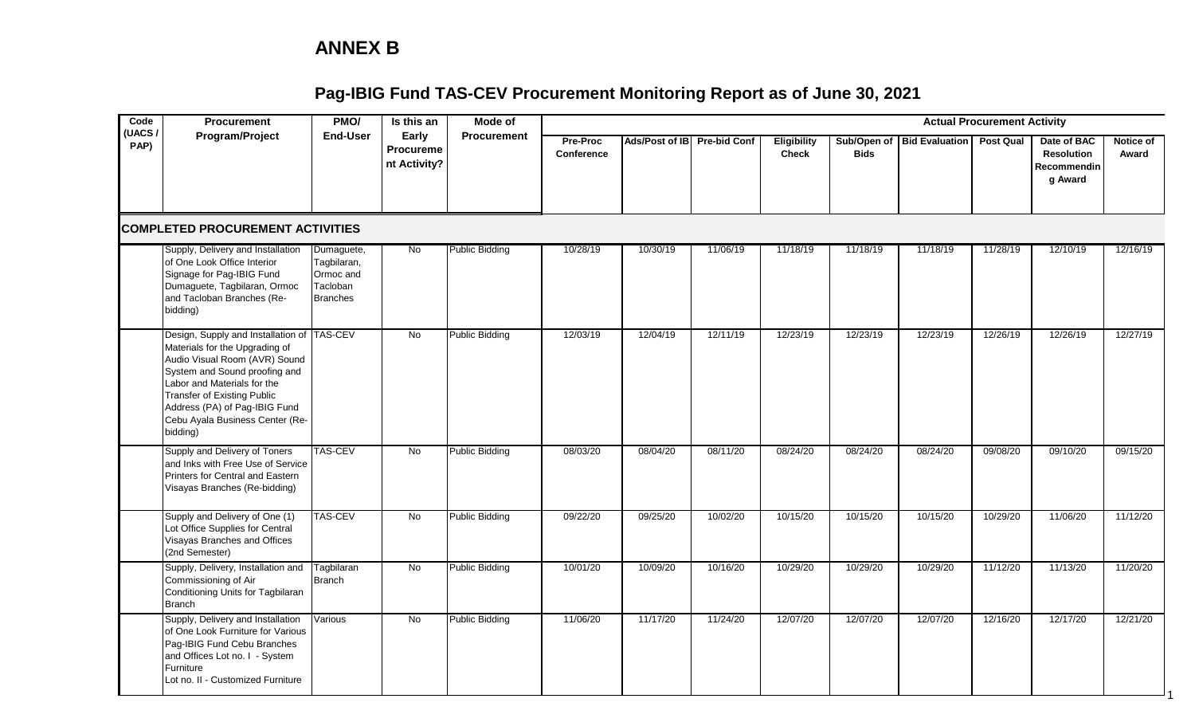### **ANNEX B**

| Code<br>(UACS) | <b>Procurement</b>                                                                                                                                                                                                                                                                                  | PMO/                                                                  | Is this an                         | Mode of               |                        |                             |          |                                    |             |                            | <b>Actual Procurement Activity</b> |                                                            |                    |
|----------------|-----------------------------------------------------------------------------------------------------------------------------------------------------------------------------------------------------------------------------------------------------------------------------------------------------|-----------------------------------------------------------------------|------------------------------------|-----------------------|------------------------|-----------------------------|----------|------------------------------------|-------------|----------------------------|------------------------------------|------------------------------------------------------------|--------------------|
| PAP)           | Program/Project                                                                                                                                                                                                                                                                                     | <b>End-User</b>                                                       | Early<br>Procureme<br>nt Activity? | <b>Procurement</b>    | Pre-Proc<br>Conference | Ads/Post of IB Pre-bid Conf |          | <b>Eligibility</b><br><b>Check</b> | <b>Bids</b> | Sub/Open of Bid Evaluation | <b>Post Qual</b>                   | Date of BAC<br><b>Resolution</b><br>Recommendin<br>g Award | Notice of<br>Award |
|                | <b>COMPLETED PROCUREMENT ACTIVITIES</b>                                                                                                                                                                                                                                                             |                                                                       |                                    |                       |                        |                             |          |                                    |             |                            |                                    |                                                            |                    |
|                | Supply, Delivery and Installation<br>of One Look Office Interior<br>Signage for Pag-IBIG Fund<br>Dumaguete, Tagbilaran, Ormoc<br>and Tacloban Branches (Re-<br>bidding)                                                                                                                             | Dumaguete,<br>Tagbilaran,<br>Ormoc and<br>Tacloban<br><b>Branches</b> | $\overline{N}$                     | <b>Public Bidding</b> | 10/28/19               | 10/30/19                    | 11/06/19 | 11/18/19                           | 11/18/19    | 11/18/19                   | 11/28/19                           | 12/10/19                                                   | 12/16/19           |
|                | Design, Supply and Installation of TAS-CEV<br>Materials for the Upgrading of<br>Audio Visual Room (AVR) Sound<br>System and Sound proofing and<br>Labor and Materials for the<br><b>Transfer of Existing Public</b><br>Address (PA) of Pag-IBIG Fund<br>Cebu Ayala Business Center (Re-<br>bidding) |                                                                       | No                                 | <b>Public Bidding</b> | 12/03/19               | 12/04/19                    | 12/11/19 | 12/23/19                           | 12/23/19    | 12/23/19                   | 12/26/19                           | 12/26/19                                                   | 12/27/19           |
|                | Supply and Delivery of Toners<br>and Inks with Free Use of Service<br>Printers for Central and Eastern<br>Visayas Branches (Re-bidding)                                                                                                                                                             | <b>TAS-CEV</b>                                                        | $\overline{N}$                     | <b>Public Bidding</b> | 08/03/20               | 08/04/20                    | 08/11/20 | 08/24/20                           | 08/24/20    | 08/24/20                   | 09/08/20                           | 09/10/20                                                   | 09/15/20           |
|                | Supply and Delivery of One (1)<br>Lot Office Supplies for Central<br>Visayas Branches and Offices<br>(2nd Semester)                                                                                                                                                                                 | <b>TAS-CEV</b>                                                        | <b>No</b>                          | <b>Public Bidding</b> | 09/22/20               | 09/25/20                    | 10/02/20 | 10/15/20                           | 10/15/20    | 10/15/20                   | 10/29/20                           | 11/06/20                                                   | 11/12/20           |
|                | Supply, Delivery, Installation and<br>Commissioning of Air<br>Conditioning Units for Tagbilaran<br><b>Branch</b>                                                                                                                                                                                    | Tagbilaran<br><b>Branch</b>                                           | No                                 | <b>Public Bidding</b> | 10/01/20               | 10/09/20                    | 10/16/20 | 10/29/20                           | 10/29/20    | 10/29/20                   | 11/12/20                           | 11/13/20                                                   | 11/20/20           |
|                | Supply, Delivery and Installation<br>of One Look Furniture for Various<br>Pag-IBIG Fund Cebu Branches<br>and Offices Lot no. I - System<br>Furniture<br>Lot no. II - Customized Furniture                                                                                                           | <b>Various</b>                                                        | <b>No</b>                          | <b>Public Bidding</b> | 11/06/20               | 11/17/20                    | 11/24/20 | 12/07/20                           | 12/07/20    | 12/07/20                   | 12/16/20                           | 12/17/20                                                   | 12/21/20           |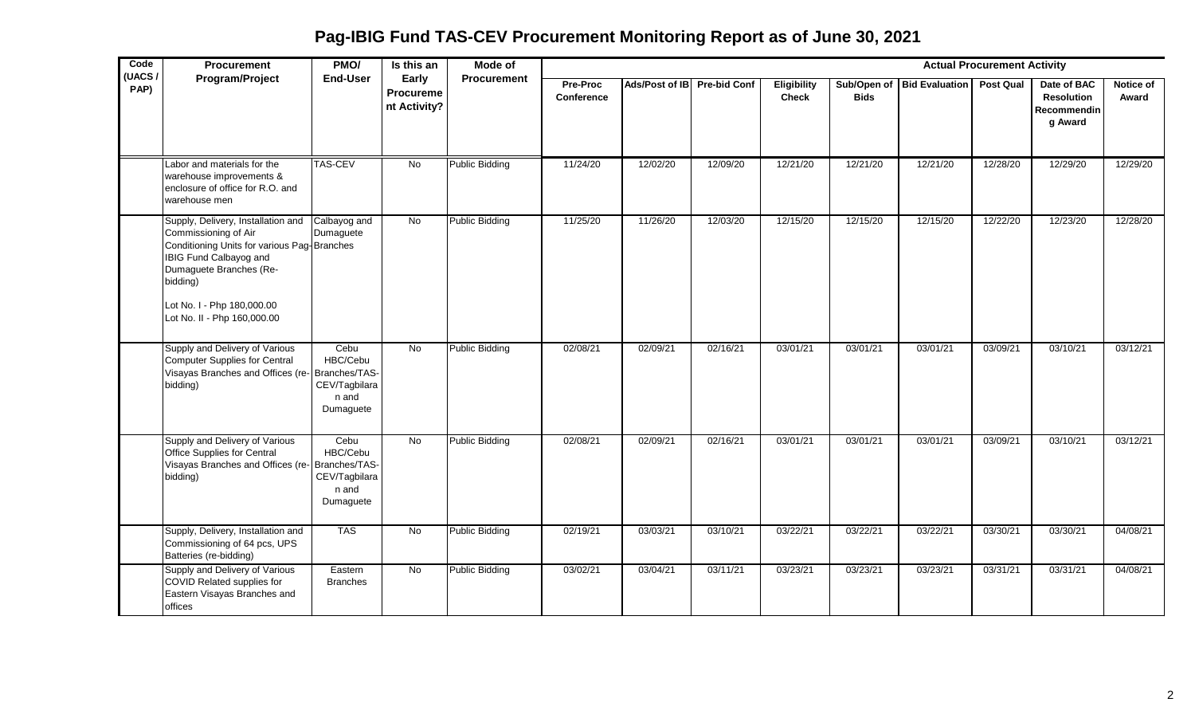| Code<br>(UACS/ | Procurement                                                                                                                                                                                                                             | PMO/                                                    | Is this an                         | Mode of               |                        |                             |          |                                    |             |                            | <b>Actual Procurement Activity</b> |                                                                   |                    |
|----------------|-----------------------------------------------------------------------------------------------------------------------------------------------------------------------------------------------------------------------------------------|---------------------------------------------------------|------------------------------------|-----------------------|------------------------|-----------------------------|----------|------------------------------------|-------------|----------------------------|------------------------------------|-------------------------------------------------------------------|--------------------|
| PAP)           | Program/Project                                                                                                                                                                                                                         | <b>End-User</b>                                         | Early<br>Procureme<br>nt Activity? | Procurement           | Pre-Proc<br>Conference | Ads/Post of IB Pre-bid Conf |          | <b>Eligibility</b><br><b>Check</b> | <b>Bids</b> | Sub/Open of Bid Evaluation | <b>Post Qual</b>                   | Date of BAC<br><b>Resolution</b><br><b>Recommendin</b><br>g Award | Notice of<br>Award |
|                | Labor and materials for the<br>warehouse improvements &<br>enclosure of office for R.O. and<br>warehouse men                                                                                                                            | <b>TAS-CEV</b>                                          | No                                 | <b>Public Bidding</b> | 11/24/20               | 12/02/20                    | 12/09/20 | 12/21/20                           | 12/21/20    | 12/21/20                   | 12/28/20                           | 12/29/20                                                          | 12/29/20           |
|                | Supply, Delivery, Installation and<br>Commissioning of Air<br>Conditioning Units for various Pag-Branches<br>IBIG Fund Calbayog and<br>Dumaguete Branches (Re-<br>bidding)<br>Lot No. I - Php 180,000.00<br>Lot No. II - Php 160,000.00 | Calbayog and<br>Dumaguete                               | <b>No</b>                          | <b>Public Bidding</b> | 11/25/20               | 11/26/20                    | 12/03/20 | 12/15/20                           | 12/15/20    | 12/15/20                   | 12/22/20                           | 12/23/20                                                          | 12/28/20           |
|                | Supply and Delivery of Various<br><b>Computer Supplies for Central</b><br>Visayas Branches and Offices (re-Branches/TAS-<br>bidding)                                                                                                    | Cebu<br>HBC/Cebu<br>CEV/Tagbilara<br>n and<br>Dumaguete | <b>No</b>                          | <b>Public Bidding</b> | 02/08/21               | 02/09/21                    | 02/16/21 | 03/01/21                           | 03/01/21    | 03/01/21                   | 03/09/21                           | 03/10/21                                                          | 03/12/21           |
|                | Supply and Delivery of Various<br>Office Supplies for Central<br>Visayas Branches and Offices (re-Branches/TAS-<br>bidding)                                                                                                             | Cebu<br>HBC/Cebu<br>CEV/Tagbilara<br>n and<br>Dumaguete | No                                 | <b>Public Bidding</b> | 02/08/21               | 02/09/21                    | 02/16/21 | 03/01/21                           | 03/01/21    | 03/01/21                   | 03/09/21                           | 03/10/21                                                          | 03/12/21           |
|                | Supply, Delivery, Installation and<br>Commissioning of 64 pcs, UPS<br>Batteries (re-bidding)                                                                                                                                            | <b>TAS</b>                                              | No                                 | <b>Public Bidding</b> | 02/19/21               | 03/03/21                    | 03/10/21 | 03/22/21                           | 03/22/21    | 03/22/21                   | 03/30/21                           | 03/30/21                                                          | 04/08/21           |
|                | Supply and Delivery of Various<br>COVID Related supplies for<br>Eastern Visayas Branches and<br>offices                                                                                                                                 | Eastern<br><b>Branches</b>                              | No                                 | <b>Public Bidding</b> | 03/02/21               | 03/04/21                    | 03/11/21 | 03/23/21                           | 03/23/21    | 03/23/21                   | 03/31/21                           | 03/31/21                                                          | 04/08/21           |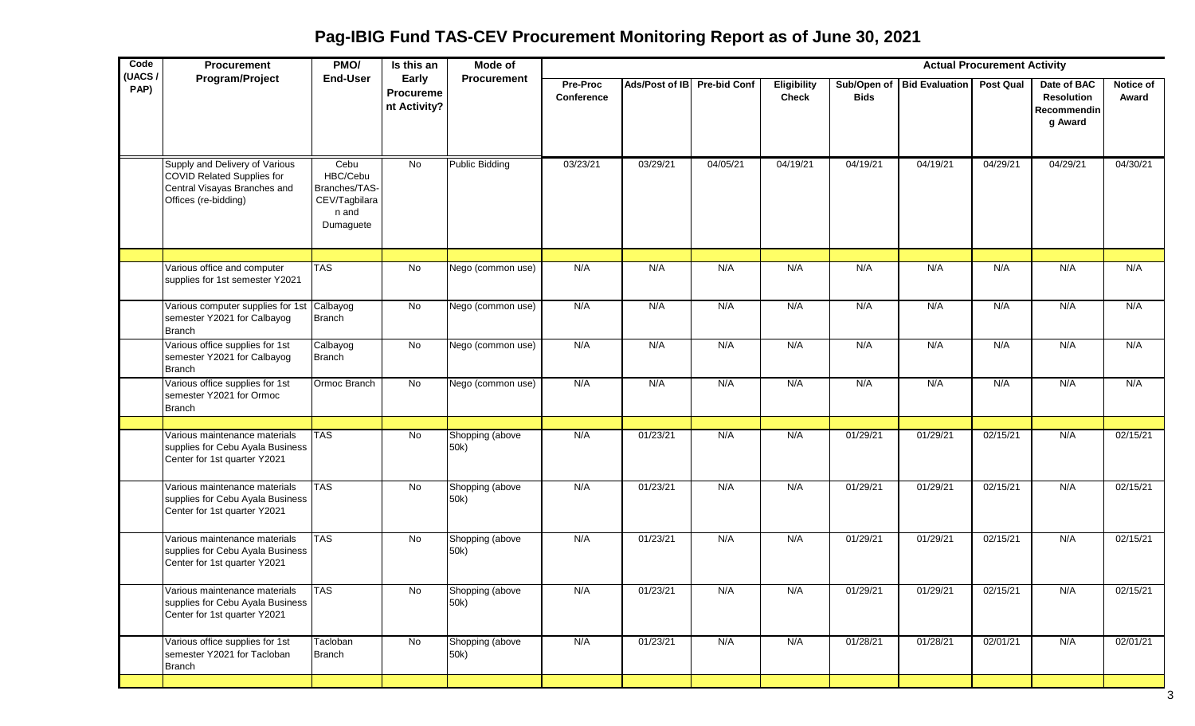**Pag-IBIG Fund TAS-CEV Procurement Monitoring Report as of June 30, 2021**

| Code<br>(UACS/ | Procurement                                                                                                                 | PMO/                                                                     | Is this an                         | Mode of                 |                        |                             |          |                             |             |                            | <b>Actual Procurement Activity</b> |                                                            |                    |
|----------------|-----------------------------------------------------------------------------------------------------------------------------|--------------------------------------------------------------------------|------------------------------------|-------------------------|------------------------|-----------------------------|----------|-----------------------------|-------------|----------------------------|------------------------------------|------------------------------------------------------------|--------------------|
| PAP)           | Program/Project                                                                                                             | <b>End-User</b>                                                          | Early<br>Procureme<br>nt Activity? | Procurement             | Pre-Proc<br>Conference | Ads/Post of IB Pre-bid Conf |          | Eligibility<br><b>Check</b> | <b>Bids</b> | Sub/Open of Bid Evaluation | <b>Post Qual</b>                   | Date of BAC<br><b>Resolution</b><br>Recommendin<br>g Award | Notice of<br>Award |
|                | Supply and Delivery of Various<br><b>COVID Related Supplies for</b><br>Central Visayas Branches and<br>Offices (re-bidding) | Cebu<br>HBC/Cebu<br>Branches/TAS-<br>CEV/Tagbilara<br>n and<br>Dumaguete | No                                 | <b>Public Bidding</b>   | 03/23/21               | 03/29/21                    | 04/05/21 | 04/19/21                    | 04/19/21    | 04/19/21                   | 04/29/21                           | 04/29/21                                                   | 04/30/21           |
|                |                                                                                                                             |                                                                          |                                    |                         |                        |                             |          |                             |             |                            |                                    |                                                            |                    |
|                | Various office and computer<br>supplies for 1st semester Y2021                                                              | <b>TAS</b>                                                               | No                                 | Nego (common use)       | N/A                    | N/A                         | N/A      | N/A                         | N/A         | N/A                        | N/A                                | N/A                                                        | N/A                |
|                | Various computer supplies for 1st Calbayog<br>semester Y2021 for Calbayog<br><b>Branch</b>                                  | Branch                                                                   | No                                 | Nego (common use)       | N/A                    | N/A                         | N/A      | N/A                         | N/A         | N/A                        | N/A                                | N/A                                                        | N/A                |
|                | Various office supplies for 1st<br>semester Y2021 for Calbayog<br><b>Branch</b>                                             | Calbayog<br>Branch                                                       | $\overline{N}$                     | Nego (common use)       | N/A                    | N/A                         | N/A      | N/A                         | N/A         | N/A                        | N/A                                | N/A                                                        | N/A                |
|                | Various office supplies for 1st<br>semester Y2021 for Ormoc<br><b>Branch</b>                                                | Ormoc Branch                                                             | No                                 | Nego (common use)       | N/A                    | N/A                         | N/A      | N/A                         | N/A         | N/A                        | N/A                                | N/A                                                        | N/A                |
|                |                                                                                                                             |                                                                          |                                    |                         |                        |                             |          |                             |             |                            |                                    |                                                            |                    |
|                | Various maintenance materials<br>supplies for Cebu Ayala Business<br>Center for 1st quarter Y2021                           | <b>TAS</b>                                                               | No                                 | Shopping (above<br>50k) | N/A                    | 01/23/21                    | N/A      | N/A                         | 01/29/21    | 01/29/21                   | 02/15/21                           | N/A                                                        | 02/15/21           |
|                | Various maintenance materials<br>supplies for Cebu Ayala Business<br>Center for 1st quarter Y2021                           | <b>TAS</b>                                                               | No                                 | Shopping (above<br>50k) | N/A                    | 01/23/21                    | N/A      | N/A                         | 01/29/21    | 01/29/21                   | 02/15/21                           | N/A                                                        | 02/15/21           |
|                | Various maintenance materials<br>supplies for Cebu Ayala Business<br>Center for 1st quarter Y2021                           | <b>TAS</b>                                                               | No                                 | Shopping (above<br>50k) | N/A                    | 01/23/21                    | N/A      | N/A                         | 01/29/21    | 01/29/21                   | 02/15/21                           | N/A                                                        | 02/15/21           |
|                | Various maintenance materials<br>supplies for Cebu Ayala Business<br>Center for 1st quarter Y2021                           | <b>TAS</b>                                                               | No.                                | Shopping (above<br>50k) | N/A                    | 01/23/21                    | N/A      | N/A                         | 01/29/21    | 01/29/21                   | 02/15/21                           | N/A                                                        | 02/15/21           |
|                | Various office supplies for 1st<br>semester Y2021 for Tacloban<br><b>Branch</b>                                             | Tacloban<br><b>Branch</b>                                                | No                                 | Shopping (above<br>50k) | N/A                    | 01/23/21                    | N/A      | N/A                         | 01/28/21    | 01/28/21                   | 02/01/21                           | N/A                                                        | 02/01/21           |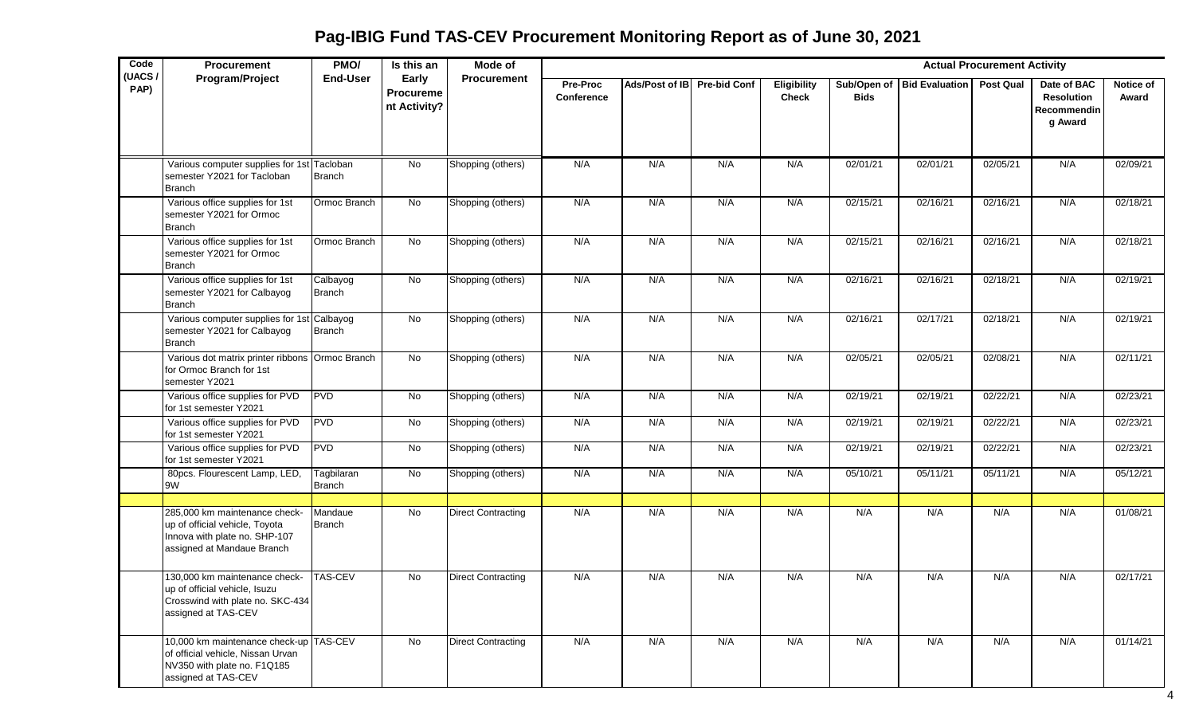| Code           | Procurement                                                                                                                       | PMO/                 | Is this an                         | Mode of                   |                               |                             |     |                             |                            |                       | <b>Actual Procurement Activity</b> |                                                            |                    |
|----------------|-----------------------------------------------------------------------------------------------------------------------------------|----------------------|------------------------------------|---------------------------|-------------------------------|-----------------------------|-----|-----------------------------|----------------------------|-----------------------|------------------------------------|------------------------------------------------------------|--------------------|
| (UACS/<br>PAP) | Program/Project                                                                                                                   | <b>End-User</b>      | Early<br>Procureme<br>nt Activity? | <b>Procurement</b>        | <b>Pre-Proc</b><br>Conference | Ads/Post of IB Pre-bid Conf |     | Eligibility<br><b>Check</b> | Sub/Open of<br><b>Bids</b> | <b>Bid Evaluation</b> | <b>Post Qual</b>                   | Date of BAC<br><b>Resolution</b><br>Recommendin<br>g Award | Notice of<br>Award |
|                |                                                                                                                                   |                      |                                    |                           |                               |                             |     |                             |                            |                       |                                    |                                                            |                    |
|                | Various computer supplies for 1st Tacloban<br>semester Y2021 for Tacloban<br><b>Branch</b>                                        | Branch               | $\overline{N}$                     | Shopping (others)         | N/A                           | N/A                         | N/A | N/A                         | 02/01/21                   | 02/01/21              | 02/05/21                           | N/A                                                        | 02/09/21           |
|                | Various office supplies for 1st<br>semester Y2021 for Ormoc<br><b>Branch</b>                                                      | Ormoc Branch         | No                                 | Shopping (others)         | N/A                           | N/A                         | N/A | N/A                         | 02/15/21                   | 02/16/21              | 02/16/21                           | N/A                                                        | 02/18/21           |
|                | Various office supplies for 1st<br>semester Y2021 for Ormoc<br><b>Branch</b>                                                      | Ormoc Branch         | No                                 | Shopping (others)         | N/A                           | N/A                         | N/A | N/A                         | 02/15/21                   | 02/16/21              | 02/16/21                           | N/A                                                        | 02/18/21           |
|                | Various office supplies for 1st<br>semester Y2021 for Calbayog<br><b>Branch</b>                                                   | Calbayog<br>Branch   | No                                 | Shopping (others)         | N/A                           | N/A                         | N/A | N/A                         | 02/16/21                   | 02/16/21              | 02/18/21                           | N/A                                                        | 02/19/21           |
|                | Various computer supplies for 1st Calbayog<br>semester Y2021 for Calbayog<br><b>Branch</b>                                        | Branch               | No                                 | Shopping (others)         | N/A                           | N/A                         | N/A | N/A                         | 02/16/21                   | 02/17/21              | 02/18/21                           | N/A                                                        | 02/19/21           |
|                | Various dot matrix printer ribbons Ormoc Branch<br>for Ormoc Branch for 1st<br>semester Y2021                                     |                      | No                                 | Shopping (others)         | N/A                           | N/A                         | N/A | N/A                         | 02/05/21                   | 02/05/21              | 02/08/21                           | N/A                                                        | 02/11/21           |
|                | Various office supplies for PVD<br>for 1st semester Y2021                                                                         | <b>PVD</b>           | No                                 | Shopping (others)         | N/A                           | N/A                         | N/A | N/A                         | 02/19/21                   | 02/19/21              | 02/22/21                           | N/A                                                        | 02/23/21           |
|                | Various office supplies for PVD<br>for 1st semester Y2021                                                                         | <b>PVD</b>           | No                                 | Shopping (others)         | N/A                           | N/A                         | N/A | N/A                         | 02/19/21                   | 02/19/21              | 02/22/21                           | N/A                                                        | 02/23/21           |
|                | Various office supplies for PVD<br>for 1st semester Y2021                                                                         | PVD                  | No                                 | Shopping (others)         | N/A                           | N/A                         | N/A | N/A                         | 02/19/21                   | 02/19/21              | 02/22/21                           | N/A                                                        | 02/23/21           |
|                | 80pcs. Flourescent Lamp, LED,<br>9W                                                                                               | Tagbilaran<br>Branch | No                                 | Shopping (others)         | N/A                           | N/A                         | N/A | N/A                         | 05/10/21                   | 05/11/21              | 05/11/21                           | N/A                                                        | 05/12/21           |
|                | 285,000 km maintenance check-<br>up of official vehicle, Toyota<br>Innova with plate no. SHP-107<br>assigned at Mandaue Branch    | Mandaue<br>Branch    | <b>No</b>                          | <b>Direct Contracting</b> | N/A                           | N/A                         | N/A | N/A                         | N/A                        | N/A                   | N/A                                | N/A                                                        | 01/08/21           |
|                | 130,000 km maintenance check-<br>up of official vehicle, Isuzu<br>Crosswind with plate no. SKC-434<br>assigned at TAS-CEV         | <b>TAS-CEV</b>       | No                                 | <b>Direct Contracting</b> | N/A                           | N/A                         | N/A | N/A                         | N/A                        | N/A                   | N/A                                | N/A                                                        | 02/17/21           |
|                | 10,000 km maintenance check-up TAS-CEV<br>of official vehicle, Nissan Urvan<br>NV350 with plate no. F1Q185<br>assigned at TAS-CEV |                      | $\overline{N}$                     | <b>Direct Contracting</b> | N/A                           | N/A                         | N/A | N/A                         | N/A                        | N/A                   | N/A                                | N/A                                                        | 01/14/21           |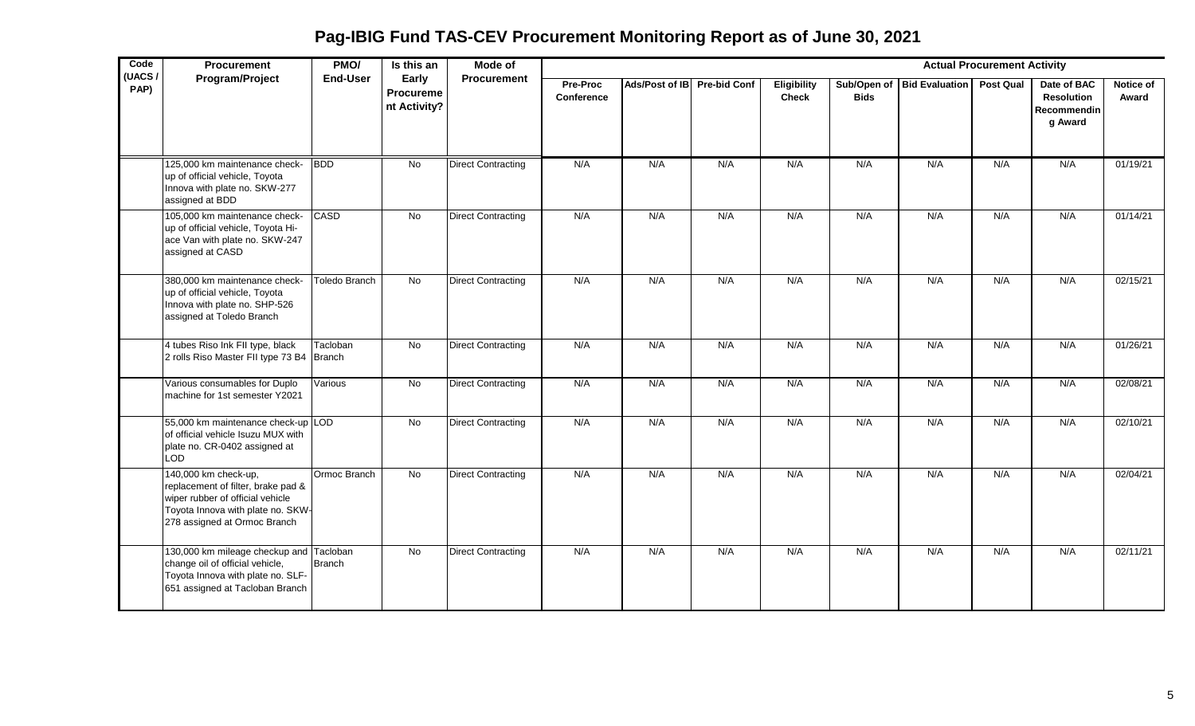**Pag-IBIG Fund TAS-CEV Procurement Monitoring Report as of June 30, 2021**

| Code<br>(UACS/ | Procurement                                                                                                                                                         | PMO/            | Is this an                                | Mode of                   |                               |                             |     |                                    |             |                            | <b>Actual Procurement Activity</b> |                                                            |                    |
|----------------|---------------------------------------------------------------------------------------------------------------------------------------------------------------------|-----------------|-------------------------------------------|---------------------------|-------------------------------|-----------------------------|-----|------------------------------------|-------------|----------------------------|------------------------------------|------------------------------------------------------------|--------------------|
| PAP)           | Program/Project                                                                                                                                                     | <b>End-User</b> | Early<br><b>Procureme</b><br>nt Activity? | Procurement               | <b>Pre-Proc</b><br>Conference | Ads/Post of IB Pre-bid Conf |     | <b>Eligibility</b><br><b>Check</b> | <b>Bids</b> | Sub/Open of Bid Evaluation | <b>Post Qual</b>                   | Date of BAC<br><b>Resolution</b><br>Recommendin<br>g Award | Notice of<br>Award |
|                | 125,000 km maintenance check-<br>up of official vehicle, Toyota<br>Innova with plate no. SKW-277<br>assigned at BDD                                                 | <b>BDD</b>      | $\overline{N}$                            | <b>Direct Contracting</b> | N/A                           | N/A                         | N/A | N/A                                | N/A         | N/A                        | N/A                                | N/A                                                        | 01/19/21           |
|                | 105,000 km maintenance check-<br>up of official vehicle, Toyota Hi-<br>ace Van with plate no. SKW-247<br>assigned at CASD                                           | CASD            | No                                        | <b>Direct Contracting</b> | N/A                           | N/A                         | N/A | N/A                                | N/A         | N/A                        | N/A                                | N/A                                                        | 01/14/21           |
|                | 380,000 km maintenance check-<br>up of official vehicle, Toyota<br>Innova with plate no. SHP-526<br>assigned at Toledo Branch                                       | Toledo Branch   | $\overline{N}$                            | <b>Direct Contracting</b> | N/A                           | N/A                         | N/A | N/A                                | N/A         | N/A                        | N/A                                | N/A                                                        | 02/15/21           |
|                | 4 tubes Riso Ink FII type, black<br>2 rolls Riso Master FII type 73 B4 Branch                                                                                       | Tacloban        | No                                        | <b>Direct Contracting</b> | N/A                           | N/A                         | N/A | N/A                                | N/A         | N/A                        | N/A                                | N/A                                                        | 01/26/21           |
|                | Various consumables for Duplo<br>machine for 1st semester Y2021                                                                                                     | Various         | No                                        | <b>Direct Contracting</b> | N/A                           | N/A                         | N/A | N/A                                | N/A         | N/A                        | N/A                                | N/A                                                        | 02/08/21           |
|                | 55,000 km maintenance check-up LOD<br>of official vehicle Isuzu MUX with<br>plate no. CR-0402 assigned at<br>LOD                                                    |                 | <b>No</b>                                 | <b>Direct Contracting</b> | N/A                           | N/A                         | N/A | N/A                                | N/A         | N/A                        | N/A                                | N/A                                                        | 02/10/21           |
|                | 140,000 km check-up,<br>replacement of filter, brake pad &<br>wiper rubber of official vehicle<br>Toyota Innova with plate no. SKW-<br>278 assigned at Ormoc Branch | Ormoc Branch    | No                                        | <b>Direct Contracting</b> | N/A                           | N/A                         | N/A | N/A                                | N/A         | N/A                        | N/A                                | N/A                                                        | 02/04/21           |
|                | 130,000 km mileage checkup and Tacloban<br>change oil of official vehicle,<br>Toyota Innova with plate no. SLF-<br>651 assigned at Tacloban Branch                  | <b>Branch</b>   | <b>No</b>                                 | <b>Direct Contracting</b> | N/A                           | N/A                         | N/A | N/A                                | N/A         | N/A                        | N/A                                | N/A                                                        | 02/11/21           |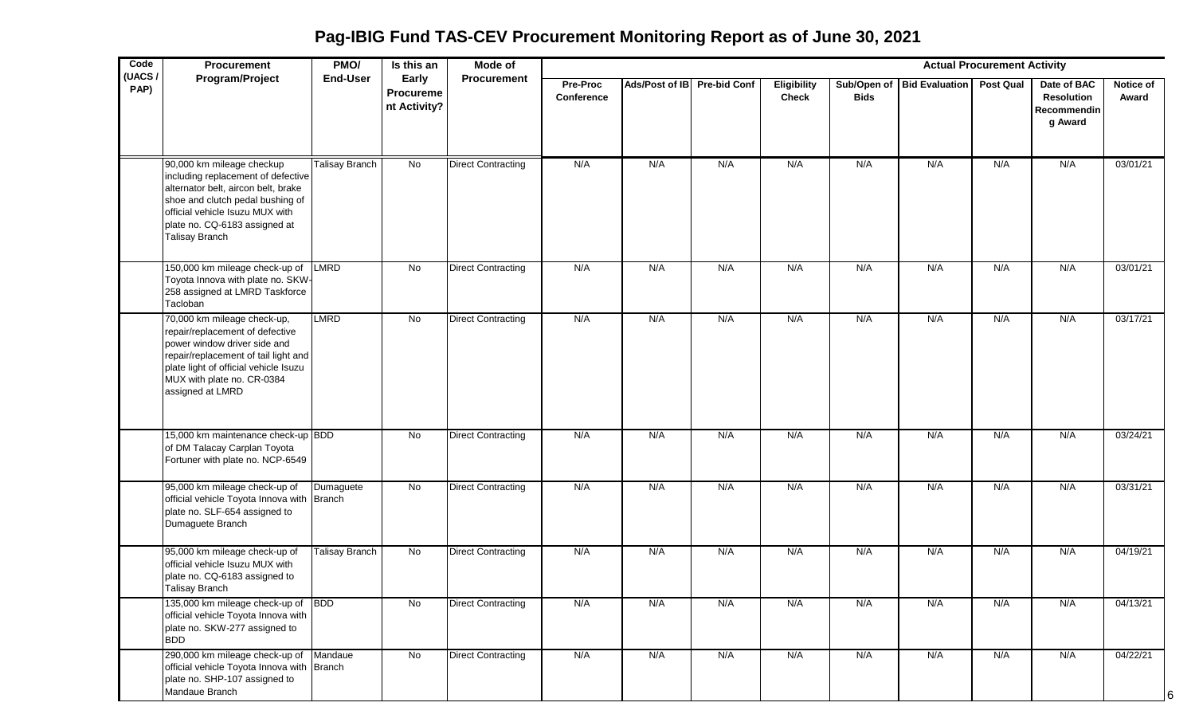**Pag-IBIG Fund TAS-CEV Procurement Monitoring Report as of June 30, 2021**

| Code           | Procurement                                                                                                                                                                                                                             | PMO/                  | Is this an                                | Mode of                   |                        |                             |     |                                    |             |                            | <b>Actual Procurement Activity</b> |                                                            |                           |
|----------------|-----------------------------------------------------------------------------------------------------------------------------------------------------------------------------------------------------------------------------------------|-----------------------|-------------------------------------------|---------------------------|------------------------|-----------------------------|-----|------------------------------------|-------------|----------------------------|------------------------------------|------------------------------------------------------------|---------------------------|
| (UACS/<br>PAP) | Program/Project                                                                                                                                                                                                                         | <b>End-User</b>       | Early<br><b>Procureme</b><br>nt Activity? | <b>Procurement</b>        | Pre-Proc<br>Conference | Ads/Post of IB Pre-bid Conf |     | <b>Eligibility</b><br><b>Check</b> | <b>Bids</b> | Sub/Open of Bid Evaluation | <b>Post Qual</b>                   | Date of BAC<br><b>Resolution</b><br>Recommendin<br>g Award | <b>Notice of</b><br>Award |
|                | 90,000 km mileage checkup<br>including replacement of defective<br>alternator belt, aircon belt, brake<br>shoe and clutch pedal bushing of<br>official vehicle Isuzu MUX with<br>plate no. CQ-6183 assigned at<br><b>Talisay Branch</b> | <b>Talisay Branch</b> | No                                        | <b>Direct Contracting</b> | N/A                    | N/A                         | N/A | N/A                                | N/A         | N/A                        | N/A                                | N/A                                                        | 03/01/21                  |
|                | 150,000 km mileage check-up of LMRD<br>Toyota Innova with plate no. SKW-<br>258 assigned at LMRD Taskforce<br>Tacloban                                                                                                                  |                       | No                                        | <b>Direct Contracting</b> | N/A                    | N/A                         | N/A | N/A                                | N/A         | N/A                        | N/A                                | N/A                                                        | 03/01/21                  |
|                | 70,000 km mileage check-up,<br>repair/replacement of defective<br>power window driver side and<br>repair/replacement of tail light and<br>plate light of official vehicle Isuzu<br>MUX with plate no. CR-0384<br>assigned at LMRD       | <b>LMRD</b>           | No                                        | <b>Direct Contracting</b> | N/A                    | N/A                         | N/A | N/A                                | N/A         | N/A                        | N/A                                | N/A                                                        | 03/17/21                  |
|                | 15,000 km maintenance check-up BDD<br>of DM Talacay Carplan Toyota<br>Fortuner with plate no. NCP-6549                                                                                                                                  |                       | No                                        | <b>Direct Contracting</b> | N/A                    | N/A                         | N/A | N/A                                | N/A         | N/A                        | N/A                                | N/A                                                        | 03/24/21                  |
|                | 95,000 km mileage check-up of<br>official vehicle Toyota Innova with Branch<br>plate no. SLF-654 assigned to<br>Dumaguete Branch                                                                                                        | Dumaguete             | No                                        | <b>Direct Contracting</b> | N/A                    | N/A                         | N/A | N/A                                | N/A         | N/A                        | N/A                                | N/A                                                        | 03/31/21                  |
|                | 95,000 km mileage check-up of<br>official vehicle Isuzu MUX with<br>plate no. CQ-6183 assigned to<br><b>Talisay Branch</b>                                                                                                              | <b>Talisay Branch</b> | No                                        | <b>Direct Contracting</b> | N/A                    | N/A                         | N/A | N/A                                | N/A         | N/A                        | N/A                                | N/A                                                        | 04/19/21                  |
|                | 135,000 km mileage check-up of BDD<br>official vehicle Toyota Innova with<br>plate no. SKW-277 assigned to<br><b>BDD</b>                                                                                                                |                       | No                                        | <b>Direct Contracting</b> | N/A                    | N/A                         | N/A | N/A                                | N/A         | N/A                        | N/A                                | N/A                                                        | 04/13/21                  |
|                | 290,000 km mileage check-up of Mandaue<br>official vehicle Toyota Innova with Branch<br>plate no. SHP-107 assigned to<br>Mandaue Branch                                                                                                 |                       | No                                        | <b>Direct Contracting</b> | N/A                    | N/A                         | N/A | N/A                                | N/A         | N/A                        | N/A                                | N/A                                                        | 04/22/21                  |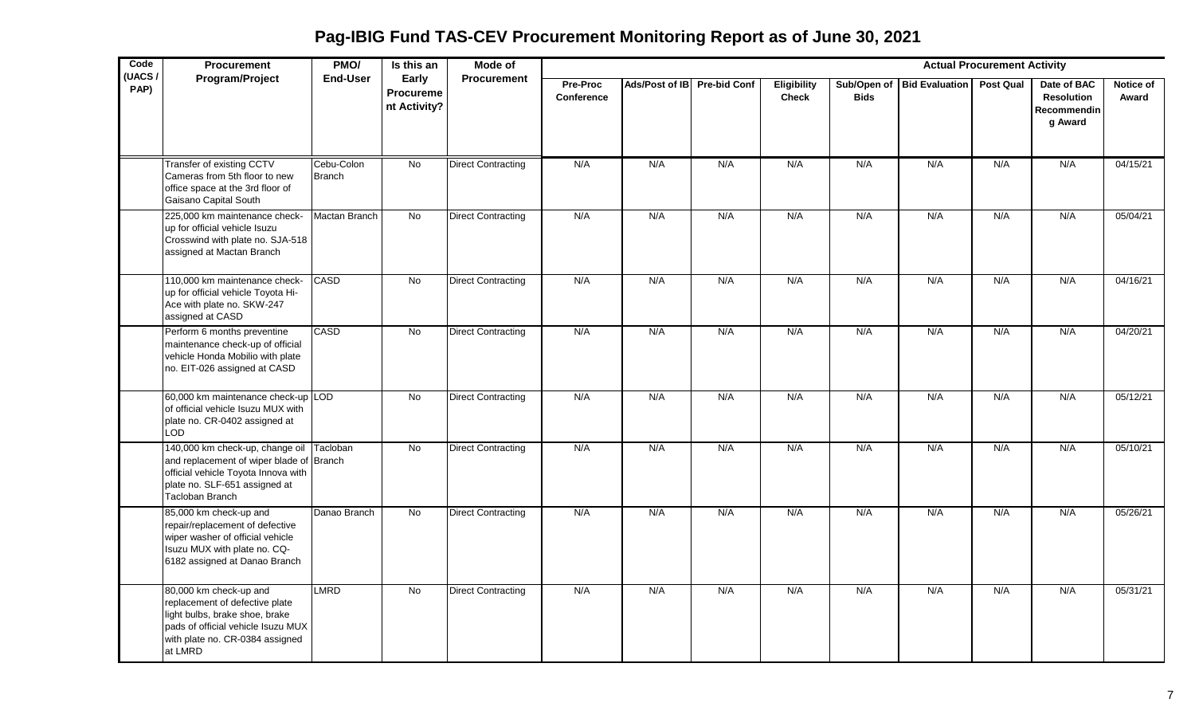**Pag-IBIG Fund TAS-CEV Procurement Monitoring Report as of June 30, 2021**

| Code<br>(UACS/ | Procurement                                                                                                                                                                    | PMO/                        | Is this an                         | Mode of                   |                               |                             |     |                             |                            |                       | <b>Actual Procurement Activity</b> |                                                            |                    |
|----------------|--------------------------------------------------------------------------------------------------------------------------------------------------------------------------------|-----------------------------|------------------------------------|---------------------------|-------------------------------|-----------------------------|-----|-----------------------------|----------------------------|-----------------------|------------------------------------|------------------------------------------------------------|--------------------|
| PAP)           | Program/Project                                                                                                                                                                | End-User                    | Early<br>Procureme<br>nt Activity? | <b>Procurement</b>        | Pre-Proc<br><b>Conference</b> | Ads/Post of IB Pre-bid Conf |     | Eligibility<br><b>Check</b> | Sub/Open of<br><b>Bids</b> | <b>Bid Evaluation</b> | <b>Post Qual</b>                   | Date of BAC<br><b>Resolution</b><br>Recommendin<br>g Award | Notice of<br>Award |
|                | Transfer of existing CCTV<br>Cameras from 5th floor to new<br>office space at the 3rd floor of<br>Gaisano Capital South                                                        | Cebu-Colon<br><b>Branch</b> | No                                 | <b>Direct Contracting</b> | N/A                           | N/A                         | N/A | N/A                         | N/A                        | N/A                   | N/A                                | N/A                                                        | 04/15/21           |
|                | 225,000 km maintenance check-<br>up for official vehicle Isuzu<br>Crosswind with plate no. SJA-518<br>assigned at Mactan Branch                                                | Mactan Branch               | <b>No</b>                          | <b>Direct Contracting</b> | N/A                           | N/A                         | N/A | N/A                         | N/A                        | N/A                   | N/A                                | N/A                                                        | 05/04/21           |
|                | 110,000 km maintenance check-<br>up for official vehicle Toyota Hi-<br>Ace with plate no. SKW-247<br>assigned at CASD                                                          | CASD                        | $\overline{N}$                     | <b>Direct Contracting</b> | N/A                           | N/A                         | N/A | N/A                         | N/A                        | N/A                   | N/A                                | N/A                                                        | 04/16/21           |
|                | Perform 6 months preventine<br>maintenance check-up of official<br>vehicle Honda Mobilio with plate<br>no. EIT-026 assigned at CASD                                            | CASD                        | $\overline{N}$                     | <b>Direct Contracting</b> | N/A                           | N/A                         | N/A | N/A                         | N/A                        | N/A                   | N/A                                | N/A                                                        | 04/20/21           |
|                | 60,000 km maintenance check-up LOD<br>of official vehicle Isuzu MUX with<br>plate no. CR-0402 assigned at<br><b>LOD</b>                                                        |                             | <b>No</b>                          | <b>Direct Contracting</b> | N/A                           | N/A                         | N/A | N/A                         | N/A                        | N/A                   | N/A                                | N/A                                                        | 05/12/21           |
|                | 140,000 km check-up, change oil<br>and replacement of wiper blade of Branch<br>official vehicle Toyota Innova with<br>plate no. SLF-651 assigned at<br><b>Tacloban Branch</b>  | Tacloban                    | No                                 | <b>Direct Contracting</b> | N/A                           | N/A                         | N/A | N/A                         | N/A                        | N/A                   | N/A                                | N/A                                                        | 05/10/21           |
|                | 85,000 km check-up and<br>repair/replacement of defective<br>wiper washer of official vehicle<br>Isuzu MUX with plate no. CQ-<br>6182 assigned at Danao Branch                 | Danao Branch                | $\overline{N}$                     | <b>Direct Contracting</b> | N/A                           | N/A                         | N/A | N/A                         | N/A                        | N/A                   | N/A                                | N/A                                                        | 05/26/21           |
|                | 80,000 km check-up and<br>replacement of defective plate<br>light bulbs, brake shoe, brake<br>pads of official vehicle Isuzu MUX<br>with plate no. CR-0384 assigned<br>at LMRD | LMRD                        | No                                 | <b>Direct Contracting</b> | N/A                           | N/A                         | N/A | N/A                         | N/A                        | N/A                   | N/A                                | N/A                                                        | 05/31/21           |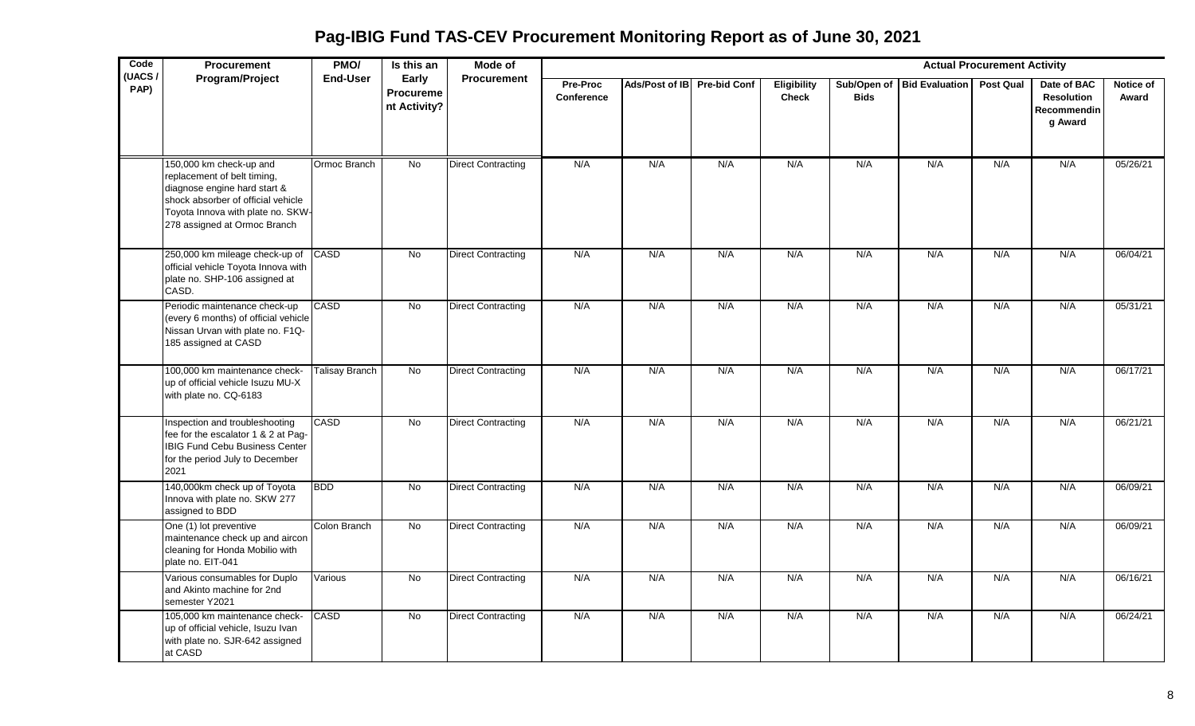**Pag-IBIG Fund TAS-CEV Procurement Monitoring Report as of June 30, 2021**

| Code<br>(UACS/ | <b>Procurement</b>                                                                                                                                                                                | PMO/            | Is this an                         | Mode of                   |                               |                             |     |                             |                            |                       | <b>Actual Procurement Activity</b> |                                                            |                    |
|----------------|---------------------------------------------------------------------------------------------------------------------------------------------------------------------------------------------------|-----------------|------------------------------------|---------------------------|-------------------------------|-----------------------------|-----|-----------------------------|----------------------------|-----------------------|------------------------------------|------------------------------------------------------------|--------------------|
| PAP)           | Program/Project                                                                                                                                                                                   | <b>End-User</b> | Early<br>Procureme<br>nt Activity? | <b>Procurement</b>        | Pre-Proc<br><b>Conference</b> | Ads/Post of IB Pre-bid Conf |     | Eligibility<br><b>Check</b> | Sub/Open of<br><b>Bids</b> | <b>Bid Evaluation</b> | <b>Post Qual</b>                   | Date of BAC<br><b>Resolution</b><br>Recommendin<br>g Award | Notice of<br>Award |
|                | 150,000 km check-up and<br>replacement of belt timing,<br>diagnose engine hard start &<br>shock absorber of official vehicle<br>Toyota Innova with plate no. SKW-<br>278 assigned at Ormoc Branch | Ormoc Branch    | <b>No</b>                          | <b>Direct Contracting</b> | N/A                           | N/A                         | N/A | N/A                         | N/A                        | N/A                   | N/A                                | N/A                                                        | 05/26/21           |
|                | 250,000 km mileage check-up of<br>official vehicle Toyota Innova with<br>plate no. SHP-106 assigned at<br>CASD.                                                                                   | <b>CASD</b>     | No                                 | <b>Direct Contracting</b> | N/A                           | N/A                         | N/A | N/A                         | N/A                        | N/A                   | N/A                                | N/A                                                        | 06/04/21           |
|                | Periodic maintenance check-up<br>(every 6 months) of official vehicle<br>Nissan Urvan with plate no. F1Q-<br>185 assigned at CASD                                                                 | <b>CASD</b>     | <b>No</b>                          | <b>Direct Contracting</b> | N/A                           | N/A                         | N/A | N/A                         | N/A                        | N/A                   | N/A                                | N/A                                                        | 05/31/21           |
|                | 100,000 km maintenance check-<br>up of official vehicle Isuzu MU-X<br>with plate no. CQ-6183                                                                                                      | Talisay Branch  | <b>No</b>                          | <b>Direct Contracting</b> | N/A                           | N/A                         | N/A | N/A                         | N/A                        | N/A                   | N/A                                | N/A                                                        | 06/17/21           |
|                | Inspection and troubleshooting<br>fee for the escalator 1 & 2 at Pag-<br><b>IBIG Fund Cebu Business Center</b><br>for the period July to December<br>2021                                         | CASD            | <b>No</b>                          | <b>Direct Contracting</b> | N/A                           | N/A                         | N/A | N/A                         | N/A                        | N/A                   | N/A                                | N/A                                                        | 06/21/21           |
|                | 140,000km check up of Toyota<br>Innova with plate no. SKW 277<br>assigned to BDD                                                                                                                  | <b>BDD</b>      | $\overline{N}$                     | <b>Direct Contracting</b> | N/A                           | N/A                         | N/A | N/A                         | N/A                        | N/A                   | N/A                                | N/A                                                        | 06/09/21           |
|                | One (1) lot preventive<br>maintenance check up and aircon<br>cleaning for Honda Mobilio with<br>plate no. EIT-041                                                                                 | Colon Branch    | <b>No</b>                          | <b>Direct Contracting</b> | N/A                           | N/A                         | N/A | N/A                         | N/A                        | N/A                   | N/A                                | N/A                                                        | 06/09/21           |
|                | Various consumables for Duplo<br>and Akinto machine for 2nd<br>semester Y2021                                                                                                                     | Various         | <b>No</b>                          | <b>Direct Contracting</b> | N/A                           | N/A                         | N/A | N/A                         | N/A                        | N/A                   | N/A                                | N/A                                                        | 06/16/21           |
|                | 105,000 km maintenance check-<br>up of official vehicle, Isuzu Ivan<br>with plate no. SJR-642 assigned<br>at CASD                                                                                 | CASD            | No                                 | <b>Direct Contracting</b> | N/A                           | N/A                         | N/A | N/A                         | N/A                        | N/A                   | N/A                                | N/A                                                        | 06/24/21           |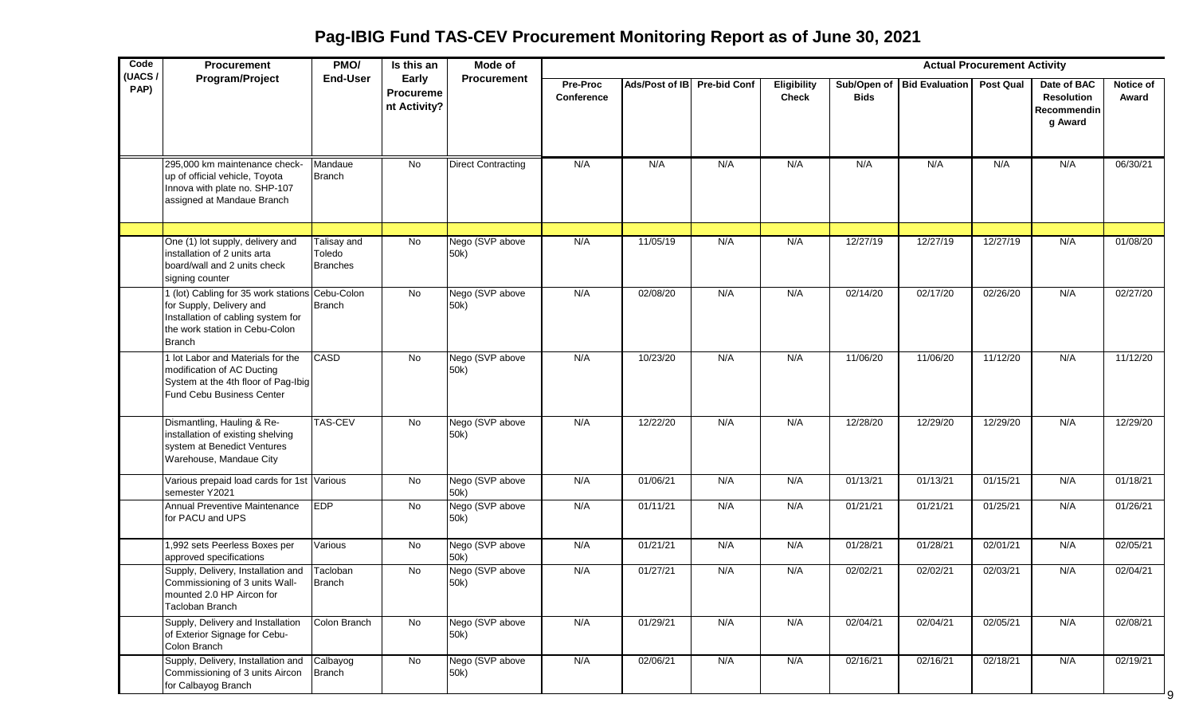| Code           | Procurement                                                                                                                                                          | PMO/                                     | Is this an                                | Mode of                   |                        |                             |     |                                    |             |                            | <b>Actual Procurement Activity</b> |                                                                   |                    |
|----------------|----------------------------------------------------------------------------------------------------------------------------------------------------------------------|------------------------------------------|-------------------------------------------|---------------------------|------------------------|-----------------------------|-----|------------------------------------|-------------|----------------------------|------------------------------------|-------------------------------------------------------------------|--------------------|
| (UACS)<br>PAP) | Program/Project                                                                                                                                                      | <b>End-User</b>                          | Early<br><b>Procureme</b><br>nt Activity? | <b>Procurement</b>        | Pre-Proc<br>Conference | Ads/Post of IB Pre-bid Conf |     | <b>Eligibility</b><br><b>Check</b> | <b>Bids</b> | Sub/Open of Bid Evaluation | <b>Post Qual</b>                   | Date of BAC<br><b>Resolution</b><br><b>Recommendin</b><br>g Award | Notice of<br>Award |
|                | 295,000 km maintenance check-<br>up of official vehicle, Toyota<br>Innova with plate no. SHP-107<br>assigned at Mandaue Branch                                       | Mandaue<br><b>Branch</b>                 | No                                        | <b>Direct Contracting</b> | N/A                    | N/A                         | N/A | N/A                                | N/A         | N/A                        | N/A                                | N/A                                                               | 06/30/21           |
|                |                                                                                                                                                                      |                                          |                                           |                           |                        |                             |     |                                    |             |                            |                                    |                                                                   |                    |
|                | One (1) lot supply, delivery and<br>installation of 2 units arta<br>board/wall and 2 units check<br>signing counter                                                  | Talisay and<br>Toledo<br><b>Branches</b> | No                                        | Nego (SVP above<br>50k)   | N/A                    | 11/05/19                    | N/A | N/A                                | 12/27/19    | 12/27/19                   | 12/27/19                           | N/A                                                               | 01/08/20           |
|                | 1 (lot) Cabling for 35 work stations Cebu-Colon<br>for Supply, Delivery and<br>Installation of cabling system for<br>the work station in Cebu-Colon<br><b>Branch</b> | <b>Branch</b>                            | No                                        | Nego (SVP above<br>50k)   | N/A                    | 02/08/20                    | N/A | N/A                                | 02/14/20    | 02/17/20                   | 02/26/20                           | N/A                                                               | 02/27/20           |
|                | 1 lot Labor and Materials for the<br>modification of AC Ducting<br>System at the 4th floor of Pag-Ibig<br><b>Fund Cebu Business Center</b>                           | <b>CASD</b>                              | No                                        | Nego (SVP above<br>50k)   | N/A                    | 10/23/20                    | N/A | N/A                                | 11/06/20    | 11/06/20                   | 11/12/20                           | N/A                                                               | 11/12/20           |
|                | Dismantling, Hauling & Re-<br>installation of existing shelving<br>system at Benedict Ventures<br>Warehouse, Mandaue City                                            | <b>TAS-CEV</b>                           | No                                        | Nego (SVP above<br>50k)   | N/A                    | 12/22/20                    | N/A | N/A                                | 12/28/20    | 12/29/20                   | 12/29/20                           | N/A                                                               | 12/29/20           |
|                | Various prepaid load cards for 1st Various<br>semester Y2021                                                                                                         |                                          | No                                        | Nego (SVP above<br>50k)   | N/A                    | 01/06/21                    | N/A | N/A                                | 01/13/21    | 01/13/21                   | 01/15/21                           | N/A                                                               | 01/18/21           |
|                | Annual Preventive Maintenance<br>for PACU and UPS                                                                                                                    | <b>EDP</b>                               | No                                        | Nego (SVP above<br>50k)   | N/A                    | 01/11/21                    | N/A | N/A                                | 01/21/21    | 01/21/21                   | 01/25/21                           | N/A                                                               | 01/26/21           |
|                | 1,992 sets Peerless Boxes per<br>approved specifications                                                                                                             | Various                                  | No                                        | Nego (SVP above<br>50k)   | N/A                    | 01/21/21                    | N/A | N/A                                | 01/28/21    | 01/28/21                   | 02/01/21                           | N/A                                                               | 02/05/21           |
|                | Supply, Delivery, Installation and<br>Commissioning of 3 units Wall-<br>mounted 2.0 HP Aircon for<br>Tacloban Branch                                                 | Tacloban<br>Branch                       | No                                        | Nego (SVP above<br>50k)   | N/A                    | 01/27/21                    | N/A | N/A                                | 02/02/21    | 02/02/21                   | 02/03/21                           | N/A                                                               | 02/04/21           |
|                | Supply, Delivery and Installation<br>of Exterior Signage for Cebu-<br>Colon Branch                                                                                   | Colon Branch                             | No                                        | Nego (SVP above<br>50k)   | N/A                    | 01/29/21                    | N/A | N/A                                | 02/04/21    | 02/04/21                   | 02/05/21                           | N/A                                                               | 02/08/21           |
|                | Supply, Delivery, Installation and Calbayog<br>Commissioning of 3 units Aircon Branch<br>for Calbayog Branch                                                         |                                          | No                                        | Nego (SVP above<br>50k)   | N/A                    | 02/06/21                    | N/A | N/A                                | 02/16/21    | 02/16/21                   | 02/18/21                           | N/A                                                               | 02/19/21           |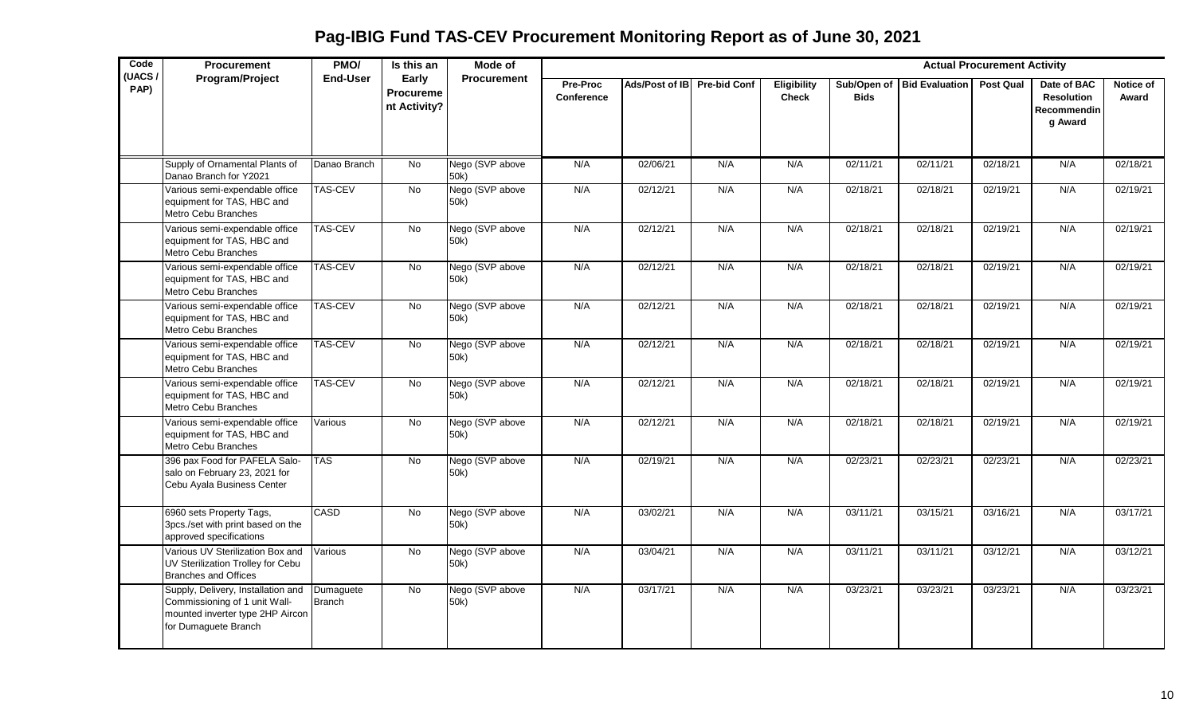| Code<br>(UACS/ | <b>Procurement</b>                                                                                                              | PMO/                       | Is this an                                | Mode of                 |                        |                |                     |                                    |             |                            | <b>Actual Procurement Activity</b> |                                                            |                    |
|----------------|---------------------------------------------------------------------------------------------------------------------------------|----------------------------|-------------------------------------------|-------------------------|------------------------|----------------|---------------------|------------------------------------|-------------|----------------------------|------------------------------------|------------------------------------------------------------|--------------------|
| PAP)           | Program/Project                                                                                                                 | <b>End-User</b>            | Early<br><b>Procureme</b><br>nt Activity? | <b>Procurement</b>      | Pre-Proc<br>Conference | Ads/Post of IB | <b>Pre-bid Conf</b> | <b>Eligibility</b><br><b>Check</b> | <b>Bids</b> | Sub/Open of Bid Evaluation | <b>Post Qual</b>                   | Date of BAC<br><b>Resolution</b><br>Recommendin<br>g Award | Notice of<br>Award |
|                | Supply of Ornamental Plants of<br>Danao Branch for Y2021                                                                        | Danao Branch               | <b>No</b>                                 | Nego (SVP above<br>50k) | N/A                    | 02/06/21       | N/A                 | N/A                                | 02/11/21    | 02/11/21                   | 02/18/21                           | N/A                                                        | 02/18/21           |
|                | Various semi-expendable office<br>equipment for TAS, HBC and<br>Metro Cebu Branches                                             | <b>TAS-CEV</b>             | <b>No</b>                                 | Nego (SVP above<br>50k) | N/A                    | 02/12/21       | N/A                 | N/A                                | 02/18/21    | 02/18/21                   | 02/19/21                           | N/A                                                        | 02/19/21           |
|                | Various semi-expendable office<br>equipment for TAS, HBC and<br>Metro Cebu Branches                                             | <b>TAS-CEV</b>             | No                                        | Nego (SVP above<br>50k) | N/A                    | 02/12/21       | N/A                 | N/A                                | 02/18/21    | 02/18/21                   | 02/19/21                           | N/A                                                        | 02/19/21           |
|                | Various semi-expendable office<br>equipment for TAS, HBC and<br>Metro Cebu Branches                                             | <b>TAS-CEV</b>             | No                                        | Nego (SVP above<br>50k) | N/A                    | 02/12/21       | N/A                 | N/A                                | 02/18/21    | 02/18/21                   | 02/19/21                           | N/A                                                        | 02/19/21           |
|                | Various semi-expendable office<br>equipment for TAS, HBC and<br>Metro Cebu Branches                                             | <b>TAS-CEV</b>             | No                                        | Nego (SVP above<br>50k) | N/A                    | 02/12/21       | N/A                 | N/A                                | 02/18/21    | 02/18/21                   | 02/19/21                           | N/A                                                        | 02/19/21           |
|                | Various semi-expendable office<br>equipment for TAS, HBC and<br>Metro Cebu Branches                                             | <b>TAS-CEV</b>             | <b>No</b>                                 | Nego (SVP above<br>50k) | N/A                    | 02/12/21       | N/A                 | N/A                                | 02/18/21    | 02/18/21                   | 02/19/21                           | N/A                                                        | 02/19/21           |
|                | Various semi-expendable office<br>equipment for TAS, HBC and<br>Metro Cebu Branches                                             | <b>TAS-CEV</b>             | No                                        | Nego (SVP above<br>50k) | N/A                    | 02/12/21       | N/A                 | N/A                                | 02/18/21    | 02/18/21                   | 02/19/21                           | N/A                                                        | 02/19/21           |
|                | Various semi-expendable office<br>equipment for TAS, HBC and<br>Metro Cebu Branches                                             | Various                    | <b>No</b>                                 | Nego (SVP above<br>50k) | N/A                    | 02/12/21       | N/A                 | N/A                                | 02/18/21    | 02/18/21                   | 02/19/21                           | N/A                                                        | 02/19/21           |
|                | 396 pax Food for PAFELA Salo-<br>salo on February 23, 2021 for<br>Cebu Ayala Business Center                                    | <b>TAS</b>                 | No                                        | Nego (SVP above<br>50k) | N/A                    | 02/19/21       | N/A                 | N/A                                | 02/23/21    | 02/23/21                   | 02/23/21                           | N/A                                                        | 02/23/21           |
|                | 6960 sets Property Tags,<br>3pcs./set with print based on the<br>approved specifications                                        | <b>CASD</b>                | No                                        | Nego (SVP above<br>50k) | N/A                    | 03/02/21       | N/A                 | N/A                                | 03/11/21    | 03/15/21                   | 03/16/21                           | N/A                                                        | 03/17/21           |
|                | Various UV Sterilization Box and<br>UV Sterilization Trolley for Cebu<br><b>Branches and Offices</b>                            | Various                    | $\overline{N}$                            | Nego (SVP above<br>50k) | N/A                    | 03/04/21       | N/A                 | N/A                                | 03/11/21    | 03/11/21                   | 03/12/21                           | N/A                                                        | 03/12/21           |
|                | Supply, Delivery, Installation and<br>Commissioning of 1 unit Wall-<br>mounted inverter type 2HP Aircon<br>for Dumaguete Branch | Dumaguete<br><b>Branch</b> | <b>No</b>                                 | Nego (SVP above<br>50k) | N/A                    | 03/17/21       | N/A                 | N/A                                | 03/23/21    | 03/23/21                   | 03/23/21                           | N/A                                                        | 03/23/21           |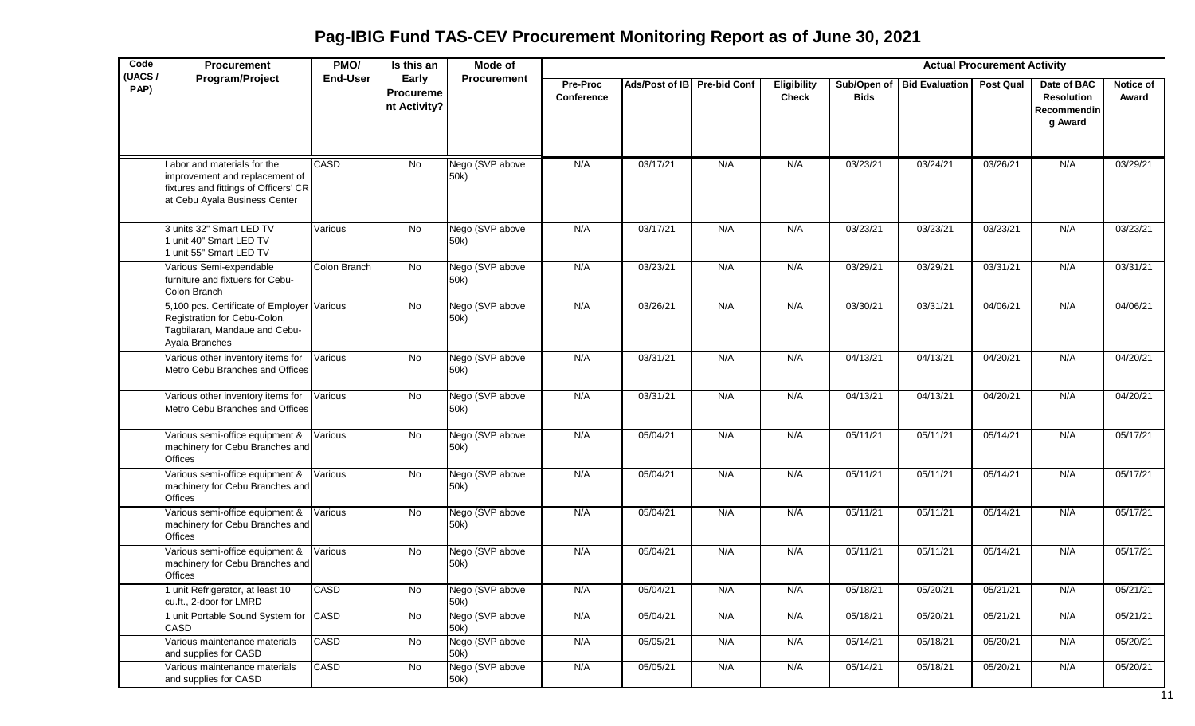| Code           | <b>Procurement</b>                                                                                                                      | PMO/            | Is this an                         | Mode of                 |                               |                |                     |                                    |             |                            | <b>Actual Procurement Activity</b> |                                                            |                           |
|----------------|-----------------------------------------------------------------------------------------------------------------------------------------|-----------------|------------------------------------|-------------------------|-------------------------------|----------------|---------------------|------------------------------------|-------------|----------------------------|------------------------------------|------------------------------------------------------------|---------------------------|
| (UACS/<br>PAP) | Program/Project                                                                                                                         | <b>End-User</b> | Early<br>Procureme<br>nt Activity? | <b>Procurement</b>      | <b>Pre-Proc</b><br>Conference | Ads/Post of IB | <b>Pre-bid Conf</b> | <b>Eligibility</b><br><b>Check</b> | <b>Bids</b> | Sub/Open of Bid Evaluation | <b>Post Qual</b>                   | Date of BAC<br><b>Resolution</b><br>Recommendin<br>g Award | <b>Notice of</b><br>Award |
|                | Labor and materials for the<br>improvement and replacement of<br>fixtures and fittings of Officers' CR<br>at Cebu Ayala Business Center | <b>CASD</b>     | $\overline{N}$                     | Nego (SVP above<br>50k) | N/A                           | 03/17/21       | N/A                 | N/A                                | 03/23/21    | 03/24/21                   | 03/26/21                           | N/A                                                        | 03/29/21                  |
|                | 3 units 32" Smart LED TV<br>1 unit 40" Smart LED TV<br>1 unit 55" Smart LED TV                                                          | Various         | No                                 | Nego (SVP above<br>50k) | N/A                           | 03/17/21       | N/A                 | N/A                                | 03/23/21    | 03/23/21                   | 03/23/21                           | N/A                                                        | 03/23/21                  |
|                | Various Semi-expendable<br>furniture and fixtuers for Cebu-<br>Colon Branch                                                             | Colon Branch    | No                                 | Nego (SVP above<br>50k) | N/A                           | 03/23/21       | N/A                 | N/A                                | 03/29/21    | 03/29/21                   | 03/31/21                           | N/A                                                        | 03/31/21                  |
|                | 5,100 pcs. Certificate of Employer<br>Registration for Cebu-Colon,<br>Tagbilaran, Mandaue and Cebu-<br>Ayala Branches                   | Various         | No                                 | Nego (SVP above<br>50k) | N/A                           | 03/26/21       | N/A                 | N/A                                | 03/30/21    | 03/31/21                   | 04/06/21                           | N/A                                                        | 04/06/21                  |
|                | Various other inventory items for<br>Metro Cebu Branches and Offices                                                                    | Various         | No                                 | Nego (SVP above<br>50k) | N/A                           | 03/31/21       | N/A                 | N/A                                | 04/13/21    | 04/13/21                   | 04/20/21                           | N/A                                                        | 04/20/21                  |
|                | Various other inventory items for<br>Metro Cebu Branches and Offices                                                                    | Various         | No                                 | Nego (SVP above<br>50k) | N/A                           | 03/31/21       | N/A                 | N/A                                | 04/13/21    | 04/13/21                   | 04/20/21                           | N/A                                                        | 04/20/21                  |
|                | Various semi-office equipment &<br>machinery for Cebu Branches and<br><b>Offices</b>                                                    | Various         | No                                 | Nego (SVP above<br>50k) | N/A                           | 05/04/21       | N/A                 | N/A                                | 05/11/21    | 05/11/21                   | 05/14/21                           | N/A                                                        | 05/17/21                  |
|                | Various semi-office equipment &<br>machinery for Cebu Branches and<br><b>Offices</b>                                                    | Various         | No                                 | Nego (SVP above<br>50k) | N/A                           | 05/04/21       | N/A                 | N/A                                | 05/11/21    | 05/11/21                   | 05/14/21                           | N/A                                                        | 05/17/21                  |
|                | Various semi-office equipment &<br>machinery for Cebu Branches and<br><b>Offices</b>                                                    | Various         | No                                 | Nego (SVP above<br>50k) | N/A                           | 05/04/21       | N/A                 | N/A                                | 05/11/21    | 05/11/21                   | 05/14/21                           | N/A                                                        | 05/17/21                  |
|                | Various semi-office equipment &<br>machinery for Cebu Branches and<br>Offices                                                           | Various         | No                                 | Nego (SVP above<br>50k) | N/A                           | 05/04/21       | N/A                 | N/A                                | 05/11/21    | 05/11/21                   | 05/14/21                           | N/A                                                        | 05/17/21                  |
|                | 1 unit Refrigerator, at least 10<br>cu.ft., 2-door for LMRD                                                                             | CASD            | No                                 | Nego (SVP above<br>50k) | N/A                           | 05/04/21       | N/A                 | N/A                                | 05/18/21    | 05/20/21                   | 05/21/21                           | N/A                                                        | 05/21/21                  |
|                | 1 unit Portable Sound System for CASD<br>CASD                                                                                           |                 | $\overline{N}$                     | Nego (SVP above<br>50k) | N/A                           | 05/04/21       | N/A                 | N/A                                | 05/18/21    | 05/20/21                   | 05/21/21                           | N/A                                                        | 05/21/21                  |
|                | Various maintenance materials<br>and supplies for CASD                                                                                  | <b>CASD</b>     | No                                 | Nego (SVP above<br>50k) | N/A                           | 05/05/21       | N/A                 | N/A                                | 05/14/21    | 05/18/21                   | 05/20/21                           | N/A                                                        | 05/20/21                  |
|                | Various maintenance materials<br>and supplies for CASD                                                                                  | CASD            | No                                 | Nego (SVP above<br>50k) | N/A                           | 05/05/21       | N/A                 | N/A                                | 05/14/21    | 05/18/21                   | 05/20/21                           | N/A                                                        | 05/20/21                  |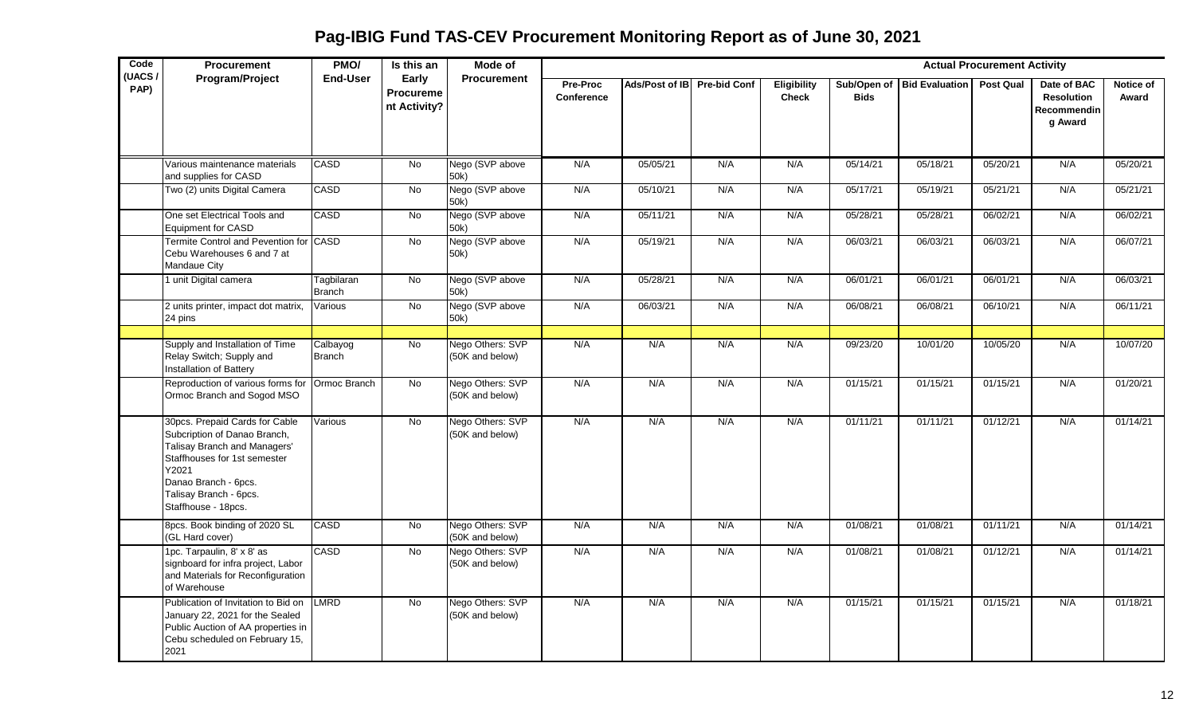**Pag-IBIG Fund TAS-CEV Procurement Monitoring Report as of June 30, 2021**

| Code<br>(UACS/ | <b>Procurement</b>                                                                                                                                                                                               | PMO/                        | Is this an                         | Mode of                             |                        |                |                     |                             |             |                            | <b>Actual Procurement Activity</b> |                                                            |                    |
|----------------|------------------------------------------------------------------------------------------------------------------------------------------------------------------------------------------------------------------|-----------------------------|------------------------------------|-------------------------------------|------------------------|----------------|---------------------|-----------------------------|-------------|----------------------------|------------------------------------|------------------------------------------------------------|--------------------|
| PAP)           | Program/Project                                                                                                                                                                                                  | <b>End-User</b>             | Early<br>Procureme<br>nt Activity? | <b>Procurement</b>                  | Pre-Proc<br>Conference | Ads/Post of IB | <b>Pre-bid Conf</b> | Eligibility<br><b>Check</b> | <b>Bids</b> | Sub/Open of Bid Evaluation | <b>Post Qual</b>                   | Date of BAC<br><b>Resolution</b><br>Recommendin<br>g Award | Notice of<br>Award |
|                | Various maintenance materials<br>and supplies for CASD                                                                                                                                                           | CASD                        | <b>No</b>                          | Nego (SVP above<br>50k)             | N/A                    | 05/05/21       | N/A                 | N/A                         | 05/14/21    | 05/18/21                   | 05/20/21                           | N/A                                                        | 05/20/21           |
|                | Two (2) units Digital Camera                                                                                                                                                                                     | CASD                        | No                                 | Nego (SVP above<br>50k)             | N/A                    | 05/10/21       | N/A                 | N/A                         | 05/17/21    | 05/19/21                   | 05/21/21                           | N/A                                                        | 05/21/21           |
|                | One set Electrical Tools and<br><b>Equipment for CASD</b>                                                                                                                                                        | CASD                        | No                                 | Nego (SVP above<br>50k)             | N/A                    | 05/11/21       | N/A                 | N/A                         | 05/28/21    | 05/28/21                   | 06/02/21                           | N/A                                                        | 06/02/21           |
|                | Termite Control and Pevention for CASD<br>Cebu Warehouses 6 and 7 at<br>Mandaue City                                                                                                                             |                             | No                                 | Nego (SVP above<br>50k)             | N/A                    | 05/19/21       | N/A                 | N/A                         | 06/03/21    | 06/03/21                   | 06/03/21                           | N/A                                                        | 06/07/21           |
|                | 1 unit Digital camera                                                                                                                                                                                            | Tagbilaran<br><b>Branch</b> | <b>No</b>                          | Nego (SVP above<br>50k)             | N/A                    | 05/28/21       | N/A                 | N/A                         | 06/01/21    | 06/01/21                   | 06/01/21                           | N/A                                                        | 06/03/21           |
|                | 2 units printer, impact dot matrix,<br>24 pins                                                                                                                                                                   | Various                     | No                                 | Nego (SVP above<br>50k)             | N/A                    | 06/03/21       | N/A                 | N/A                         | 06/08/21    | 06/08/21                   | 06/10/21                           | N/A                                                        | 06/11/21           |
|                | Supply and Installation of Time<br>Relay Switch; Supply and<br>Installation of Battery                                                                                                                           | Calbayog<br><b>Branch</b>   | No                                 | Nego Others: SVP<br>(50K and below) | N/A                    | N/A            | N/A                 | N/A                         | 09/23/20    | 10/01/20                   | 10/05/20                           | N/A                                                        | 10/07/20           |
|                | Reproduction of various forms for<br>Ormoc Branch and Sogod MSO                                                                                                                                                  | Ormoc Branch                | No                                 | Nego Others: SVP<br>(50K and below) | N/A                    | N/A            | N/A                 | N/A                         | 01/15/21    | 01/15/21                   | 01/15/21                           | N/A                                                        | 01/20/21           |
|                | 30pcs. Prepaid Cards for Cable<br>Subcription of Danao Branch,<br>Talisay Branch and Managers'<br>Staffhouses for 1st semester<br>Y2021<br>Danao Branch - 6pcs.<br>Talisay Branch - 6pcs.<br>Staffhouse - 18pcs. | Various                     | <b>No</b>                          | Nego Others: SVP<br>(50K and below) | N/A                    | N/A            | N/A                 | N/A                         | 01/11/21    | 01/11/21                   | 01/12/21                           | N/A                                                        | 01/14/21           |
|                | 8pcs. Book binding of 2020 SL<br>(GL Hard cover)                                                                                                                                                                 | CASD                        | $\overline{N}$                     | Nego Others: SVP<br>(50K and below) | N/A                    | N/A            | N/A                 | N/A                         | 01/08/21    | 01/08/21                   | 01/11/21                           | N/A                                                        | 01/14/21           |
|                | 1pc. Tarpaulin, 8' x 8' as<br>signboard for infra project, Labor<br>and Materials for Reconfiguration<br>of Warehouse                                                                                            | CASD                        | $\overline{N}$                     | Nego Others: SVP<br>(50K and below) | N/A                    | N/A            | N/A                 | N/A                         | 01/08/21    | 01/08/21                   | 01/12/21                           | N/A                                                        | 01/14/21           |
|                | Publication of Invitation to Bid on<br>January 22, 2021 for the Sealed<br>Public Auction of AA properties in<br>Cebu scheduled on February 15,<br>2021                                                           | LMRD                        | No                                 | Nego Others: SVP<br>(50K and below) | N/A                    | N/A            | N/A                 | N/A                         | 01/15/21    | 01/15/21                   | 01/15/21                           | N/A                                                        | 01/18/21           |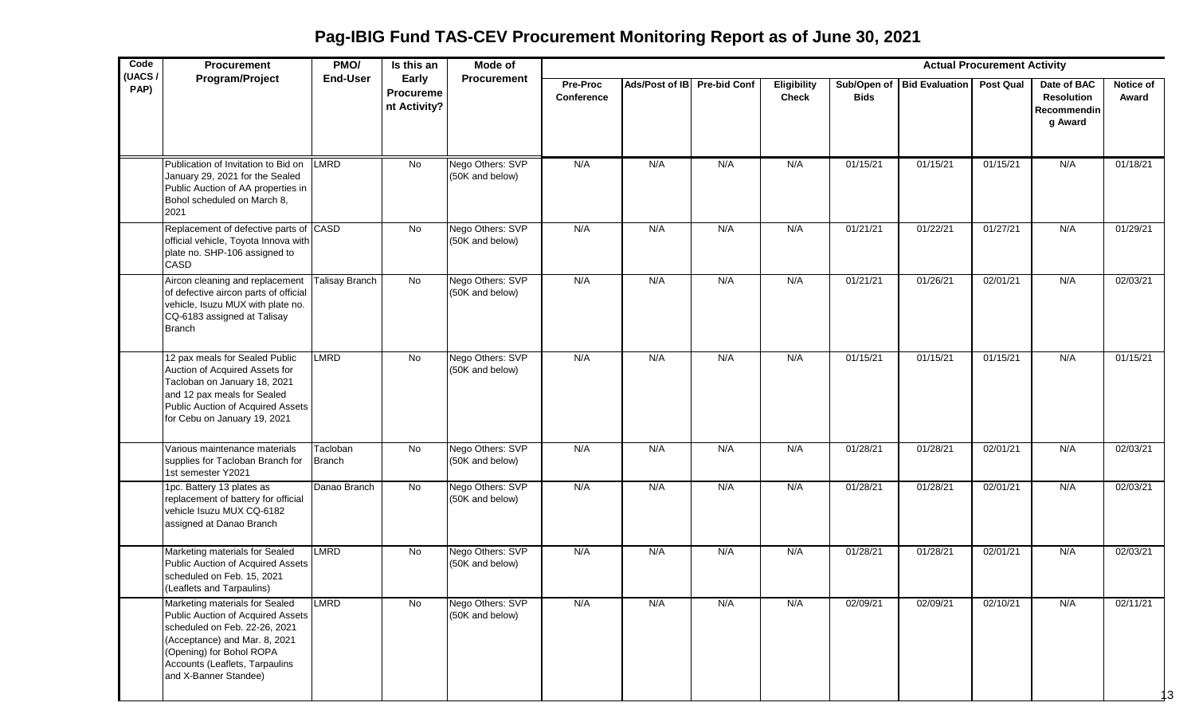**Pag-IBIG Fund TAS-CEV Procurement Monitoring Report as of June 30, 2021**

| Code           | Procurement                                                                                                                                                                                                                  | PMO/               | Is this an                                | Mode of                             |                        |                             |     |                                    |             |                            | <b>Actual Procurement Activity</b> |                                                            |                    |
|----------------|------------------------------------------------------------------------------------------------------------------------------------------------------------------------------------------------------------------------------|--------------------|-------------------------------------------|-------------------------------------|------------------------|-----------------------------|-----|------------------------------------|-------------|----------------------------|------------------------------------|------------------------------------------------------------|--------------------|
| (UACS/<br>PAP) | Program/Project                                                                                                                                                                                                              | <b>End-User</b>    | Early<br><b>Procureme</b><br>nt Activity? | <b>Procurement</b>                  | Pre-Proc<br>Conference | Ads/Post of IB Pre-bid Conf |     | <b>Eligibility</b><br><b>Check</b> | <b>Bids</b> | Sub/Open of Bid Evaluation | <b>Post Qual</b>                   | Date of BAC<br><b>Resolution</b><br>Recommendin<br>g Award | Notice of<br>Award |
|                | Publication of Invitation to Bid on<br>January 29, 2021 for the Sealed<br>Public Auction of AA properties in<br>Bohol scheduled on March 8,<br>2021                                                                          | LMRD               | No                                        | Nego Others: SVP<br>(50K and below) | N/A                    | N/A                         | N/A | N/A                                | 01/15/21    | 01/15/21                   | 01/15/21                           | N/A                                                        | 01/18/21           |
|                | Replacement of defective parts of CASD<br>official vehicle, Toyota Innova with<br>plate no. SHP-106 assigned to<br>CASD                                                                                                      |                    | No                                        | Nego Others: SVP<br>(50K and below) | N/A                    | N/A                         | N/A | N/A                                | 01/21/21    | 01/22/21                   | 01/27/21                           | N/A                                                        | 01/29/21           |
|                | Aircon cleaning and replacement<br>of defective aircon parts of official<br>vehicle, Isuzu MUX with plate no.<br>CQ-6183 assigned at Talisay<br><b>Branch</b>                                                                | Talisay Branch     | $\overline{N}$                            | Nego Others: SVP<br>(50K and below) | N/A                    | N/A                         | N/A | N/A                                | 01/21/21    | 01/26/21                   | 02/01/21                           | N/A                                                        | 02/03/21           |
|                | 12 pax meals for Sealed Public<br>Auction of Acquired Assets for<br>Tacloban on January 18, 2021<br>and 12 pax meals for Sealed<br>Public Auction of Acquired Assets<br>for Cebu on January 19, 2021                         | <b>LMRD</b>        | No                                        | Nego Others: SVP<br>(50K and below) | N/A                    | N/A                         | N/A | N/A                                | 01/15/21    | 01/15/21                   | 01/15/21                           | N/A                                                        | 01/15/21           |
|                | Various maintenance materials<br>supplies for Tacloban Branch for<br>1st semester Y2021                                                                                                                                      | Tacloban<br>Branch | No                                        | Nego Others: SVP<br>(50K and below) | N/A                    | N/A                         | N/A | N/A                                | 01/28/21    | 01/28/21                   | 02/01/21                           | N/A                                                        | 02/03/21           |
|                | 1pc. Battery 13 plates as<br>replacement of battery for official<br>vehicle Isuzu MUX CQ-6182<br>assigned at Danao Branch                                                                                                    | Danao Branch       | $\overline{N}$                            | Nego Others: SVP<br>(50K and below) | N/A                    | N/A                         | N/A | N/A                                | 01/28/21    | 01/28/21                   | 02/01/21                           | N/A                                                        | 02/03/21           |
|                | Marketing materials for Sealed<br>Public Auction of Acquired Assets<br>scheduled on Feb. 15, 2021<br>(Leaflets and Tarpaulins)                                                                                               | LMRD               | No                                        | Nego Others: SVP<br>(50K and below) | N/A                    | N/A                         | N/A | N/A                                | 01/28/21    | 01/28/21                   | 02/01/21                           | N/A                                                        | 02/03/21           |
|                | Marketing materials for Sealed<br>Public Auction of Acquired Assets<br>scheduled on Feb. 22-26, 2021<br>(Acceptance) and Mar. 8, 2021<br>(Opening) for Bohol ROPA<br>Accounts (Leaflets, Tarpaulins<br>and X-Banner Standee) | LMRD               | No                                        | Nego Others: SVP<br>(50K and below) | N/A                    | N/A                         | N/A | N/A                                | 02/09/21    | 02/09/21                   | 02/10/21                           | N/A                                                        | 02/11/21           |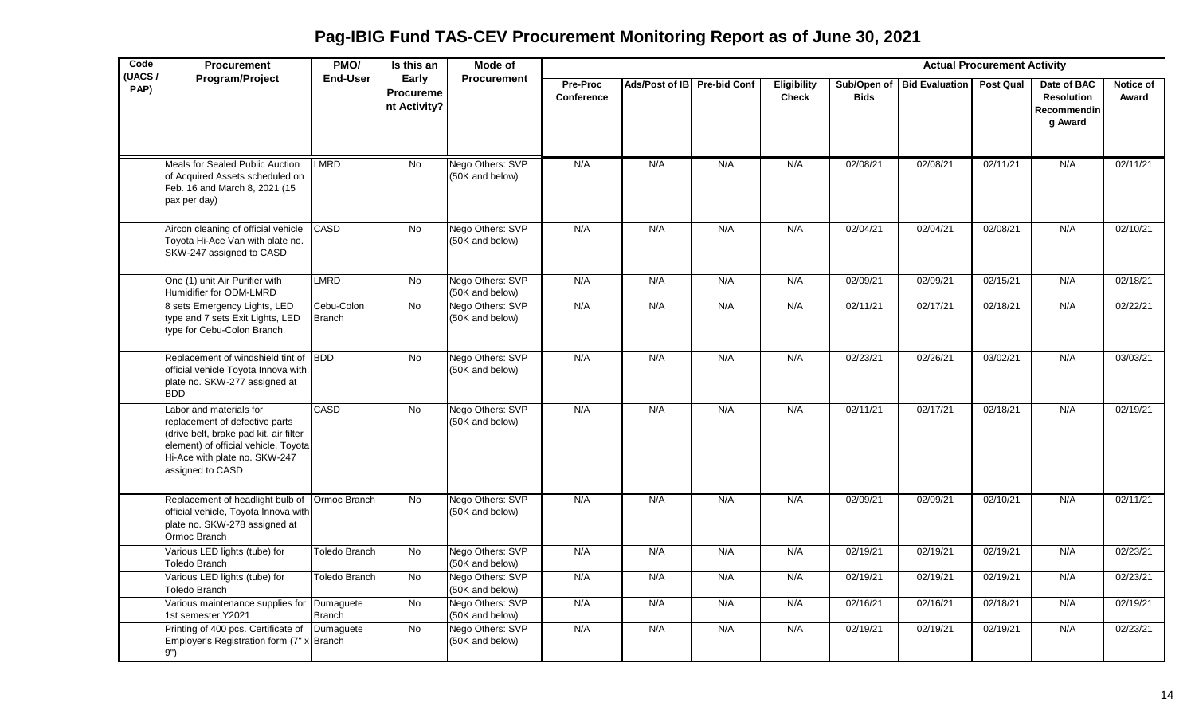**Pag-IBIG Fund TAS-CEV Procurement Monitoring Report as of June 30, 2021**

| Code<br>(UACS/ | <b>Procurement</b>                                                                                                                                                                               | PMO/                        | Is this an                                | Mode of                             |                        |                             |     |                                    |             |                            | <b>Actual Procurement Activity</b> |                                                            |                    |
|----------------|--------------------------------------------------------------------------------------------------------------------------------------------------------------------------------------------------|-----------------------------|-------------------------------------------|-------------------------------------|------------------------|-----------------------------|-----|------------------------------------|-------------|----------------------------|------------------------------------|------------------------------------------------------------|--------------------|
| PAP)           | Program/Project                                                                                                                                                                                  | <b>End-User</b>             | Early<br><b>Procureme</b><br>nt Activity? | <b>Procurement</b>                  | Pre-Proc<br>Conference | Ads/Post of IB Pre-bid Conf |     | <b>Eligibility</b><br><b>Check</b> | <b>Bids</b> | Sub/Open of Bid Evaluation | <b>Post Qual</b>                   | Date of BAC<br><b>Resolution</b><br>Recommendin<br>g Award | Notice of<br>Award |
|                | Meals for Sealed Public Auction<br>of Acquired Assets scheduled on<br>Feb. 16 and March 8, 2021 (15<br>pax per day)                                                                              | <b>LMRD</b>                 | <b>No</b>                                 | Nego Others: SVP<br>(50K and below) | N/A                    | N/A                         | N/A | N/A                                | 02/08/21    | 02/08/21                   | 02/11/21                           | N/A                                                        | 02/11/21           |
|                | Aircon cleaning of official vehicle<br>Toyota Hi-Ace Van with plate no.<br>SKW-247 assigned to CASD                                                                                              | CASD                        | No                                        | Nego Others: SVP<br>(50K and below) | N/A                    | N/A                         | N/A | N/A                                | 02/04/21    | 02/04/21                   | 02/08/21                           | N/A                                                        | 02/10/21           |
|                | One (1) unit Air Purifier with<br>Humidifier for ODM-LMRD                                                                                                                                        | <b>LMRD</b>                 | <b>No</b>                                 | Nego Others: SVP<br>(50K and below) | N/A                    | N/A                         | N/A | N/A                                | 02/09/21    | 02/09/21                   | 02/15/21                           | N/A                                                        | 02/18/21           |
|                | 8 sets Emergency Lights, LED<br>type and 7 sets Exit Lights, LED<br>type for Cebu-Colon Branch                                                                                                   | Cebu-Colon<br><b>Branch</b> | $\overline{N}$                            | Nego Others: SVP<br>(50K and below) | N/A                    | N/A                         | N/A | N/A                                | 02/11/21    | 02/17/21                   | 02/18/21                           | N/A                                                        | 02/22/21           |
|                | Replacement of windshield tint of BDD<br>official vehicle Toyota Innova with<br>plate no. SKW-277 assigned at<br><b>BDD</b>                                                                      |                             | No                                        | Nego Others: SVP<br>(50K and below) | N/A                    | N/A                         | N/A | N/A                                | 02/23/21    | 02/26/21                   | 03/02/21                           | N/A                                                        | 03/03/21           |
|                | Labor and materials for<br>replacement of defective parts<br>(drive belt, brake pad kit, air filter<br>element) of official vehicle, Toyota<br>Hi-Ace with plate no. SKW-247<br>assigned to CASD | CASD                        | <b>No</b>                                 | Nego Others: SVP<br>(50K and below) | N/A                    | N/A                         | N/A | N/A                                | 02/11/21    | 02/17/21                   | 02/18/21                           | N/A                                                        | 02/19/21           |
|                | Replacement of headlight bulb of Ormoc Branch<br>official vehicle, Toyota Innova with<br>plate no. SKW-278 assigned at<br>Ormoc Branch                                                           |                             | <b>No</b>                                 | Nego Others: SVP<br>(50K and below) | N/A                    | N/A                         | N/A | N/A                                | 02/09/21    | 02/09/21                   | 02/10/21                           | N/A                                                        | 02/11/21           |
|                | Various LED lights (tube) for<br><b>Toledo Branch</b>                                                                                                                                            | Toledo Branch               | <b>No</b>                                 | Nego Others: SVP<br>(50K and below) | N/A                    | N/A                         | N/A | N/A                                | 02/19/21    | 02/19/21                   | 02/19/21                           | N/A                                                        | 02/23/21           |
|                | Various LED lights (tube) for<br>Toledo Branch                                                                                                                                                   | Toledo Branch               | No                                        | Nego Others: SVP<br>(50K and below) | N/A                    | N/A                         | N/A | N/A                                | 02/19/21    | 02/19/21                   | 02/19/21                           | N/A                                                        | 02/23/21           |
|                | Various maintenance supplies for Dumaguete<br>1st semester Y2021                                                                                                                                 | <b>Branch</b>               | No                                        | Nego Others: SVP<br>(50K and below) | N/A                    | N/A                         | N/A | N/A                                | 02/16/21    | 02/16/21                   | 02/18/21                           | N/A                                                        | 02/19/21           |
|                | Printing of 400 pcs. Certificate of Dumaguete<br>Employer's Registration form (7" x Branch<br>9")                                                                                                |                             | No                                        | Nego Others: SVP<br>(50K and below) | N/A                    | N/A                         | N/A | N/A                                | 02/19/21    | 02/19/21                   | 02/19/21                           | N/A                                                        | 02/23/21           |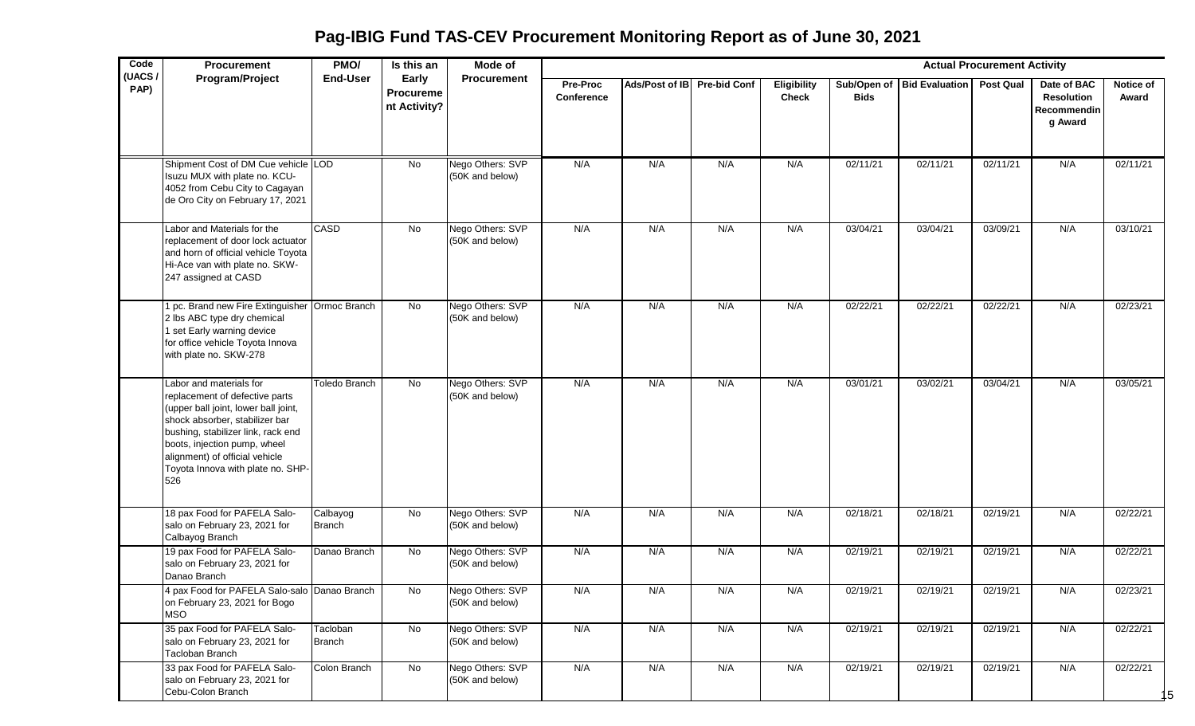**Pag-IBIG Fund TAS-CEV Procurement Monitoring Report as of June 30, 2021**

| Code           | Procurement                                                                                                                                                                                                                                                                             | PMO/               | Is this an                         | Mode of                             |                               |                             |     |                                    |             |                            | <b>Actual Procurement Activity</b> |                                                            |                           |
|----------------|-----------------------------------------------------------------------------------------------------------------------------------------------------------------------------------------------------------------------------------------------------------------------------------------|--------------------|------------------------------------|-------------------------------------|-------------------------------|-----------------------------|-----|------------------------------------|-------------|----------------------------|------------------------------------|------------------------------------------------------------|---------------------------|
| (UACS/<br>PAP) | Program/Project                                                                                                                                                                                                                                                                         | <b>End-User</b>    | Early<br>Procureme<br>nt Activity? | <b>Procurement</b>                  | <b>Pre-Proc</b><br>Conference | Ads/Post of IB Pre-bid Conf |     | <b>Eligibility</b><br><b>Check</b> | <b>Bids</b> | Sub/Open of Bid Evaluation | <b>Post Qual</b>                   | Date of BAC<br><b>Resolution</b><br>Recommendin<br>g Award | <b>Notice of</b><br>Award |
|                | Shipment Cost of DM Cue vehicle LOD<br>Isuzu MUX with plate no. KCU-<br>4052 from Cebu City to Cagayan<br>de Oro City on February 17, 2021                                                                                                                                              |                    | No                                 | Nego Others: SVP<br>(50K and below) | N/A                           | N/A                         | N/A | N/A                                | 02/11/21    | 02/11/21                   | 02/11/21                           | N/A                                                        | 02/11/21                  |
|                | Labor and Materials for the<br>replacement of door lock actuator<br>and horn of official vehicle Toyota<br>Hi-Ace van with plate no. SKW-<br>247 assigned at CASD                                                                                                                       | <b>CASD</b>        | No                                 | Nego Others: SVP<br>(50K and below) | N/A                           | N/A                         | N/A | N/A                                | 03/04/21    | 03/04/21                   | 03/09/21                           | N/A                                                        | 03/10/21                  |
|                | 1 pc. Brand new Fire Extinguisher Ormoc Branch<br>2 lbs ABC type dry chemical<br>1 set Early warning device<br>for office vehicle Toyota Innova<br>with plate no. SKW-278                                                                                                               |                    | No                                 | Nego Others: SVP<br>(50K and below) | N/A                           | N/A                         | N/A | N/A                                | 02/22/21    | 02/22/21                   | 02/22/21                           | N/A                                                        | 02/23/21                  |
|                | Labor and materials for<br>replacement of defective parts<br>(upper ball joint, lower ball joint,<br>shock absorber, stabilizer bar<br>bushing, stabilizer link, rack end<br>boots, injection pump, wheel<br>alignment) of official vehicle<br>Toyota Innova with plate no. SHP-<br>526 | Toledo Branch      | <b>No</b>                          | Nego Others: SVP<br>(50K and below) | N/A                           | N/A                         | N/A | N/A                                | 03/01/21    | 03/02/21                   | 03/04/21                           | N/A                                                        | 03/05/21                  |
|                | 18 pax Food for PAFELA Salo-<br>salo on February 23, 2021 for<br>Calbayog Branch                                                                                                                                                                                                        | Calbayog<br>Branch | No                                 | Nego Others: SVP<br>(50K and below) | N/A                           | N/A                         | N/A | N/A                                | 02/18/21    | 02/18/21                   | 02/19/21                           | N/A                                                        | 02/22/21                  |
|                | 19 pax Food for PAFELA Salo-<br>salo on February 23, 2021 for<br>Danao Branch                                                                                                                                                                                                           | Danao Branch       | <b>No</b>                          | Nego Others: SVP<br>(50K and below) | N/A                           | N/A                         | N/A | N/A                                | 02/19/21    | 02/19/21                   | 02/19/21                           | N/A                                                        | 02/22/21                  |
|                | 4 pax Food for PAFELA Salo-salo Danao Branch<br>on February 23, 2021 for Bogo<br><b>MSO</b>                                                                                                                                                                                             |                    | No.                                | Nego Others: SVP<br>(50K and below) | N/A                           | N/A                         | N/A | N/A                                | 02/19/21    | 02/19/21                   | 02/19/21                           | N/A                                                        | 02/23/21                  |
|                | 35 pax Food for PAFELA Salo-<br>salo on February 23, 2021 for<br>Tacloban Branch                                                                                                                                                                                                        | Tacloban<br>Branch | $\overline{N}$                     | Nego Others: SVP<br>(50K and below) | N/A                           | N/A                         | N/A | N/A                                | 02/19/21    | 02/19/21                   | 02/19/21                           | N/A                                                        | 02/22/21                  |
|                | 33 pax Food for PAFELA Salo-<br>salo on February 23, 2021 for<br>Cebu-Colon Branch                                                                                                                                                                                                      | Colon Branch       | No                                 | Nego Others: SVP<br>(50K and below) | N/A                           | N/A                         | N/A | N/A                                | 02/19/21    | 02/19/21                   | 02/19/21                           | N/A                                                        | 02/22/21<br>15            |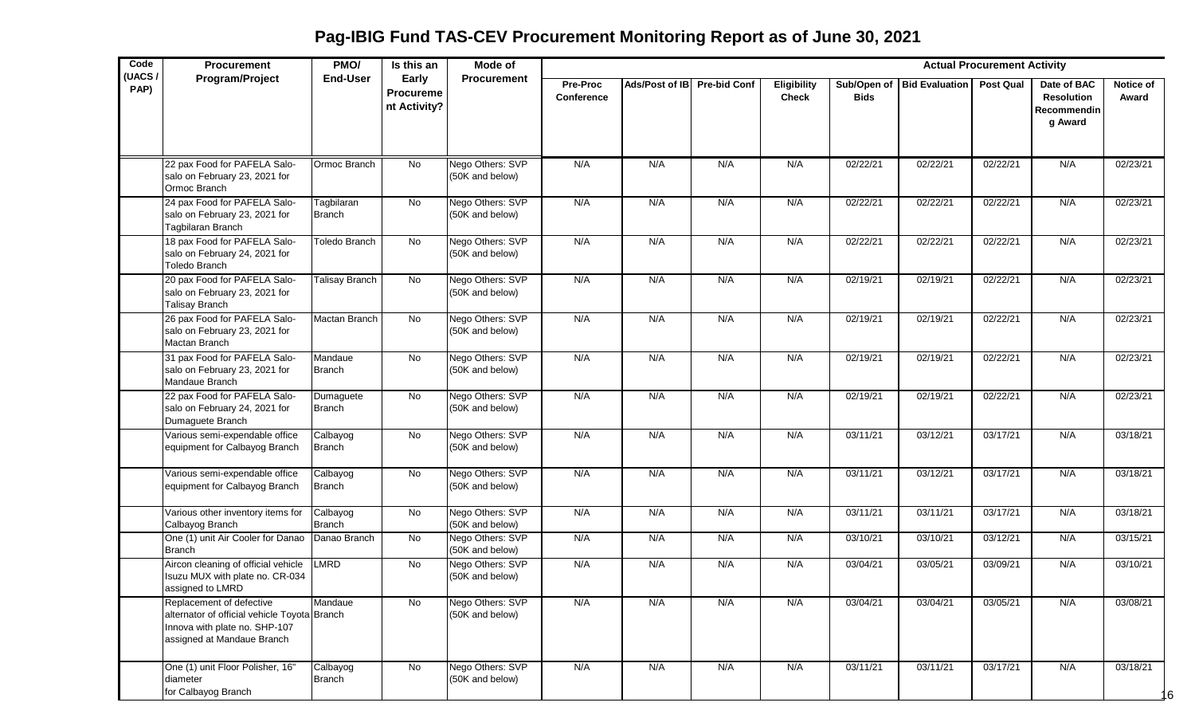| Code           | <b>Procurement</b>                                                                                                                      | PMO/                        | Is this an                                | Mode of                             |                               |                             |     |                             |                            |                       | <b>Actual Procurement Activity</b> |                                                            |                           |
|----------------|-----------------------------------------------------------------------------------------------------------------------------------------|-----------------------------|-------------------------------------------|-------------------------------------|-------------------------------|-----------------------------|-----|-----------------------------|----------------------------|-----------------------|------------------------------------|------------------------------------------------------------|---------------------------|
| (UACS/<br>PAP) | Program/Project                                                                                                                         | <b>End-User</b>             | Early<br><b>Procureme</b><br>nt Activity? | <b>Procurement</b>                  | <b>Pre-Proc</b><br>Conference | Ads/Post of IB Pre-bid Conf |     | Eligibility<br><b>Check</b> | Sub/Open of<br><b>Bids</b> | <b>Bid Evaluation</b> | <b>Post Qual</b>                   | Date of BAC<br><b>Resolution</b><br>Recommendin<br>g Award | <b>Notice of</b><br>Award |
|                | 22 pax Food for PAFELA Salo-<br>salo on February 23, 2021 for<br>Ormoc Branch                                                           | Ormoc Branch                | No                                        | Nego Others: SVP<br>(50K and below) | N/A                           | N/A                         | N/A | N/A                         | 02/22/21                   | 02/22/21              | 02/22/21                           | N/A                                                        | 02/23/21                  |
|                | 24 pax Food for PAFELA Salo-<br>salo on February 23, 2021 for<br>Tagbilaran Branch                                                      | Tagbilaran<br><b>Branch</b> | <b>No</b>                                 | Nego Others: SVP<br>(50K and below) | N/A                           | N/A                         | N/A | N/A                         | 02/22/21                   | 02/22/21              | 02/22/21                           | N/A                                                        | 02/23/21                  |
|                | 18 pax Food for PAFELA Salo-<br>salo on February 24, 2021 for<br><b>Toledo Branch</b>                                                   | Toledo Branch               | No                                        | Nego Others: SVP<br>(50K and below) | N/A                           | N/A                         | N/A | N/A                         | 02/22/21                   | 02/22/21              | 02/22/21                           | N/A                                                        | 02/23/21                  |
|                | 20 pax Food for PAFELA Salo-<br>salo on February 23, 2021 for<br><b>Talisay Branch</b>                                                  | Talisay Branch              | No                                        | Nego Others: SVP<br>(50K and below) | N/A                           | N/A                         | N/A | N/A                         | 02/19/21                   | 02/19/21              | 02/22/21                           | N/A                                                        | 02/23/21                  |
|                | 26 pax Food for PAFELA Salo-<br>salo on February 23, 2021 for<br>Mactan Branch                                                          | Mactan Branch               | No                                        | Nego Others: SVP<br>(50K and below) | N/A                           | N/A                         | N/A | N/A                         | 02/19/21                   | 02/19/21              | 02/22/21                           | N/A                                                        | 02/23/21                  |
|                | 31 pax Food for PAFELA Salo-<br>salo on February 23, 2021 for<br>Mandaue Branch                                                         | Mandaue<br><b>Branch</b>    | <b>No</b>                                 | Nego Others: SVP<br>(50K and below) | N/A                           | N/A                         | N/A | N/A                         | 02/19/21                   | 02/19/21              | 02/22/21                           | N/A                                                        | 02/23/21                  |
|                | 22 pax Food for PAFELA Salo-<br>salo on February 24, 2021 for<br>Dumaguete Branch                                                       | Dumaguete<br><b>Branch</b>  | No                                        | Nego Others: SVP<br>(50K and below) | N/A                           | N/A                         | N/A | N/A                         | 02/19/21                   | 02/19/21              | 02/22/21                           | N/A                                                        | 02/23/21                  |
|                | Various semi-expendable office<br>equipment for Calbayog Branch                                                                         | Calbayog<br>Branch          | No                                        | Nego Others: SVP<br>(50K and below) | N/A                           | N/A                         | N/A | N/A                         | 03/11/21                   | 03/12/21              | 03/17/21                           | N/A                                                        | 03/18/21                  |
|                | Various semi-expendable office<br>equipment for Calbayog Branch                                                                         | Calbayog<br><b>Branch</b>   | No                                        | Nego Others: SVP<br>(50K and below) | N/A                           | N/A                         | N/A | N/A                         | 03/11/21                   | 03/12/21              | 03/17/21                           | N/A                                                        | 03/18/21                  |
|                | Various other inventory items for<br>Calbayog Branch                                                                                    | Calbayog<br><b>Branch</b>   | No                                        | Nego Others: SVP<br>(50K and below) | N/A                           | N/A                         | N/A | N/A                         | 03/11/21                   | 03/11/21              | 03/17/21                           | N/A                                                        | 03/18/21                  |
|                | One (1) unit Air Cooler for Danao<br><b>Branch</b>                                                                                      | Danao Branch                | No                                        | Nego Others: SVP<br>(50K and below) | N/A                           | N/A                         | N/A | N/A                         | 03/10/21                   | 03/10/21              | 03/12/21                           | N/A                                                        | 03/15/21                  |
|                | Aircon cleaning of official vehicle<br>Isuzu MUX with plate no. CR-034<br>assigned to LMRD                                              | LMRD                        | No                                        | Nego Others: SVP<br>(50K and below) | N/A                           | N/A                         | N/A | N/A                         | 03/04/21                   | 03/05/21              | 03/09/21                           | N/A                                                        | 03/10/21                  |
|                | Replacement of defective<br>alternator of official vehicle Toyota Branch<br>Innova with plate no. SHP-107<br>assigned at Mandaue Branch | Mandaue                     | $\overline{N}$                            | Nego Others: SVP<br>(50K and below) | N/A                           | N/A                         | N/A | N/A                         | 03/04/21                   | 03/04/21              | 03/05/21                           | N/A                                                        | 03/08/21                  |
|                | One (1) unit Floor Polisher, 16"<br>diameter<br>for Calbayog Branch                                                                     | Calbayog<br><b>Branch</b>   | No                                        | Nego Others: SVP<br>(50K and below) | N/A                           | N/A                         | N/A | N/A                         | 03/11/21                   | 03/11/21              | 03/17/21                           | N/A                                                        | 03/18/21<br>16            |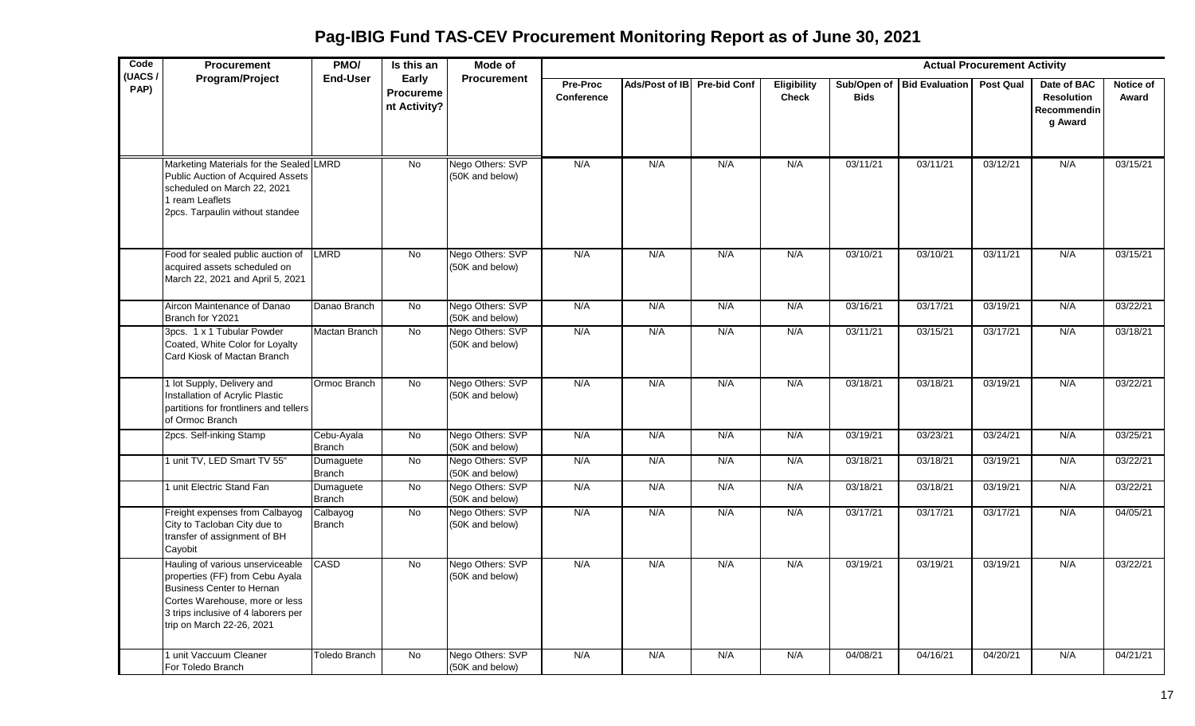**Pag-IBIG Fund TAS-CEV Procurement Monitoring Report as of June 30, 2021**

| Code           | Procurement                                                                                                                                                                                            | PMO/                        | Is this an                                | Mode of                             |                        |                             |     |                             |                            |                       | <b>Actual Procurement Activity</b> |                                                            |                    |
|----------------|--------------------------------------------------------------------------------------------------------------------------------------------------------------------------------------------------------|-----------------------------|-------------------------------------------|-------------------------------------|------------------------|-----------------------------|-----|-----------------------------|----------------------------|-----------------------|------------------------------------|------------------------------------------------------------|--------------------|
| (UACS)<br>PAP) | <b>Program/Project</b>                                                                                                                                                                                 | End-User                    | Early<br><b>Procureme</b><br>nt Activity? | <b>Procurement</b>                  | Pre-Proc<br>Conference | Ads/Post of IB Pre-bid Conf |     | Eligibility<br><b>Check</b> | Sub/Open of<br><b>Bids</b> | <b>Bid Evaluation</b> | <b>Post Qual</b>                   | Date of BAC<br><b>Resolution</b><br>Recommendin<br>g Award | Notice of<br>Award |
|                | Marketing Materials for the Sealed LMRD<br>Public Auction of Acquired Assets<br>scheduled on March 22, 2021<br>1 ream Leaflets<br>2pcs. Tarpaulin without standee                                      |                             | <b>No</b>                                 | Nego Others: SVP<br>(50K and below) | N/A                    | N/A                         | N/A | N/A                         | 03/11/21                   | 03/11/21              | 03/12/21                           | N/A                                                        | 03/15/21           |
|                | Food for sealed public auction of<br>acquired assets scheduled on<br>March 22, 2021 and April 5, 2021                                                                                                  | LMRD                        | <b>No</b>                                 | Nego Others: SVP<br>(50K and below) | N/A                    | N/A                         | N/A | N/A                         | 03/10/21                   | 03/10/21              | 03/11/21                           | N/A                                                        | 03/15/21           |
|                | Aircon Maintenance of Danao<br>Branch for Y2021                                                                                                                                                        | Danao Branch                | No                                        | Nego Others: SVP<br>(50K and below) | N/A                    | N/A                         | N/A | N/A                         | 03/16/21                   | 03/17/21              | 03/19/21                           | N/A                                                        | 03/22/21           |
|                | 3pcs. 1 x 1 Tubular Powder<br>Coated, White Color for Loyalty<br>Card Kiosk of Mactan Branch                                                                                                           | Mactan Branch               | $\overline{N}$                            | Nego Others: SVP<br>(50K and below) | N/A                    | N/A                         | N/A | N/A                         | 03/11/21                   | 03/15/21              | 03/17/21                           | N/A                                                        | 03/18/21           |
|                | 1 lot Supply, Delivery and<br>Installation of Acrylic Plastic<br>partitions for frontliners and tellers<br>of Ormoc Branch                                                                             | Ormoc Branch                | <b>No</b>                                 | Nego Others: SVP<br>(50K and below) | N/A                    | N/A                         | N/A | N/A                         | 03/18/21                   | 03/18/21              | 03/19/21                           | N/A                                                        | 03/22/21           |
|                | 2pcs. Self-inking Stamp                                                                                                                                                                                | Cebu-Ayala<br><b>Branch</b> | $\overline{N}$                            | Nego Others: SVP<br>(50K and below) | N/A                    | N/A                         | N/A | N/A                         | 03/19/21                   | 03/23/21              | 03/24/21                           | N/A                                                        | 03/25/21           |
|                | unit TV, LED Smart TV 55"                                                                                                                                                                              | Dumaguete<br><b>Branch</b>  | No                                        | Nego Others: SVP<br>(50K and below) | N/A                    | N/A                         | N/A | N/A                         | 03/18/21                   | 03/18/21              | 03/19/21                           | N/A                                                        | 03/22/21           |
|                | unit Electric Stand Fan                                                                                                                                                                                | Dumaguete<br><b>Branch</b>  | <b>No</b>                                 | Nego Others: SVP<br>(50K and below) | N/A                    | N/A                         | N/A | N/A                         | 03/18/21                   | 03/18/21              | 03/19/21                           | N/A                                                        | 03/22/21           |
|                | Freight expenses from Calbayog<br>City to Tacloban City due to<br>transfer of assignment of BH<br>Cayobit                                                                                              | Calbayog<br><b>Branch</b>   | No                                        | Nego Others: SVP<br>(50K and below) | N/A                    | N/A                         | N/A | N/A                         | 03/17/21                   | 03/17/21              | 03/17/21                           | N/A                                                        | 04/05/21           |
|                | Hauling of various unserviceable<br>properties (FF) from Cebu Ayala<br>Business Center to Hernan<br>Cortes Warehouse, more or less<br>3 trips inclusive of 4 laborers per<br>trip on March 22-26, 2021 | CASD                        | No                                        | Nego Others: SVP<br>(50K and below) | N/A                    | N/A                         | N/A | N/A                         | 03/19/21                   | 03/19/21              | 03/19/21                           | N/A                                                        | 03/22/21           |
|                | unit Vaccuum Cleaner<br>For Toledo Branch                                                                                                                                                              | Toledo Branch               | No                                        | Nego Others: SVP<br>(50K and below) | N/A                    | N/A                         | N/A | N/A                         | 04/08/21                   | 04/16/21              | 04/20/21                           | N/A                                                        | 04/21/21           |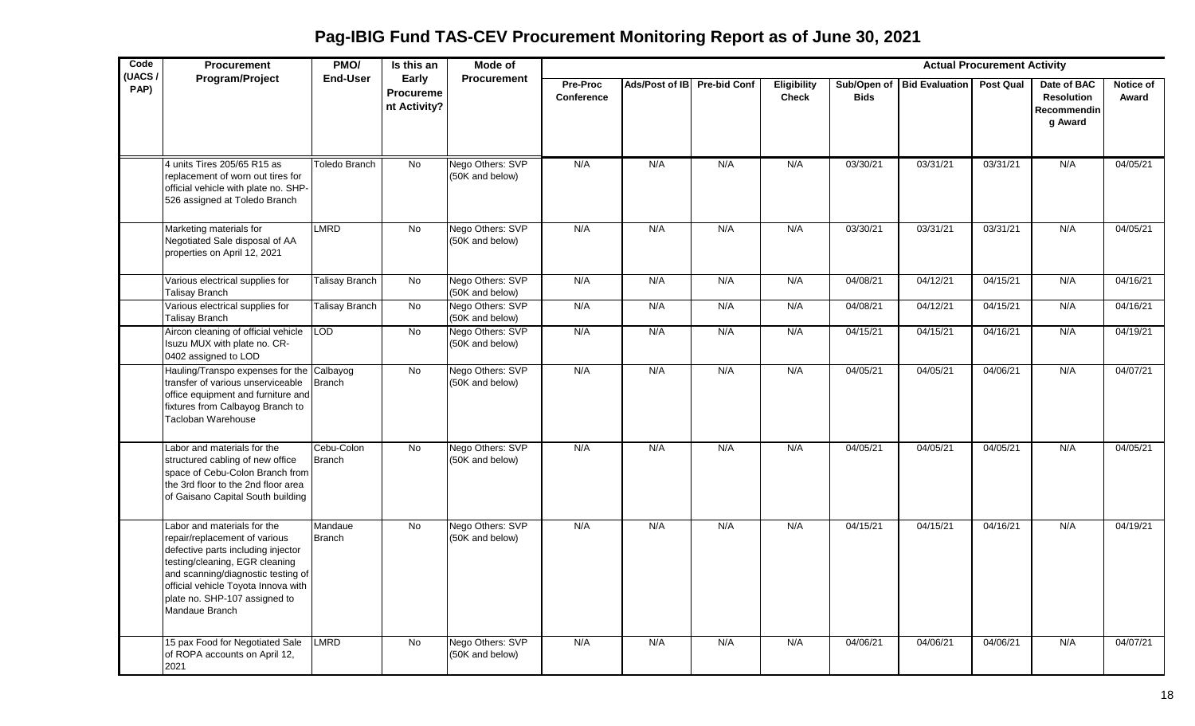**Pag-IBIG Fund TAS-CEV Procurement Monitoring Report as of June 30, 2021**

| Code           | <b>Procurement</b>                                                                                                                                                                                                                                                   | PMO/                     | Is this an                         | Mode of                             |                        |                             |     |                                    |             |                              | <b>Actual Procurement Activity</b> |                                                                   |                    |
|----------------|----------------------------------------------------------------------------------------------------------------------------------------------------------------------------------------------------------------------------------------------------------------------|--------------------------|------------------------------------|-------------------------------------|------------------------|-----------------------------|-----|------------------------------------|-------------|------------------------------|------------------------------------|-------------------------------------------------------------------|--------------------|
| (UACS/<br>PAP) | Program/Project                                                                                                                                                                                                                                                      | <b>End-User</b>          | Early<br>Procureme<br>nt Activity? | <b>Procurement</b>                  | Pre-Proc<br>Conference | Ads/Post of IB Pre-bid Conf |     | <b>Eligibility</b><br><b>Check</b> | <b>Bids</b> | Sub/Open of   Bid Evaluation | <b>Post Qual</b>                   | Date of BAC<br><b>Resolution</b><br><b>Recommendin</b><br>g Award | Notice of<br>Award |
|                | 4 units Tires 205/65 R15 as<br>replacement of worn out tires for<br>official vehicle with plate no. SHP-<br>526 assigned at Toledo Branch                                                                                                                            | Toledo Branch            | $\overline{N}$                     | Nego Others: SVP<br>(50K and below) | N/A                    | N/A                         | N/A | N/A                                | 03/30/21    | 03/31/21                     | 03/31/21                           | N/A                                                               | 04/05/21           |
|                | Marketing materials for<br>Negotiated Sale disposal of AA<br>properties on April 12, 2021                                                                                                                                                                            | <b>LMRD</b>              | $\overline{N}$                     | Nego Others: SVP<br>(50K and below) | N/A                    | N/A                         | N/A | N/A                                | 03/30/21    | 03/31/21                     | 03/31/21                           | N/A                                                               | 04/05/21           |
|                | Various electrical supplies for<br><b>Talisay Branch</b>                                                                                                                                                                                                             | Talisay Branch           | No                                 | Nego Others: SVP<br>(50K and below) | N/A                    | N/A                         | N/A | N/A                                | 04/08/21    | 04/12/21                     | 04/15/21                           | N/A                                                               | 04/16/21           |
|                | Various electrical supplies for<br><b>Talisay Branch</b>                                                                                                                                                                                                             | Talisay Branch           | $\overline{N}$                     | Nego Others: SVP<br>(50K and below) | N/A                    | N/A                         | N/A | N/A                                | 04/08/21    | 04/12/21                     | 04/15/21                           | N/A                                                               | 04/16/21           |
|                | Aircon cleaning of official vehicle<br>Isuzu MUX with plate no. CR-<br>0402 assigned to LOD                                                                                                                                                                          | LOD                      | No                                 | Nego Others: SVP<br>(50K and below) | N/A                    | N/A                         | N/A | N/A                                | 04/15/21    | 04/15/21                     | 04/16/21                           | N/A                                                               | 04/19/21           |
|                | Hauling/Transpo expenses for the Calbayog<br>transfer of various unserviceable<br>office equipment and furniture and<br>fixtures from Calbayog Branch to<br>Tacloban Warehouse                                                                                       | Branch                   | <b>No</b>                          | Nego Others: SVP<br>(50K and below) | N/A                    | N/A                         | N/A | N/A                                | 04/05/21    | 04/05/21                     | 04/06/21                           | N/A                                                               | 04/07/21           |
|                | Labor and materials for the<br>structured cabling of new office<br>space of Cebu-Colon Branch from<br>the 3rd floor to the 2nd floor area<br>of Gaisano Capital South building                                                                                       | Cebu-Colon<br>Branch     | No                                 | Nego Others: SVP<br>(50K and below) | N/A                    | N/A                         | N/A | N/A                                | 04/05/21    | 04/05/21                     | 04/05/21                           | N/A                                                               | 04/05/21           |
|                | Labor and materials for the<br>repair/replacement of various<br>defective parts including injector<br>testing/cleaning, EGR cleaning<br>and scanning/diagnostic testing of<br>official vehicle Toyota Innova with<br>plate no. SHP-107 assigned to<br>Mandaue Branch | Mandaue<br><b>Branch</b> | <b>No</b>                          | Nego Others: SVP<br>(50K and below) | N/A                    | N/A                         | N/A | N/A                                | 04/15/21    | 04/15/21                     | 04/16/21                           | N/A                                                               | 04/19/21           |
|                | 15 pax Food for Negotiated Sale<br>of ROPA accounts on April 12,<br>2021                                                                                                                                                                                             | LMRD                     | No                                 | Nego Others: SVP<br>(50K and below) | N/A                    | N/A                         | N/A | N/A                                | 04/06/21    | 04/06/21                     | 04/06/21                           | N/A                                                               | 04/07/21           |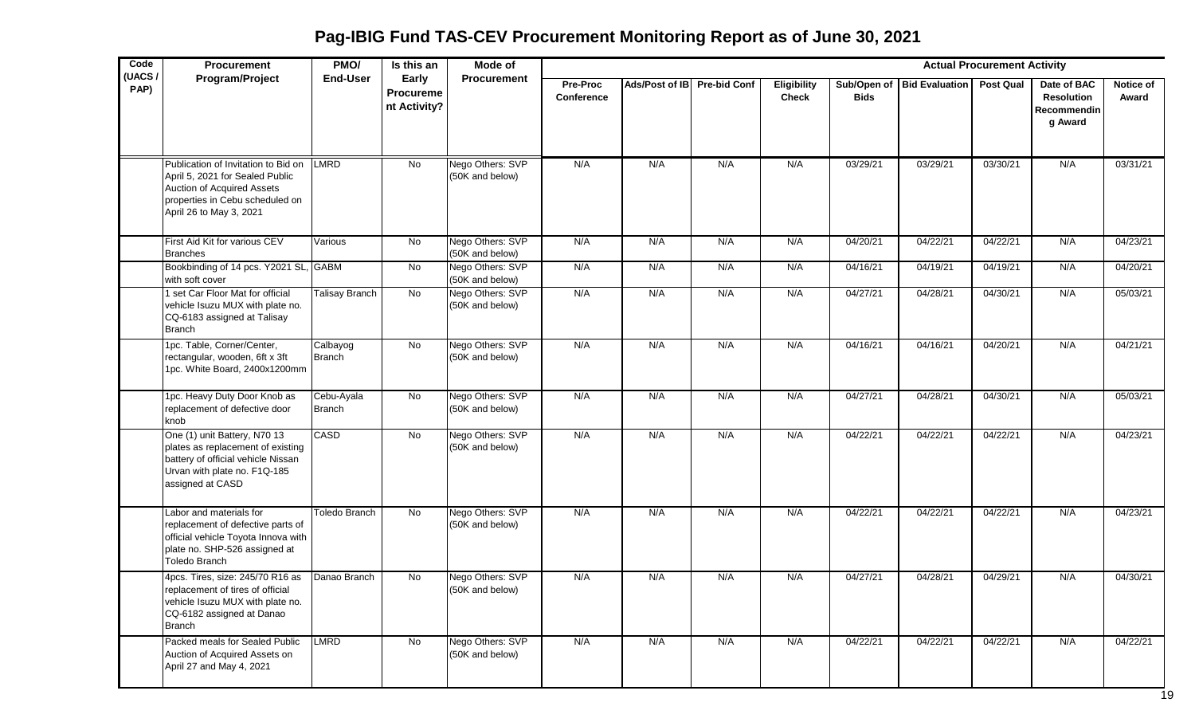**Pag-IBIG Fund TAS-CEV Procurement Monitoring Report as of June 30, 2021**

| Code<br>(UACS/ | Procurement                                                                                                                                                        | PMO/                  | Is this an                                | Mode of                             |                        |                             |     |                                    |             |                            | <b>Actual Procurement Activity</b> |                                                            |                    |
|----------------|--------------------------------------------------------------------------------------------------------------------------------------------------------------------|-----------------------|-------------------------------------------|-------------------------------------|------------------------|-----------------------------|-----|------------------------------------|-------------|----------------------------|------------------------------------|------------------------------------------------------------|--------------------|
| PAP)           | Program/Project                                                                                                                                                    | <b>End-User</b>       | Early<br><b>Procureme</b><br>nt Activity? | <b>Procurement</b>                  | Pre-Proc<br>Conference | Ads/Post of IB Pre-bid Conf |     | <b>Eligibility</b><br><b>Check</b> | <b>Bids</b> | Sub/Open of Bid Evaluation | <b>Post Qual</b>                   | Date of BAC<br><b>Resolution</b><br>Recommendin<br>g Award | Notice of<br>Award |
|                | Publication of Invitation to Bid on<br>April 5, 2021 for Sealed Public<br>Auction of Acquired Assets<br>properties in Cebu scheduled on<br>April 26 to May 3, 2021 | <b>LMRD</b>           | No                                        | Nego Others: SVP<br>(50K and below) | N/A                    | N/A                         | N/A | N/A                                | 03/29/21    | 03/29/21                   | 03/30/21                           | N/A                                                        | 03/31/21           |
|                | First Aid Kit for various CEV<br><b>Branches</b>                                                                                                                   | Various               | No                                        | Nego Others: SVP<br>(50K and below) | N/A                    | N/A                         | N/A | N/A                                | 04/20/21    | 04/22/21                   | 04/22/21                           | N/A                                                        | 04/23/21           |
|                | Bookbinding of 14 pcs. Y2021 SL, GABM<br>with soft cover                                                                                                           |                       | <b>No</b>                                 | Nego Others: SVP<br>(50K and below) | N/A                    | N/A                         | N/A | N/A                                | 04/16/21    | 04/19/21                   | 04/19/21                           | N/A                                                        | 04/20/21           |
|                | 1 set Car Floor Mat for official<br>vehicle Isuzu MUX with plate no.<br>CQ-6183 assigned at Talisay<br><b>Branch</b>                                               | <b>Talisay Branch</b> | No                                        | Nego Others: SVP<br>(50K and below) | N/A                    | N/A                         | N/A | N/A                                | 04/27/21    | 04/28/21                   | 04/30/21                           | N/A                                                        | 05/03/21           |
|                | 1pc. Table, Corner/Center,<br>rectangular, wooden, 6ft x 3ft<br>1pc. White Board, 2400x1200mm                                                                      | Calbayog<br>Branch    | $\overline{N}$                            | Nego Others: SVP<br>(50K and below) | N/A                    | N/A                         | N/A | N/A                                | 04/16/21    | 04/16/21                   | 04/20/21                           | N/A                                                        | 04/21/21           |
|                | 1pc. Heavy Duty Door Knob as<br>replacement of defective door<br>knob                                                                                              | Cebu-Ayala<br>Branch  | No                                        | Nego Others: SVP<br>(50K and below) | N/A                    | N/A                         | N/A | N/A                                | 04/27/21    | 04/28/21                   | 04/30/21                           | N/A                                                        | 05/03/21           |
|                | One (1) unit Battery, N70 13<br>plates as replacement of existing<br>battery of official vehicle Nissan<br>Urvan with plate no. F1Q-185<br>assigned at CASD        | CASD                  | No                                        | Nego Others: SVP<br>(50K and below) | N/A                    | N/A                         | N/A | N/A                                | 04/22/21    | 04/22/21                   | 04/22/21                           | N/A                                                        | 04/23/21           |
|                | Labor and materials for<br>replacement of defective parts of<br>official vehicle Toyota Innova with<br>plate no. SHP-526 assigned at<br>Toledo Branch              | Toledo Branch         | No                                        | Nego Others: SVP<br>(50K and below) | N/A                    | N/A                         | N/A | N/A                                | 04/22/21    | 04/22/21                   | 04/22/21                           | N/A                                                        | 04/23/21           |
|                | 4pcs. Tires, size: 245/70 R16 as<br>replacement of tires of official<br>vehicle Isuzu MUX with plate no.<br>CQ-6182 assigned at Danao<br><b>Branch</b>             | Danao Branch          | No                                        | Nego Others: SVP<br>(50K and below) | N/A                    | N/A                         | N/A | N/A                                | 04/27/21    | 04/28/21                   | 04/29/21                           | N/A                                                        | 04/30/21           |
|                | Packed meals for Sealed Public<br>Auction of Acquired Assets on<br>April 27 and May 4, 2021                                                                        | LMRD                  | No                                        | Nego Others: SVP<br>(50K and below) | N/A                    | N/A                         | N/A | N/A                                | 04/22/21    | 04/22/21                   | 04/22/21                           | N/A                                                        | 04/22/21           |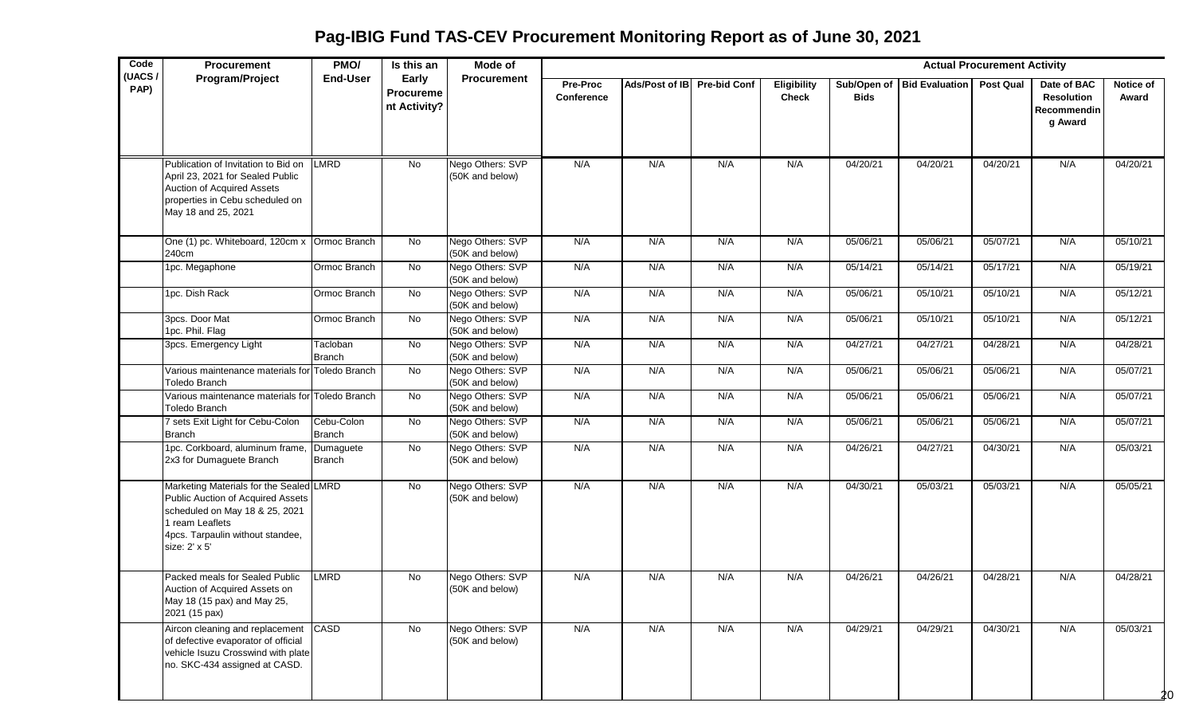**Pag-IBIG Fund TAS-CEV Procurement Monitoring Report as of June 30, 2021**

| Code           | Procurement                                                                                                                                                                            | PMO/                      | Is this an                         | Mode of                             |                        |                             |     |                                    |             |                            | <b>Actual Procurement Activity</b> |                                                            |                           |
|----------------|----------------------------------------------------------------------------------------------------------------------------------------------------------------------------------------|---------------------------|------------------------------------|-------------------------------------|------------------------|-----------------------------|-----|------------------------------------|-------------|----------------------------|------------------------------------|------------------------------------------------------------|---------------------------|
| (UACS/<br>PAP) | Program/Project                                                                                                                                                                        | <b>End-User</b>           | Early<br>Procureme<br>nt Activity? | <b>Procurement</b>                  | Pre-Proc<br>Conference | Ads/Post of IB Pre-bid Conf |     | <b>Eligibility</b><br><b>Check</b> | <b>Bids</b> | Sub/Open of Bid Evaluation | <b>Post Qual</b>                   | Date of BAC<br><b>Resolution</b><br>Recommendin<br>g Award | <b>Notice of</b><br>Award |
|                | Publication of Invitation to Bid on<br>April 23, 2021 for Sealed Public<br><b>Auction of Acquired Assets</b><br>properties in Cebu scheduled on<br>May 18 and 25, 2021                 | <b>LMRD</b>               | No                                 | Nego Others: SVP<br>(50K and below) | N/A                    | N/A                         | N/A | N/A                                | 04/20/21    | 04/20/21                   | 04/20/21                           | N/A                                                        | 04/20/21                  |
|                | One (1) pc. Whiteboard, 120cm x Ormoc Branch<br>240cm                                                                                                                                  |                           | No                                 | Nego Others: SVP<br>(50K and below) | N/A                    | N/A                         | N/A | N/A                                | 05/06/21    | 05/06/21                   | 05/07/21                           | N/A                                                        | 05/10/21                  |
|                | 1pc. Megaphone                                                                                                                                                                         | Ormoc Branch              | <b>No</b>                          | Nego Others: SVP<br>(50K and below) | N/A                    | N/A                         | N/A | N/A                                | 05/14/21    | 05/14/21                   | 05/17/21                           | N/A                                                        | 05/19/21                  |
|                | 1pc. Dish Rack                                                                                                                                                                         | Ormoc Branch              | No                                 | Nego Others: SVP<br>(50K and below) | N/A                    | N/A                         | N/A | N/A                                | 05/06/21    | 05/10/21                   | 05/10/21                           | N/A                                                        | 05/12/21                  |
|                | 3pcs. Door Mat<br>1pc. Phil. Flag                                                                                                                                                      | Ormoc Branch              | No                                 | Nego Others: SVP<br>(50K and below) | N/A                    | N/A                         | N/A | N/A                                | 05/06/21    | 05/10/21                   | 05/10/21                           | N/A                                                        | 05/12/21                  |
|                | 3pcs. Emergency Light                                                                                                                                                                  | Tacloban<br><b>Branch</b> | No                                 | Nego Others: SVP<br>(50K and below) | N/A                    | N/A                         | N/A | N/A                                | 04/27/21    | 04/27/21                   | 04/28/21                           | N/A                                                        | 04/28/21                  |
|                | Various maintenance materials for Toledo Branch<br><b>Toledo Branch</b>                                                                                                                |                           | No                                 | Nego Others: SVP<br>(50K and below) | N/A                    | N/A                         | N/A | N/A                                | 05/06/21    | 05/06/21                   | 05/06/21                           | N/A                                                        | 05/07/21                  |
|                | Various maintenance materials for Toledo Branch<br>Toledo Branch                                                                                                                       |                           | No                                 | Nego Others: SVP<br>(50K and below) | N/A                    | N/A                         | N/A | N/A                                | 05/06/21    | 05/06/21                   | 05/06/21                           | N/A                                                        | 05/07/21                  |
|                | 7 sets Exit Light for Cebu-Colon<br><b>Branch</b>                                                                                                                                      | Cebu-Colon<br>Branch      | No                                 | Nego Others: SVP<br>(50K and below) | N/A                    | N/A                         | N/A | N/A                                | 05/06/21    | 05/06/21                   | 05/06/21                           | N/A                                                        | 05/07/21                  |
|                | 1pc. Corkboard, aluminum frame.<br>2x3 for Dumaguete Branch                                                                                                                            | Dumaguete<br>Branch       | No                                 | Nego Others: SVP<br>(50K and below) | N/A                    | N/A                         | N/A | N/A                                | 04/26/21    | 04/27/21                   | 04/30/21                           | N/A                                                        | 05/03/21                  |
|                | Marketing Materials for the Sealed LMRD<br>Public Auction of Acquired Assets<br>scheduled on May 18 & 25, 2021<br>1 ream Leaflets<br>4pcs. Tarpaulin without standee,<br>size: 2' x 5' |                           | $\overline{N}$                     | Nego Others: SVP<br>(50K and below) | N/A                    | N/A                         | N/A | N/A                                | 04/30/21    | 05/03/21                   | 05/03/21                           | N/A                                                        | 05/05/21                  |
|                | Packed meals for Sealed Public<br>Auction of Acquired Assets on<br>May 18 (15 pax) and May 25,<br>2021 (15 pax)                                                                        | <b>LMRD</b>               | $\overline{N}$                     | Nego Others: SVP<br>(50K and below) | N/A                    | N/A                         | N/A | N/A                                | 04/26/21    | 04/26/21                   | 04/28/21                           | N/A                                                        | 04/28/21                  |
|                | Aircon cleaning and replacement CASD<br>of defective evaporator of official<br>vehicle Isuzu Crosswind with plate<br>no. SKC-434 assigned at CASD.                                     |                           | No                                 | Nego Others: SVP<br>(50K and below) | N/A                    | N/A                         | N/A | N/A                                | 04/29/21    | 04/29/21                   | 04/30/21                           | N/A                                                        | 05/03/21<br>ንበ            |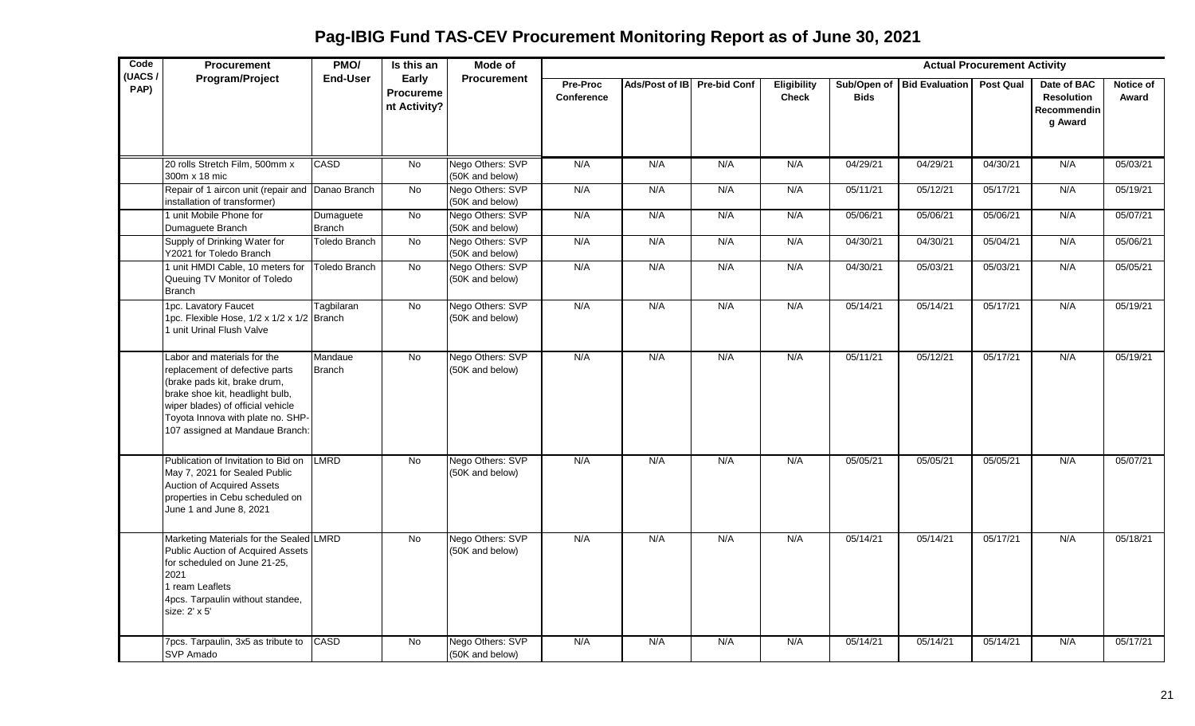**Pag-IBIG Fund TAS-CEV Procurement Monitoring Report as of June 30, 2021**

| Code           | <b>Procurement</b>                                                                                                                                                                                                                            | PMO/                       | Is this an                         | Mode of                             |                               |                             |     |                                    |             |                              | <b>Actual Procurement Activity</b> |                                                            |                    |
|----------------|-----------------------------------------------------------------------------------------------------------------------------------------------------------------------------------------------------------------------------------------------|----------------------------|------------------------------------|-------------------------------------|-------------------------------|-----------------------------|-----|------------------------------------|-------------|------------------------------|------------------------------------|------------------------------------------------------------|--------------------|
| (UACS/<br>PAP) | Program/Project                                                                                                                                                                                                                               | <b>End-User</b>            | Early<br>Procureme<br>nt Activity? | <b>Procurement</b>                  | Pre-Proc<br><b>Conference</b> | Ads/Post of IB Pre-bid Conf |     | <b>Eligibility</b><br><b>Check</b> | <b>Bids</b> | Sub/Open of   Bid Evaluation | <b>Post Qual</b>                   | Date of BAC<br><b>Resolution</b><br>Recommendin<br>g Award | Notice of<br>Award |
|                | 20 rolls Stretch Film, 500mm x<br>300m x 18 mic                                                                                                                                                                                               | CASD                       | No                                 | Nego Others: SVP<br>(50K and below) | N/A                           | N/A                         | N/A | N/A                                | 04/29/21    | 04/29/21                     | 04/30/21                           | N/A                                                        | 05/03/21           |
|                | Repair of 1 aircon unit (repair and<br>installation of transformer)                                                                                                                                                                           | Danao Branch               | No                                 | Nego Others: SVP<br>(50K and below) | N/A                           | N/A                         | N/A | N/A                                | 05/11/21    | 05/12/21                     | 05/17/21                           | N/A                                                        | 05/19/21           |
|                | 1 unit Mobile Phone for<br>Dumaguete Branch                                                                                                                                                                                                   | Dumaguete<br><b>Branch</b> | <b>No</b>                          | Nego Others: SVP<br>(50K and below) | N/A                           | N/A                         | N/A | N/A                                | 05/06/21    | 05/06/21                     | 05/06/21                           | N/A                                                        | 05/07/21           |
|                | Supply of Drinking Water for<br>Y2021 for Toledo Branch                                                                                                                                                                                       | <b>Toledo Branch</b>       | <b>No</b>                          | Nego Others: SVP<br>(50K and below) | N/A                           | N/A                         | N/A | N/A                                | 04/30/21    | 04/30/21                     | 05/04/21                           | N/A                                                        | 05/06/21           |
|                | 1 unit HMDI Cable, 10 meters for<br>Queuing TV Monitor of Toledo<br><b>Branch</b>                                                                                                                                                             | <b>Toledo Branch</b>       | $\overline{N}$                     | Nego Others: SVP<br>(50K and below) | N/A                           | N/A                         | N/A | N/A                                | 04/30/21    | 05/03/21                     | 05/03/21                           | N/A                                                        | 05/05/21           |
|                | 1pc. Lavatory Faucet<br>1pc. Flexible Hose, 1/2 x 1/2 x 1/2 Branch<br>I unit Urinal Flush Valve                                                                                                                                               | Tagbilaran                 | No                                 | Nego Others: SVP<br>(50K and below) | N/A                           | N/A                         | N/A | N/A                                | 05/14/21    | 05/14/21                     | 05/17/21                           | N/A                                                        | 05/19/21           |
|                | Labor and materials for the<br>replacement of defective parts<br>(brake pads kit, brake drum,<br>brake shoe kit, headlight bulb,<br>wiper blades) of official vehicle<br>Toyota Innova with plate no. SHP-<br>107 assigned at Mandaue Branch: | Mandaue<br><b>Branch</b>   | No                                 | Nego Others: SVP<br>(50K and below) | N/A                           | N/A                         | N/A | N/A                                | 05/11/21    | 05/12/21                     | 05/17/21                           | N/A                                                        | 05/19/21           |
|                | Publication of Invitation to Bid on<br>May 7, 2021 for Sealed Public<br>Auction of Acquired Assets<br>properties in Cebu scheduled on<br>June 1 and June 8, 2021                                                                              | <b>LMRD</b>                | <b>No</b>                          | Nego Others: SVP<br>(50K and below) | N/A                           | N/A                         | N/A | N/A                                | 05/05/21    | 05/05/21                     | 05/05/21                           | N/A                                                        | 05/07/21           |
|                | Marketing Materials for the Sealed LMRD<br>Public Auction of Acquired Assets<br>for scheduled on June 21-25,<br>2021<br>1 ream Leaflets<br>4pcs. Tarpaulin without standee,<br>size: 2' x 5'                                                  |                            | No                                 | Nego Others: SVP<br>(50K and below) | N/A                           | N/A                         | N/A | N/A                                | 05/14/21    | 05/14/21                     | 05/17/21                           | N/A                                                        | 05/18/21           |
|                | 7pcs. Tarpaulin, 3x5 as tribute to<br>SVP Amado                                                                                                                                                                                               | <b>CASD</b>                | No                                 | Nego Others: SVP<br>(50K and below) | N/A                           | N/A                         | N/A | N/A                                | 05/14/21    | 05/14/21                     | 05/14/21                           | N/A                                                        | 05/17/21           |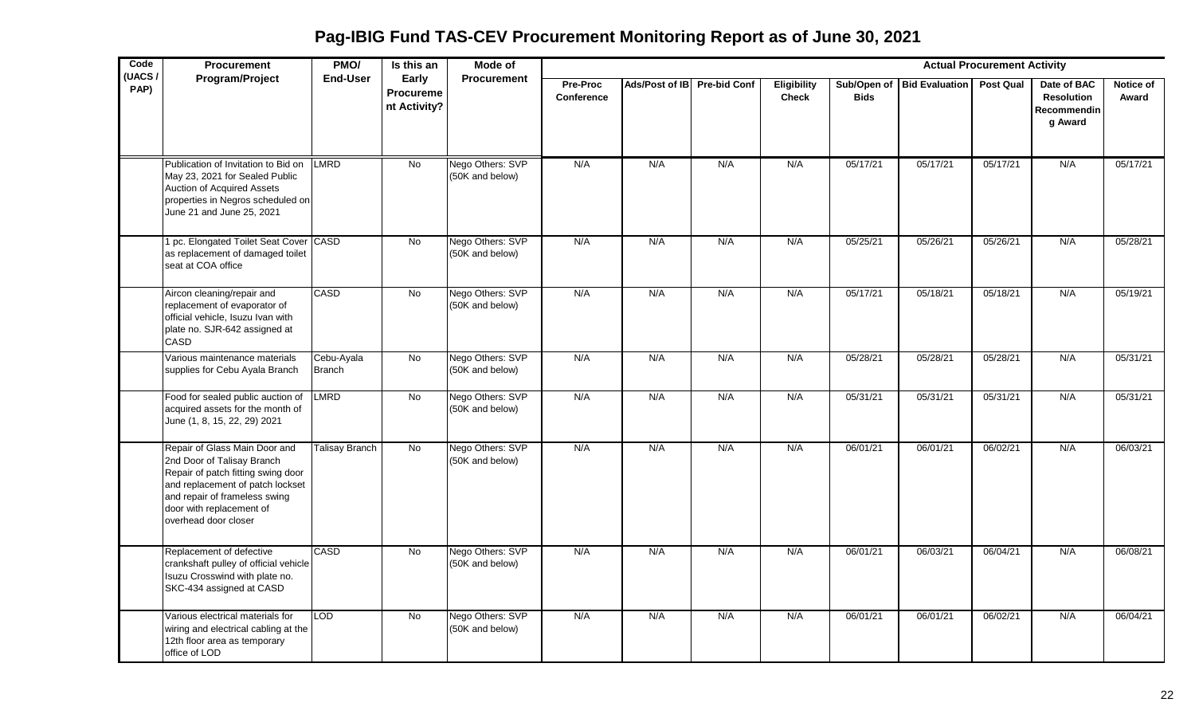**Pag-IBIG Fund TAS-CEV Procurement Monitoring Report as of June 30, 2021**

| Code<br>(UACS/ | <b>Procurement</b>                                                                                                                                                                                                         | PMO/                        | Is this an                         | Mode of                             |                               |                             |     |                                    |             |                            | <b>Actual Procurement Activity</b> |                                                                   |                    |
|----------------|----------------------------------------------------------------------------------------------------------------------------------------------------------------------------------------------------------------------------|-----------------------------|------------------------------------|-------------------------------------|-------------------------------|-----------------------------|-----|------------------------------------|-------------|----------------------------|------------------------------------|-------------------------------------------------------------------|--------------------|
| PAP)           | Program/Project                                                                                                                                                                                                            | End-User                    | Early<br>Procureme<br>nt Activity? | <b>Procurement</b>                  | <b>Pre-Proc</b><br>Conference | Ads/Post of IB Pre-bid Conf |     | <b>Eligibility</b><br><b>Check</b> | <b>Bids</b> | Sub/Open of Bid Evaluation | Post Qual                          | Date of BAC<br><b>Resolution</b><br><b>Recommendin</b><br>g Award | Notice of<br>Award |
|                | Publication of Invitation to Bid on<br>May 23, 2021 for Sealed Public<br>Auction of Acquired Assets<br>properties in Negros scheduled on<br>June 21 and June 25, 2021                                                      | LMRD                        | <b>No</b>                          | Nego Others: SVP<br>(50K and below) | N/A                           | N/A                         | N/A | N/A                                | 05/17/21    | 05/17/21                   | 05/17/21                           | N/A                                                               | 05/17/21           |
|                | pc. Elongated Toilet Seat Cover CASD<br>as replacement of damaged toilet<br>seat at COA office                                                                                                                             |                             | $\overline{N}$                     | Nego Others: SVP<br>(50K and below) | N/A                           | N/A                         | N/A | N/A                                | 05/25/21    | 05/26/21                   | 05/26/21                           | N/A                                                               | 05/28/21           |
|                | Aircon cleaning/repair and<br>replacement of evaporator of<br>official vehicle, Isuzu Ivan with<br>plate no. SJR-642 assigned at<br>CASD                                                                                   | CASD                        | No                                 | Nego Others: SVP<br>(50K and below) | N/A                           | N/A                         | N/A | N/A                                | 05/17/21    | 05/18/21                   | 05/18/21                           | N/A                                                               | 05/19/21           |
|                | Various maintenance materials<br>supplies for Cebu Ayala Branch                                                                                                                                                            | Cebu-Ayala<br><b>Branch</b> | No                                 | Nego Others: SVP<br>(50K and below) | N/A                           | N/A                         | N/A | N/A                                | 05/28/21    | 05/28/21                   | 05/28/21                           | N/A                                                               | 05/31/21           |
|                | Food for sealed public auction of LMRD<br>acquired assets for the month of<br>June (1, 8, 15, 22, 29) 2021                                                                                                                 |                             | No                                 | Nego Others: SVP<br>(50K and below) | N/A                           | N/A                         | N/A | N/A                                | 05/31/21    | 05/31/21                   | 05/31/21                           | N/A                                                               | 05/31/21           |
|                | Repair of Glass Main Door and<br>2nd Door of Talisay Branch<br>Repair of patch fitting swing door<br>and replacement of patch lockset<br>and repair of frameless swing<br>door with replacement of<br>overhead door closer | <b>Talisay Branch</b>       | <b>No</b>                          | Nego Others: SVP<br>(50K and below) | N/A                           | N/A                         | N/A | N/A                                | 06/01/21    | 06/01/21                   | 06/02/21                           | N/A                                                               | 06/03/21           |
|                | Replacement of defective<br>crankshaft pulley of official vehicle<br>Isuzu Crosswind with plate no.<br>SKC-434 assigned at CASD                                                                                            | <b>CASD</b>                 | No                                 | Nego Others: SVP<br>(50K and below) | N/A                           | N/A                         | N/A | N/A                                | 06/01/21    | 06/03/21                   | 06/04/21                           | N/A                                                               | 06/08/21           |
|                | Various electrical materials for<br>wiring and electrical cabling at the<br>12th floor area as temporary<br>office of LOD                                                                                                  | <b>LOD</b>                  | No                                 | Nego Others: SVP<br>(50K and below) | N/A                           | N/A                         | N/A | N/A                                | 06/01/21    | 06/01/21                   | 06/02/21                           | N/A                                                               | 06/04/21           |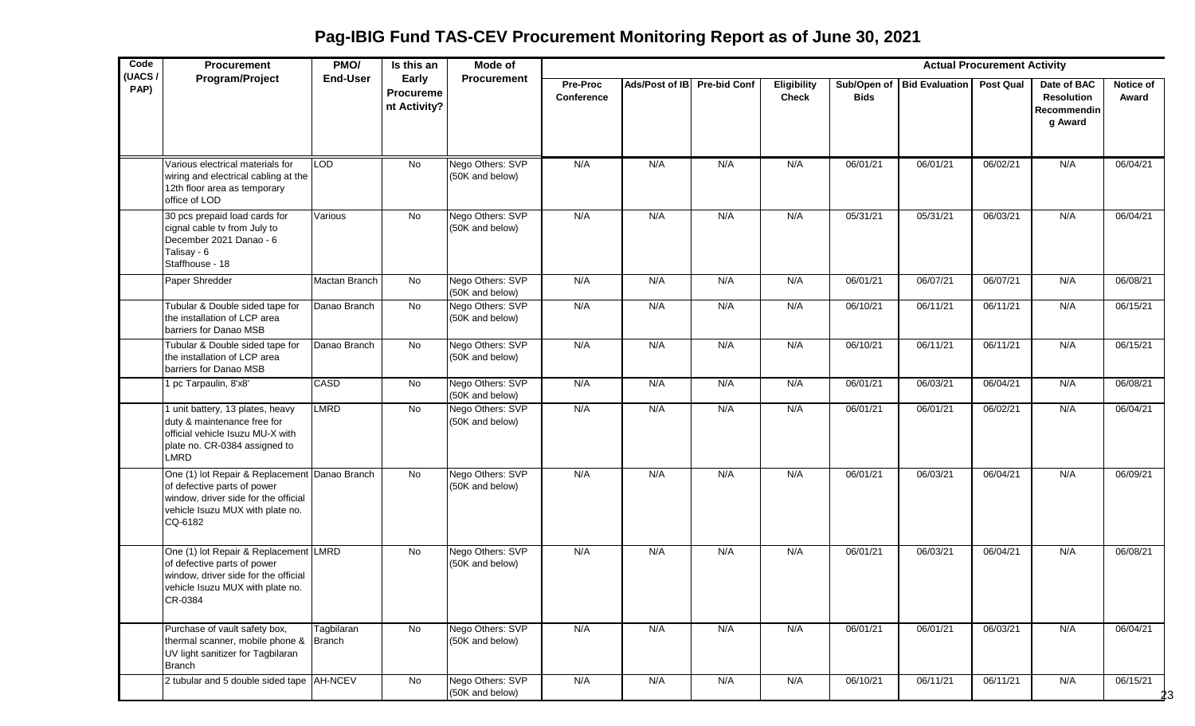**Pag-IBIG Fund TAS-CEV Procurement Monitoring Report as of June 30, 2021**

| Code           | Procurement                                                                                                                                                         | PMO/            | $\overline{\mathsf{Is}}$ this an          | Mode of                             |                               |                             |     |                                    |             |                            | <b>Actual Procurement Activity</b> |                                                            |                            |
|----------------|---------------------------------------------------------------------------------------------------------------------------------------------------------------------|-----------------|-------------------------------------------|-------------------------------------|-------------------------------|-----------------------------|-----|------------------------------------|-------------|----------------------------|------------------------------------|------------------------------------------------------------|----------------------------|
| (UACS/<br>PAP) | Program/Project                                                                                                                                                     | <b>End-User</b> | Early<br><b>Procureme</b><br>nt Activity? | <b>Procurement</b>                  | <b>Pre-Proc</b><br>Conference | Ads/Post of IB Pre-bid Conf |     | <b>Eligibility</b><br><b>Check</b> | <b>Bids</b> | Sub/Open of Bid Evaluation | <b>Post Qual</b>                   | Date of BAC<br><b>Resolution</b><br>Recommendin<br>g Award | Notice of<br>Award         |
|                | Various electrical materials for<br>wiring and electrical cabling at the<br>12th floor area as temporary<br>office of LOD                                           | LOD             | No                                        | Nego Others: SVP<br>(50K and below) | N/A                           | N/A                         | N/A | N/A                                | 06/01/21    | 06/01/21                   | 06/02/21                           | N/A                                                        | 06/04/21                   |
|                | 30 pcs prepaid load cards for<br>cignal cable tv from July to<br>December 2021 Danao - 6<br>Talisay - 6<br>Staffhouse - 18                                          | Various         | <b>No</b>                                 | Nego Others: SVP<br>(50K and below) | N/A                           | N/A                         | N/A | N/A                                | 05/31/21    | 05/31/21                   | 06/03/21                           | N/A                                                        | 06/04/21                   |
|                | Paper Shredder                                                                                                                                                      | Mactan Branch   | $\overline{N}$                            | Nego Others: SVP<br>(50K and below) | N/A                           | N/A                         | N/A | N/A                                | 06/01/21    | 06/07/21                   | 06/07/21                           | N/A                                                        | 06/08/21                   |
|                | Tubular & Double sided tape for<br>the installation of LCP area<br>barriers for Danao MSB                                                                           | Danao Branch    | $\overline{N}$                            | Nego Others: SVP<br>(50K and below) | N/A                           | N/A                         | N/A | N/A                                | 06/10/21    | 06/11/21                   | 06/11/21                           | N/A                                                        | 06/15/21                   |
|                | Tubular & Double sided tape for<br>the installation of LCP area<br>barriers for Danao MSB                                                                           | Danao Branch    | $\overline{N}$                            | Nego Others: SVP<br>(50K and below) | N/A                           | N/A                         | N/A | N/A                                | 06/10/21    | 06/11/21                   | 06/11/21                           | N/A                                                        | 06/15/21                   |
|                | 1 pc Tarpaulin, 8'x8'                                                                                                                                               | <b>CASD</b>     | No                                        | Nego Others: SVP<br>(50K and below) | N/A                           | N/A                         | N/A | N/A                                | 06/01/21    | 06/03/21                   | 06/04/21                           | N/A                                                        | 06/08/21                   |
|                | 1 unit battery, 13 plates, heavy<br>duty & maintenance free for<br>official vehicle Isuzu MU-X with<br>plate no. CR-0384 assigned to<br><b>LMRD</b>                 | LMRD            | No.                                       | Nego Others: SVP<br>(50K and below) | N/A                           | N/A                         | N/A | N/A                                | 06/01/21    | 06/01/21                   | 06/02/21                           | N/A                                                        | 06/04/21                   |
|                | One (1) lot Repair & Replacement Danao Branch<br>of defective parts of power<br>window, driver side for the official<br>vehicle Isuzu MUX with plate no.<br>CQ-6182 |                 | $\overline{N}$                            | Nego Others: SVP<br>(50K and below) | N/A                           | N/A                         | N/A | N/A                                | 06/01/21    | 06/03/21                   | 06/04/21                           | N/A                                                        | 06/09/21                   |
|                | One (1) lot Repair & Replacement LMRD<br>of defective parts of power<br>window, driver side for the official<br>vehicle Isuzu MUX with plate no.<br>CR-0384         |                 | No                                        | Nego Others: SVP<br>(50K and below) | N/A                           | N/A                         | N/A | N/A                                | 06/01/21    | 06/03/21                   | 06/04/21                           | N/A                                                        | 06/08/21                   |
|                | Purchase of vault safety box,<br>thermal scanner, mobile phone & Branch<br>UV light sanitizer for Tagbilaran<br><b>Branch</b>                                       | Tagbilaran      | $\overline{N}$                            | Nego Others: SVP<br>(50K and below) | N/A                           | N/A                         | N/A | N/A                                | 06/01/21    | 06/01/21                   | 06/03/21                           | N/A                                                        | 06/04/21                   |
|                | 2 tubular and 5 double sided tape AH-NCEV                                                                                                                           |                 | No                                        | Nego Others: SVP<br>(50K and below) | N/A                           | N/A                         | N/A | N/A                                | 06/10/21    | 06/11/21                   | 06/11/21                           | N/A                                                        | 06/15/21<br>2 <sup>3</sup> |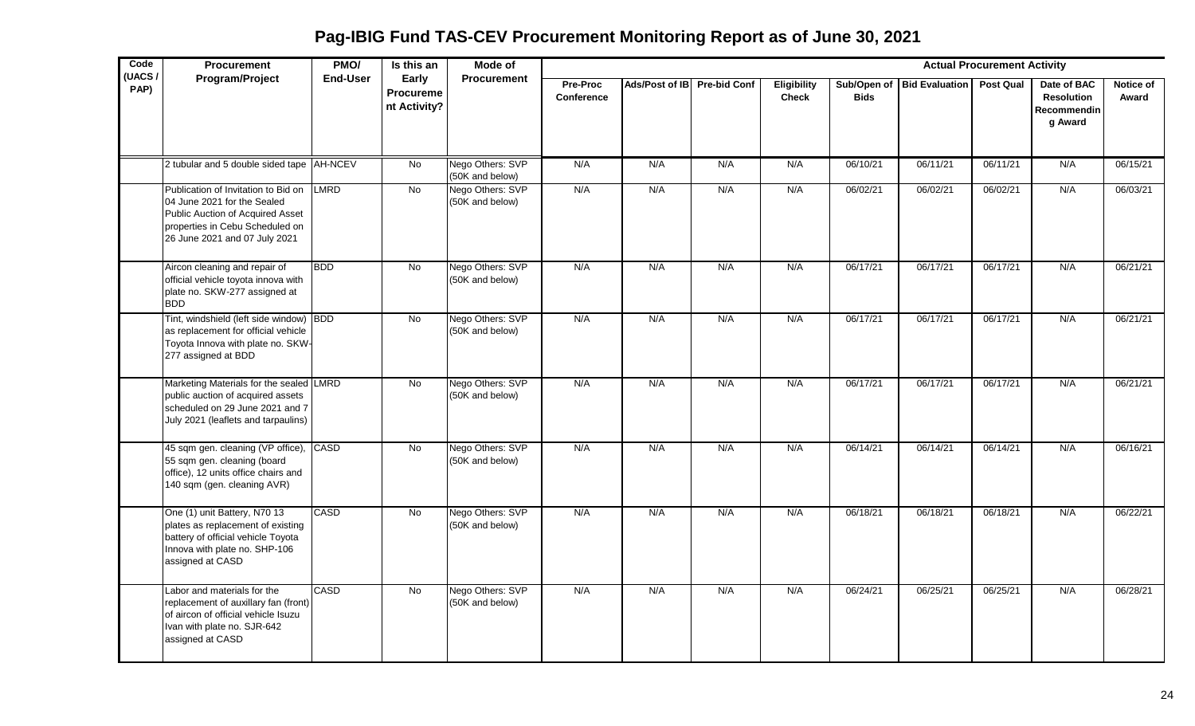**Pag-IBIG Fund TAS-CEV Procurement Monitoring Report as of June 30, 2021**

| Code<br>(UACS/ | <b>Procurement</b>                                                                                                                                                         | PMO/            | Is this an                         | Mode of                             |                               |                             |     |                             |             |                            | <b>Actual Procurement Activity</b> |                                                            |                    |
|----------------|----------------------------------------------------------------------------------------------------------------------------------------------------------------------------|-----------------|------------------------------------|-------------------------------------|-------------------------------|-----------------------------|-----|-----------------------------|-------------|----------------------------|------------------------------------|------------------------------------------------------------|--------------------|
| PAP)           | Program/Project                                                                                                                                                            | <b>End-User</b> | Early<br>Procureme<br>nt Activity? | Procurement                         | <b>Pre-Proc</b><br>Conference | Ads/Post of IB Pre-bid Conf |     | Eligibility<br><b>Check</b> | <b>Bids</b> | Sub/Open of Bid Evaluation | <b>Post Qual</b>                   | Date of BAC<br><b>Resolution</b><br>Recommendin<br>g Award | Notice of<br>Award |
|                | 2 tubular and 5 double sided tape AH-NCEV                                                                                                                                  |                 | No                                 | Nego Others: SVP<br>(50K and below) | N/A                           | N/A                         | N/A | N/A                         | 06/10/21    | 06/11/21                   | 06/11/21                           | N/A                                                        | 06/15/21           |
|                | Publication of Invitation to Bid on<br>04 June 2021 for the Sealed<br>Public Auction of Acquired Asset<br>properties in Cebu Scheduled on<br>26 June 2021 and 07 July 2021 | LMRD            | <b>No</b>                          | Nego Others: SVP<br>(50K and below) | N/A                           | N/A                         | N/A | N/A                         | 06/02/21    | 06/02/21                   | 06/02/21                           | N/A                                                        | 06/03/21           |
|                | Aircon cleaning and repair of<br>official vehicle toyota innova with<br>plate no. SKW-277 assigned at<br><b>BDD</b>                                                        | <b>BDD</b>      | <b>No</b>                          | Nego Others: SVP<br>(50K and below) | N/A                           | N/A                         | N/A | N/A                         | 06/17/21    | 06/17/21                   | 06/17/21                           | N/A                                                        | 06/21/21           |
|                | Tint, windshield (left side window) BDD<br>as replacement for official vehicle<br>Toyota Innova with plate no. SKW-<br>277 assigned at BDD                                 |                 | <b>No</b>                          | Nego Others: SVP<br>(50K and below) | N/A                           | N/A                         | N/A | N/A                         | 06/17/21    | 06/17/21                   | 06/17/21                           | N/A                                                        | 06/21/21           |
|                | Marketing Materials for the sealed LMRD<br>public auction of acquired assets<br>scheduled on 29 June 2021 and 7<br>July 2021 (leaflets and tarpaulins)                     |                 | No                                 | Nego Others: SVP<br>(50K and below) | N/A                           | N/A                         | N/A | N/A                         | 06/17/21    | 06/17/21                   | 06/17/21                           | N/A                                                        | 06/21/21           |
|                | 45 sqm gen. cleaning (VP office), CASD<br>55 sqm gen. cleaning (board<br>office), 12 units office chairs and<br>140 sqm (gen. cleaning AVR)                                |                 | <b>No</b>                          | Nego Others: SVP<br>(50K and below) | N/A                           | N/A                         | N/A | N/A                         | 06/14/21    | 06/14/21                   | 06/14/21                           | N/A                                                        | 06/16/21           |
|                | One (1) unit Battery, N70 13<br>plates as replacement of existing<br>battery of official vehicle Toyota<br>Innova with plate no. SHP-106<br>assigned at CASD               | CASD            | No                                 | Nego Others: SVP<br>(50K and below) | N/A                           | N/A                         | N/A | N/A                         | 06/18/21    | 06/18/21                   | 06/18/21                           | N/A                                                        | 06/22/21           |
|                | Labor and materials for the<br>replacement of auxillary fan (front)<br>of aircon of official vehicle Isuzu<br>Ivan with plate no. SJR-642<br>assigned at CASD              | <b>CASD</b>     | <b>No</b>                          | Nego Others: SVP<br>(50K and below) | N/A                           | N/A                         | N/A | N/A                         | 06/24/21    | 06/25/21                   | 06/25/21                           | N/A                                                        | 06/28/21           |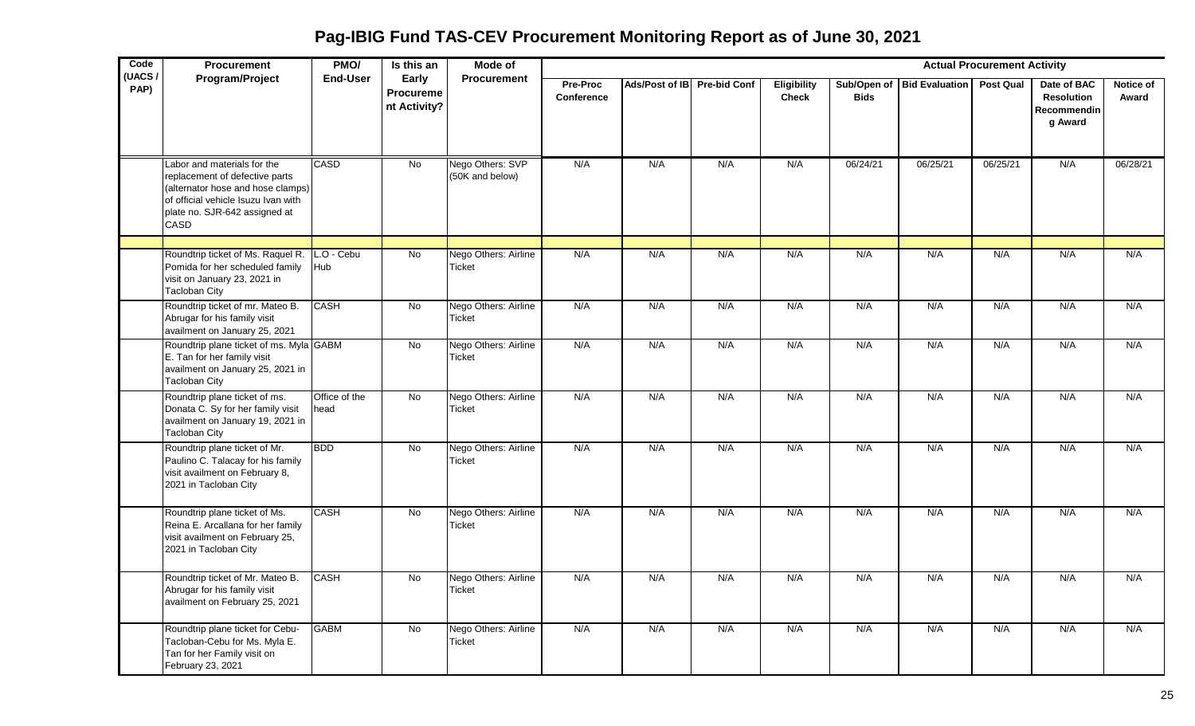**Pag-IBIG Fund TAS-CEV Procurement Monitoring Report as of June 30, 2021**

| Code           | <b>Procurement</b>                                                                                                                                                                 | PMO/                  | Is this an                                | Mode of                               |                               |                             |     |                             |             |                            | <b>Actual Procurement Activity</b> |                                                            |                    |
|----------------|------------------------------------------------------------------------------------------------------------------------------------------------------------------------------------|-----------------------|-------------------------------------------|---------------------------------------|-------------------------------|-----------------------------|-----|-----------------------------|-------------|----------------------------|------------------------------------|------------------------------------------------------------|--------------------|
| (UACS/<br>PAP) | Program/Project                                                                                                                                                                    | <b>End-User</b>       | Early<br><b>Procureme</b><br>nt Activity? | <b>Procurement</b>                    | Pre-Proc<br><b>Conference</b> | Ads/Post of IB Pre-bid Conf |     | Eligibility<br><b>Check</b> | <b>Bids</b> | Sub/Open of Bid Evaluation | <b>Post Qual</b>                   | Date of BAC<br><b>Resolution</b><br>Recommendin<br>g Award | Notice of<br>Award |
|                | Labor and materials for the<br>replacement of defective parts<br>(alternator hose and hose clamps)<br>of official vehicle Isuzu Ivan with<br>plate no. SJR-642 assigned at<br>CASD | <b>CASD</b>           | <b>No</b>                                 | Nego Others: SVP<br>(50K and below)   | N/A                           | N/A                         | N/A | N/A                         | 06/24/21    | 06/25/21                   | 06/25/21                           | N/A                                                        | 06/28/21           |
|                |                                                                                                                                                                                    |                       |                                           |                                       |                               |                             |     |                             |             |                            |                                    |                                                            |                    |
|                | Roundtrip ticket of Ms. Raquel R.<br>Pomida for her scheduled family<br>visit on January 23, 2021 in<br><b>Tacloban City</b>                                                       | L.O - Cebu<br>Hub     | $\overline{N}$                            | Nego Others: Airline<br><b>Ticket</b> | N/A                           | N/A                         | N/A | N/A                         | N/A         | N/A                        | N/A                                | N/A                                                        | N/A                |
|                | Roundtrip ticket of mr. Mateo B.<br>Abrugar for his family visit<br>availment on January 25, 2021                                                                                  | CASH                  | No                                        | Nego Others: Airline<br>Ticket        | N/A                           | N/A                         | N/A | N/A                         | N/A         | N/A                        | N/A                                | N/A                                                        | N/A                |
|                | Roundtrip plane ticket of ms. Myla GABM<br>E. Tan for her family visit<br>availment on January 25, 2021 in<br><b>Tacloban City</b>                                                 |                       | <b>No</b>                                 | Nego Others: Airline<br>Ticket        | N/A                           | N/A                         | N/A | N/A                         | N/A         | N/A                        | N/A                                | N/A                                                        | N/A                |
|                | Roundtrip plane ticket of ms.<br>Donata C. Sy for her family visit<br>availment on January 19, 2021 in<br><b>Tacloban City</b>                                                     | Office of the<br>head | No                                        | Nego Others: Airline<br>Ticket        | N/A                           | N/A                         | N/A | N/A                         | N/A         | N/A                        | N/A                                | N/A                                                        | N/A                |
|                | Roundtrip plane ticket of Mr.<br>Paulino C. Talacay for his family<br>visit availment on February 8,<br>2021 in Tacloban City                                                      | <b>BDD</b>            | $\overline{N}$                            | Nego Others: Airline<br>Ticket        | N/A                           | N/A                         | N/A | N/A                         | N/A         | N/A                        | N/A                                | N/A                                                        | N/A                |
|                | Roundtrip plane ticket of Ms.<br>Reina E. Arcallana for her family<br>visit availment on February 25,<br>2021 in Tacloban City                                                     | <b>CASH</b>           | <b>No</b>                                 | Nego Others: Airline<br>Ticket        | N/A                           | N/A                         | N/A | N/A                         | N/A         | N/A                        | N/A                                | N/A                                                        | N/A                |
|                | Roundtrip ticket of Mr. Mateo B.<br>Abrugar for his family visit<br>availment on February 25, 2021                                                                                 | <b>CASH</b>           | <b>No</b>                                 | Nego Others: Airline<br><b>Ticket</b> | N/A                           | N/A                         | N/A | N/A                         | N/A         | N/A                        | N/A                                | N/A                                                        | N/A                |
|                | Roundtrip plane ticket for Cebu-<br>Tacloban-Cebu for Ms. Myla E.<br>Tan for her Family visit on<br>February 23, 2021                                                              | <b>GABM</b>           | No                                        | Nego Others: Airline<br>Ticket        | N/A                           | N/A                         | N/A | N/A                         | N/A         | N/A                        | N/A                                | N/A                                                        | N/A                |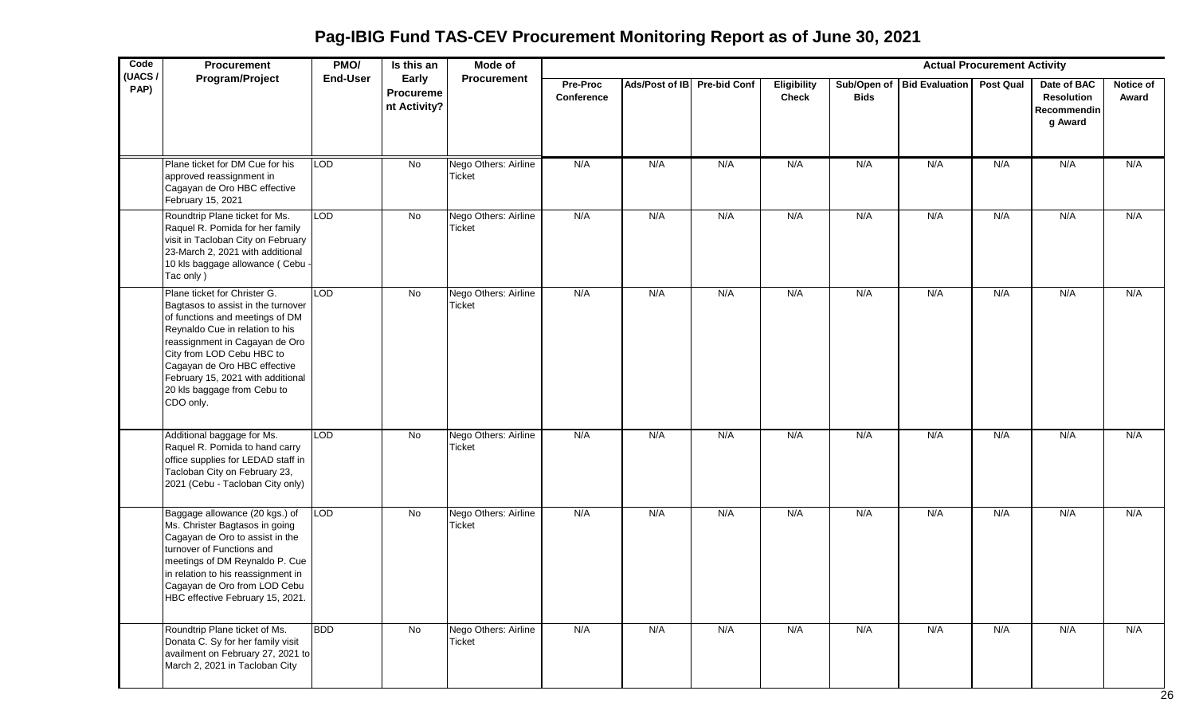**Pag-IBIG Fund TAS-CEV Procurement Monitoring Report as of June 30, 2021**

| Code<br>(UACS/ | Procurement                                                                                                                                                                                                                                                                                                              | PMO/            | Is this an                         | <b>Mode of</b>                        |                        |                             |     |                                    |             |                            | <b>Actual Procurement Activity</b> |                                                            |                    |
|----------------|--------------------------------------------------------------------------------------------------------------------------------------------------------------------------------------------------------------------------------------------------------------------------------------------------------------------------|-----------------|------------------------------------|---------------------------------------|------------------------|-----------------------------|-----|------------------------------------|-------------|----------------------------|------------------------------------|------------------------------------------------------------|--------------------|
| PAP)           | Program/Project                                                                                                                                                                                                                                                                                                          | <b>End-User</b> | Early<br>Procureme<br>nt Activity? | <b>Procurement</b>                    | Pre-Proc<br>Conference | Ads/Post of IB Pre-bid Conf |     | <b>Eligibility</b><br><b>Check</b> | <b>Bids</b> | Sub/Open of Bid Evaluation | Post Qual                          | Date of BAC<br><b>Resolution</b><br>Recommendin<br>g Award | Notice of<br>Award |
|                | Plane ticket for DM Cue for his<br>approved reassignment in<br>Cagayan de Oro HBC effective<br>February 15, 2021                                                                                                                                                                                                         | <b>LOD</b>      | No                                 | Nego Others: Airline<br><b>Ticket</b> | N/A                    | N/A                         | N/A | N/A                                | N/A         | N/A                        | N/A                                | N/A                                                        | N/A                |
|                | Roundtrip Plane ticket for Ms.<br>Raquel R. Pomida for her family<br>visit in Tacloban City on February<br>23-March 2, 2021 with additional<br>10 kls baggage allowance (Cebu -<br>Tac only)                                                                                                                             | <b>LOD</b>      | No                                 | Nego Others: Airline<br><b>Ticket</b> | N/A                    | N/A                         | N/A | N/A                                | N/A         | N/A                        | N/A                                | N/A                                                        | N/A                |
|                | Plane ticket for Christer G.<br>Bagtasos to assist in the turnover<br>of functions and meetings of DM<br>Reynaldo Cue in relation to his<br>reassignment in Cagayan de Oro<br>City from LOD Cebu HBC to<br>Cagayan de Oro HBC effective<br>February 15, 2021 with additional<br>20 kls baggage from Cebu to<br>CDO only. | <b>LOD</b>      | $\overline{N}$                     | Nego Others: Airline<br><b>Ticket</b> | N/A                    | N/A                         | N/A | N/A                                | N/A         | N/A                        | N/A                                | N/A                                                        | N/A                |
|                | Additional baggage for Ms.<br>Raquel R. Pomida to hand carry<br>office supplies for LEDAD staff in<br>Tacloban City on February 23,<br>2021 (Cebu - Tacloban City only)                                                                                                                                                  | <b>LOD</b>      | No                                 | Nego Others: Airline<br><b>Ticket</b> | N/A                    | N/A                         | N/A | N/A                                | N/A         | N/A                        | N/A                                | N/A                                                        | N/A                |
|                | Baggage allowance (20 kgs.) of<br>Ms. Christer Bagtasos in going<br>Cagayan de Oro to assist in the<br>turnover of Functions and<br>meetings of DM Reynaldo P. Cue<br>in relation to his reassignment in<br>Cagayan de Oro from LOD Cebu<br>HBC effective February 15, 2021.                                             | <b>LOD</b>      | No                                 | Nego Others: Airline<br><b>Ticket</b> | N/A                    | N/A                         | N/A | N/A                                | N/A         | N/A                        | N/A                                | N/A                                                        | N/A                |
|                | Roundtrip Plane ticket of Ms.<br>Donata C. Sy for her family visit<br>availment on February 27, 2021 to<br>March 2, 2021 in Tacloban City                                                                                                                                                                                | <b>BDD</b>      | No                                 | Nego Others: Airline<br>Ticket        | N/A                    | N/A                         | N/A | N/A                                | N/A         | N/A                        | N/A                                | N/A                                                        | N/A                |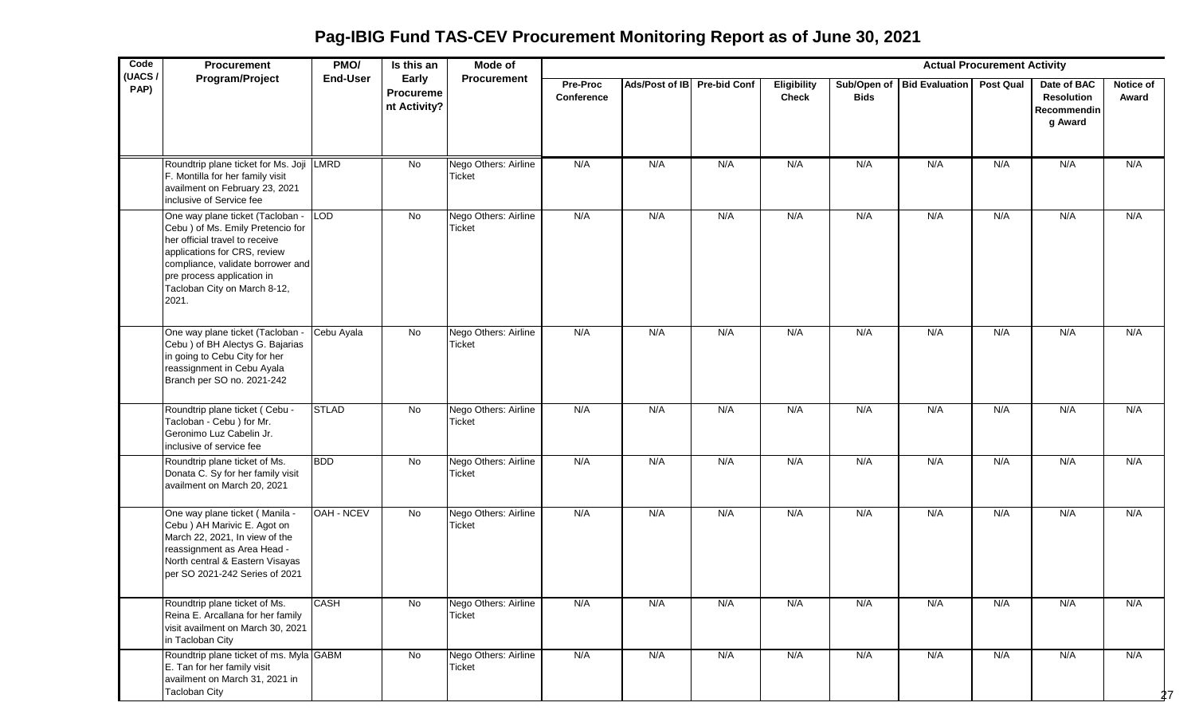**Pag-IBIG Fund TAS-CEV Procurement Monitoring Report as of June 30, 2021**

| Code           | Procurement                                                                                                                                                                                                                                         | PMO/            | Is this an                                | Mode of                               |                        |                             |     |                                    |             |                            | <b>Actual Procurement Activity</b> |                                                            |                    |
|----------------|-----------------------------------------------------------------------------------------------------------------------------------------------------------------------------------------------------------------------------------------------------|-----------------|-------------------------------------------|---------------------------------------|------------------------|-----------------------------|-----|------------------------------------|-------------|----------------------------|------------------------------------|------------------------------------------------------------|--------------------|
| (UACS/<br>PAP) | Program/Project                                                                                                                                                                                                                                     | <b>End-User</b> | Early<br><b>Procureme</b><br>nt Activity? | <b>Procurement</b>                    | Pre-Proc<br>Conference | Ads/Post of IB Pre-bid Conf |     | <b>Eligibility</b><br><b>Check</b> | <b>Bids</b> | Sub/Open of Bid Evaluation | <b>Post Qual</b>                   | Date of BAC<br><b>Resolution</b><br>Recommendin<br>g Award | Notice of<br>Award |
|                | Roundtrip plane ticket for Ms. Joji LMRD<br>F. Montilla for her family visit<br>availment on February 23, 2021<br>inclusive of Service fee                                                                                                          |                 | No                                        | Nego Others: Airline<br><b>Ticket</b> | N/A                    | N/A                         | N/A | N/A                                | N/A         | N/A                        | N/A                                | N/A                                                        | N/A                |
|                | One way plane ticket (Tacloban -<br>Cebu ) of Ms. Emily Pretencio for<br>her official travel to receive<br>applications for CRS, review<br>compliance, validate borrower and<br>pre process application in<br>Tacloban City on March 8-12,<br>2021. | LOD             | No                                        | Nego Others: Airline<br><b>Ticket</b> | N/A                    | N/A                         | N/A | N/A                                | N/A         | N/A                        | N/A                                | N/A                                                        | N/A                |
|                | One way plane ticket (Tacloban -<br>Cebu ) of BH Alectys G. Bajarias<br>in going to Cebu City for her<br>reassignment in Cebu Ayala<br>Branch per SO no. 2021-242                                                                                   | Cebu Ayala      | No                                        | Nego Others: Airline<br>Ticket        | N/A                    | N/A                         | N/A | N/A                                | N/A         | N/A                        | N/A                                | N/A                                                        | N/A                |
|                | Roundtrip plane ticket (Cebu -<br>Tacloban - Cebu ) for Mr.<br>Geronimo Luz Cabelin Jr.<br>inclusive of service fee                                                                                                                                 | <b>STLAD</b>    | $\overline{N}$                            | Nego Others: Airline<br><b>Ticket</b> | N/A                    | N/A                         | N/A | N/A                                | N/A         | N/A                        | N/A                                | N/A                                                        | N/A                |
|                | Roundtrip plane ticket of Ms.<br>Donata C. Sy for her family visit<br>availment on March 20, 2021                                                                                                                                                   | <b>BDD</b>      | $\overline{N}$                            | Nego Others: Airline<br><b>Ticket</b> | N/A                    | N/A                         | N/A | N/A                                | N/A         | N/A                        | N/A                                | N/A                                                        | N/A                |
|                | One way plane ticket (Manila -<br>Cebu ) AH Marivic E. Agot on<br>March 22, 2021, In view of the<br>reassignment as Area Head -<br>North central & Eastern Visayas<br>per SO 2021-242 Series of 2021                                                | OAH - NCEV      | $\overline{N}$                            | Nego Others: Airline<br><b>Ticket</b> | N/A                    | N/A                         | N/A | N/A                                | N/A         | N/A                        | N/A                                | N/A                                                        | N/A                |
|                | Roundtrip plane ticket of Ms.<br>Reina E. Arcallana for her family<br>visit availment on March 30, 2021<br>in Tacloban City                                                                                                                         | <b>CASH</b>     | No                                        | Nego Others: Airline<br><b>Ticket</b> | N/A                    | N/A                         | N/A | N/A                                | N/A         | N/A                        | N/A                                | N/A                                                        | N/A                |
|                | Roundtrip plane ticket of ms. Myla GABM<br>E. Tan for her family visit<br>availment on March 31, 2021 in<br><b>Tacloban City</b>                                                                                                                    |                 | $\overline{N}$                            | Nego Others: Airline<br><b>Ticket</b> | N/A                    | N/A                         | N/A | N/A                                | N/A         | N/A                        | N/A                                | N/A                                                        | N/A<br>27          |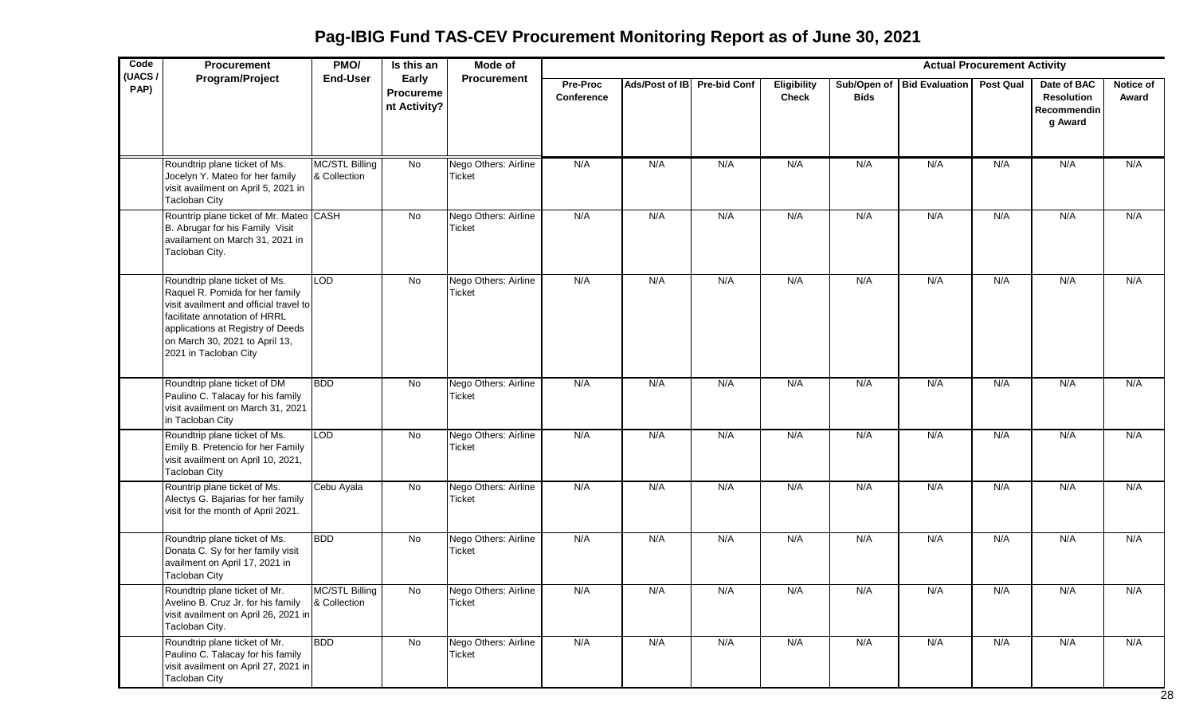**Pag-IBIG Fund TAS-CEV Procurement Monitoring Report as of June 30, 2021**

| Code<br>(UACS/ | Procurement                                                                                                                                                                                                                                 | PMO/                           | Is this an                                | Mode of                               |                        |                             |     |                             |             |                              | <b>Actual Procurement Activity</b> |                                                            |                    |
|----------------|---------------------------------------------------------------------------------------------------------------------------------------------------------------------------------------------------------------------------------------------|--------------------------------|-------------------------------------------|---------------------------------------|------------------------|-----------------------------|-----|-----------------------------|-------------|------------------------------|------------------------------------|------------------------------------------------------------|--------------------|
| PAP)           | Program/Project                                                                                                                                                                                                                             | <b>End-User</b>                | Early<br><b>Procureme</b><br>nt Activity? | Procurement                           | Pre-Proc<br>Conference | Ads/Post of IB Pre-bid Conf |     | Eligibility<br><b>Check</b> | <b>Bids</b> | Sub/Open of   Bid Evaluation | <b>Post Qual</b>                   | Date of BAC<br><b>Resolution</b><br>Recommendin<br>g Award | Notice of<br>Award |
|                | Roundtrip plane ticket of Ms.<br>Jocelyn Y. Mateo for her family<br>visit availment on April 5, 2021 in<br><b>Tacloban City</b>                                                                                                             | MC/STL Billing<br>& Collection | No                                        | Nego Others: Airline<br><b>Ticket</b> | N/A                    | N/A                         | N/A | N/A                         | N/A         | N/A                          | N/A                                | N/A                                                        | N/A                |
|                | Rountrip plane ticket of Mr. Mateo CASH<br>B. Abrugar for his Family Visit<br>availament on March 31, 2021 in<br>Tacloban City.                                                                                                             |                                | No                                        | Nego Others: Airline<br><b>Ticket</b> | N/A                    | N/A                         | N/A | N/A                         | N/A         | N/A                          | N/A                                | N/A                                                        | N/A                |
|                | Roundtrip plane ticket of Ms.<br>Raquel R. Pomida for her family<br>visit availment and official travel to<br>facilitate annotation of HRRL<br>applications at Registry of Deeds<br>on March 30, 2021 to April 13,<br>2021 in Tacloban City | <b>LOD</b>                     | $\overline{N}$                            | Nego Others: Airline<br><b>Ticket</b> | N/A                    | N/A                         | N/A | N/A                         | N/A         | N/A                          | N/A                                | N/A                                                        | N/A                |
|                | Roundtrip plane ticket of DM<br>Paulino C. Talacay for his family<br>visit availment on March 31, 2021<br>in Tacloban City                                                                                                                  | <b>BDD</b>                     | No                                        | Nego Others: Airline<br>Ticket        | N/A                    | N/A                         | N/A | N/A                         | N/A         | N/A                          | N/A                                | N/A                                                        | N/A                |
|                | Roundtrip plane ticket of Ms.<br>Emily B. Pretencio for her Family<br>visit availment on April 10, 2021,<br><b>Tacloban City</b>                                                                                                            | <b>LOD</b>                     | No                                        | Nego Others: Airline<br><b>Ticket</b> | N/A                    | N/A                         | N/A | N/A                         | N/A         | N/A                          | N/A                                | N/A                                                        | N/A                |
|                | Rountrip plane ticket of Ms.<br>Alectys G. Bajarias for her family<br>visit for the month of April 2021.                                                                                                                                    | Cebu Ayala                     | $\overline{N}$                            | Nego Others: Airline<br><b>Ticket</b> | N/A                    | N/A                         | N/A | N/A                         | N/A         | N/A                          | N/A                                | N/A                                                        | N/A                |
|                | Roundtrip plane ticket of Ms.<br>Donata C. Sy for her family visit<br>availment on April 17, 2021 in<br><b>Tacloban City</b>                                                                                                                | <b>BDD</b>                     | $\overline{N}$                            | Nego Others: Airline<br><b>Ticket</b> | N/A                    | N/A                         | N/A | N/A                         | N/A         | N/A                          | N/A                                | N/A                                                        | N/A                |
|                | Roundtrip plane ticket of Mr.<br>Avelino B. Cruz Jr. for his family<br>visit availment on April 26, 2021 in<br>Tacloban City.                                                                                                               | MC/STL Billing<br>& Collection | No.                                       | Nego Others: Airline<br>Ticket        | N/A                    | N/A                         | N/A | N/A                         | N/A         | N/A                          | N/A                                | N/A                                                        | N/A                |
|                | Roundtrip plane ticket of Mr.<br>Paulino C. Talacay for his family<br>visit availment on April 27, 2021 in<br><b>Tacloban City</b>                                                                                                          | <b>BDD</b>                     | No                                        | Nego Others: Airline<br>Ticket        | N/A                    | N/A                         | N/A | N/A                         | N/A         | N/A                          | N/A                                | N/A                                                        | N/A                |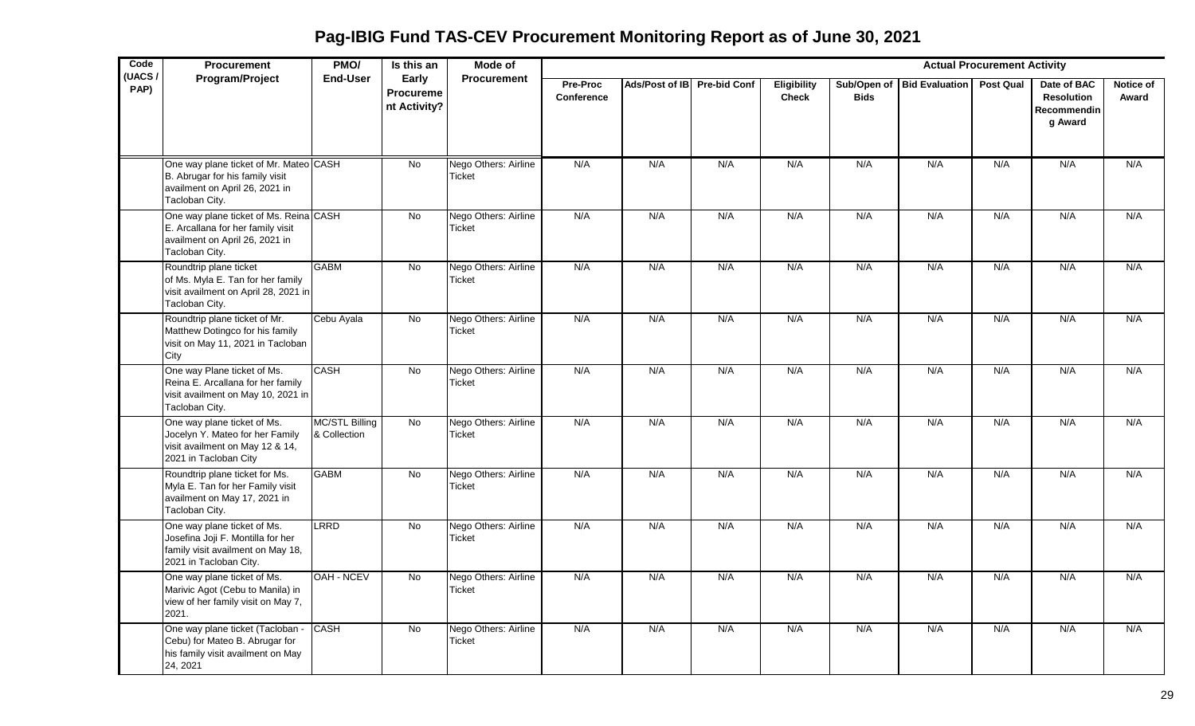**Pag-IBIG Fund TAS-CEV Procurement Monitoring Report as of June 30, 2021**

| Code<br>(UACS) | Procurement                                                                                                                     | PMO/                                  | Is this an                                | Mode of                               |                        |                             |     |                                    |             |                            | <b>Actual Procurement Activity</b> |                                                     |                    |
|----------------|---------------------------------------------------------------------------------------------------------------------------------|---------------------------------------|-------------------------------------------|---------------------------------------|------------------------|-----------------------------|-----|------------------------------------|-------------|----------------------------|------------------------------------|-----------------------------------------------------|--------------------|
| PAP)           | Program/Project                                                                                                                 | End-User                              | Early<br><b>Procureme</b><br>nt Activity? | <b>Procurement</b>                    | Pre-Proc<br>Conference | Ads/Post of IB Pre-bid Conf |     | <b>Eligibility</b><br><b>Check</b> | <b>Bids</b> | Sub/Open of Bid Evaluation | <b>Post Qual</b>                   | Date of BAC<br>Resolution<br>Recommendin<br>g Award | Notice of<br>Award |
|                | One way plane ticket of Mr. Mateo CASH<br>B. Abrugar for his family visit<br>availment on April 26, 2021 in<br>Tacloban City.   |                                       | <b>No</b>                                 | Nego Others: Airline<br><b>Ticket</b> | N/A                    | N/A                         | N/A | N/A                                | N/A         | N/A                        | N/A                                | N/A                                                 | N/A                |
|                | One way plane ticket of Ms. Reina CASH<br>E. Arcallana for her family visit<br>availment on April 26, 2021 in<br>Tacloban City. |                                       | No                                        | Nego Others: Airline<br>Ticket        | N/A                    | N/A                         | N/A | N/A                                | N/A         | N/A                        | N/A                                | N/A                                                 | N/A                |
|                | Roundtrip plane ticket<br>of Ms. Myla E. Tan for her family<br>visit availment on April 28, 2021 in<br>Tacloban City.           | <b>GABM</b>                           | $\overline{N}$                            | Nego Others: Airline<br><b>Ticket</b> | N/A                    | N/A                         | N/A | N/A                                | N/A         | N/A                        | N/A                                | N/A                                                 | N/A                |
|                | Roundtrip plane ticket of Mr.<br>Matthew Dotingco for his family<br>visit on May 11, 2021 in Tacloban<br>City                   | Cebu Ayala                            | <b>No</b>                                 | Nego Others: Airline<br><b>Ticket</b> | N/A                    | N/A                         | N/A | N/A                                | N/A         | N/A                        | N/A                                | N/A                                                 | N/A                |
|                | One way Plane ticket of Ms.<br>Reina E. Arcallana for her family<br>visit availment on May 10, 2021 in<br>Tacloban City.        | CASH                                  | $\overline{N}$                            | Nego Others: Airline<br><b>Ticket</b> | N/A                    | N/A                         | N/A | N/A                                | N/A         | N/A                        | N/A                                | N/A                                                 | N/A                |
|                | One way plane ticket of Ms.<br>Jocelyn Y. Mateo for her Family<br>visit availment on May 12 & 14,<br>2021 in Tacloban City      | <b>MC/STL Billing</b><br>& Collection | No                                        | Nego Others: Airline<br><b>Ticket</b> | N/A                    | N/A                         | N/A | N/A                                | N/A         | N/A                        | N/A                                | N/A                                                 | N/A                |
|                | Roundtrip plane ticket for Ms.<br>Myla E. Tan for her Family visit<br>availment on May 17, 2021 in<br>Tacloban City.            | <b>GABM</b>                           | <b>No</b>                                 | Nego Others: Airline<br>Ticket        | N/A                    | N/A                         | N/A | N/A                                | N/A         | N/A                        | N/A                                | N/A                                                 | N/A                |
|                | One way plane ticket of Ms.<br>Josefina Joji F. Montilla for her<br>family visit availment on May 18,<br>2021 in Tacloban City. | <b>LRRD</b>                           | <b>No</b>                                 | Nego Others: Airline<br><b>Ticket</b> | N/A                    | N/A                         | N/A | N/A                                | N/A         | N/A                        | N/A                                | N/A                                                 | N/A                |
|                | One way plane ticket of Ms.<br>Marivic Agot (Cebu to Manila) in<br>view of her family visit on May 7,<br>2021.                  | OAH - NCEV                            | $\overline{N}$                            | Nego Others: Airline<br><b>Ticket</b> | N/A                    | N/A                         | N/A | N/A                                | N/A         | N/A                        | N/A                                | N/A                                                 | N/A                |
|                | One way plane ticket (Tacloban -<br>Cebu) for Mateo B. Abrugar for<br>his family visit availment on May<br>24, 2021             | <b>CASH</b>                           | No                                        | Nego Others: Airline<br><b>Ticket</b> | N/A                    | N/A                         | N/A | N/A                                | N/A         | N/A                        | N/A                                | N/A                                                 | N/A                |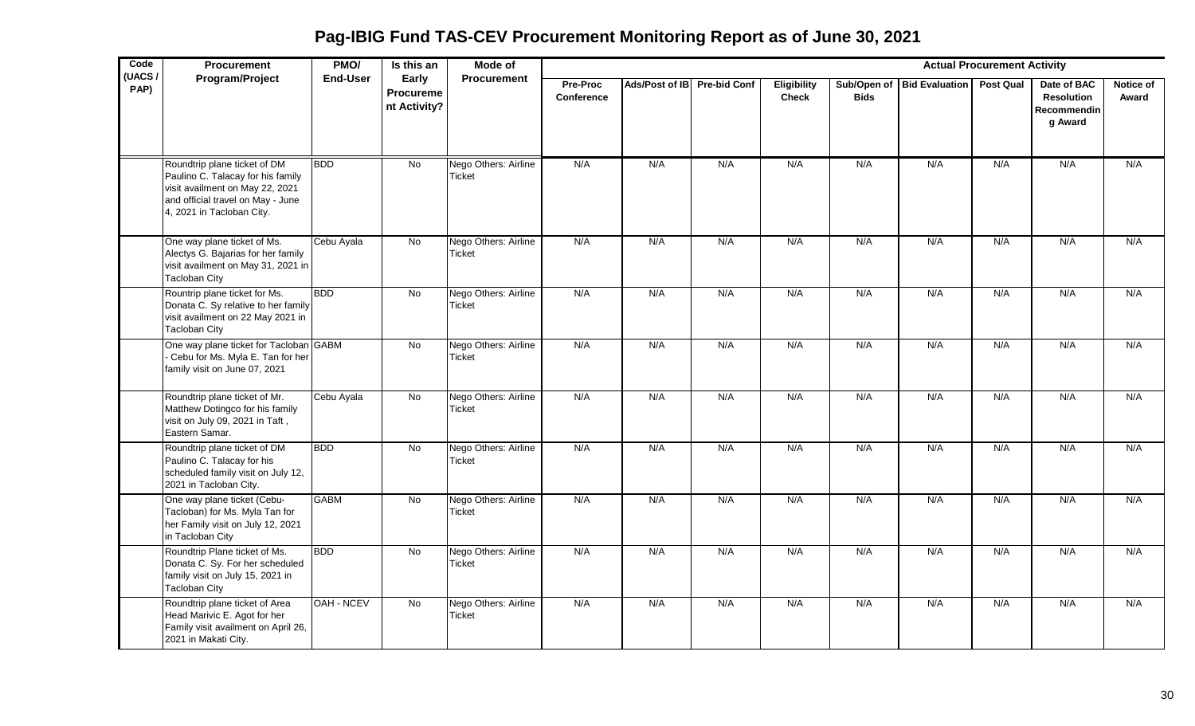**Pag-IBIG Fund TAS-CEV Procurement Monitoring Report as of June 30, 2021**

| Code<br>(UACS/ | Procurement                                                                                                                                                            | PMO/            | Is this an                         | <b>Mode of</b>                        |                        |                             |     |                             |             |                              | <b>Actual Procurement Activity</b> |                                                            |                    |
|----------------|------------------------------------------------------------------------------------------------------------------------------------------------------------------------|-----------------|------------------------------------|---------------------------------------|------------------------|-----------------------------|-----|-----------------------------|-------------|------------------------------|------------------------------------|------------------------------------------------------------|--------------------|
| PAP)           | Program/Project                                                                                                                                                        | <b>End-User</b> | Early<br>Procureme<br>nt Activity? | Procurement                           | Pre-Proc<br>Conference | Ads/Post of IB Pre-bid Conf |     | Eligibility<br><b>Check</b> | <b>Bids</b> | Sub/Open of   Bid Evaluation | Post Qual                          | Date of BAC<br><b>Resolution</b><br>Recommendin<br>g Award | Notice of<br>Award |
|                | Roundtrip plane ticket of DM<br>Paulino C. Talacay for his family<br>visit availment on May 22, 2021<br>and official travel on May - June<br>4, 2021 in Tacloban City. | <b>BDD</b>      | No                                 | Nego Others: Airline<br><b>Ticket</b> | N/A                    | N/A                         | N/A | N/A                         | N/A         | N/A                          | N/A                                | N/A                                                        | N/A                |
|                | One way plane ticket of Ms.<br>Alectys G. Bajarias for her family<br>visit availment on May 31, 2021 in<br><b>Tacloban City</b>                                        | Cebu Ayala      | No                                 | Nego Others: Airline<br>Ticket        | N/A                    | N/A                         | N/A | N/A                         | N/A         | N/A                          | N/A                                | N/A                                                        | N/A                |
|                | Rountrip plane ticket for Ms.<br>Donata C. Sy relative to her family<br>visit availment on 22 May 2021 in<br><b>Tacloban City</b>                                      | <b>BDD</b>      | No                                 | Nego Others: Airline<br><b>Ticket</b> | N/A                    | N/A                         | N/A | N/A                         | N/A         | N/A                          | N/A                                | N/A                                                        | N/A                |
|                | One way plane ticket for Tacloban GABM<br>Cebu for Ms. Myla E. Tan for her<br>family visit on June 07, 2021                                                            |                 | No                                 | Nego Others: Airline<br>Ticket        | N/A                    | N/A                         | N/A | N/A                         | N/A         | N/A                          | N/A                                | N/A                                                        | N/A                |
|                | Roundtrip plane ticket of Mr.<br>Matthew Dotingco for his family<br>visit on July 09, 2021 in Taft,<br>Eastern Samar.                                                  | Cebu Ayala      | No                                 | Nego Others: Airline<br><b>Ticket</b> | N/A                    | N/A                         | N/A | N/A                         | N/A         | N/A                          | N/A                                | N/A                                                        | N/A                |
|                | Roundtrip plane ticket of DM<br>Paulino C. Talacay for his<br>scheduled family visit on July 12,<br>2021 in Tacloban City.                                             | <b>BDD</b>      | No                                 | Nego Others: Airline<br>Ticket        | N/A                    | N/A                         | N/A | N/A                         | N/A         | N/A                          | N/A                                | N/A                                                        | N/A                |
|                | One way plane ticket (Cebu-<br>Tacloban) for Ms. Myla Tan for<br>her Family visit on July 12, 2021<br>in Tacloban City                                                 | <b>GABM</b>     | No                                 | Nego Others: Airline<br><b>Ticket</b> | N/A                    | N/A                         | N/A | N/A                         | N/A         | N/A                          | N/A                                | N/A                                                        | N/A                |
|                | Roundtrip Plane ticket of Ms.<br>Donata C. Sy. For her scheduled<br>family visit on July 15, 2021 in<br><b>Tacloban City</b>                                           | <b>BDD</b>      | $\overline{N_{0}}$                 | Nego Others: Airline<br>Ticket        | N/A                    | N/A                         | N/A | N/A                         | N/A         | N/A                          | N/A                                | N/A                                                        | N/A                |
|                | Roundtrip plane ticket of Area<br>Head Marivic E. Agot for her<br>Family visit availment on April 26,<br>2021 in Makati City.                                          | OAH - NCEV      | No                                 | Nego Others: Airline<br><b>Ticket</b> | N/A                    | N/A                         | N/A | N/A                         | N/A         | N/A                          | N/A                                | N/A                                                        | N/A                |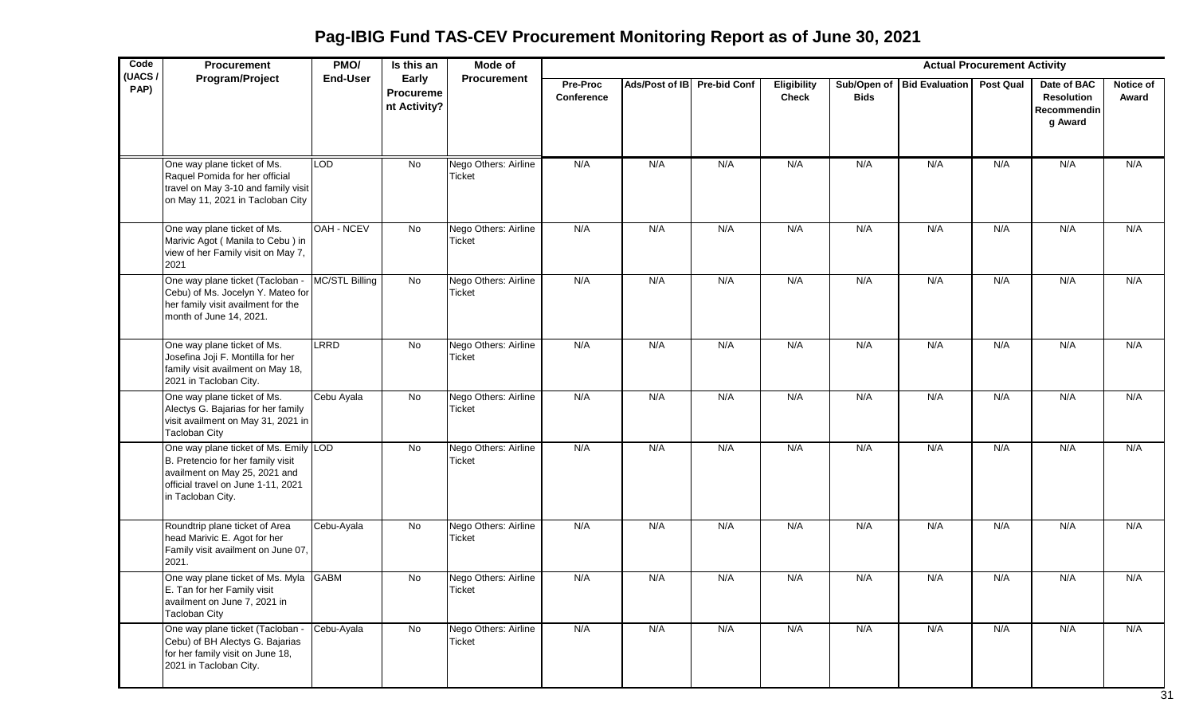| Code<br>(UACS/ | <b>Procurement</b>                                                                                                                                                     | PMO/              | Is this an                         | Mode of                               |                               |                             |     |                             |                            |                       | <b>Actual Procurement Activity</b> |                                                            |                    |
|----------------|------------------------------------------------------------------------------------------------------------------------------------------------------------------------|-------------------|------------------------------------|---------------------------------------|-------------------------------|-----------------------------|-----|-----------------------------|----------------------------|-----------------------|------------------------------------|------------------------------------------------------------|--------------------|
| PAP)           | <b>Program/Project</b>                                                                                                                                                 | <b>End-User</b>   | Early<br>Procureme<br>nt Activity? | <b>Procurement</b>                    | <b>Pre-Proc</b><br>Conference | Ads/Post of IB Pre-bid Conf |     | Eligibility<br><b>Check</b> | Sub/Open of<br><b>Bids</b> | <b>Bid Evaluation</b> | <b>Post Qual</b>                   | Date of BAC<br><b>Resolution</b><br>Recommendin<br>g Award | Notice of<br>Award |
|                | One way plane ticket of Ms.<br>Raquel Pomida for her official<br>travel on May 3-10 and family visit<br>on May 11, 2021 in Tacloban City                               | <b>LOD</b>        | No                                 | Nego Others: Airline<br><b>Ticket</b> | N/A                           | N/A                         | N/A | N/A                         | N/A                        | N/A                   | N/A                                | N/A                                                        | N/A                |
|                | One way plane ticket of Ms.<br>Marivic Agot (Manila to Cebu) in<br>view of her Family visit on May 7,<br>2021                                                          | <b>OAH - NCEV</b> | No                                 | Nego Others: Airline<br><b>Ticket</b> | N/A                           | N/A                         | N/A | N/A                         | N/A                        | N/A                   | N/A                                | N/A                                                        | N/A                |
|                | One way plane ticket (Tacloban - MC/STL Billing<br>Cebu) of Ms. Jocelyn Y. Mateo for<br>her family visit availment for the<br>month of June 14, 2021.                  |                   | $\overline{N}$                     | Nego Others: Airline<br><b>Ticket</b> | N/A                           | N/A                         | N/A | N/A                         | N/A                        | N/A                   | N/A                                | N/A                                                        | N/A                |
|                | One way plane ticket of Ms.<br>Josefina Joji F. Montilla for her<br>family visit availment on May 18,<br>2021 in Tacloban City.                                        | LRRD              | No                                 | Nego Others: Airline<br><b>Ticket</b> | N/A                           | N/A                         | N/A | N/A                         | N/A                        | N/A                   | N/A                                | N/A                                                        | N/A                |
|                | One way plane ticket of Ms.<br>Alectys G. Bajarias for her family<br>visit availment on May 31, 2021 in<br><b>Tacloban City</b>                                        | Cebu Ayala        | No                                 | Nego Others: Airline<br><b>Ticket</b> | N/A                           | N/A                         | N/A | N/A                         | N/A                        | N/A                   | N/A                                | N/A                                                        | N/A                |
|                | One way plane ticket of Ms. Emily LOD<br>B. Pretencio for her family visit<br>availment on May 25, 2021 and<br>official travel on June 1-11, 2021<br>in Tacloban City. |                   | No                                 | Nego Others: Airline<br><b>Ticket</b> | N/A                           | N/A                         | N/A | N/A                         | N/A                        | N/A                   | N/A                                | N/A                                                        | N/A                |
|                | Roundtrip plane ticket of Area<br>head Marivic E. Agot for her<br>Family visit availment on June 07,<br>2021.                                                          | Cebu-Ayala        | $\overline{N}$                     | Nego Others: Airline<br><b>Ticket</b> | N/A                           | N/A                         | N/A | N/A                         | N/A                        | N/A                   | N/A                                | N/A                                                        | N/A                |
|                | One way plane ticket of Ms. Myla GABM<br>E. Tan for her Family visit<br>availment on June 7, 2021 in<br><b>Tacloban City</b>                                           |                   | No                                 | Nego Others: Airline<br>Ticket        | N/A                           | N/A                         | N/A | N/A                         | N/A                        | N/A                   | N/A                                | N/A                                                        | N/A                |
|                | One way plane ticket (Tacloban - Cebu-Ayala<br>Cebu) of BH Alectys G. Bajarias<br>for her family visit on June 18,<br>2021 in Tacloban City.                           |                   | $\overline{N}$                     | Nego Others: Airline<br><b>Ticket</b> | N/A                           | N/A                         | N/A | N/A                         | N/A                        | N/A                   | N/A                                | N/A                                                        | N/A                |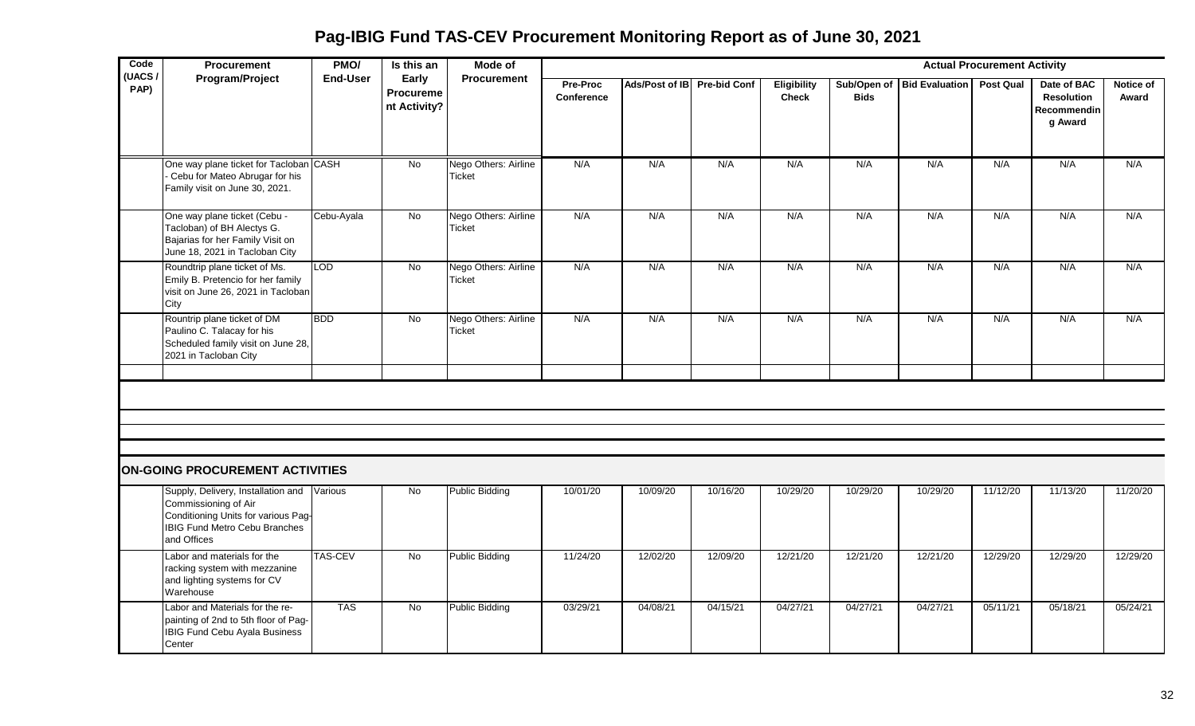**Pag-IBIG Fund TAS-CEV Procurement Monitoring Report as of June 30, 2021**

| Code<br>(UACS | Procurement                                                                                                                                                      | PMO/            | Is this an                                | Mode of                               |                               |                             |          |                             |             |                            | <b>Actual Procurement Activity</b> |                                                            |                    |
|---------------|------------------------------------------------------------------------------------------------------------------------------------------------------------------|-----------------|-------------------------------------------|---------------------------------------|-------------------------------|-----------------------------|----------|-----------------------------|-------------|----------------------------|------------------------------------|------------------------------------------------------------|--------------------|
| PAP)          | Program/Project                                                                                                                                                  | <b>End-User</b> | Early<br><b>Procureme</b><br>nt Activity? | <b>Procurement</b>                    | Pre-Proc<br><b>Conference</b> | Ads/Post of IB Pre-bid Conf |          | Eligibility<br><b>Check</b> | <b>Bids</b> | Sub/Open of Bid Evaluation | <b>Post Qual</b>                   | Date of BAC<br><b>Resolution</b><br>Recommendin<br>g Award | Notice of<br>Award |
|               | One way plane ticket for Tacloban CASH<br>Cebu for Mateo Abrugar for his<br>Family visit on June 30, 2021.                                                       |                 | <b>No</b>                                 | Nego Others: Airline<br>Ticket        | N/A                           | N/A                         | N/A      | N/A                         | N/A         | N/A                        | N/A                                | N/A                                                        | N/A                |
|               | One way plane ticket (Cebu -<br>Tacloban) of BH Alectys G.<br>Bajarias for her Family Visit on<br>June 18, 2021 in Tacloban City                                 | Cebu-Ayala      | No                                        | Nego Others: Airline<br>Ticket        | N/A                           | N/A                         | N/A      | N/A                         | N/A         | N/A                        | N/A                                | N/A                                                        | N/A                |
|               | Roundtrip plane ticket of Ms.<br>Emily B. Pretencio for her family<br>visit on June 26, 2021 in Tacloban<br>City                                                 | <b>LOD</b>      | No                                        | Nego Others: Airline<br><b>Ticket</b> | N/A                           | N/A                         | N/A      | N/A                         | N/A         | N/A                        | N/A                                | N/A                                                        | N/A                |
|               | Rountrip plane ticket of DM<br>Paulino C. Talacay for his<br>Scheduled family visit on June 28,<br>2021 in Tacloban City                                         | <b>BDD</b>      | No                                        | Nego Others: Airline<br>Ticket        | N/A                           | N/A                         | N/A      | N/A                         | N/A         | N/A                        | N/A                                | N/A                                                        | N/A                |
|               |                                                                                                                                                                  |                 |                                           |                                       |                               |                             |          |                             |             |                            |                                    |                                                            |                    |
|               |                                                                                                                                                                  |                 |                                           |                                       |                               |                             |          |                             |             |                            |                                    |                                                            |                    |
|               |                                                                                                                                                                  |                 |                                           |                                       |                               |                             |          |                             |             |                            |                                    |                                                            |                    |
|               | ON-GOING PROCUREMENT ACTIVITIES                                                                                                                                  |                 |                                           |                                       |                               |                             |          |                             |             |                            |                                    |                                                            |                    |
|               | Supply, Delivery, Installation and Various<br>Commissioning of Air<br>Conditioning Units for various Pag-<br><b>IBIG Fund Metro Cebu Branches</b><br>and Offices |                 | No                                        | <b>Public Bidding</b>                 | 10/01/20                      | 10/09/20                    | 10/16/20 | 10/29/20                    | 10/29/20    | 10/29/20                   | 11/12/20                           | 11/13/20                                                   | 11/20/20           |
|               | Labor and materials for the<br>racking system with mezzanine<br>and lighting systems for CV<br>Warehouse                                                         | <b>TAS-CEV</b>  | No                                        | <b>Public Bidding</b>                 | 11/24/20                      | 12/02/20                    | 12/09/20 | 12/21/20                    | 12/21/20    | 12/21/20                   | 12/29/20                           | 12/29/20                                                   | 12/29/20           |
|               | Labor and Materials for the re-<br>painting of 2nd to 5th floor of Pag-<br><b>IBIG Fund Cebu Ayala Business</b><br>Center                                        | <b>TAS</b>      | No                                        | <b>Public Bidding</b>                 | 03/29/21                      | 04/08/21                    | 04/15/21 | 04/27/21                    | 04/27/21    | 04/27/21                   | 05/11/21                           | 05/18/21                                                   | 05/24/21           |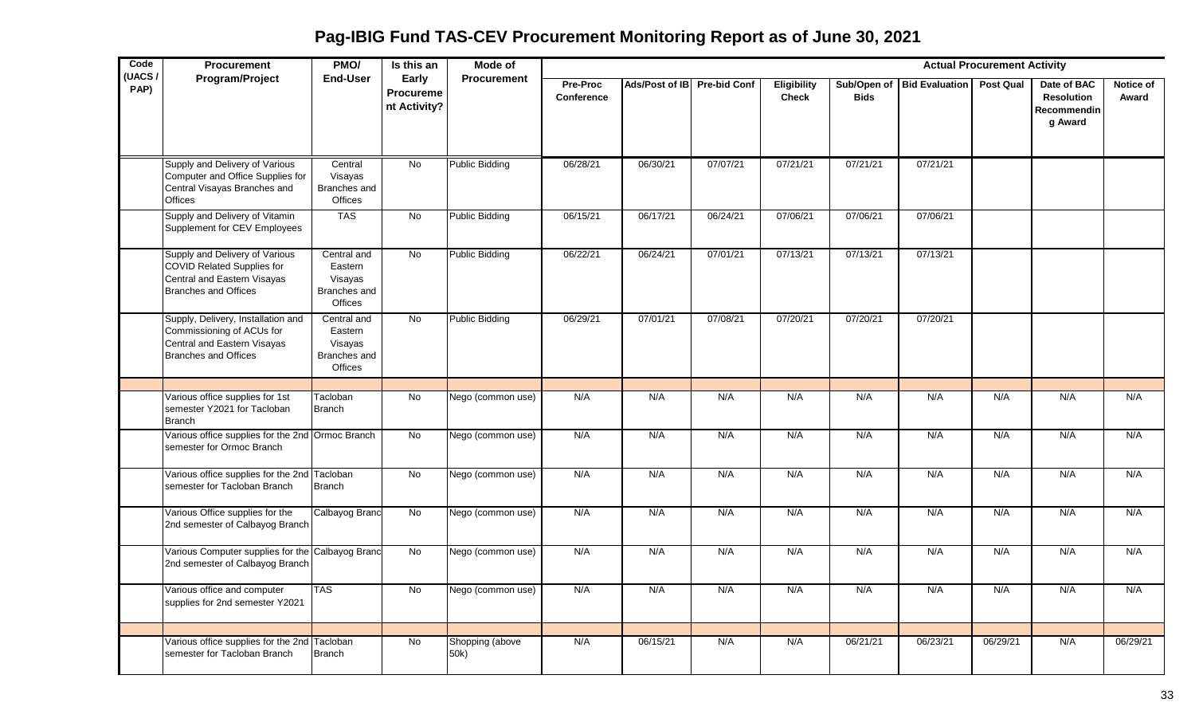**Pag-IBIG Fund TAS-CEV Procurement Monitoring Report as of June 30, 2021**

| Code<br>(UACS/ | <b>Procurement</b>                                                                                                            | PMO/                                                         | Is this an                         | <b>Mode of</b>          |                        |                |                     |                             |                            |                       | <b>Actual Procurement Activity</b> |                                                            |                    |
|----------------|-------------------------------------------------------------------------------------------------------------------------------|--------------------------------------------------------------|------------------------------------|-------------------------|------------------------|----------------|---------------------|-----------------------------|----------------------------|-----------------------|------------------------------------|------------------------------------------------------------|--------------------|
| PAP)           | Program/Project                                                                                                               | End-User                                                     | Early<br>Procureme<br>nt Activity? | <b>Procurement</b>      | Pre-Proc<br>Conference | Ads/Post of IB | <b>Pre-bid Conf</b> | Eligibility<br><b>Check</b> | Sub/Open of<br><b>Bids</b> | <b>Bid Evaluation</b> | <b>Post Qual</b>                   | Date of BAC<br><b>Resolution</b><br>Recommendin<br>g Award | Notice of<br>Award |
|                | Supply and Delivery of Various<br>Computer and Office Supplies for<br>Central Visayas Branches and<br><b>Offices</b>          | Central<br>Visayas<br>Branches and<br>Offices                | No                                 | <b>Public Bidding</b>   | 06/28/21               | 06/30/21       | 07/07/21            | 07/21/21                    | 07/21/21                   | 07/21/21              |                                    |                                                            |                    |
|                | Supply and Delivery of Vitamin<br>Supplement for CEV Employees                                                                | <b>TAS</b>                                                   | No                                 | <b>Public Bidding</b>   | 06/15/21               | 06/17/21       | 06/24/21            | 07/06/21                    | 07/06/21                   | 07/06/21              |                                    |                                                            |                    |
|                | Supply and Delivery of Various<br>COVID Related Supplies for<br>Central and Eastern Visayas<br><b>Branches and Offices</b>    | Central and<br>Eastern<br>Visayas<br>Branches and<br>Offices | <b>No</b>                          | <b>Public Bidding</b>   | 06/22/21               | 06/24/21       | 07/01/21            | 07/13/21                    | 07/13/21                   | 07/13/21              |                                    |                                                            |                    |
|                | Supply, Delivery, Installation and<br>Commissioning of ACUs for<br>Central and Eastern Visayas<br><b>Branches and Offices</b> | Central and<br>Eastern<br>Visayas<br>Branches and<br>Offices | No                                 | <b>Public Bidding</b>   | 06/29/21               | 07/01/21       | 07/08/21            | 07/20/21                    | 07/20/21                   | 07/20/21              |                                    |                                                            |                    |
|                |                                                                                                                               |                                                              |                                    |                         |                        |                |                     |                             |                            |                       |                                    |                                                            |                    |
|                | Various office supplies for 1st<br>semester Y2021 for Tacloban<br><b>Branch</b>                                               | Tacloban<br><b>Branch</b>                                    | No                                 | Nego (common use)       | N/A                    | N/A            | N/A                 | N/A                         | N/A                        | N/A                   | N/A                                | N/A                                                        | N/A                |
|                | Various office supplies for the 2nd Ormoc Branch<br>semester for Ormoc Branch                                                 |                                                              | No                                 | Nego (common use)       | N/A                    | N/A            | N/A                 | N/A                         | N/A                        | N/A                   | N/A                                | N/A                                                        | N/A                |
|                | Various office supplies for the 2nd Tacloban<br>semester for Tacloban Branch                                                  | <b>Branch</b>                                                | No                                 | Nego (common use)       | N/A                    | N/A            | N/A                 | N/A                         | N/A                        | N/A                   | N/A                                | N/A                                                        | N/A                |
|                | Various Office supplies for the<br>2nd semester of Calbayog Branch                                                            | Calbayog Branc                                               | No                                 | Nego (common use)       | N/A                    | N/A            | N/A                 | N/A                         | N/A                        | N/A                   | N/A                                | N/A                                                        | N/A                |
|                | Various Computer supplies for the Calbayog Branc<br>2nd semester of Calbayog Branch                                           |                                                              | No                                 | Nego (common use)       | N/A                    | N/A            | N/A                 | N/A                         | N/A                        | N/A                   | N/A                                | N/A                                                        | N/A                |
|                | Various office and computer<br>supplies for 2nd semester Y2021                                                                | <b>TAS</b>                                                   | No                                 | Nego (common use)       | N/A                    | N/A            | N/A                 | N/A                         | N/A                        | N/A                   | N/A                                | N/A                                                        | N/A                |
|                |                                                                                                                               |                                                              |                                    |                         |                        |                |                     |                             |                            |                       |                                    |                                                            |                    |
|                | Various office supplies for the 2nd<br>semester for Tacloban Branch                                                           | Tacloban<br><b>Branch</b>                                    | No                                 | Shopping (above<br>50k) | N/A                    | 06/15/21       | N/A                 | N/A                         | 06/21/21                   | 06/23/21              | 06/29/21                           | N/A                                                        | 06/29/21           |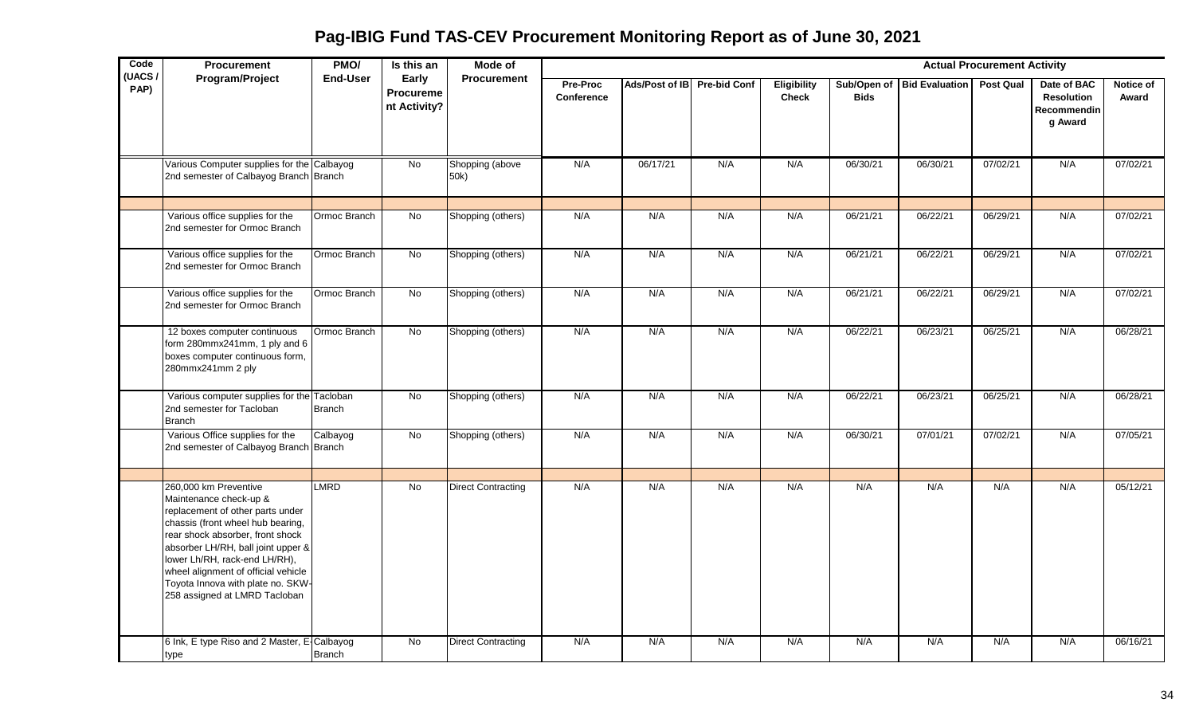| Code<br>(UACS/ | <b>Procurement</b>                                                                                                                                                                                                                                                                                                                               | PMO/            | Is this an                                | <b>Mode of</b>            |                        |                             |     |                                    |             |                            | <b>Actual Procurement Activity</b> |                                                            |                    |
|----------------|--------------------------------------------------------------------------------------------------------------------------------------------------------------------------------------------------------------------------------------------------------------------------------------------------------------------------------------------------|-----------------|-------------------------------------------|---------------------------|------------------------|-----------------------------|-----|------------------------------------|-------------|----------------------------|------------------------------------|------------------------------------------------------------|--------------------|
| PAP)           | Program/Project                                                                                                                                                                                                                                                                                                                                  | <b>End-User</b> | Early<br><b>Procureme</b><br>nt Activity? | <b>Procurement</b>        | Pre-Proc<br>Conference | Ads/Post of IB Pre-bid Conf |     | <b>Eligibility</b><br><b>Check</b> | <b>Bids</b> | Sub/Open of Bid Evaluation | <b>Post Qual</b>                   | Date of BAC<br><b>Resolution</b><br>Recommendin<br>g Award | Notice of<br>Award |
|                | Various Computer supplies for the Calbayog<br>2nd semester of Calbayog Branch Branch                                                                                                                                                                                                                                                             |                 | No                                        | Shopping (above<br>50k)   | N/A                    | 06/17/21                    | N/A | N/A                                | 06/30/21    | 06/30/21                   | 07/02/21                           | N/A                                                        | 07/02/21           |
|                | Various office supplies for the<br>2nd semester for Ormoc Branch                                                                                                                                                                                                                                                                                 | Ormoc Branch    | No                                        | Shopping (others)         | N/A                    | N/A                         | N/A | N/A                                | 06/21/21    | 06/22/21                   | 06/29/21                           | N/A                                                        | 07/02/21           |
|                | Various office supplies for the<br>2nd semester for Ormoc Branch                                                                                                                                                                                                                                                                                 | Ormoc Branch    | No                                        | Shopping (others)         | N/A                    | N/A                         | N/A | N/A                                | 06/21/21    | 06/22/21                   | 06/29/21                           | N/A                                                        | 07/02/21           |
|                | Various office supplies for the<br>2nd semester for Ormoc Branch                                                                                                                                                                                                                                                                                 | Ormoc Branch    | No                                        | Shopping (others)         | N/A                    | N/A                         | N/A | N/A                                | 06/21/21    | 06/22/21                   | 06/29/21                           | N/A                                                        | 07/02/21           |
|                | 12 boxes computer continuous<br>form 280mmx241mm, 1 ply and 6<br>boxes computer continuous form,<br>280mmx241mm 2 ply                                                                                                                                                                                                                            | Ormoc Branch    | No                                        | Shopping (others)         | N/A                    | N/A                         | N/A | N/A                                | 06/22/21    | 06/23/21                   | 06/25/21                           | N/A                                                        | 06/28/21           |
|                | Various computer supplies for the Tacloban<br>2nd semester for Tacloban<br><b>Branch</b>                                                                                                                                                                                                                                                         | <b>Branch</b>   | No                                        | Shopping (others)         | N/A                    | N/A                         | N/A | N/A                                | 06/22/21    | 06/23/21                   | 06/25/21                           | N/A                                                        | 06/28/21           |
|                | Various Office supplies for the<br>2nd semester of Calbayog Branch Branch                                                                                                                                                                                                                                                                        | Calbayog        | $\overline{N}$                            | Shopping (others)         | N/A                    | N/A                         | N/A | N/A                                | 06/30/21    | 07/01/21                   | 07/02/21                           | N/A                                                        | 07/05/21           |
|                | 260,000 km Preventive<br>Maintenance check-up &<br>replacement of other parts under<br>chassis (front wheel hub bearing,<br>rear shock absorber, front shock<br>absorber LH/RH, ball joint upper &<br>lower Lh/RH, rack-end LH/RH),<br>wheel alignment of official vehicle<br>Toyota Innova with plate no. SKW-<br>258 assigned at LMRD Tacloban | <b>LMRD</b>     | No                                        | <b>Direct Contracting</b> | N/A                    | N/A                         | N/A | N/A                                | N/A         | N/A                        | N/A                                | N/A                                                        | 05/12/21           |
|                | 6 Ink, E type Riso and 2 Master, E-Calbayog<br>type                                                                                                                                                                                                                                                                                              | Branch          | No                                        | <b>Direct Contracting</b> | N/A                    | N/A                         | N/A | N/A                                | N/A         | N/A                        | N/A                                | N/A                                                        | 06/16/21           |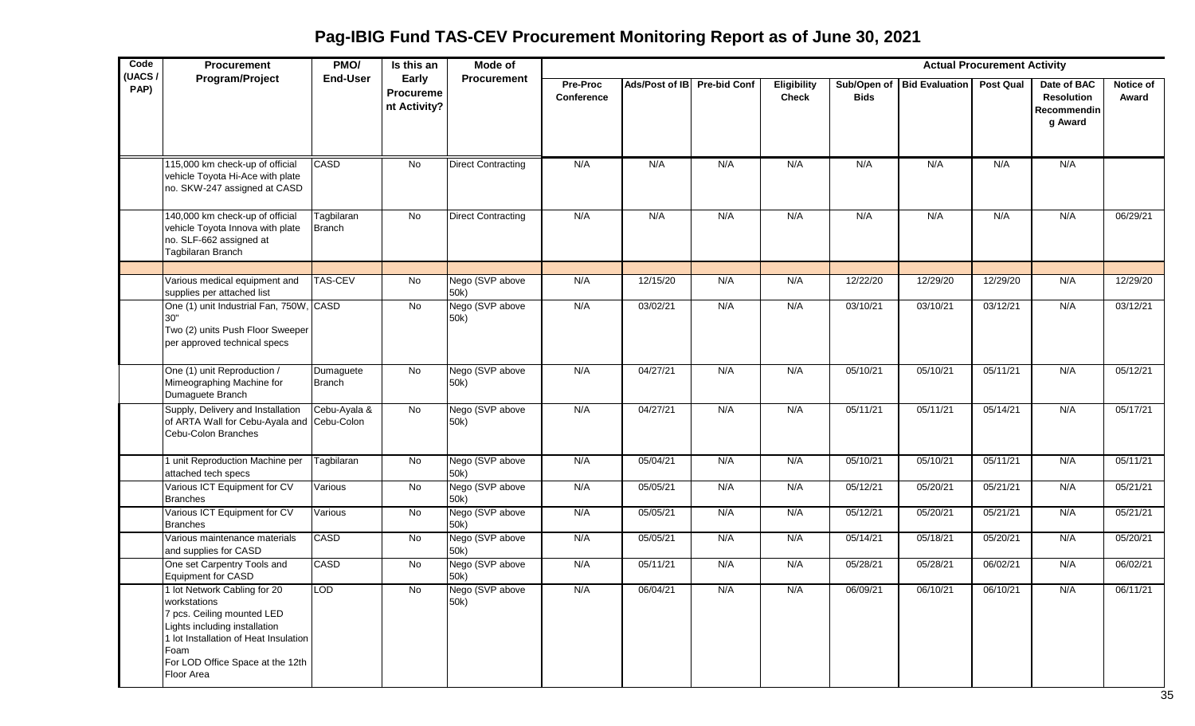**Pag-IBIG Fund TAS-CEV Procurement Monitoring Report as of June 30, 2021**

| Code<br>(UACS/ | Procurement                                                                                                                                                                                                    | PMO/                        | Is this an                                | Mode of                   |                               |                             |     |                             |                            |                       | <b>Actual Procurement Activity</b> |                                                            |                    |
|----------------|----------------------------------------------------------------------------------------------------------------------------------------------------------------------------------------------------------------|-----------------------------|-------------------------------------------|---------------------------|-------------------------------|-----------------------------|-----|-----------------------------|----------------------------|-----------------------|------------------------------------|------------------------------------------------------------|--------------------|
| PAP)           | Program/Project                                                                                                                                                                                                | <b>End-User</b>             | Early<br><b>Procureme</b><br>nt Activity? | <b>Procurement</b>        | <b>Pre-Proc</b><br>Conference | Ads/Post of IB Pre-bid Conf |     | Eligibility<br><b>Check</b> | Sub/Open of<br><b>Bids</b> | <b>Bid Evaluation</b> | <b>Post Qual</b>                   | Date of BAC<br><b>Resolution</b><br>Recommendin<br>g Award | Notice of<br>Award |
|                | 115,000 km check-up of official<br>vehicle Toyota Hi-Ace with plate<br>no. SKW-247 assigned at CASD                                                                                                            | CASD                        | No                                        | <b>Direct Contracting</b> | N/A                           | N/A                         | N/A | N/A                         | N/A                        | N/A                   | N/A                                | N/A                                                        |                    |
|                | 140,000 km check-up of official<br>vehicle Toyota Innova with plate<br>no. SLF-662 assigned at<br>Tagbilaran Branch                                                                                            | Tagbilaran<br><b>Branch</b> | No                                        | <b>Direct Contracting</b> | N/A                           | N/A                         | N/A | N/A                         | N/A                        | N/A                   | N/A                                | N/A                                                        | 06/29/21           |
|                | Various medical equipment and<br>supplies per attached list                                                                                                                                                    | <b>TAS-CEV</b>              | $\overline{N}$                            | Nego (SVP above<br>50k)   | N/A                           | 12/15/20                    | N/A | N/A                         | 12/22/20                   | 12/29/20              | 12/29/20                           | N/A                                                        | 12/29/20           |
|                | One (1) unit Industrial Fan, 750W, CASD<br>30"<br>Two (2) units Push Floor Sweeper<br>per approved technical specs                                                                                             |                             | No                                        | Nego (SVP above<br>50k)   | N/A                           | 03/02/21                    | N/A | N/A                         | 03/10/21                   | 03/10/21              | 03/12/21                           | N/A                                                        | 03/12/21           |
|                | One (1) unit Reproduction /<br>Mimeographing Machine for<br>Dumaguete Branch                                                                                                                                   | Dumaguete<br><b>Branch</b>  | $\overline{N}$                            | Nego (SVP above<br>50k)   | N/A                           | 04/27/21                    | N/A | N/A                         | 05/10/21                   | 05/10/21              | 05/11/21                           | N/A                                                        | 05/12/21           |
|                | Supply, Delivery and Installation<br>of ARTA Wall for Cebu-Ayala and Cebu-Colon<br>Cebu-Colon Branches                                                                                                         | Cebu-Ayala &                | No                                        | Nego (SVP above<br>50k)   | N/A                           | 04/27/21                    | N/A | N/A                         | 05/11/21                   | 05/11/21              | 05/14/21                           | N/A                                                        | 05/17/21           |
|                | 1 unit Reproduction Machine per<br>attached tech specs                                                                                                                                                         | Tagbilaran                  | $\overline{N}$                            | Nego (SVP above<br>50k)   | N/A                           | 05/04/21                    | N/A | N/A                         | 05/10/21                   | 05/10/21              | 05/11/21                           | N/A                                                        | 05/11/21           |
|                | Various ICT Equipment for CV<br><b>Branches</b>                                                                                                                                                                | Various                     | No                                        | Nego (SVP above<br>50k)   | N/A                           | 05/05/21                    | N/A | N/A                         | 05/12/21                   | 05/20/21              | 05/21/21                           | N/A                                                        | 05/21/21           |
|                | Various ICT Equipment for CV<br><b>Branches</b>                                                                                                                                                                | Various                     | No                                        | Nego (SVP above<br>50k)   | N/A                           | 05/05/21                    | N/A | N/A                         | 05/12/21                   | 05/20/21              | 05/21/21                           | N/A                                                        | 05/21/21           |
|                | Various maintenance materials<br>and supplies for CASD                                                                                                                                                         | <b>CASD</b>                 | $\overline{N}$                            | Nego (SVP above<br>50k)   | N/A                           | 05/05/21                    | N/A | N/A                         | 05/14/21                   | 05/18/21              | 05/20/21                           | N/A                                                        | 05/20/21           |
|                | One set Carpentry Tools and<br>Equipment for CASD                                                                                                                                                              | CASD                        | $\overline{N}$                            | Nego (SVP above<br>50k)   | N/A                           | 05/11/21                    | N/A | N/A                         | 05/28/21                   | 05/28/21              | 06/02/21                           | N/A                                                        | 06/02/21           |
|                | 1 lot Network Cabling for 20<br>workstations<br>7 pcs. Ceiling mounted LED<br>Lights including installation<br>1 lot Installation of Heat Insulation<br>Foam<br>For LOD Office Space at the 12th<br>Floor Area | <b>LOD</b>                  | No.                                       | Nego (SVP above<br>50k)   | N/A                           | 06/04/21                    | N/A | N/A                         | 06/09/21                   | 06/10/21              | 06/10/21                           | N/A                                                        | 06/11/21           |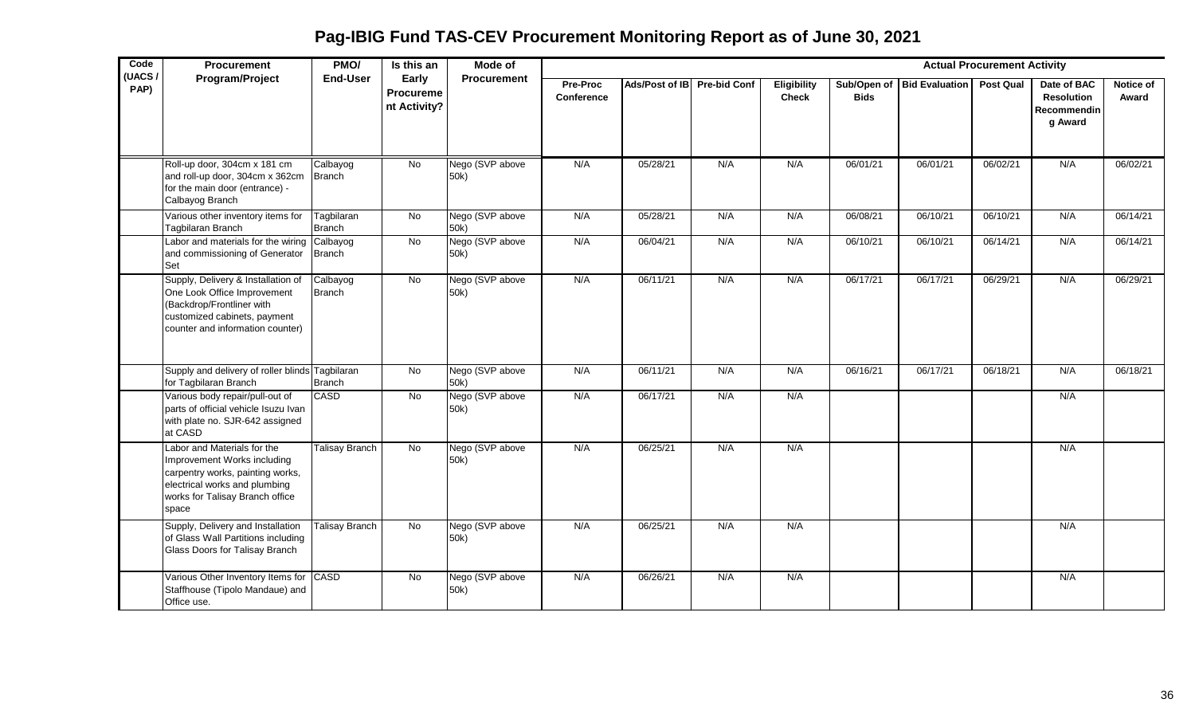**Pag-IBIG Fund TAS-CEV Procurement Monitoring Report as of June 30, 2021**

| Code<br>(UACS/ | Procurement                                                                                                                                                                 | PMO/                        | Is this an                                | Mode of                 |                               |                             |     |                             |             |                            | <b>Actual Procurement Activity</b> |                                                                   |                    |
|----------------|-----------------------------------------------------------------------------------------------------------------------------------------------------------------------------|-----------------------------|-------------------------------------------|-------------------------|-------------------------------|-----------------------------|-----|-----------------------------|-------------|----------------------------|------------------------------------|-------------------------------------------------------------------|--------------------|
| PAP)           | <b>Program/Project</b>                                                                                                                                                      | <b>End-User</b>             | Early<br><b>Procureme</b><br>nt Activity? | Procurement             | <b>Pre-Proc</b><br>Conference | Ads/Post of IB Pre-bid Conf |     | Eligibility<br><b>Check</b> | <b>Bids</b> | Sub/Open of Bid Evaluation | <b>Post Qual</b>                   | Date of BAC<br><b>Resolution</b><br><b>Recommendin</b><br>g Award | Notice of<br>Award |
|                | Roll-up door, 304cm x 181 cm<br>and roll-up door, 304cm x 362cm<br>for the main door (entrance) -<br>Calbayog Branch                                                        | Calbayog<br><b>Branch</b>   | $\overline{N}$                            | Nego (SVP above<br>50k) | N/A                           | 05/28/21                    | N/A | N/A                         | 06/01/21    | 06/01/21                   | 06/02/21                           | N/A                                                               | 06/02/21           |
|                | Various other inventory items for<br><b>Tagbilaran Branch</b>                                                                                                               | Tagbilaran<br><b>Branch</b> | $\overline{N}$                            | Nego (SVP above<br>50k) | N/A                           | 05/28/21                    | N/A | N/A                         | 06/08/21    | 06/10/21                   | 06/10/21                           | N/A                                                               | 06/14/21           |
|                | Labor and materials for the wiring<br>and commissioning of Generator<br>Set                                                                                                 | Calbayog<br><b>Branch</b>   | No                                        | Nego (SVP above<br>50k) | N/A                           | 06/04/21                    | N/A | N/A                         | 06/10/21    | 06/10/21                   | 06/14/21                           | N/A                                                               | 06/14/21           |
|                | Supply, Delivery & Installation of<br>One Look Office Improvement<br>(Backdrop/Frontliner with<br>customized cabinets, payment<br>counter and information counter)          | Calbayog<br><b>Branch</b>   | <b>No</b>                                 | Nego (SVP above<br>50k) | N/A                           | 06/11/21                    | N/A | N/A                         | 06/17/21    | 06/17/21                   | 06/29/21                           | N/A                                                               | 06/29/21           |
|                | Supply and delivery of roller blinds Tagbilaran<br>for Tagbilaran Branch                                                                                                    | <b>Branch</b>               | $\overline{N}$                            | Nego (SVP above<br>50k) | N/A                           | 06/11/21                    | N/A | N/A                         | 06/16/21    | 06/17/21                   | 06/18/21                           | N/A                                                               | 06/18/21           |
|                | Various body repair/pull-out of<br>parts of official vehicle Isuzu Ivan<br>with plate no. SJR-642 assigned<br>at CASD                                                       | CASD                        | $\overline{N}$                            | Nego (SVP above<br>50k) | N/A                           | 06/17/21                    | N/A | N/A                         |             |                            |                                    | N/A                                                               |                    |
|                | Labor and Materials for the<br>Improvement Works including<br>carpentry works, painting works,<br>electrical works and plumbing<br>works for Talisay Branch office<br>space | <b>Talisay Branch</b>       | <b>No</b>                                 | Nego (SVP above<br>50k) | N/A                           | 06/25/21                    | N/A | N/A                         |             |                            |                                    | N/A                                                               |                    |
|                | Supply, Delivery and Installation<br>of Glass Wall Partitions including<br>Glass Doors for Talisay Branch                                                                   | <b>Talisay Branch</b>       | No                                        | Nego (SVP above<br>50k) | N/A                           | 06/25/21                    | N/A | N/A                         |             |                            |                                    | N/A                                                               |                    |
|                | Various Other Inventory Items for CASD<br>Staffhouse (Tipolo Mandaue) and<br>Office use.                                                                                    |                             | $\overline{N}$                            | Nego (SVP above<br>50k) | N/A                           | 06/26/21                    | N/A | N/A                         |             |                            |                                    | N/A                                                               |                    |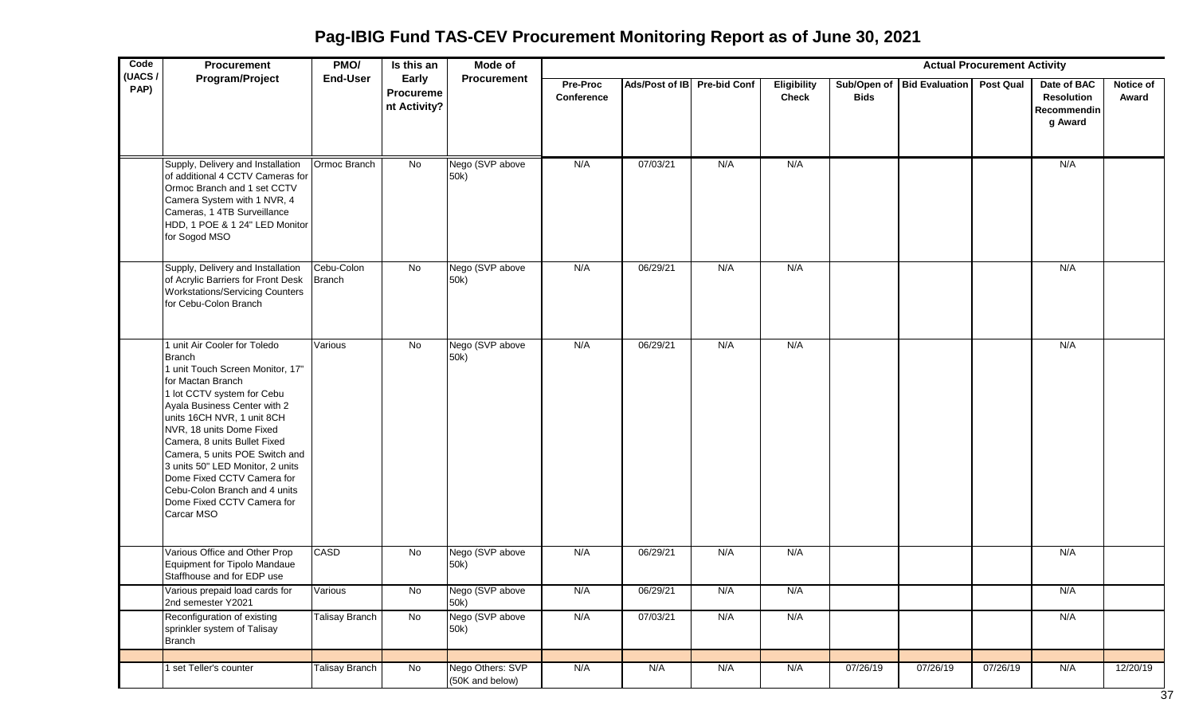**Pag-IBIG Fund TAS-CEV Procurement Monitoring Report as of June 30, 2021**

| Code           | <b>Procurement</b>                                                                                                                                                                                                                                                                                                                                                                                                                              | PMO/                  | Is this an                                | Mode of<br><b>Actual Procurement Activity</b> |                        |                             |     |                                    |             |                                      |          |                                                            |                           |
|----------------|-------------------------------------------------------------------------------------------------------------------------------------------------------------------------------------------------------------------------------------------------------------------------------------------------------------------------------------------------------------------------------------------------------------------------------------------------|-----------------------|-------------------------------------------|-----------------------------------------------|------------------------|-----------------------------|-----|------------------------------------|-------------|--------------------------------------|----------|------------------------------------------------------------|---------------------------|
| (UACS/<br>PAP) | Program/Project                                                                                                                                                                                                                                                                                                                                                                                                                                 | <b>End-User</b>       | Early<br><b>Procureme</b><br>nt Activity? | Procurement                                   | Pre-Proc<br>Conference | Ads/Post of IB Pre-bid Conf |     | <b>Eligibility</b><br><b>Check</b> | <b>Bids</b> | Sub/Open of Bid Evaluation Post Qual |          | Date of BAC<br><b>Resolution</b><br>Recommendin<br>g Award | <b>Notice of</b><br>Award |
|                | Supply, Delivery and Installation<br>of additional 4 CCTV Cameras for<br>Ormoc Branch and 1 set CCTV<br>Camera System with 1 NVR, 4<br>Cameras, 1 4TB Surveillance<br>HDD, 1 POE & 1 24" LED Monitor<br>for Sogod MSO                                                                                                                                                                                                                           | Ormoc Branch          | No                                        | Nego (SVP above<br>50k)                       | N/A                    | 07/03/21                    | N/A | N/A                                |             |                                      |          | N/A                                                        |                           |
|                | Supply, Delivery and Installation<br>of Acrylic Barriers for Front Desk<br><b>Workstations/Servicing Counters</b><br>for Cebu-Colon Branch                                                                                                                                                                                                                                                                                                      | Cebu-Colon<br>Branch  | $\overline{N}$                            | Nego (SVP above<br>50k)                       | N/A                    | 06/29/21                    | N/A | N/A                                |             |                                      |          | N/A                                                        |                           |
|                | 1 unit Air Cooler for Toledo<br><b>Branch</b><br>1 unit Touch Screen Monitor, 17"<br>for Mactan Branch<br>1 lot CCTV system for Cebu<br>Ayala Business Center with 2<br>units 16CH NVR, 1 unit 8CH<br>NVR, 18 units Dome Fixed<br>Camera, 8 units Bullet Fixed<br>Camera, 5 units POE Switch and<br>3 units 50" LED Monitor, 2 units<br>Dome Fixed CCTV Camera for<br>Cebu-Colon Branch and 4 units<br>Dome Fixed CCTV Camera for<br>Carcar MSO | Various               | No                                        | Nego (SVP above<br>50k)                       | N/A                    | 06/29/21                    | N/A | N/A                                |             |                                      |          | N/A                                                        |                           |
|                | Various Office and Other Prop<br>Equipment for Tipolo Mandaue<br>Staffhouse and for EDP use                                                                                                                                                                                                                                                                                                                                                     | <b>CASD</b>           | No                                        | Nego (SVP above<br>50k)                       | N/A                    | 06/29/21                    | N/A | N/A                                |             |                                      |          | N/A                                                        |                           |
|                | Various prepaid load cards for<br>2nd semester Y2021                                                                                                                                                                                                                                                                                                                                                                                            | Various               | No.                                       | Nego (SVP above<br>50k)                       | N/A                    | 06/29/21                    | N/A | N/A                                |             |                                      |          | N/A                                                        |                           |
|                | Reconfiguration of existing<br>sprinkler system of Talisay<br><b>Branch</b>                                                                                                                                                                                                                                                                                                                                                                     | <b>Talisay Branch</b> | No                                        | Nego (SVP above<br>50k)                       | N/A                    | 07/03/21                    | N/A | N/A                                |             |                                      |          | N/A                                                        |                           |
|                | set Teller's counter                                                                                                                                                                                                                                                                                                                                                                                                                            | Talisay Branch        | $\overline{N}$                            | Nego Others: SVP<br>(50K and below)           | N/A                    | N/A                         | N/A | N/A                                | 07/26/19    | 07/26/19                             | 07/26/19 | N/A                                                        | 12/20/19                  |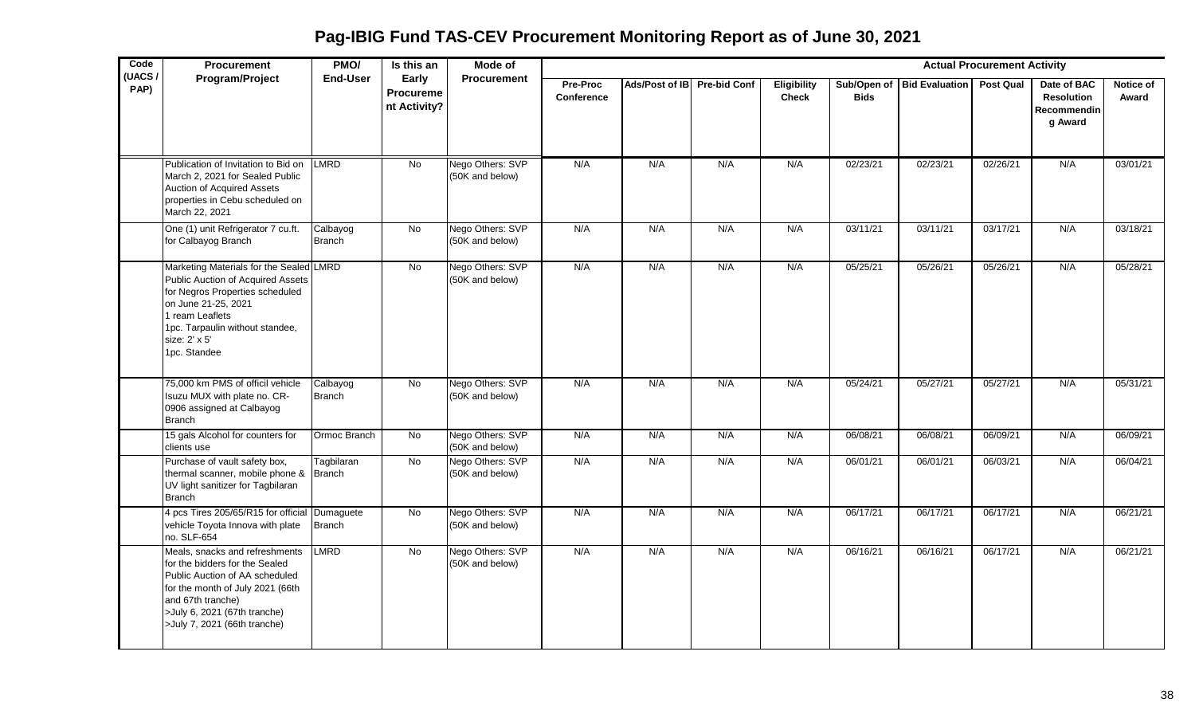**Pag-IBIG Fund TAS-CEV Procurement Monitoring Report as of June 30, 2021**

| Code<br>(UACS/ | <b>Procurement</b>                                                                                                                                                                                                          | PMO/                      | Is this an                                | Mode of                             |                               |                             |     |                                    | <b>Actual Procurement Activity</b><br>Procurement |                            |                  |                                                            |                    |  |  |  |  |  |
|----------------|-----------------------------------------------------------------------------------------------------------------------------------------------------------------------------------------------------------------------------|---------------------------|-------------------------------------------|-------------------------------------|-------------------------------|-----------------------------|-----|------------------------------------|---------------------------------------------------|----------------------------|------------------|------------------------------------------------------------|--------------------|--|--|--|--|--|
| PAP)           | Program/Project                                                                                                                                                                                                             | <b>End-User</b>           | Early<br><b>Procureme</b><br>nt Activity? |                                     | Pre-Proc<br><b>Conference</b> | Ads/Post of IB Pre-bid Conf |     | <b>Eligibility</b><br><b>Check</b> | <b>Bids</b>                                       | Sub/Open of Bid Evaluation | <b>Post Qual</b> | Date of BAC<br><b>Resolution</b><br>Recommendin<br>g Award | Notice of<br>Award |  |  |  |  |  |
|                | Publication of Invitation to Bid on<br>March 2, 2021 for Sealed Public<br>Auction of Acquired Assets<br>properties in Cebu scheduled on<br>March 22, 2021                                                                   | LMRD                      | <b>No</b>                                 | Nego Others: SVP<br>(50K and below) | N/A                           | N/A                         | N/A | N/A                                | 02/23/21                                          | 02/23/21                   | 02/26/21         | N/A                                                        | 03/01/21           |  |  |  |  |  |
|                | One (1) unit Refrigerator 7 cu.ft.<br>for Calbayog Branch                                                                                                                                                                   | Calbayog<br><b>Branch</b> | <b>No</b>                                 | Nego Others: SVP<br>(50K and below) | N/A                           | N/A                         | N/A | N/A                                | 03/11/21                                          | 03/11/21                   | 03/17/21         | N/A                                                        | 03/18/21           |  |  |  |  |  |
|                | Marketing Materials for the Sealed LMRD<br>Public Auction of Acquired Assets<br>for Negros Properties scheduled<br>on June 21-25, 2021<br>ream Leaflets<br>1pc. Tarpaulin without standee,<br>size: 2' x 5'<br>1pc. Standee |                           | No                                        | Nego Others: SVP<br>(50K and below) | N/A                           | N/A                         | N/A | N/A                                | 05/25/21                                          | 05/26/21                   | 05/26/21         | N/A                                                        | 05/28/21           |  |  |  |  |  |
|                | 75,000 km PMS of officil vehicle<br>Isuzu MUX with plate no. CR-<br>0906 assigned at Calbayog<br><b>Branch</b>                                                                                                              | Calbayog<br><b>Branch</b> | No                                        | Nego Others: SVP<br>(50K and below) | N/A                           | N/A                         | N/A | N/A                                | 05/24/21                                          | 05/27/21                   | 05/27/21         | N/A                                                        | 05/31/21           |  |  |  |  |  |
|                | 15 gals Alcohol for counters for<br>clients use                                                                                                                                                                             | Ormoc Branch              | No                                        | Nego Others: SVP<br>(50K and below) | N/A                           | N/A                         | N/A | N/A                                | 06/08/21                                          | 06/08/21                   | 06/09/21         | N/A                                                        | 06/09/21           |  |  |  |  |  |
|                | Purchase of vault safety box,<br>thermal scanner, mobile phone & Branch<br>UV light sanitizer for Tagbilaran<br><b>Branch</b>                                                                                               | Tagbilaran                | No                                        | Nego Others: SVP<br>(50K and below) | N/A                           | N/A                         | N/A | N/A                                | 06/01/21                                          | 06/01/21                   | 06/03/21         | N/A                                                        | 06/04/21           |  |  |  |  |  |
|                | 4 pcs Tires 205/65/R15 for official Dumaguete<br>vehicle Toyota Innova with plate<br>no. SLF-654                                                                                                                            | Branch                    | No                                        | Nego Others: SVP<br>(50K and below) | N/A                           | N/A                         | N/A | N/A                                | 06/17/21                                          | 06/17/21                   | 06/17/21         | N/A                                                        | 06/21/21           |  |  |  |  |  |
|                | Meals, snacks and refreshments<br>for the bidders for the Sealed<br>Public Auction of AA scheduled<br>for the month of July 2021 (66th<br>and 67th tranche)<br>>July 6, 2021 (67th tranche)<br>>July 7, 2021 (66th tranche) | <b>LMRD</b>               | $\overline{N}$                            | Nego Others: SVP<br>(50K and below) | N/A                           | N/A                         | N/A | N/A                                | 06/16/21                                          | 06/16/21                   | 06/17/21         | N/A                                                        | 06/21/21           |  |  |  |  |  |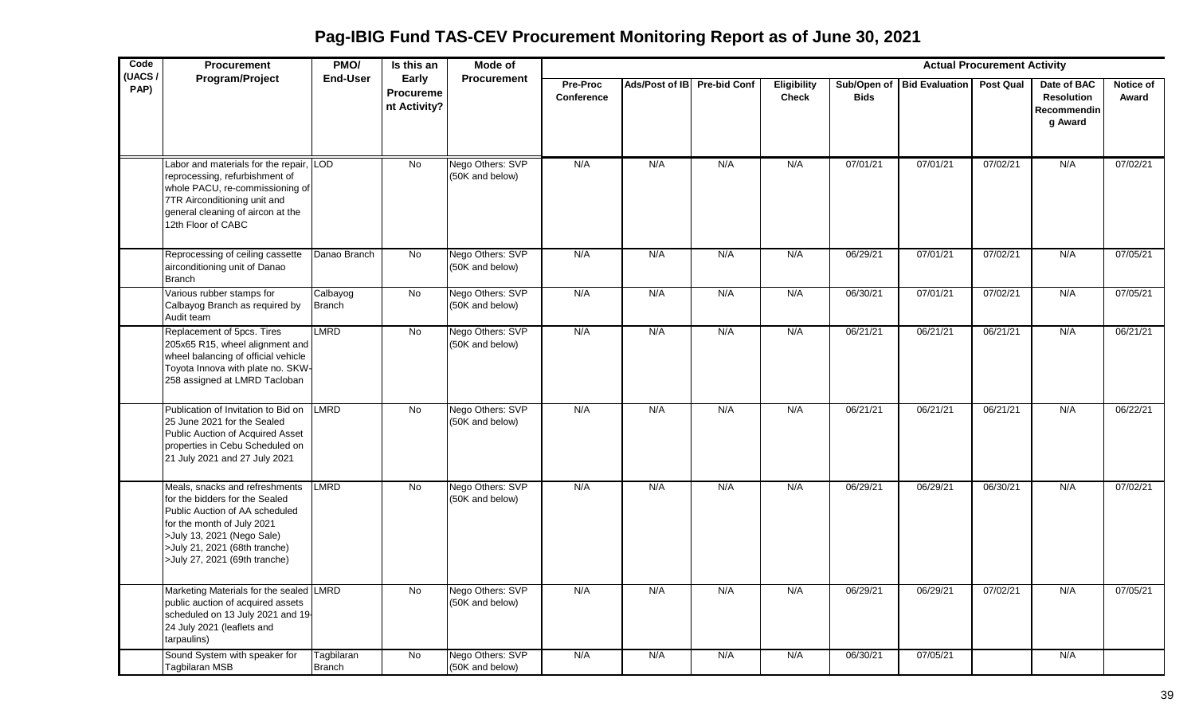**Pag-IBIG Fund TAS-CEV Procurement Monitoring Report as of June 30, 2021**

| Code           | <b>Procurement</b>                                                                                                                                                                                                               | PMO/                        | Is this an                                | <b>Mode of</b>                      | <b>Actual Procurement Activity</b><br><b>Procurement</b> |                |                     |                             |             |                            |                  |                                                            |                    |  |  |
|----------------|----------------------------------------------------------------------------------------------------------------------------------------------------------------------------------------------------------------------------------|-----------------------------|-------------------------------------------|-------------------------------------|----------------------------------------------------------|----------------|---------------------|-----------------------------|-------------|----------------------------|------------------|------------------------------------------------------------|--------------------|--|--|
| (UACS/<br>PAP) | <b>Program/Project</b>                                                                                                                                                                                                           | End-User                    | Early<br><b>Procureme</b><br>nt Activity? |                                     | Pre-Proc<br>Conference                                   | Ads/Post of IB | <b>Pre-bid Conf</b> | Eligibility<br><b>Check</b> | <b>Bids</b> | Sub/Open of Bid Evaluation | <b>Post Qual</b> | Date of BAC<br><b>Resolution</b><br>Recommendin<br>g Award | Notice of<br>Award |  |  |
|                | Labor and materials for the repair, LOD<br>reprocessing, refurbishment of<br>whole PACU, re-commissioning of<br>7TR Airconditioning unit and<br>general cleaning of aircon at the<br>12th Floor of CABC                          |                             | <b>No</b>                                 | Nego Others: SVP<br>(50K and below) | N/A                                                      | N/A            | N/A                 | N/A                         | 07/01/21    | 07/01/21                   | 07/02/21         | N/A                                                        | 07/02/21           |  |  |
|                | Reprocessing of ceiling cassette<br>airconditioning unit of Danao<br><b>Branch</b>                                                                                                                                               | Danao Branch                | No                                        | Nego Others: SVP<br>(50K and below) | N/A                                                      | N/A            | N/A                 | N/A                         | 06/29/21    | 07/01/21                   | 07/02/21         | N/A                                                        | 07/05/21           |  |  |
|                | Various rubber stamps for<br>Calbayog Branch as required by<br>Audit team                                                                                                                                                        | Calbayog<br><b>Branch</b>   | No                                        | Nego Others: SVP<br>(50K and below) | N/A                                                      | N/A            | N/A                 | N/A                         | 06/30/21    | 07/01/21                   | 07/02/21         | N/A                                                        | 07/05/21           |  |  |
|                | Replacement of 5pcs. Tires<br>205x65 R15, wheel alignment and<br>wheel balancing of official vehicle<br>Toyota Innova with plate no. SKW<br>258 assigned at LMRD Tacloban                                                        | LMRD                        | $\overline{N}$                            | Nego Others: SVP<br>(50K and below) | N/A                                                      | N/A            | N/A                 | N/A                         | 06/21/21    | 06/21/21                   | 06/21/21         | N/A                                                        | 06/21/21           |  |  |
|                | Publication of Invitation to Bid on<br>25 June 2021 for the Sealed<br>Public Auction of Acquired Asset<br>properties in Cebu Scheduled on<br>21 July 2021 and 27 July 2021                                                       | <b>LMRD</b>                 | <b>No</b>                                 | Nego Others: SVP<br>(50K and below) | N/A                                                      | N/A            | N/A                 | N/A                         | 06/21/21    | 06/21/21                   | 06/21/21         | N/A                                                        | 06/22/21           |  |  |
|                | Meals, snacks and refreshments<br>for the bidders for the Sealed<br>Public Auction of AA scheduled<br>for the month of July 2021<br>>July 13, 2021 (Nego Sale)<br>>July 21, 2021 (68th tranche)<br>>July 27, 2021 (69th tranche) | <b>LMRD</b>                 | <b>No</b>                                 | Nego Others: SVP<br>(50K and below) | N/A                                                      | N/A            | N/A                 | N/A                         | 06/29/21    | 06/29/21                   | 06/30/21         | N/A                                                        | 07/02/21           |  |  |
|                | Marketing Materials for the sealed LMRD<br>public auction of acquired assets<br>scheduled on 13 July 2021 and 19<br>24 July 2021 (leaflets and<br>tarpaulins)                                                                    |                             | <b>No</b>                                 | Nego Others: SVP<br>(50K and below) | N/A                                                      | N/A            | N/A                 | N/A                         | 06/29/21    | 06/29/21                   | 07/02/21         | N/A                                                        | 07/05/21           |  |  |
|                | Sound System with speaker for<br><b>Tagbilaran MSB</b>                                                                                                                                                                           | Tagbilaran<br><b>Branch</b> | $\overline{N}$                            | Nego Others: SVP<br>(50K and below) | N/A                                                      | N/A            | N/A                 | N/A                         | 06/30/21    | 07/05/21                   |                  | N/A                                                        |                    |  |  |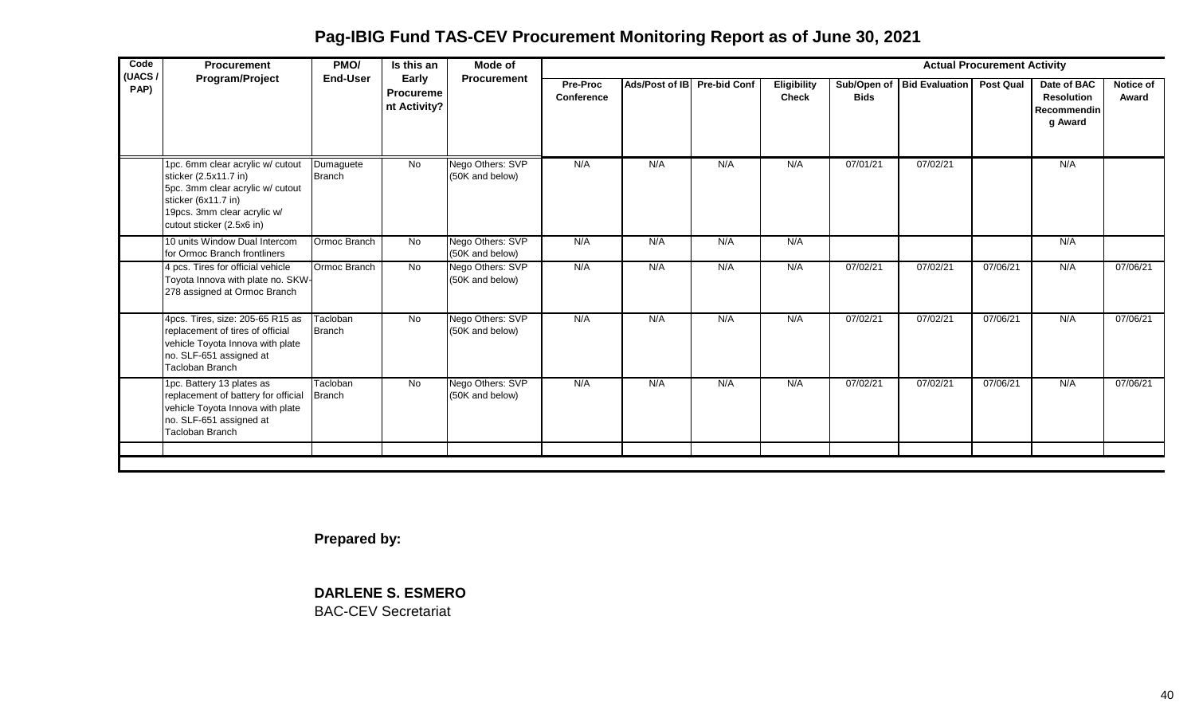**Pag-IBIG Fund TAS-CEV Procurement Monitoring Report as of June 30, 2021**

| Code<br>(UACS/ | Procurement                                                                                                                                                                      | PMO/                       | Is this an                                | Mode of                             |                        |                             |     |                             |             |                            | <b>Actual Procurement Activity</b> |                                                                   |                           |
|----------------|----------------------------------------------------------------------------------------------------------------------------------------------------------------------------------|----------------------------|-------------------------------------------|-------------------------------------|------------------------|-----------------------------|-----|-----------------------------|-------------|----------------------------|------------------------------------|-------------------------------------------------------------------|---------------------------|
| PAP)           | Program/Project                                                                                                                                                                  | <b>End-User</b>            | Early<br><b>Procureme</b><br>nt Activity? | Procurement                         | Pre-Proc<br>Conference | Ads/Post of IB Pre-bid Conf |     | Eligibility<br><b>Check</b> | <b>Bids</b> | Sub/Open of Bid Evaluation | <b>Post Qual</b>                   | Date of BAC<br><b>Resolution</b><br><b>Recommendin</b><br>g Award | <b>Notice of</b><br>Award |
|                | 1pc. 6mm clear acrylic w/ cutout<br>sticker (2.5x11.7 in)<br>5pc. 3mm clear acrylic w/ cutout<br>sticker (6x11.7 in)<br>19pcs. 3mm clear acrylic w/<br>cutout sticker (2.5x6 in) | Dumaguete<br><b>Branch</b> | No                                        | Nego Others: SVP<br>(50K and below) | N/A                    | N/A                         | N/A | N/A                         | 07/01/21    | 07/02/21                   |                                    | N/A                                                               |                           |
|                | 10 units Window Dual Intercom<br>for Ormoc Branch frontliners                                                                                                                    | Ormoc Branch               | <b>No</b>                                 | Nego Others: SVP<br>(50K and below) | N/A                    | N/A                         | N/A | N/A                         |             |                            |                                    | N/A                                                               |                           |
|                | 4 pcs. Tires for official vehicle<br>Toyota Innova with plate no. SKW-<br>278 assigned at Ormoc Branch                                                                           | Ormoc Branch               | <b>No</b>                                 | Nego Others: SVP<br>(50K and below) | N/A                    | N/A                         | N/A | N/A                         | 07/02/21    | 07/02/21                   | 07/06/21                           | N/A                                                               | 07/06/21                  |
|                | 4pcs. Tires, size: 205-65 R15 as<br>replacement of tires of official<br>vehicle Toyota Innova with plate<br>no. SLF-651 assigned at<br>Tacloban Branch                           | Tacloban<br><b>Branch</b>  | <b>No</b>                                 | Nego Others: SVP<br>(50K and below) | N/A                    | N/A                         | N/A | N/A                         | 07/02/21    | 07/02/21                   | 07/06/21                           | N/A                                                               | 07/06/21                  |
|                | 1pc. Battery 13 plates as<br>replacement of battery for official<br>vehicle Toyota Innova with plate<br>no. SLF-651 assigned at<br>Tacloban Branch                               | Tacloban<br>Branch         | No                                        | Nego Others: SVP<br>(50K and below) | N/A                    | N/A                         | N/A | N/A                         | 07/02/21    | 07/02/21                   | 07/06/21                           | N/A                                                               | 07/06/21                  |
|                |                                                                                                                                                                                  |                            |                                           |                                     |                        |                             |     |                             |             |                            |                                    |                                                                   |                           |

**Prepared by:**

**DARLENE S. ESMERO** BAC-CEV Secretariat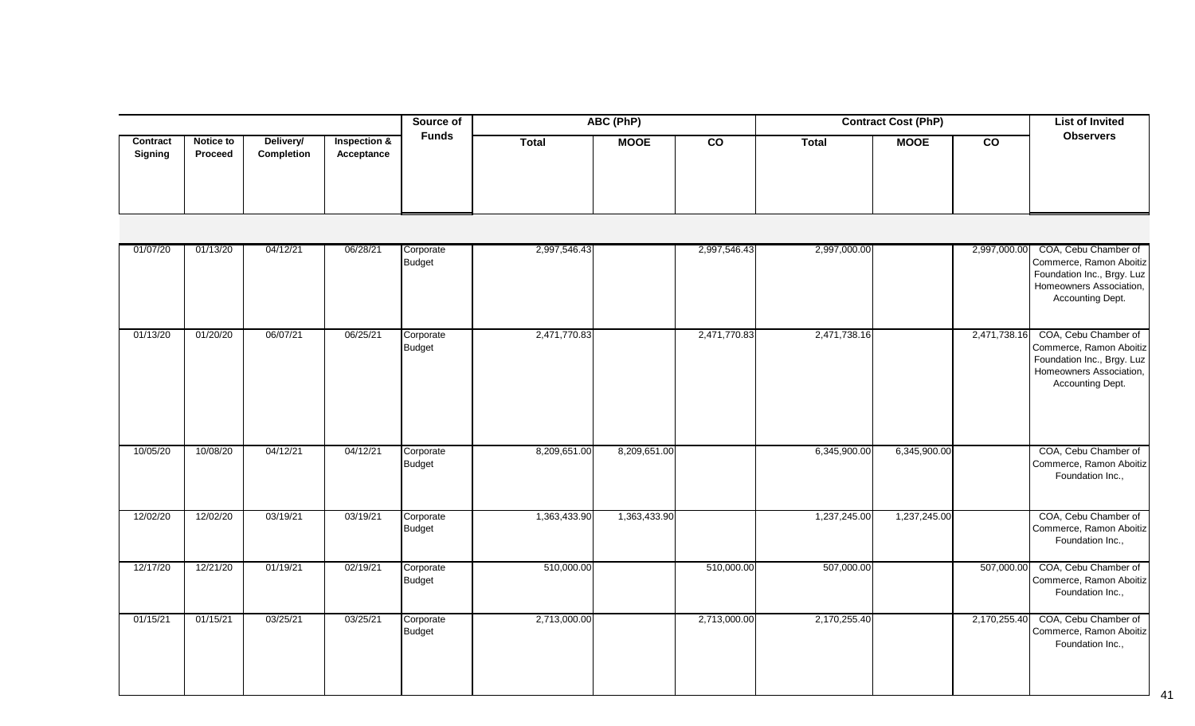|                            |                             |                         |                                       | Source of    |              | ABC (PhP)   |           |              | <b>Contract Cost (PhP)</b> |           | <b>List of Invited</b> |
|----------------------------|-----------------------------|-------------------------|---------------------------------------|--------------|--------------|-------------|-----------|--------------|----------------------------|-----------|------------------------|
| Contract<br><b>Signing</b> | <b>Notice to</b><br>Proceed | Delivery/<br>Completion | <b>Inspection &amp;</b><br>Acceptance | <b>Funds</b> | <b>Total</b> | <b>MOOE</b> | <b>CO</b> | <b>Total</b> | <b>MOOE</b>                | <b>CO</b> | <b>Observers</b>       |

| 01/07/20 | 01/13/20 | 04/12/21 | 06/28/21 | Corporate<br>Budget        | 2,997,546.43 |              | 2,997,546.43 | 2,997,000.00 |              | 2,997,000.00 | COA, Cebu Chamber of<br>Commerce, Ramon Aboitiz<br>Foundation Inc., Brgy. Luz<br>Homeowners Association,<br>Accounting Dept. |
|----------|----------|----------|----------|----------------------------|--------------|--------------|--------------|--------------|--------------|--------------|------------------------------------------------------------------------------------------------------------------------------|
| 01/13/20 | 01/20/20 | 06/07/21 | 06/25/21 | Corporate<br>Budget        | 2,471,770.83 |              | 2,471,770.83 | 2,471,738.16 |              | 2,471,738.16 | COA, Cebu Chamber of<br>Commerce, Ramon Aboitiz<br>Foundation Inc., Brgy. Luz<br>Homeowners Association,<br>Accounting Dept. |
| 10/05/20 | 10/08/20 | 04/12/21 | 04/12/21 | Corporate<br>Budget        | 8,209,651.00 | 8,209,651.00 |              | 6,345,900.00 | 6,345,900.00 |              | COA, Cebu Chamber of<br>Commerce, Ramon Aboitiz<br>Foundation Inc.,                                                          |
| 12/02/20 | 12/02/20 | 03/19/21 | 03/19/21 | Corporate<br><b>Budget</b> | 1,363,433.90 | 1,363,433.90 |              | 1,237,245.00 | 1,237,245.00 |              | COA, Cebu Chamber of<br>Commerce, Ramon Aboitiz<br>Foundation Inc.,                                                          |
| 12/17/20 | 12/21/20 | 01/19/21 | 02/19/21 | Corporate<br><b>Budget</b> | 510,000.00   |              | 510,000.00   | 507,000.00   |              | 507,000.00   | COA, Cebu Chamber of<br>Commerce, Ramon Aboitiz<br>Foundation Inc.,                                                          |
| 01/15/21 | 01/15/21 | 03/25/21 | 03/25/21 | Corporate<br>Budget        | 2,713,000.00 |              | 2,713,000.00 | 2,170,255.40 |              | 2,170,255.40 | COA, Cebu Chamber of<br>Commerce, Ramon Aboitiz<br>Foundation Inc.,                                                          |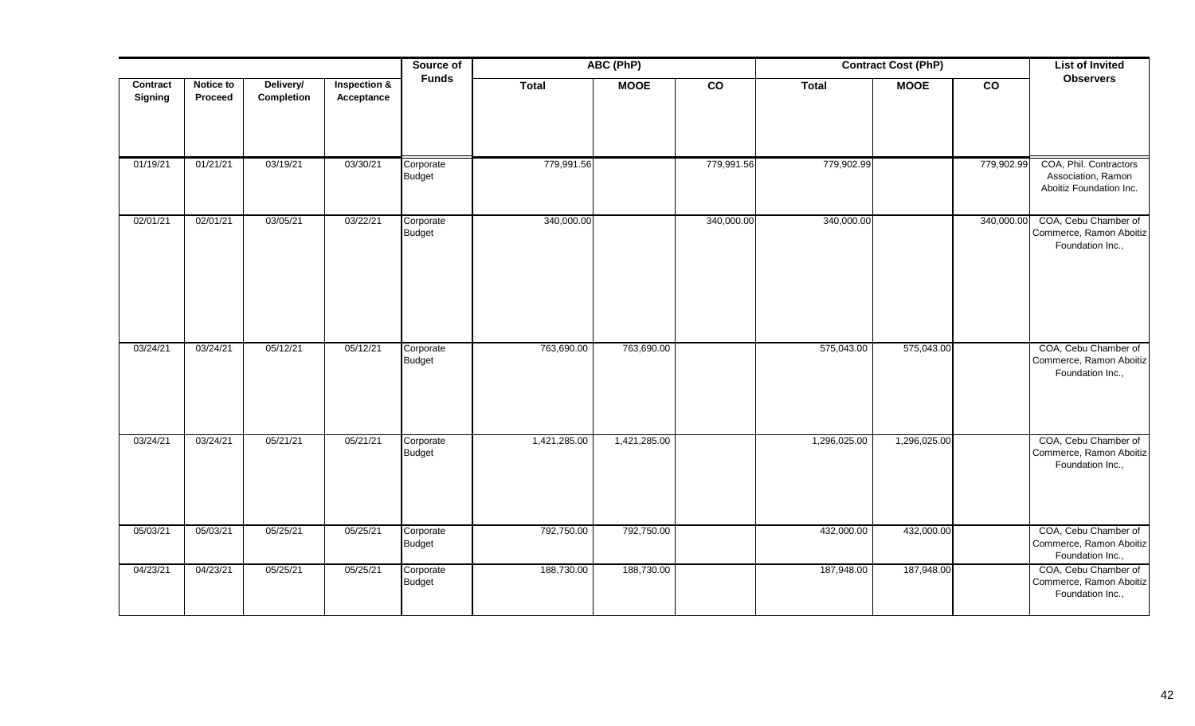|                     |                      |                         |                                       | Source of                  |              | ABC (PhP)    |                 |              | <b>Contract Cost (PhP)</b> |                 | <b>List of Invited</b>                                                  |
|---------------------|----------------------|-------------------------|---------------------------------------|----------------------------|--------------|--------------|-----------------|--------------|----------------------------|-----------------|-------------------------------------------------------------------------|
| Contract<br>Signing | Notice to<br>Proceed | Delivery/<br>Completion | <b>Inspection &amp;</b><br>Acceptance | <b>Funds</b>               | <b>Total</b> | <b>MOOE</b>  | $\overline{co}$ | <b>Total</b> | <b>MOOE</b>                | $\overline{co}$ | <b>Observers</b>                                                        |
| 01/19/21            | 01/21/21             | 03/19/21                | 03/30/21                              | Corporate<br><b>Budget</b> | 779,991.56   |              | 779,991.56      | 779,902.99   |                            | 779,902.99      | COA, Phil. Contractors<br>Association, Ramon<br>Aboitiz Foundation Inc. |
| 02/01/21            | 02/01/21             | 03/05/21                | 03/22/21                              | Corporate<br><b>Budget</b> | 340,000.00   |              | 340,000.00      | 340,000.00   |                            | 340,000.00      | COA, Cebu Chamber of<br>Commerce, Ramon Aboitiz<br>Foundation Inc.,     |
| 03/24/21            | 03/24/21             | 05/12/21                | 05/12/21                              | Corporate<br>Budget        | 763,690.00   | 763,690.00   |                 | 575,043.00   | 575,043.00                 |                 | COA, Cebu Chamber of<br>Commerce, Ramon Aboitiz<br>Foundation Inc.,     |
| 03/24/21            | 03/24/21             | 05/21/21                | 05/21/21                              | Corporate<br>Budget        | 1,421,285.00 | 1,421,285.00 |                 | 1,296,025.00 | 1,296,025.00               |                 | COA, Cebu Chamber of<br>Commerce, Ramon Aboitiz<br>Foundation Inc.,     |
| 05/03/21            | 05/03/21             | 05/25/21                | 05/25/21                              | Corporate<br><b>Budget</b> | 792,750.00   | 792,750.00   |                 | 432,000.00   | 432,000.00                 |                 | COA, Cebu Chamber of<br>Commerce, Ramon Aboitiz<br>Foundation Inc.,     |
| 04/23/21            | 04/23/21             | 05/25/21                | 05/25/21                              | Corporate<br>Budget        | 188,730.00   | 188,730.00   |                 | 187,948.00   | 187,948.00                 |                 | COA, Cebu Chamber of<br>Commerce, Ramon Aboitiz<br>Foundation Inc.,     |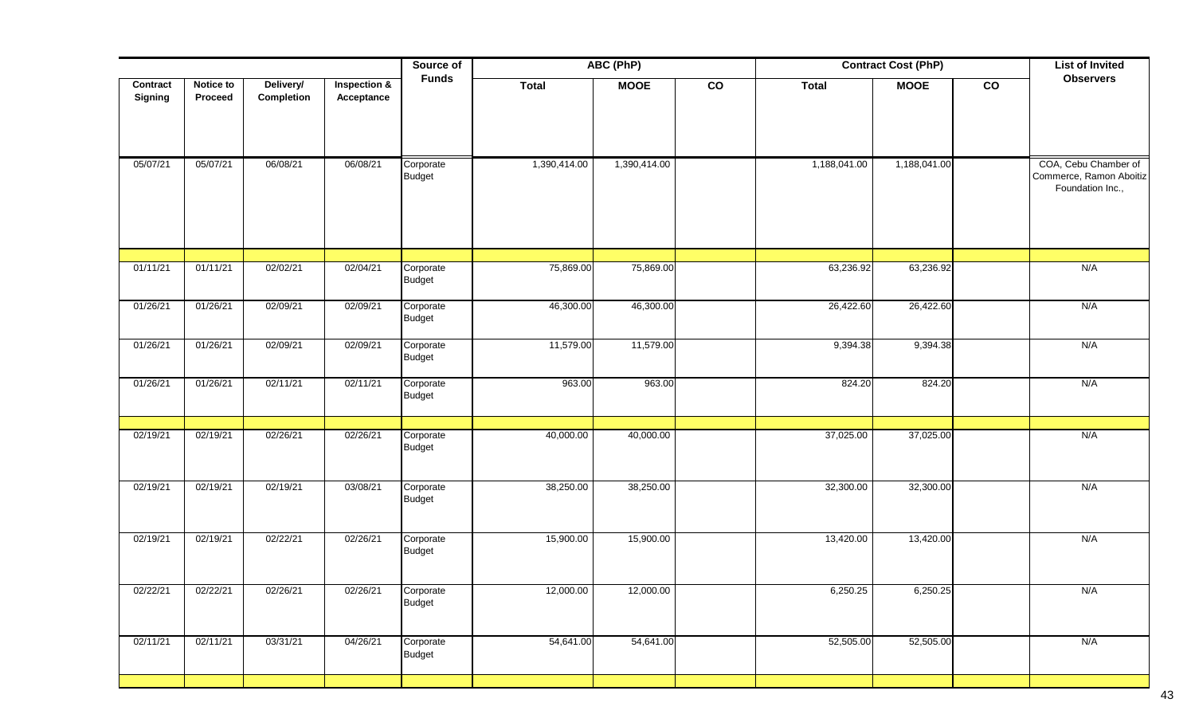|                            |                      |                         |                                       | Source of                  |              | ABC (PhP)    |               |              | <b>Contract Cost (PhP)</b> |    | <b>List of Invited</b>                                              |
|----------------------------|----------------------|-------------------------|---------------------------------------|----------------------------|--------------|--------------|---------------|--------------|----------------------------|----|---------------------------------------------------------------------|
| Contract<br><b>Signing</b> | Notice to<br>Proceed | Delivery/<br>Completion | <b>Inspection &amp;</b><br>Acceptance | <b>Funds</b>               | <b>Total</b> | <b>MOOE</b>  | $\mathsf{co}$ | <b>Total</b> | <b>MOOE</b>                | co | <b>Observers</b>                                                    |
| 05/07/21                   | 05/07/21             | 06/08/21                | 06/08/21                              | Corporate<br>Budget        | 1,390,414.00 | 1,390,414.00 |               | 1,188,041.00 | 1,188,041.00               |    | COA, Cebu Chamber of<br>Commerce, Ramon Aboitiz<br>Foundation Inc., |
| 01/11/21                   | 01/11/21             | 02/02/21                | 02/04/21                              | Corporate<br>Budget        | 75,869.00    | 75,869.00    |               | 63,236.92    | 63,236.92                  |    | N/A                                                                 |
| 01/26/21                   | 01/26/21             | 02/09/21                | 02/09/21                              | Corporate<br><b>Budget</b> | 46,300.00    | 46,300.00    |               | 26,422.60    | 26,422.60                  |    | N/A                                                                 |
| 01/26/21                   | 01/26/21             | 02/09/21                | 02/09/21                              | Corporate<br>Budget        | 11,579.00    | 11,579.00    |               | 9,394.38     | 9,394.38                   |    | N/A                                                                 |
| 01/26/21                   | 01/26/21             | 02/11/21                | 02/11/21                              | Corporate<br>Budget        | 963.00       | 963.00       |               | 824.20       | 824.20                     |    | N/A                                                                 |
| 02/19/21                   | 02/19/21             | 02/26/21                | 02/26/21                              | Corporate<br>Budget        | 40,000.00    | 40,000.00    |               | 37,025.00    | 37,025.00                  |    | N/A                                                                 |
| 02/19/21                   | 02/19/21             | 02/19/21                | 03/08/21                              | Corporate<br>Budget        | 38,250.00    | 38,250.00    |               | 32,300.00    | 32,300.00                  |    | N/A                                                                 |
| 02/19/21                   | 02/19/21             | 02/22/21                | 02/26/21                              | Corporate<br><b>Budget</b> | 15,900.00    | 15,900.00    |               | 13,420.00    | 13,420.00                  |    | N/A                                                                 |
| 02/22/21                   | 02/22/21             | 02/26/21                | 02/26/21                              | Corporate<br>Budget        | 12,000.00    | 12,000.00    |               | 6,250.25     | 6,250.25                   |    | N/A                                                                 |
| 02/11/21                   | 02/11/21             | 03/31/21                | 04/26/21                              | Corporate<br><b>Budget</b> | 54,641.00    | 54,641.00    |               | 52,505.00    | 52,505.00                  |    | N/A                                                                 |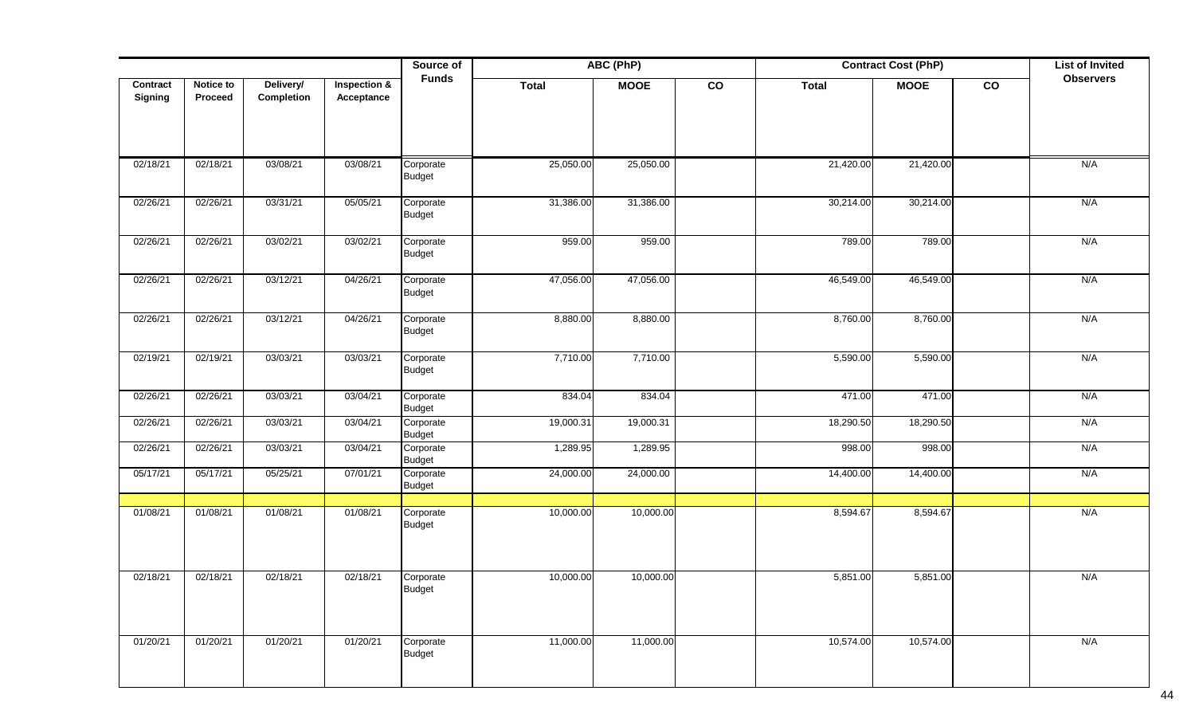|                            |                             |                         |                                       | Source of                  |              | ABC (PhP)   |               |              | <b>Contract Cost (PhP)</b> |    | <b>List of Invited</b> |
|----------------------------|-----------------------------|-------------------------|---------------------------------------|----------------------------|--------------|-------------|---------------|--------------|----------------------------|----|------------------------|
| Contract<br><b>Signing</b> | Notice to<br><b>Proceed</b> | Delivery/<br>Completion | <b>Inspection &amp;</b><br>Acceptance | <b>Funds</b>               | <b>Total</b> | <b>MOOE</b> | $\mathsf{co}$ | <b>Total</b> | <b>MOOE</b>                | co | <b>Observers</b>       |
|                            |                             |                         |                                       |                            |              |             |               |              |                            |    |                        |
|                            |                             |                         |                                       |                            |              |             |               |              |                            |    |                        |
| 02/18/21                   | 02/18/21                    | 03/08/21                | 03/08/21                              | Corporate<br><b>Budget</b> | 25,050.00    | 25,050.00   |               | 21,420.00    | 21,420.00                  |    | N/A                    |
| 02/26/21                   | 02/26/21                    | 03/31/21                | 05/05/21                              | Corporate<br>Budget        | 31,386.00    | 31,386.00   |               | 30,214.00    | 30,214.00                  |    | N/A                    |
| 02/26/21                   | 02/26/21                    | 03/02/21                | 03/02/21                              | Corporate<br><b>Budget</b> | 959.00       | 959.00      |               | 789.00       | 789.00                     |    | N/A                    |
| 02/26/21                   | 02/26/21                    | 03/12/21                | 04/26/21                              | Corporate<br><b>Budget</b> | 47,056.00    | 47,056.00   |               | 46,549.00    | 46,549.00                  |    | N/A                    |
| 02/26/21                   | 02/26/21                    | 03/12/21                | 04/26/21                              | Corporate<br><b>Budget</b> | 8,880.00     | 8,880.00    |               | 8,760.00     | 8,760.00                   |    | N/A                    |
| 02/19/21                   | 02/19/21                    | 03/03/21                | 03/03/21                              | Corporate<br><b>Budget</b> | 7,710.00     | 7,710.00    |               | 5,590.00     | 5,590.00                   |    | N/A                    |
| 02/26/21                   | 02/26/21                    | 03/03/21                | 03/04/21                              | Corporate<br><b>Budget</b> | 834.04       | 834.04      |               | 471.00       | 471.00                     |    | N/A                    |
| 02/26/21                   | 02/26/21                    | 03/03/21                | 03/04/21                              | Corporate<br>Budget        | 19,000.31    | 19,000.31   |               | 18,290.50    | 18,290.50                  |    | N/A                    |
| 02/26/21                   | 02/26/21                    | 03/03/21                | 03/04/21                              | Corporate<br><b>Budget</b> | 1,289.95     | 1,289.95    |               | 998.00       | 998.00                     |    | N/A                    |
| 05/17/21                   | 05/17/21                    | 05/25/21                | 07/01/21                              | Corporate<br><b>Budget</b> | 24,000.00    | 24,000.00   |               | 14,400.00    | 14,400.00                  |    | N/A                    |
| 01/08/21                   | 01/08/21                    | 01/08/21                | 01/08/21                              | Corporate<br><b>Budget</b> | 10,000.00    | 10,000.00   |               | 8,594.67     | 8,594.67                   |    | N/A                    |
| 02/18/21                   | 02/18/21                    | 02/18/21                | 02/18/21                              | Corporate<br>Budget        | 10,000.00    | 10,000.00   |               | 5,851.00     | 5,851.00                   |    | N/A                    |
| 01/20/21                   | 01/20/21                    | 01/20/21                | 01/20/21                              | Corporate<br><b>Budget</b> | 11,000.00    | 11,000.00   |               | 10,574.00    | 10,574.00                  |    | N/A                    |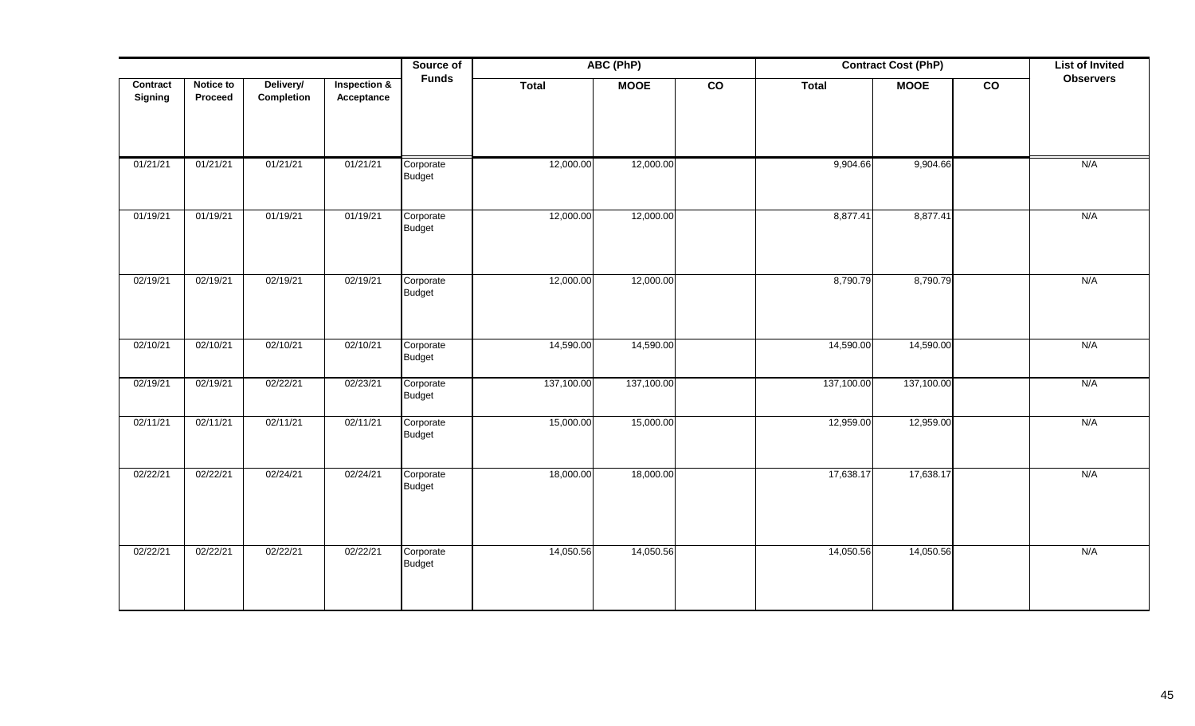|                     |                      |                         |                                       | Source of                  |              | ABC (PhP)   |                |              | <b>Contract Cost (PhP)</b> |                | <b>List of Invited</b> |
|---------------------|----------------------|-------------------------|---------------------------------------|----------------------------|--------------|-------------|----------------|--------------|----------------------------|----------------|------------------------|
| Contract<br>Signing | Notice to<br>Proceed | Delivery/<br>Completion | <b>Inspection &amp;</b><br>Acceptance | <b>Funds</b>               | <b>Total</b> | <b>MOOE</b> | $\overline{c}$ | <b>Total</b> | <b>MOOE</b>                | $\overline{c}$ | <b>Observers</b>       |
| 01/21/21            | 01/21/21             | 01/21/21                | 01/21/21                              | Corporate<br><b>Budget</b> | 12,000.00    | 12,000.00   |                | 9,904.66     | 9,904.66                   |                | N/A                    |
| 01/19/21            | 01/19/21             | 01/19/21                | 01/19/21                              | Corporate<br><b>Budget</b> | 12,000.00    | 12,000.00   |                | 8,877.41     | 8,877.41                   |                | N/A                    |
| 02/19/21            | 02/19/21             | 02/19/21                | 02/19/21                              | Corporate<br><b>Budget</b> | 12,000.00    | 12,000.00   |                | 8,790.79     | 8,790.79                   |                | N/A                    |
| 02/10/21            | 02/10/21             | 02/10/21                | 02/10/21                              | Corporate<br><b>Budget</b> | 14,590.00    | 14,590.00   |                | 14,590.00    | 14,590.00                  |                | N/A                    |
| 02/19/21            | 02/19/21             | 02/22/21                | 02/23/21                              | Corporate<br><b>Budget</b> | 137,100.00   | 137,100.00  |                | 137,100.00   | 137,100.00                 |                | N/A                    |
| 02/11/21            | 02/11/21             | 02/11/21                | 02/11/21                              | Corporate<br><b>Budget</b> | 15,000.00    | 15,000.00   |                | 12,959.00    | 12,959.00                  |                | N/A                    |
| 02/22/21            | 02/22/21             | 02/24/21                | 02/24/21                              | Corporate<br><b>Budget</b> | 18,000.00    | 18,000.00   |                | 17,638.17    | 17,638.17                  |                | N/A                    |
| 02/22/21            | 02/22/21             | 02/22/21                | 02/22/21                              | Corporate<br><b>Budget</b> | 14,050.56    | 14,050.56   |                | 14,050.56    | 14,050.56                  |                | N/A                    |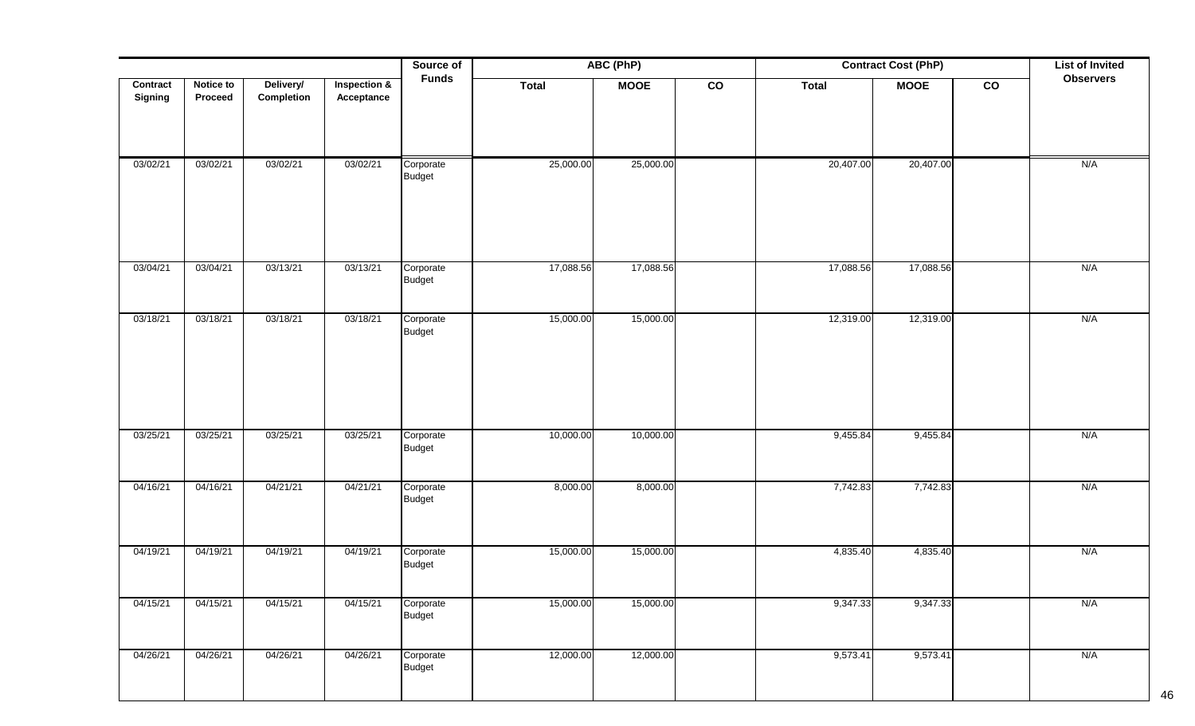|                            |                      |                         |                                       | Source of                  |              | ABC (PhP)   |               |              | <b>Contract Cost (PhP)</b> |               | <b>List of Invited</b> |
|----------------------------|----------------------|-------------------------|---------------------------------------|----------------------------|--------------|-------------|---------------|--------------|----------------------------|---------------|------------------------|
| <b>Contract</b><br>Signing | Notice to<br>Proceed | Delivery/<br>Completion | <b>Inspection &amp;</b><br>Acceptance | <b>Funds</b>               | <b>Total</b> | <b>MOOE</b> | $\mathsf{co}$ | <b>Total</b> | <b>MOOE</b>                | $\mathbf{co}$ | <b>Observers</b>       |
| 03/02/21                   | 03/02/21             | 03/02/21                | 03/02/21                              | Corporate<br>Budget        | 25,000.00    | 25,000.00   |               | 20,407.00    | 20,407.00                  |               | N/A                    |
| 03/04/21                   | 03/04/21             | 03/13/21                | 03/13/21                              | Corporate<br>Budget        | 17,088.56    | 17,088.56   |               | 17,088.56    | 17,088.56                  |               | N/A                    |
| 03/18/21                   | 03/18/21             | 03/18/21                | 03/18/21                              | Corporate<br><b>Budget</b> | 15,000.00    | 15,000.00   |               | 12,319.00    | 12,319.00                  |               | N/A                    |
| 03/25/21                   | 03/25/21             | 03/25/21                | 03/25/21                              | Corporate<br>Budget        | 10,000.00    | 10,000.00   |               | 9,455.84     | 9,455.84                   |               | N/A                    |
| 04/16/21                   | 04/16/21             | 04/21/21                | 04/21/21                              | Corporate<br>Budget        | 8,000.00     | 8,000.00    |               | 7,742.83     | 7,742.83                   |               | N/A                    |
| 04/19/21                   | 04/19/21             | 04/19/21                | 04/19/21                              | Corporate<br><b>Budget</b> | 15,000.00    | 15,000.00   |               | 4,835.40     | 4,835.40                   |               | N/A                    |
| 04/15/21                   | 04/15/21             | 04/15/21                | 04/15/21                              | Corporate<br><b>Budget</b> | 15,000.00    | 15,000.00   |               | 9,347.33     | 9,347.33                   |               | N/A                    |
| 04/26/21                   | 04/26/21             | 04/26/21                | 04/26/21                              | Corporate<br><b>Budget</b> | 12,000.00    | 12,000.00   |               | 9,573.41     | 9,573.41                   |               | N/A                    |

46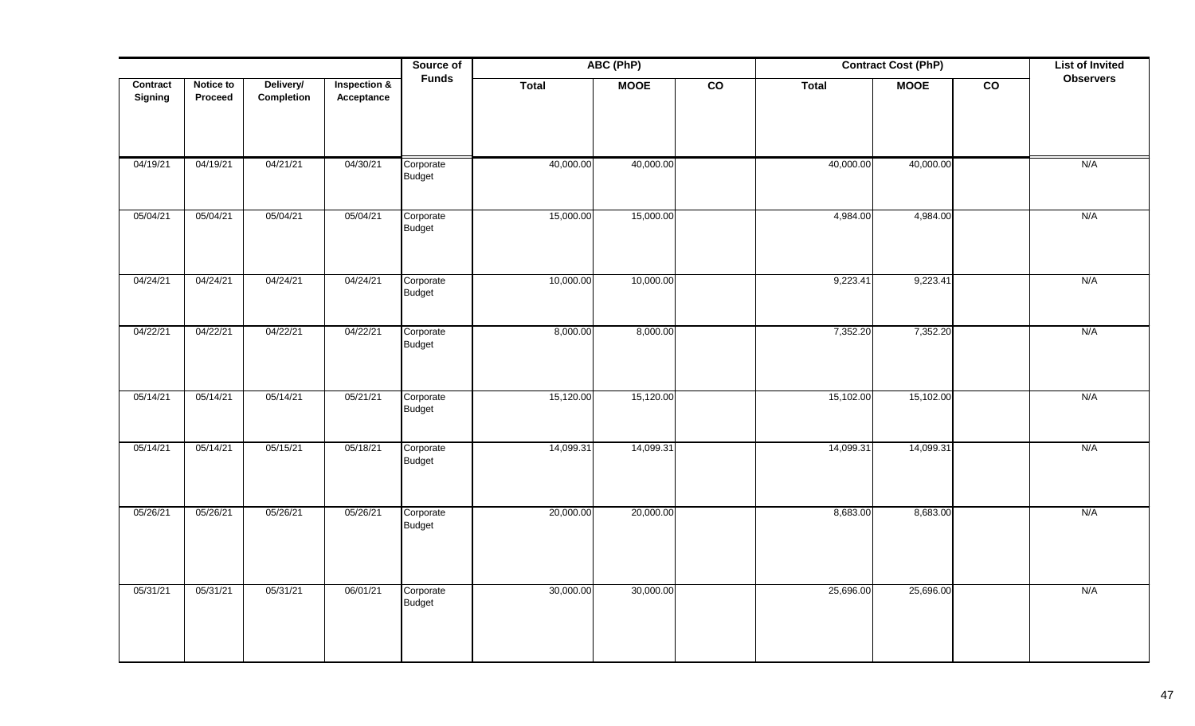|                     |                      |                         |                            | Source of                  |           | ABC (PhP)   |                 |              | <b>Contract Cost (PhP)</b> |                 | <b>List of Invited</b> |
|---------------------|----------------------|-------------------------|----------------------------|----------------------------|-----------|-------------|-----------------|--------------|----------------------------|-----------------|------------------------|
| Contract<br>Signing | Notice to<br>Proceed | Delivery/<br>Completion | Inspection &<br>Acceptance | <b>Funds</b>               | Total     | <b>MOOE</b> | $\overline{co}$ | <b>Total</b> | <b>MOOE</b>                | $\overline{co}$ | <b>Observers</b>       |
| 04/19/21            | 04/19/21             | 04/21/21                | 04/30/21                   | Corporate<br>Budget        | 40,000.00 | 40,000.00   |                 | 40,000.00    | 40,000.00                  |                 | N/A                    |
| 05/04/21            | 05/04/21             | 05/04/21                | 05/04/21                   | Corporate<br>Budget        | 15,000.00 | 15,000.00   |                 | 4,984.00     | 4,984.00                   |                 | N/A                    |
| 04/24/21            | 04/24/21             | 04/24/21                | 04/24/21                   | Corporate<br><b>Budget</b> | 10,000.00 | 10,000.00   |                 | 9,223.41     | 9,223.41                   |                 | N/A                    |
| 04/22/21            | 04/22/21             | 04/22/21                | 04/22/21                   | Corporate<br>Budget        | 8,000.00  | 8,000.00    |                 | 7,352.20     | 7,352.20                   |                 | N/A                    |
| 05/14/21            | 05/14/21             | 05/14/21                | 05/21/21                   | Corporate<br><b>Budget</b> | 15,120.00 | 15,120.00   |                 | 15,102.00    | 15,102.00                  |                 | N/A                    |
| 05/14/21            | 05/14/21             | 05/15/21                | 05/18/21                   | Corporate<br><b>Budget</b> | 14,099.31 | 14,099.31   |                 | 14,099.31    | 14,099.31                  |                 | N/A                    |
| 05/26/21            | 05/26/21             | 05/26/21                | 05/26/21                   | Corporate<br>Budget        | 20,000.00 | 20,000.00   |                 | 8,683.00     | 8,683.00                   |                 | N/A                    |
| 05/31/21            | 05/31/21             | 05/31/21                | 06/01/21                   | Corporate<br><b>Budget</b> | 30,000.00 | 30,000.00   |                 | 25,696.00    | 25,696.00                  |                 | N/A                    |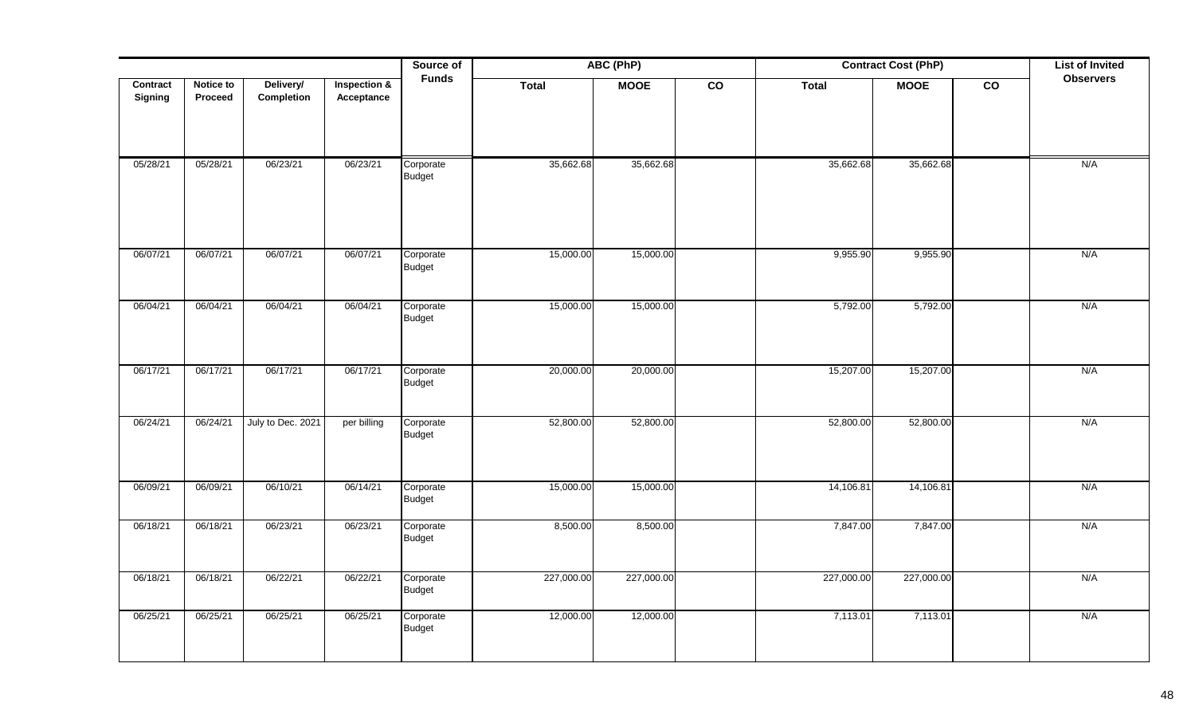|                     |                      |                         |                            | Source of                  | ABC (PhP)<br><b>Contract Cost (PhP)</b><br>Total |             |                 |            |             |                 | <b>List of Invited</b> |
|---------------------|----------------------|-------------------------|----------------------------|----------------------------|--------------------------------------------------|-------------|-----------------|------------|-------------|-----------------|------------------------|
| Contract<br>Signing | Notice to<br>Proceed | Delivery/<br>Completion | Inspection &<br>Acceptance | <b>Funds</b>               | Total                                            | <b>MOOE</b> | $\overline{co}$ |            | <b>MOOE</b> | $\overline{co}$ | <b>Observers</b>       |
| 05/28/21            | 05/28/21             | 06/23/21                | 06/23/21                   | Corporate<br><b>Budget</b> | 35,662.68                                        | 35,662.68   |                 | 35,662.68  | 35,662.68   |                 | N/A                    |
| 06/07/21            | 06/07/21             | 06/07/21                | 06/07/21                   | Corporate<br><b>Budget</b> | 15,000.00                                        | 15,000.00   |                 | 9,955.90   | 9,955.90    |                 | N/A                    |
| 06/04/21            | 06/04/21             | 06/04/21                | 06/04/21                   | Corporate<br>Budget        | 15,000.00                                        | 15,000.00   |                 | 5,792.00   | 5,792.00    |                 | N/A                    |
| 06/17/21            | 06/17/21             | 06/17/21                | 06/17/21                   | Corporate<br>Budget        | 20,000.00                                        | 20,000.00   |                 | 15,207.00  | 15,207.00   |                 | N/A                    |
| 06/24/21            | 06/24/21             | July to Dec. 2021       | per billing                | Corporate<br>Budget        | 52,800.00                                        | 52,800.00   |                 | 52,800.00  | 52,800.00   |                 | N/A                    |
| 06/09/21            | 06/09/21             | 06/10/21                | 06/14/21                   | Corporate<br><b>Budget</b> | 15,000.00                                        | 15,000.00   |                 | 14,106.81  | 14,106.81   |                 | N/A                    |
| 06/18/21            | 06/18/21             | 06/23/21                | 06/23/21                   | Corporate<br>Budget        | 8,500.00                                         | 8,500.00    |                 | 7,847.00   | 7,847.00    |                 | N/A                    |
| 06/18/21            | 06/18/21             | 06/22/21                | 06/22/21                   | Corporate<br>Budget        | 227,000.00                                       | 227,000.00  |                 | 227,000.00 | 227,000.00  |                 | N/A                    |
| 06/25/21            | 06/25/21             | 06/25/21                | 06/25/21                   | Corporate<br><b>Budget</b> | 12,000.00                                        | 12,000.00   |                 | 7,113.01   | 7,113.01    |                 | N/A                    |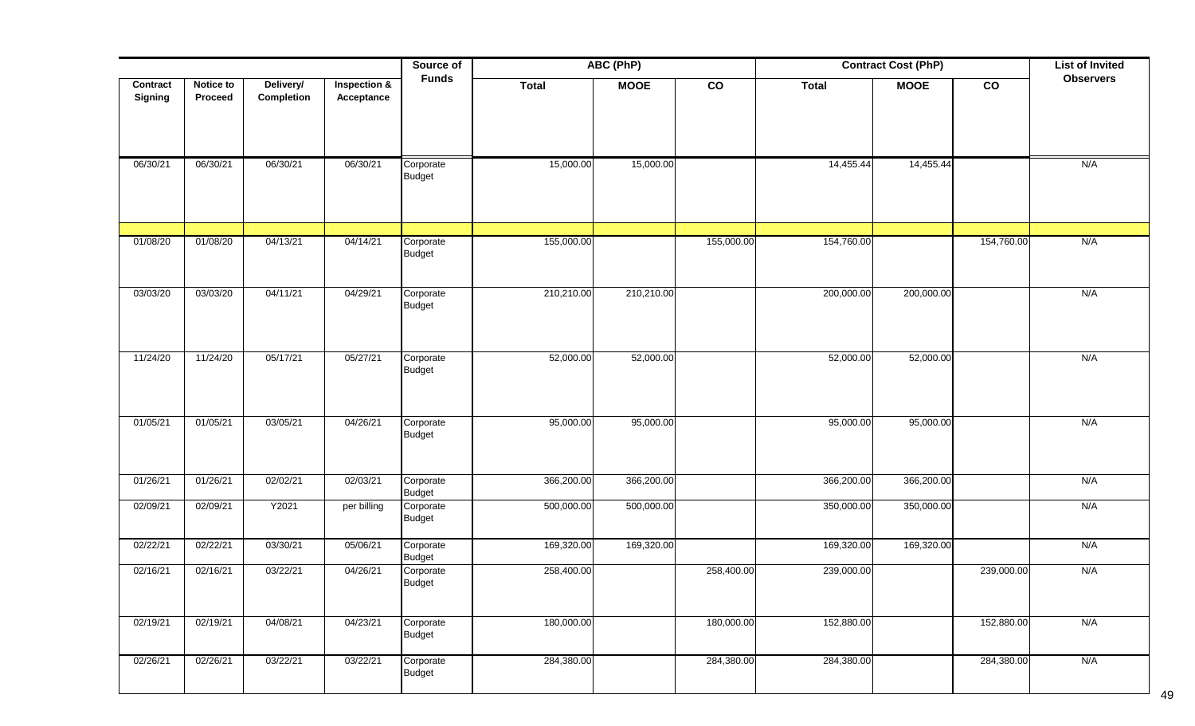|                            |                             |                         |                                       | Source of                  |              | ABC (PhP)   |            | <b>Contract Cost (PhP)</b> |             | <b>List of Invited</b> |                  |
|----------------------------|-----------------------------|-------------------------|---------------------------------------|----------------------------|--------------|-------------|------------|----------------------------|-------------|------------------------|------------------|
| Contract<br><b>Signing</b> | <b>Notice to</b><br>Proceed | Delivery/<br>Completion | <b>Inspection &amp;</b><br>Acceptance | <b>Funds</b>               | <b>Total</b> | <b>MOOE</b> | co         | <b>Total</b>               | <b>MOOE</b> | $\mathbf{co}$          | <b>Observers</b> |
| 06/30/21                   | 06/30/21                    | 06/30/21                | 06/30/21                              | Corporate<br><b>Budget</b> | 15,000.00    | 15,000.00   |            | 14,455.44                  | 14,455.44   |                        | N/A              |
| 01/08/20                   | 01/08/20                    | 04/13/21                | 04/14/21                              | Corporate<br><b>Budget</b> | 155,000.00   |             | 155,000.00 | 154,760.00                 |             | 154,760.00             | N/A              |
| 03/03/20                   | 03/03/20                    | 04/11/21                | 04/29/21                              | Corporate<br><b>Budget</b> | 210,210.00   | 210,210.00  |            | 200,000.00                 | 200,000.00  |                        | N/A              |
| 11/24/20                   | 11/24/20                    | 05/17/21                | 05/27/21                              | Corporate<br><b>Budget</b> | 52,000.00    | 52,000.00   |            | 52,000.00                  | 52,000.00   |                        | N/A              |
| 01/05/21                   | 01/05/21                    | 03/05/21                | 04/26/21                              | Corporate<br><b>Budget</b> | 95,000.00    | 95,000.00   |            | 95,000.00                  | 95,000.00   |                        | N/A              |
| 01/26/21                   | 01/26/21                    | 02/02/21                | 02/03/21                              | Corporate<br><b>Budget</b> | 366,200.00   | 366,200.00  |            | 366,200.00                 | 366,200.00  |                        | N/A              |
| 02/09/21                   | 02/09/21                    | Y2021                   | per billing                           | Corporate<br><b>Budget</b> | 500,000.00   | 500,000.00  |            | 350,000.00                 | 350,000.00  |                        | N/A              |
| 02/22/21                   | 02/22/21                    | 03/30/21                | 05/06/21                              | Corporate<br><b>Budget</b> | 169,320.00   | 169,320.00  |            | 169,320.00                 | 169,320.00  |                        | N/A              |
| 02/16/21                   | 02/16/21                    | 03/22/21                | 04/26/21                              | Corporate<br><b>Budget</b> | 258,400.00   |             | 258,400.00 | 239,000.00                 |             | 239,000.00             | N/A              |
| 02/19/21                   | 02/19/21                    | 04/08/21                | 04/23/21                              | Corporate<br>Budget        | 180,000.00   |             | 180,000.00 | 152,880.00                 |             | 152,880.00             | N/A              |
| 02/26/21                   | 02/26/21                    | 03/22/21                | 03/22/21                              | Corporate<br><b>Budget</b> | 284,380.00   |             | 284,380.00 | 284,380.00                 |             | 284,380.00             | N/A              |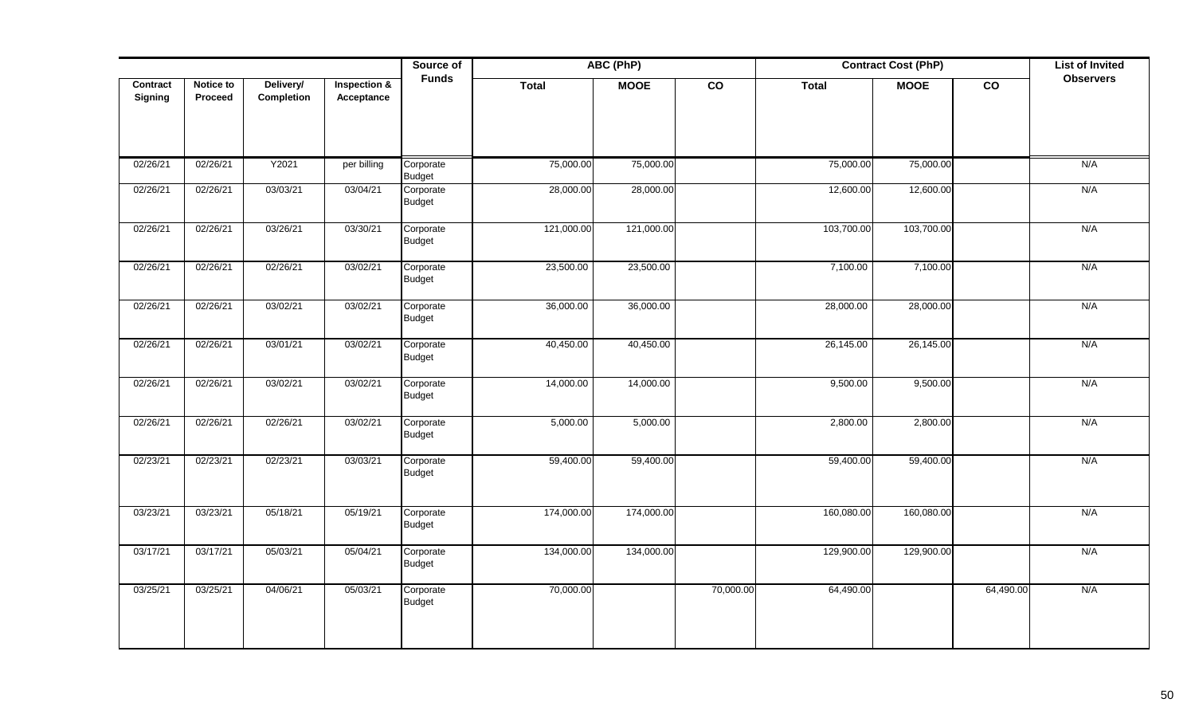|          |                  |            |              | Source of                  |            | ABC (PhP)   |                 | <b>Contract Cost (PhP)</b> |             | <b>List of Invited</b> |                  |
|----------|------------------|------------|--------------|----------------------------|------------|-------------|-----------------|----------------------------|-------------|------------------------|------------------|
| Contract | <b>Notice to</b> | Delivery/  | Inspection & | <b>Funds</b>               | Total      | <b>MOOE</b> | $\overline{co}$ | <b>Total</b>               | <b>MOOE</b> | $\overline{co}$        | <b>Observers</b> |
| Signing  | Proceed          | Completion | Acceptance   |                            |            |             |                 |                            |             |                        |                  |
|          |                  |            |              |                            |            |             |                 |                            |             |                        |                  |
|          |                  |            |              |                            |            |             |                 |                            |             |                        |                  |
| 02/26/21 | 02/26/21         | Y2021      | per billing  | Corporate<br>Budget        | 75,000.00  | 75,000.00   |                 | 75,000.00                  | 75,000.00   |                        | N/A              |
| 02/26/21 | 02/26/21         | 03/03/21   | 03/04/21     | Corporate<br>Budget        | 28,000.00  | 28,000.00   |                 | 12,600.00                  | 12,600.00   |                        | N/A              |
| 02/26/21 | 02/26/21         | 03/26/21   | 03/30/21     | Corporate<br>Budget        | 121,000.00 | 121,000.00  |                 | 103,700.00                 | 103,700.00  |                        | N/A              |
| 02/26/21 | 02/26/21         | 02/26/21   | 03/02/21     | Corporate<br>Budget        | 23,500.00  | 23,500.00   |                 | 7,100.00                   | 7,100.00    |                        | N/A              |
| 02/26/21 | 02/26/21         | 03/02/21   | 03/02/21     | Corporate<br><b>Budget</b> | 36,000.00  | 36,000.00   |                 | 28,000.00                  | 28,000.00   |                        | N/A              |
| 02/26/21 | 02/26/21         | 03/01/21   | 03/02/21     | Corporate<br>Budget        | 40,450.00  | 40,450.00   |                 | 26,145.00                  | 26,145.00   |                        | N/A              |
| 02/26/21 | 02/26/21         | 03/02/21   | 03/02/21     | Corporate<br><b>Budget</b> | 14,000.00  | 14,000.00   |                 | 9,500.00                   | 9,500.00    |                        | N/A              |
| 02/26/21 | 02/26/21         | 02/26/21   | 03/02/21     | Corporate<br>Budget        | 5,000.00   | 5,000.00    |                 | 2,800.00                   | 2,800.00    |                        | N/A              |
| 02/23/21 | 02/23/21         | 02/23/21   | 03/03/21     | Corporate<br><b>Budget</b> | 59,400.00  | 59,400.00   |                 | 59,400.00                  | 59,400.00   |                        | N/A              |
| 03/23/21 | 03/23/21         | 05/18/21   | 05/19/21     | Corporate<br><b>Budget</b> | 174,000.00 | 174,000.00  |                 | 160,080.00                 | 160,080.00  |                        | N/A              |
| 03/17/21 | 03/17/21         | 05/03/21   | 05/04/21     | Corporate<br><b>Budget</b> | 134,000.00 | 134,000.00  |                 | 129,900.00                 | 129,900.00  |                        | N/A              |
| 03/25/21 | 03/25/21         | 04/06/21   | 05/03/21     | Corporate<br><b>Budget</b> | 70,000.00  |             | 70,000.00       | 64,490.00                  |             | 64,490.00              | N/A              |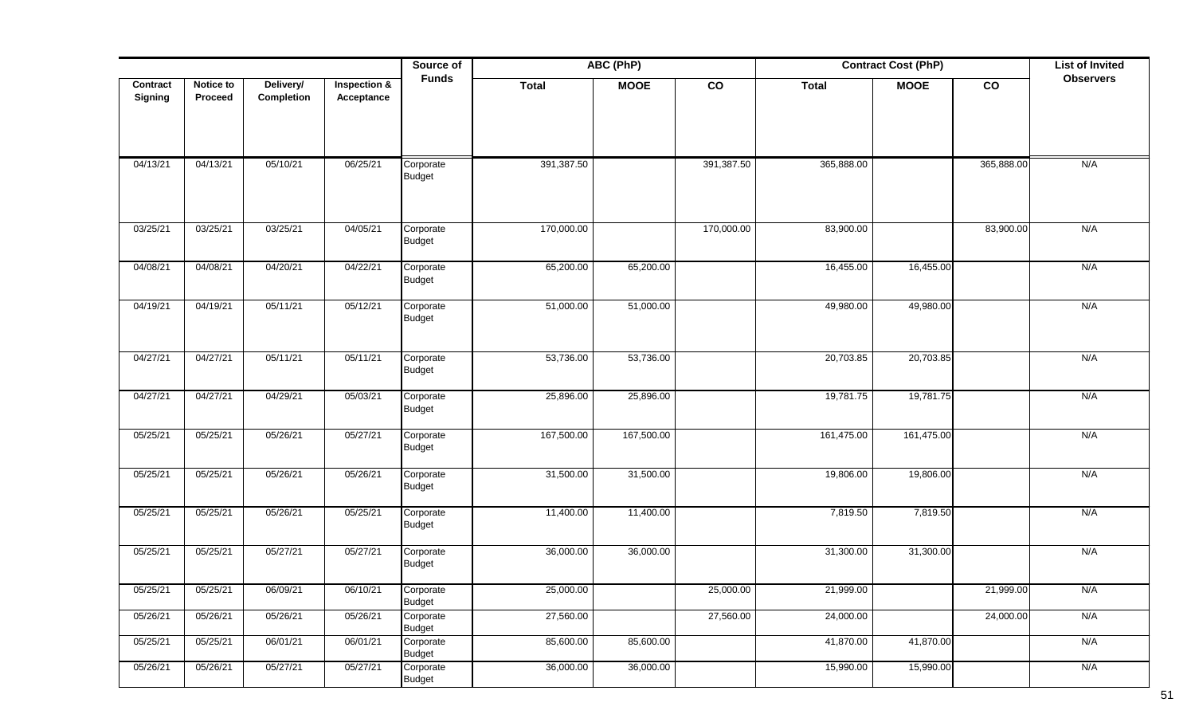|          |           |            |                         | Source of                  |              | ABC (PhP)   |                | <b>Contract Cost (PhP)</b> |             | <b>List of Invited</b> |                  |
|----------|-----------|------------|-------------------------|----------------------------|--------------|-------------|----------------|----------------------------|-------------|------------------------|------------------|
| Contract | Notice to | Delivery/  | <b>Inspection &amp;</b> | <b>Funds</b>               | <b>Total</b> | <b>MOOE</b> | $\overline{c}$ | <b>Total</b>               | <b>MOOE</b> | co                     | <b>Observers</b> |
| Signing  | Proceed   | Completion | Acceptance              |                            |              |             |                |                            |             |                        |                  |
|          |           |            |                         |                            |              |             |                |                            |             |                        |                  |
|          |           |            |                         |                            |              |             |                |                            |             |                        |                  |
| 04/13/21 | 04/13/21  | 05/10/21   | 06/25/21                | Corporate                  | 391,387.50   |             | 391,387.50     | 365,888.00                 |             | 365,888.00             | N/A              |
|          |           |            |                         | <b>Budget</b>              |              |             |                |                            |             |                        |                  |
|          |           |            |                         |                            |              |             |                |                            |             |                        |                  |
| 03/25/21 | 03/25/21  | 03/25/21   | 04/05/21                | Corporate                  | 170,000.00   |             | 170,000.00     | 83,900.00                  |             | 83,900.00              | N/A              |
|          |           |            |                         | <b>Budget</b>              |              |             |                |                            |             |                        |                  |
| 04/08/21 | 04/08/21  | 04/20/21   | 04/22/21                | Corporate                  | 65,200.00    | 65,200.00   |                | 16,455.00                  | 16,455.00   |                        | N/A              |
|          |           |            |                         | Budget                     |              |             |                |                            |             |                        |                  |
| 04/19/21 | 04/19/21  | 05/11/21   | 05/12/21                | Corporate                  | 51,000.00    | 51,000.00   |                | 49,980.00                  | 49,980.00   |                        | N/A              |
|          |           |            |                         | <b>Budget</b>              |              |             |                |                            |             |                        |                  |
|          |           |            |                         |                            |              |             |                |                            |             |                        |                  |
| 04/27/21 | 04/27/21  | 05/11/21   | 05/11/21                | Corporate                  | 53,736.00    | 53,736.00   |                | 20,703.85                  | 20,703.85   |                        | N/A              |
|          |           |            |                         | <b>Budget</b>              |              |             |                |                            |             |                        |                  |
| 04/27/21 | 04/27/21  | 04/29/21   | 05/03/21                | Corporate                  | 25,896.00    | 25,896.00   |                | 19,781.75                  | 19,781.75   |                        | N/A              |
|          |           |            |                         | <b>Budget</b>              |              |             |                |                            |             |                        |                  |
| 05/25/21 | 05/25/21  | 05/26/21   | 05/27/21                | Corporate<br><b>Budget</b> | 167,500.00   | 167,500.00  |                | 161,475.00                 | 161,475.00  |                        | N/A              |
|          |           |            |                         |                            |              |             |                |                            |             |                        |                  |
| 05/25/21 | 05/25/21  | 05/26/21   | 05/26/21                | Corporate<br><b>Budget</b> | 31,500.00    | 31,500.00   |                | 19,806.00                  | 19,806.00   |                        | N/A              |
|          |           |            |                         |                            |              |             |                |                            |             |                        |                  |
| 05/25/21 | 05/25/21  | 05/26/21   | 05/25/21                | Corporate<br><b>Budget</b> | 11,400.00    | 11,400.00   |                | 7,819.50                   | 7,819.50    |                        | N/A              |
|          |           |            |                         |                            |              |             |                |                            |             |                        |                  |
| 05/25/21 | 05/25/21  | 05/27/21   | 05/27/21                | Corporate<br><b>Budget</b> | 36,000.00    | 36,000.00   |                | 31,300.00                  | 31,300.00   |                        | N/A              |
|          |           |            |                         |                            |              |             |                |                            |             |                        |                  |
| 05/25/21 | 05/25/21  | 06/09/21   | 06/10/21                | Corporate<br><b>Budget</b> | 25,000.00    |             | 25,000.00      | 21,999.00                  |             | 21,999.00              | N/A              |
| 05/26/21 | 05/26/21  | 05/26/21   | 05/26/21                | Corporate                  | 27,560.00    |             | 27,560.00      | 24,000.00                  |             | 24,000.00              | N/A              |
| 05/25/21 | 05/25/21  | 06/01/21   | 06/01/21                | Budget<br>Corporate        | 85,600.00    | 85,600.00   |                | 41,870.00                  | 41,870.00   |                        | N/A              |
|          |           |            |                         | <b>Budget</b>              |              |             |                |                            |             |                        |                  |
| 05/26/21 | 05/26/21  | 05/27/21   | 05/27/21                | Corporate<br><b>Budget</b> | 36,000.00    | 36,000.00   |                | 15,990.00                  | 15,990.00   |                        | N/A              |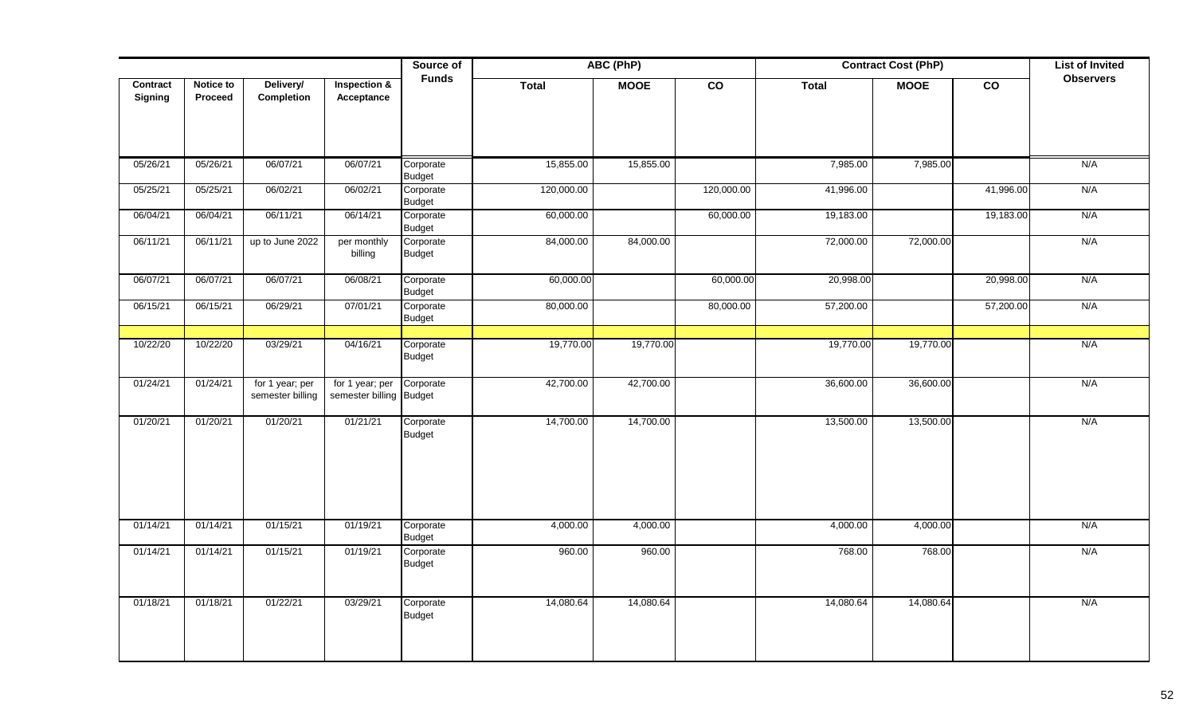|                     |                      |                                     |                                            | Source of                  | ABC (PhP)<br><b>Contract Cost (PhP)</b><br><b>Funds</b><br>Total<br>$\overline{co}$<br>$\overline{co}$<br><b>MOOE</b><br><b>Total</b><br><b>MOOE</b> |           |            |           |           | <b>List of Invited</b> |                  |
|---------------------|----------------------|-------------------------------------|--------------------------------------------|----------------------------|------------------------------------------------------------------------------------------------------------------------------------------------------|-----------|------------|-----------|-----------|------------------------|------------------|
| Contract<br>Signing | Notice to<br>Proceed | Delivery/<br><b>Completion</b>      | Inspection &<br>Acceptance                 |                            |                                                                                                                                                      |           |            |           |           |                        | <b>Observers</b> |
| 05/26/21            | 05/26/21             | 06/07/21                            | 06/07/21                                   | Corporate<br><b>Budget</b> | 15,855.00                                                                                                                                            | 15,855.00 |            | 7,985.00  | 7,985.00  |                        | N/A              |
| 05/25/21            | 05/25/21             | 06/02/21                            | 06/02/21                                   | Corporate<br><b>Budget</b> | 120,000.00                                                                                                                                           |           | 120,000.00 | 41,996.00 |           | 41,996.00              | N/A              |
| 06/04/21            | 06/04/21             | 06/11/21                            | 06/14/21                                   | Corporate<br><b>Budget</b> | 60,000.00                                                                                                                                            |           | 60,000.00  | 19,183.00 |           | 19,183.00              | N/A              |
| 06/11/21            | 06/11/21             | up to June 2022                     | per monthly<br>billing                     | Corporate<br><b>Budget</b> | 84,000.00                                                                                                                                            | 84,000.00 |            | 72,000.00 | 72,000.00 |                        | N/A              |
| 06/07/21            | 06/07/21             | 06/07/21                            | 06/08/21                                   | Corporate<br><b>Budget</b> | 60,000.00                                                                                                                                            |           | 60,000.00  | 20,998.00 |           | 20,998.00              | N/A              |
| 06/15/21            | 06/15/21             | 06/29/21                            | 07/01/21                                   | Corporate<br><b>Budget</b> | 80,000.00                                                                                                                                            |           | 80,000.00  | 57,200.00 |           | 57,200.00              | N/A              |
| 10/22/20            | 10/22/20             | 03/29/21                            | 04/16/21                                   | Corporate<br><b>Budget</b> | 19,770.00                                                                                                                                            | 19,770.00 |            | 19,770.00 | 19,770.00 |                        | N/A              |
| 01/24/21            | 01/24/21             | for 1 year; per<br>semester billing | for 1 year; per<br>semester billing Budget | Corporate                  | 42,700.00                                                                                                                                            | 42,700.00 |            | 36,600.00 | 36,600.00 |                        | N/A              |
| 01/20/21            | 01/20/21             | 01/20/21                            | 01/21/21                                   | Corporate<br><b>Budget</b> | 14,700.00                                                                                                                                            | 14,700.00 |            | 13,500.00 | 13,500.00 |                        | N/A              |
| 01/14/21            | 01/14/21             | 01/15/21                            | 01/19/21                                   | Corporate<br><b>Budget</b> | 4,000.00                                                                                                                                             | 4,000.00  |            | 4,000.00  | 4,000.00  |                        | N/A              |
| 01/14/21            | 01/14/21             | 01/15/21                            | 01/19/21                                   | Corporate<br><b>Budget</b> | 960.00                                                                                                                                               | 960.00    |            | 768.00    | 768.00    |                        | N/A              |
| 01/18/21            | 01/18/21             | 01/22/21                            | 03/29/21                                   | Corporate<br><b>Budget</b> | 14,080.64                                                                                                                                            | 14,080.64 |            | 14,080.64 | 14,080.64 |                        | N/A              |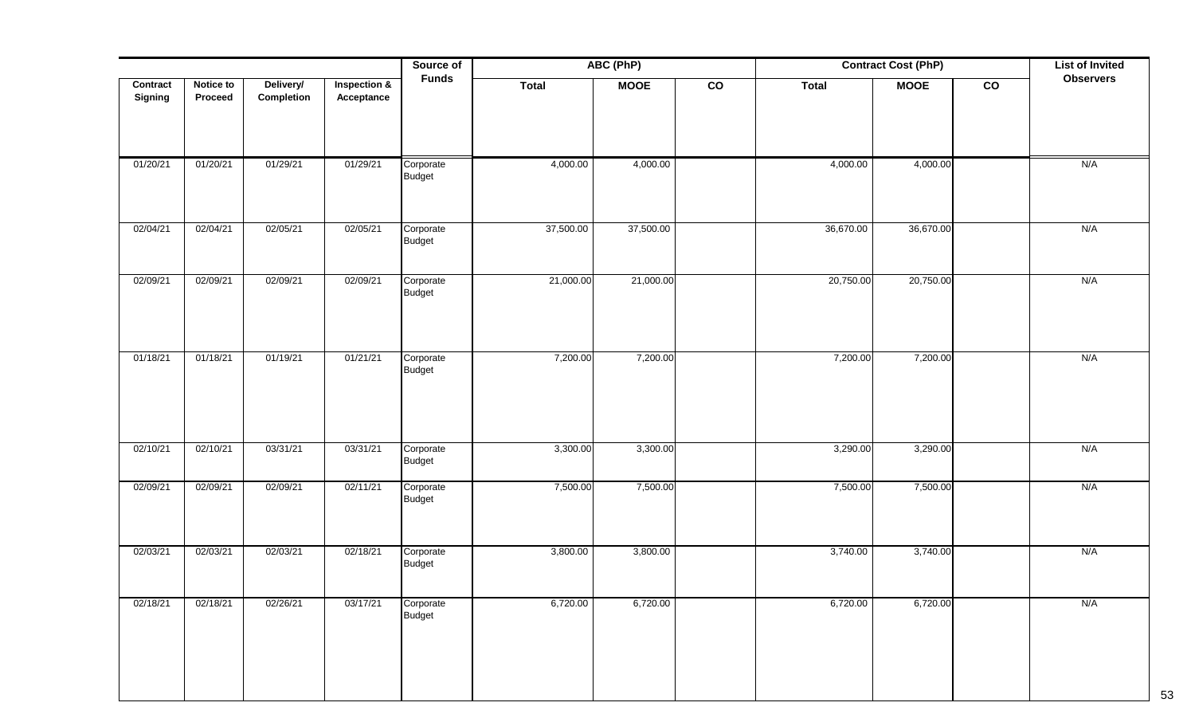|                     |                      |                         |                                       | Source of                  | <b>ABC (PhP)</b><br><b>Contract Cost (PhP)</b><br><b>Funds</b> |             |               |              |             | <b>List of Invited</b> |                  |
|---------------------|----------------------|-------------------------|---------------------------------------|----------------------------|----------------------------------------------------------------|-------------|---------------|--------------|-------------|------------------------|------------------|
| Contract<br>Signing | Notice to<br>Proceed | Delivery/<br>Completion | <b>Inspection &amp;</b><br>Acceptance |                            | <b>Total</b>                                                   | <b>MOOE</b> | $\mathsf{co}$ | <b>Total</b> | <b>MOOE</b> | $\mathbf{co}$          | <b>Observers</b> |
| 01/20/21            | 01/20/21             | 01/29/21                | 01/29/21                              | Corporate                  | 4,000.00                                                       | 4,000.00    |               | 4,000.00     | 4,000.00    |                        | N/A              |
|                     |                      |                         |                                       | <b>Budget</b>              |                                                                |             |               |              |             |                        |                  |
| 02/04/21            | 02/04/21             | 02/05/21                | 02/05/21                              | Corporate<br>Budget        | 37,500.00                                                      | 37,500.00   |               | 36,670.00    | 36,670.00   |                        | N/A              |
| 02/09/21            | 02/09/21             | 02/09/21                | 02/09/21                              | Corporate<br>Budget        | 21,000.00                                                      | 21,000.00   |               | 20,750.00    | 20,750.00   |                        | N/A              |
| 01/18/21            | 01/18/21             | 01/19/21                | 01/21/21                              | Corporate<br><b>Budget</b> | 7,200.00                                                       | 7,200.00    |               | 7,200.00     | 7,200.00    |                        | N/A              |
| 02/10/21            | 02/10/21             | 03/31/21                | 03/31/21                              | Corporate<br><b>Budget</b> | 3,300.00                                                       | 3,300.00    |               | 3,290.00     | 3,290.00    |                        | N/A              |
| 02/09/21            | 02/09/21             | 02/09/21                | 02/11/21                              | Corporate<br>Budget        | 7,500.00                                                       | 7,500.00    |               | 7,500.00     | 7,500.00    |                        | N/A              |
| 02/03/21            | 02/03/21             | 02/03/21                | 02/18/21                              | Corporate<br>Budget        | 3,800.00                                                       | 3,800.00    |               | 3,740.00     | 3,740.00    |                        | N/A              |
| 02/18/21            | 02/18/21             | 02/26/21                | 03/17/21                              | Corporate<br><b>Budget</b> | 6,720.00                                                       | 6,720.00    |               | 6,720.00     | 6,720.00    |                        | N/A              |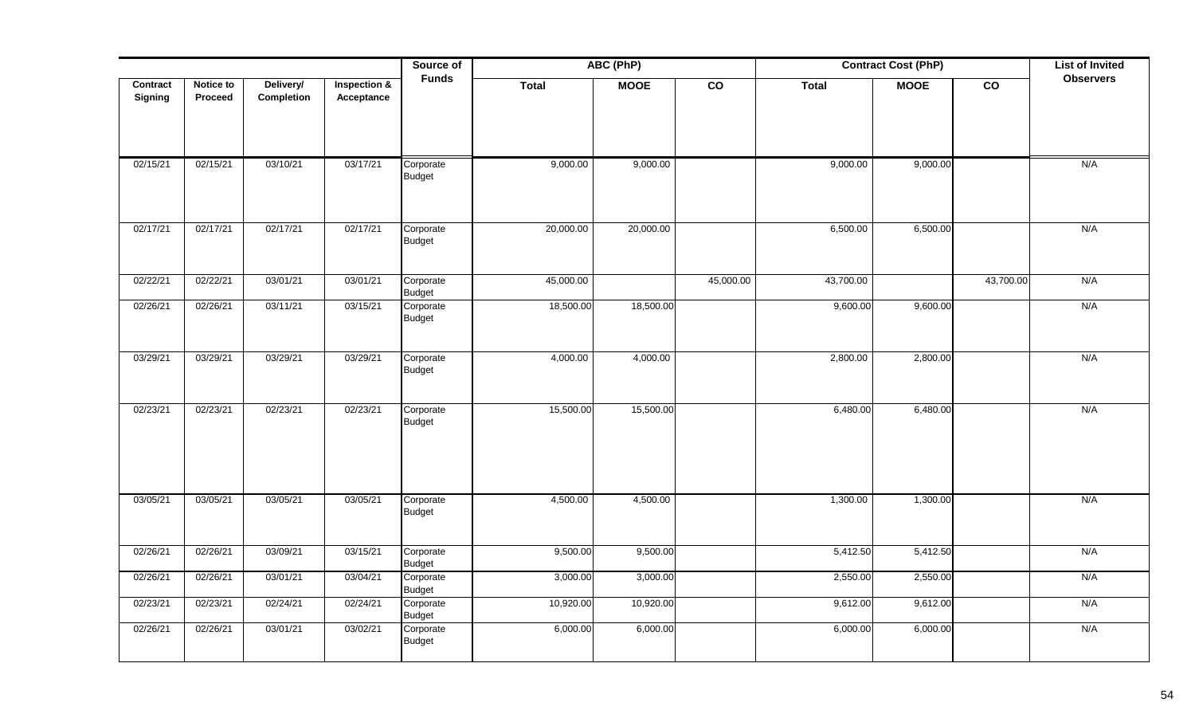|                     |                      |                         |                            | Source of                  | ABC (PhP)<br><b>Contract Cost (PhP)</b><br>$\overline{co}$<br>$\overline{co}$<br><b>Total</b><br><b>MOOE</b><br><b>Total</b><br><b>MOOE</b> |           |           |           |          |           | <b>List of Invited</b> |
|---------------------|----------------------|-------------------------|----------------------------|----------------------------|---------------------------------------------------------------------------------------------------------------------------------------------|-----------|-----------|-----------|----------|-----------|------------------------|
| Contract<br>Signing | Notice to<br>Proceed | Delivery/<br>Completion | Inspection &<br>Acceptance | <b>Funds</b>               |                                                                                                                                             |           |           |           |          |           | <b>Observers</b>       |
| 02/15/21            | 02/15/21             | 03/10/21                | 03/17/21                   | Corporate<br><b>Budget</b> | 9,000.00                                                                                                                                    | 9,000.00  |           | 9,000.00  | 9,000.00 |           | N/A                    |
| 02/17/21            | 02/17/21             | 02/17/21                | 02/17/21                   | Corporate<br><b>Budget</b> | 20,000.00                                                                                                                                   | 20,000.00 |           | 6,500.00  | 6,500.00 |           | N/A                    |
| 02/22/21            | 02/22/21             | 03/01/21                | 03/01/21                   | Corporate<br><b>Budget</b> | 45,000.00                                                                                                                                   |           | 45,000.00 | 43,700.00 |          | 43,700.00 | N/A                    |
| 02/26/21            | 02/26/21             | 03/11/21                | 03/15/21                   | Corporate<br><b>Budget</b> | 18,500.00                                                                                                                                   | 18,500.00 |           | 9,600.00  | 9,600.00 |           | N/A                    |
| 03/29/21            | 03/29/21             | 03/29/21                | 03/29/21                   | Corporate<br><b>Budget</b> | 4,000.00                                                                                                                                    | 4,000.00  |           | 2,800.00  | 2,800.00 |           | N/A                    |
| 02/23/21            | 02/23/21             | 02/23/21                | 02/23/21                   | Corporate<br><b>Budget</b> | 15,500.00                                                                                                                                   | 15,500.00 |           | 6,480.00  | 6,480.00 |           | N/A                    |
| 03/05/21            | 03/05/21             | 03/05/21                | 03/05/21                   | Corporate<br><b>Budget</b> | 4,500.00                                                                                                                                    | 4,500.00  |           | 1,300.00  | 1,300.00 |           | N/A                    |
| 02/26/21            | 02/26/21             | 03/09/21                | 03/15/21                   | Corporate<br><b>Budget</b> | 9,500.00                                                                                                                                    | 9,500.00  |           | 5,412.50  | 5,412.50 |           | N/A                    |
| 02/26/21            | 02/26/21             | 03/01/21                | 03/04/21                   | Corporate<br><b>Budget</b> | 3,000.00                                                                                                                                    | 3,000.00  |           | 2,550.00  | 2,550.00 |           | N/A                    |
| 02/23/21            | 02/23/21             | 02/24/21                | 02/24/21                   | Corporate<br><b>Budget</b> | 10,920.00                                                                                                                                   | 10,920.00 |           | 9,612.00  | 9,612.00 |           | N/A                    |
| 02/26/21            | 02/26/21             | 03/01/21                | 03/02/21                   | Corporate<br><b>Budget</b> | 6,000.00                                                                                                                                    | 6,000.00  |           | 6,000.00  | 6,000.00 |           | N/A                    |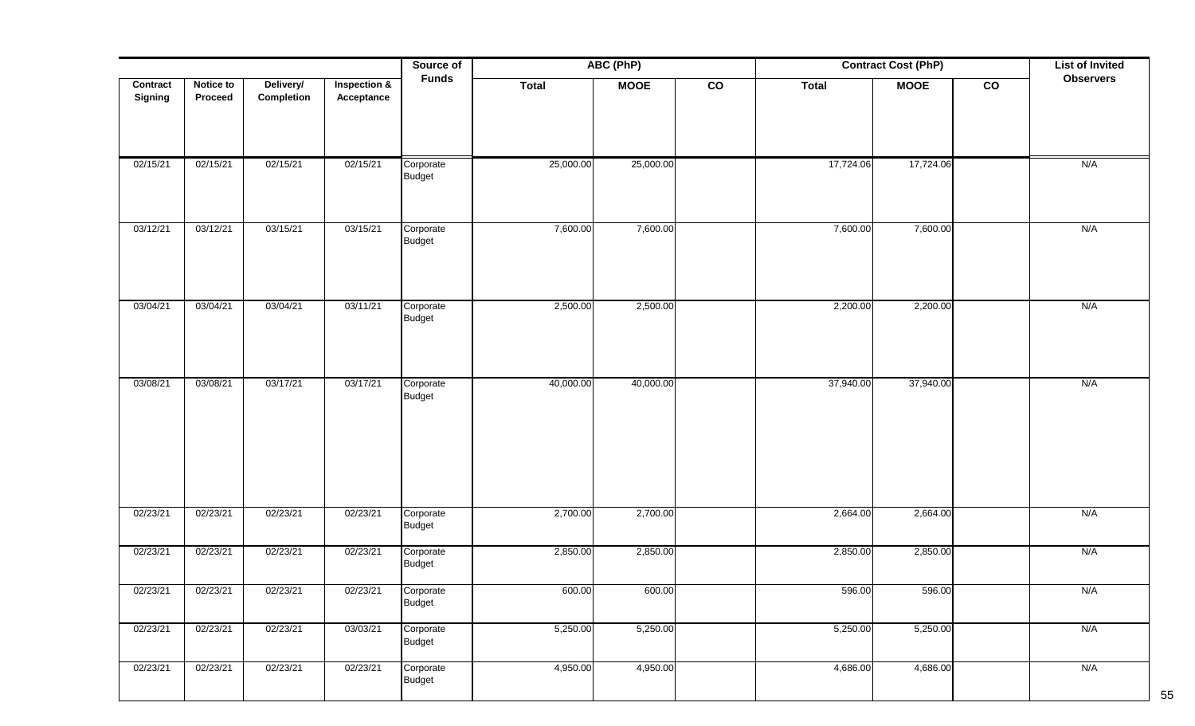|                     |                      |                         |                                       | Source of                  | ABC (PhP)    |             |             |              | <b>Contract Cost (PhP)</b> |               | <b>List of Invited</b> |
|---------------------|----------------------|-------------------------|---------------------------------------|----------------------------|--------------|-------------|-------------|--------------|----------------------------|---------------|------------------------|
| Contract<br>Signing | Notice to<br>Proceed | Delivery/<br>Completion | <b>Inspection &amp;</b><br>Acceptance | <b>Funds</b>               | <b>Total</b> | <b>MOOE</b> | $_{\rm CO}$ | <b>Total</b> | <b>MOOE</b>                | $\mathbf{co}$ | <b>Observers</b>       |
| 02/15/21            | 02/15/21             | 02/15/21                | 02/15/21                              | Corporate<br><b>Budget</b> | 25,000.00    | 25,000.00   |             | 17,724.06    | 17,724.06                  |               | N/A                    |
| 03/12/21            | 03/12/21             | 03/15/21                | 03/15/21                              | Corporate<br><b>Budget</b> | 7,600.00     | 7,600.00    |             | 7,600.00     | 7,600.00                   |               | N/A                    |
| 03/04/21            | 03/04/21             | 03/04/21                | 03/11/21                              | Corporate<br><b>Budget</b> | 2,500.00     | 2,500.00    |             | 2,200.00     | 2,200.00                   |               | N/A                    |
| 03/08/21            | 03/08/21             | 03/17/21                | 03/17/21                              | Corporate<br><b>Budget</b> | 40,000.00    | 40,000.00   |             | 37,940.00    | 37,940.00                  |               | N/A                    |
| 02/23/21            | 02/23/21             | 02/23/21                | 02/23/21                              | Corporate<br><b>Budget</b> | 2,700.00     | 2,700.00    |             | 2,664.00     | 2,664.00                   |               | N/A                    |
| 02/23/21            | 02/23/21             | 02/23/21                | 02/23/21                              | Corporate<br><b>Budget</b> | 2,850.00     | 2,850.00    |             | 2,850.00     | 2,850.00                   |               | N/A                    |
| 02/23/21            | 02/23/21             | 02/23/21                | 02/23/21                              | Corporate<br><b>Budget</b> | 600.00       | 600.00      |             | 596.00       | 596.00                     |               | N/A                    |
| 02/23/21            | 02/23/21             | 02/23/21                | 03/03/21                              | Corporate<br><b>Budget</b> | 5,250.00     | 5,250.00    |             | 5,250.00     | 5,250.00                   |               | N/A                    |
| 02/23/21            | 02/23/21             | 02/23/21                | 02/23/21                              | Corporate<br><b>Budget</b> | 4,950.00     | 4,950.00    |             | 4,686.00     | 4,686.00                   |               | N/A                    |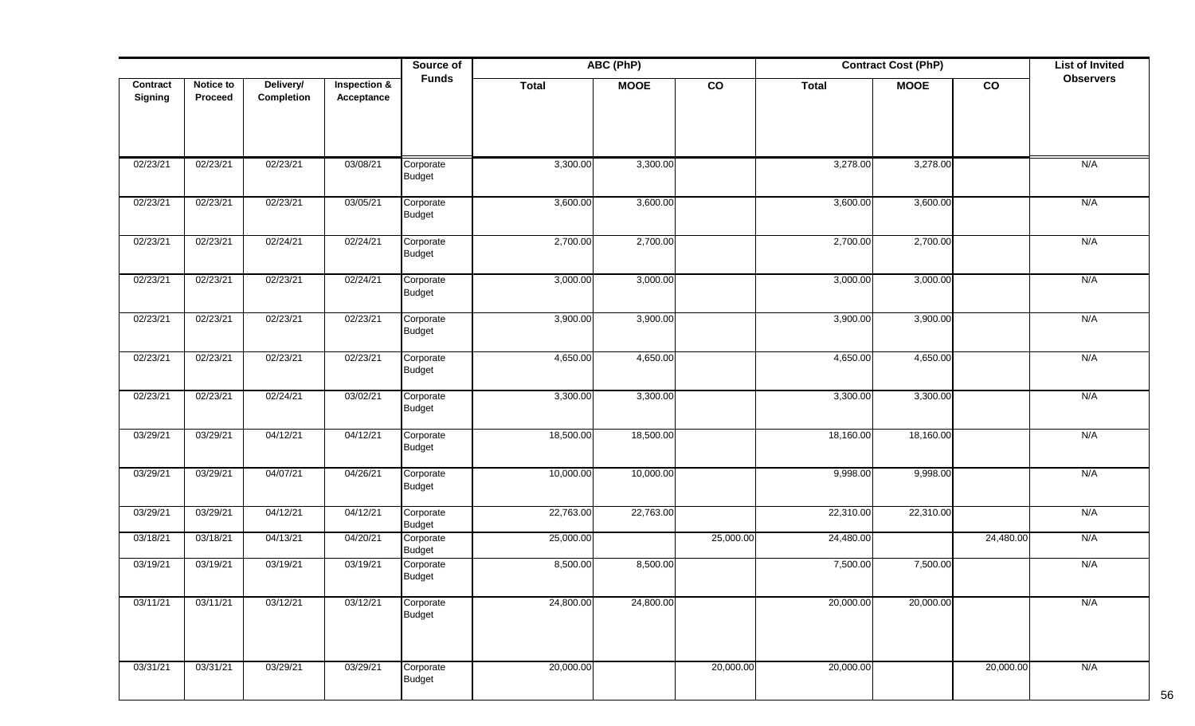| <b>Notice to</b><br>Delivery/ |          |            |                                       | ABC (PhP)<br>Source of<br><b>Funds</b> |              |             |               | <b>Contract Cost (PhP)</b> |             |                 |                  |
|-------------------------------|----------|------------|---------------------------------------|----------------------------------------|--------------|-------------|---------------|----------------------------|-------------|-----------------|------------------|
| Contract<br>Signing           | Proceed  | Completion | <b>Inspection &amp;</b><br>Acceptance |                                        | <b>Total</b> | <b>MOOE</b> | $\mathsf{co}$ | <b>Total</b>               | <b>MOOE</b> | $\mathsf{co}\,$ | <b>Observers</b> |
| 02/23/21                      | 02/23/21 | 02/23/21   | 03/08/21                              | Corporate<br><b>Budget</b>             | 3,300.00     | 3,300.00    |               | 3,278.00                   | 3,278.00    |                 | N/A              |
| 02/23/21                      | 02/23/21 | 02/23/21   | 03/05/21                              | Corporate<br>Budget                    | 3,600.00     | 3,600.00    |               | 3,600.00                   | 3,600.00    |                 | N/A              |
| 02/23/21                      | 02/23/21 | 02/24/21   | 02/24/21                              | Corporate<br><b>Budget</b>             | 2,700.00     | 2,700.00    |               | 2,700.00                   | 2,700.00    |                 | N/A              |
| 02/23/21                      | 02/23/21 | 02/23/21   | 02/24/21                              | Corporate<br><b>Budget</b>             | 3,000.00     | 3,000.00    |               | 3,000.00                   | 3,000.00    |                 | N/A              |
| 02/23/21                      | 02/23/21 | 02/23/21   | 02/23/21                              | Corporate<br><b>Budget</b>             | 3,900.00     | 3,900.00    |               | 3,900.00                   | 3,900.00    |                 | N/A              |
| 02/23/21                      | 02/23/21 | 02/23/21   | 02/23/21                              | Corporate<br><b>Budget</b>             | 4,650.00     | 4,650.00    |               | 4,650.00                   | 4,650.00    |                 | N/A              |
| 02/23/21                      | 02/23/21 | 02/24/21   | 03/02/21                              | Corporate<br>Budget                    | 3,300.00     | 3,300.00    |               | 3,300.00                   | 3,300.00    |                 | N/A              |
| 03/29/21                      | 03/29/21 | 04/12/21   | 04/12/21                              | Corporate<br><b>Budget</b>             | 18,500.00    | 18,500.00   |               | 18,160.00                  | 18,160.00   |                 | N/A              |
| 03/29/21                      | 03/29/21 | 04/07/21   | 04/26/21                              | Corporate<br><b>Budget</b>             | 10,000.00    | 10,000.00   |               | 9,998.00                   | 9,998.00    |                 | N/A              |
| 03/29/21                      | 03/29/21 | 04/12/21   | 04/12/21                              | Corporate<br><b>Budget</b>             | 22,763.00    | 22,763.00   |               | 22,310.00                  | 22,310.00   |                 | N/A              |
| 03/18/21                      | 03/18/21 | 04/13/21   | 04/20/21                              | Corporate<br><b>Budget</b>             | 25,000.00    |             | 25,000.00     | 24,480.00                  |             | 24,480.00       | N/A              |
| 03/19/21                      | 03/19/21 | 03/19/21   | 03/19/21                              | Corporate<br><b>Budget</b>             | 8,500.00     | 8,500.00    |               | 7,500.00                   | 7,500.00    |                 | N/A              |
| 03/11/21                      | 03/11/21 | 03/12/21   | 03/12/21                              | Corporate<br>Budget                    | 24,800.00    | 24,800.00   |               | 20,000.00                  | 20,000.00   |                 | N/A              |
| 03/31/21                      | 03/31/21 | 03/29/21   | 03/29/21                              | Corporate<br><b>Budget</b>             | 20,000.00    |             | 20,000.00     | 20,000.00                  |             | 20,000.00       | N/A              |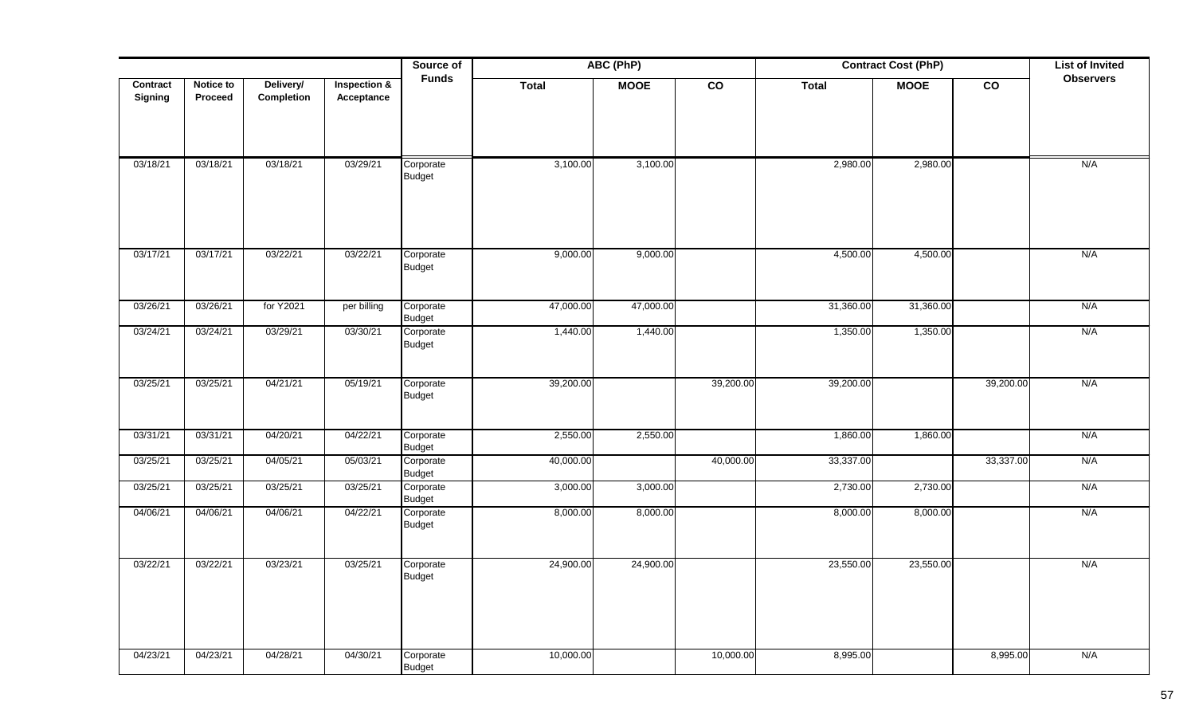|          |           |            |              | Source of                  |           | ABC (PhP)   | <b>Contract Cost (PhP)</b> |              |             |                 | <b>List of Invited</b> |
|----------|-----------|------------|--------------|----------------------------|-----------|-------------|----------------------------|--------------|-------------|-----------------|------------------------|
| Contract | Notice to | Delivery/  | Inspection & | <b>Funds</b>               | Total     | <b>MOOE</b> | $\overline{co}$            | <b>Total</b> | <b>MOOE</b> | $\overline{co}$ | <b>Observers</b>       |
| Signing  | Proceed   | Completion | Acceptance   |                            |           |             |                            |              |             |                 |                        |
|          |           |            |              |                            |           |             |                            |              |             |                 |                        |
|          |           |            |              |                            |           |             |                            |              |             |                 |                        |
| 03/18/21 | 03/18/21  | 03/18/21   | 03/29/21     | Corporate                  | 3,100.00  | 3,100.00    |                            | 2,980.00     | 2,980.00    |                 | N/A                    |
|          |           |            |              | Budget                     |           |             |                            |              |             |                 |                        |
|          |           |            |              |                            |           |             |                            |              |             |                 |                        |
|          |           |            |              |                            |           |             |                            |              |             |                 |                        |
|          |           |            |              |                            |           |             |                            |              |             |                 |                        |
| 03/17/21 | 03/17/21  | 03/22/21   | 03/22/21     | Corporate                  | 9,000.00  | 9,000.00    |                            | 4,500.00     | 4,500.00    |                 | N/A                    |
|          |           |            |              | Budget                     |           |             |                            |              |             |                 |                        |
|          |           |            |              |                            |           |             |                            |              |             |                 |                        |
| 03/26/21 | 03/26/21  | for Y2021  | per billing  | Corporate                  | 47,000.00 | 47,000.00   |                            | 31,360.00    | 31,360.00   |                 | N/A                    |
| 03/24/21 | 03/24/21  | 03/29/21   | 03/30/21     | Budget<br>Corporate        | 1,440.00  | 1,440.00    |                            | 1,350.00     | 1,350.00    |                 | N/A                    |
|          |           |            |              | Budget                     |           |             |                            |              |             |                 |                        |
|          |           |            |              |                            |           |             |                            |              |             |                 |                        |
| 03/25/21 | 03/25/21  | 04/21/21   | 05/19/21     | Corporate                  | 39,200.00 |             | 39,200.00                  | 39,200.00    |             | 39,200.00       | N/A                    |
|          |           |            |              | Budget                     |           |             |                            |              |             |                 |                        |
|          |           |            |              |                            |           |             |                            |              |             |                 |                        |
| 03/31/21 | 03/31/21  | 04/20/21   | 04/22/21     | Corporate                  | 2,550.00  | 2,550.00    |                            | 1,860.00     | 1,860.00    |                 | N/A                    |
|          |           |            |              | Budget                     |           |             |                            |              |             |                 |                        |
| 03/25/21 | 03/25/21  | 04/05/21   | 05/03/21     | Corporate<br>Budget        | 40,000.00 |             | 40,000.00                  | 33,337.00    |             | 33,337.00       | N/A                    |
| 03/25/21 | 03/25/21  | 03/25/21   | 03/25/21     | Corporate                  | 3,000.00  | 3,000.00    |                            | 2,730.00     | 2,730.00    |                 | N/A                    |
| 04/06/21 | 04/06/21  | 04/06/21   | 04/22/21     | <b>Budget</b>              | 8,000.00  | 8,000.00    |                            | 8,000.00     | 8,000.00    |                 | N/A                    |
|          |           |            |              | Corporate<br><b>Budget</b> |           |             |                            |              |             |                 |                        |
|          |           |            |              |                            |           |             |                            |              |             |                 |                        |
| 03/22/21 | 03/22/21  | 03/23/21   | 03/25/21     | Corporate                  | 24,900.00 | 24,900.00   |                            | 23,550.00    | 23,550.00   |                 | N/A                    |
|          |           |            |              | <b>Budget</b>              |           |             |                            |              |             |                 |                        |
|          |           |            |              |                            |           |             |                            |              |             |                 |                        |
|          |           |            |              |                            |           |             |                            |              |             |                 |                        |
|          |           |            |              |                            |           |             |                            |              |             |                 |                        |
| 04/23/21 | 04/23/21  | 04/28/21   | 04/30/21     | Corporate                  | 10,000.00 |             | 10,000.00                  | 8,995.00     |             | 8,995.00        | N/A                    |
|          |           |            |              | <b>Budget</b>              |           |             |                            |              |             |                 |                        |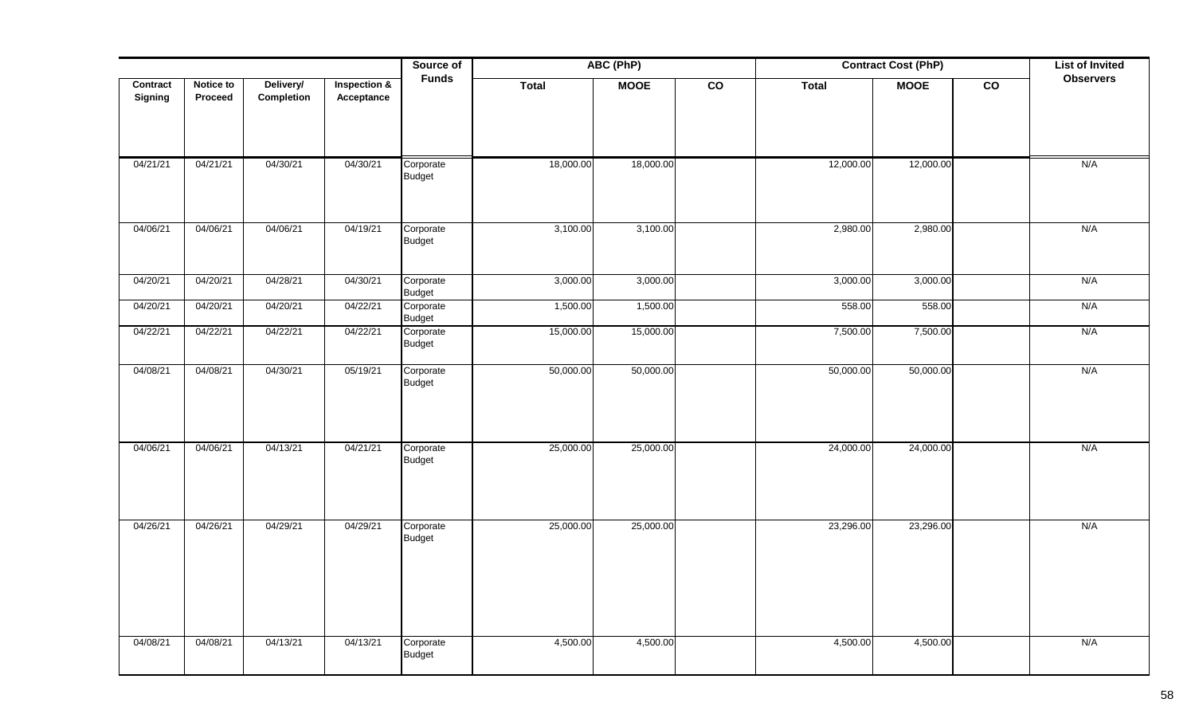|                     |                      |                         |                            | Source of                  | ABC (PhP)<br><b>Contract Cost (PhP)</b> |             |                 |              |             |                 | <b>List of Invited</b> |
|---------------------|----------------------|-------------------------|----------------------------|----------------------------|-----------------------------------------|-------------|-----------------|--------------|-------------|-----------------|------------------------|
| Contract<br>Signing | Notice to<br>Proceed | Delivery/<br>Completion | Inspection &<br>Acceptance | <b>Funds</b>               | Total                                   | <b>MOOE</b> | $\overline{co}$ | <b>Total</b> | <b>MOOE</b> | $\overline{co}$ | <b>Observers</b>       |
| 04/21/21            | 04/21/21             | 04/30/21                | 04/30/21                   | Corporate<br>Budget        | 18,000.00                               | 18,000.00   |                 | 12,000.00    | 12,000.00   |                 | N/A                    |
| 04/06/21            | 04/06/21             | 04/06/21                | 04/19/21                   | Corporate<br>Budget        | 3,100.00                                | 3,100.00    |                 | 2,980.00     | 2,980.00    |                 | N/A                    |
| 04/20/21            | 04/20/21             | 04/28/21                | 04/30/21                   | Corporate<br><b>Budget</b> | 3,000.00                                | 3,000.00    |                 | 3,000.00     | 3,000.00    |                 | N/A                    |
| 04/20/21            | 04/20/21             | 04/20/21                | 04/22/21                   | Corporate<br><b>Budget</b> | 1,500.00                                | 1,500.00    |                 | 558.00       | 558.00      |                 | N/A                    |
| 04/22/21            | 04/22/21             | 04/22/21                | 04/22/21                   | Corporate<br><b>Budget</b> | 15,000.00                               | 15,000.00   |                 | 7,500.00     | 7,500.00    |                 | N/A                    |
| 04/08/21            | 04/08/21             | 04/30/21                | 05/19/21                   | Corporate<br><b>Budget</b> | 50,000.00                               | 50,000.00   |                 | 50,000.00    | 50,000.00   |                 | N/A                    |
| 04/06/21            | 04/06/21             | 04/13/21                | 04/21/21                   | Corporate<br>Budget        | 25,000.00                               | 25,000.00   |                 | 24,000.00    | 24,000.00   |                 | N/A                    |
| 04/26/21            | 04/26/21             | 04/29/21                | 04/29/21                   | Corporate<br>Budget        | 25,000.00                               | 25,000.00   |                 | 23,296.00    | 23,296.00   |                 | N/A                    |
| 04/08/21            | 04/08/21             | 04/13/21                | 04/13/21                   | Corporate<br>Budget        | 4,500.00                                | 4,500.00    |                 | 4,500.00     | 4,500.00    |                 | N/A                    |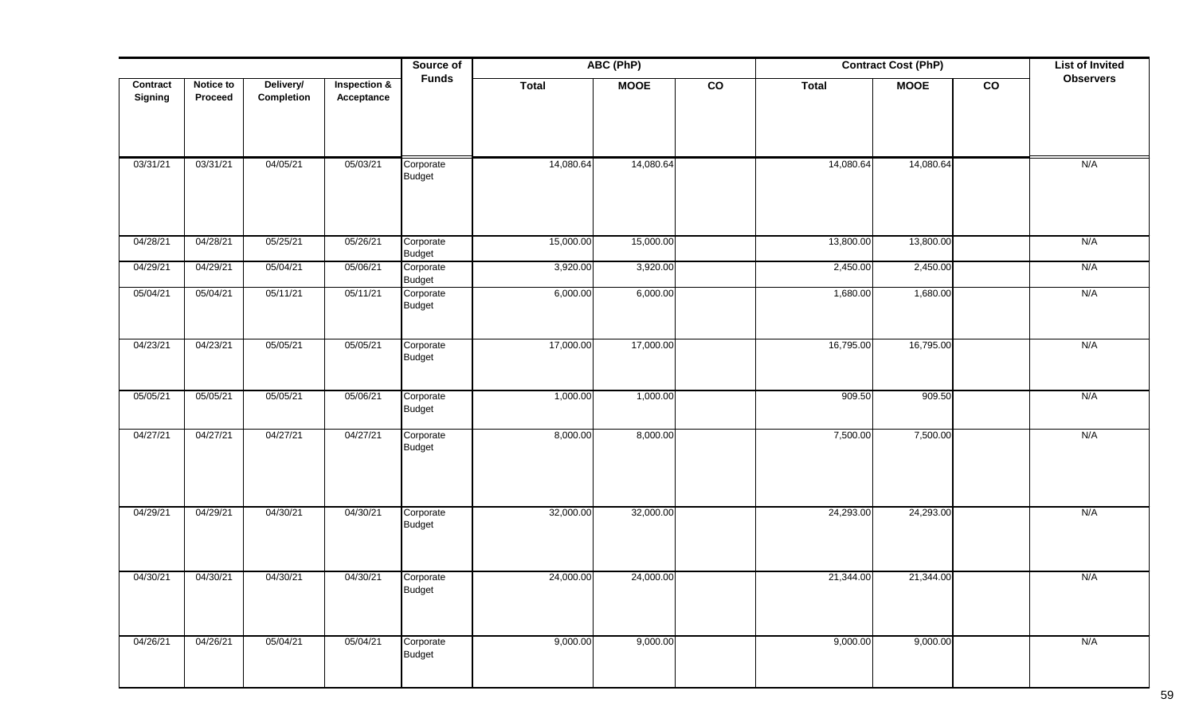|                |           |            |                         | Source of                  |              | ABC (PhP)   |                |              | <b>List of Invited</b> |                |                  |
|----------------|-----------|------------|-------------------------|----------------------------|--------------|-------------|----------------|--------------|------------------------|----------------|------------------|
| Contract       | Notice to | Delivery/  | <b>Inspection &amp;</b> | <b>Funds</b>               | <b>Total</b> | <b>MOOE</b> | $\overline{c}$ | <b>Total</b> | <b>MOOE</b>            | $\overline{c}$ | <b>Observers</b> |
| <b>Signing</b> | Proceed   | Completion | Acceptance              |                            |              |             |                |              |                        |                |                  |
|                |           |            |                         |                            |              |             |                |              |                        |                |                  |
|                |           |            |                         |                            |              |             |                |              |                        |                |                  |
| 03/31/21       | 03/31/21  | 04/05/21   | 05/03/21                | Corporate                  | 14,080.64    | 14,080.64   |                | 14,080.64    | 14,080.64              |                | N/A              |
|                |           |            |                         | Budget                     |              |             |                |              |                        |                |                  |
|                |           |            |                         |                            |              |             |                |              |                        |                |                  |
|                |           |            |                         |                            |              |             |                |              |                        |                |                  |
| 04/28/21       | 04/28/21  | 05/25/21   | 05/26/21                | Corporate<br><b>Budget</b> | 15,000.00    | 15,000.00   |                | 13,800.00    | 13,800.00              |                | N/A              |
| 04/29/21       | 04/29/21  | 05/04/21   | 05/06/21                | Corporate                  | 3,920.00     | 3,920.00    |                | 2,450.00     | 2,450.00               |                | N/A              |
| 05/04/21       | 05/04/21  | 05/11/21   | 05/11/21                | <b>Budget</b><br>Corporate | 6,000.00     | 6,000.00    |                | 1,680.00     | 1,680.00               |                | N/A              |
|                |           |            |                         | <b>Budget</b>              |              |             |                |              |                        |                |                  |
|                |           |            |                         |                            |              |             |                |              |                        |                |                  |
| 04/23/21       | 04/23/21  | 05/05/21   | 05/05/21                | Corporate<br>Budget        | 17,000.00    | 17,000.00   |                | 16,795.00    | 16,795.00              |                | N/A              |
|                |           |            |                         |                            |              |             |                |              |                        |                |                  |
| 05/05/21       | 05/05/21  | 05/05/21   | 05/06/21                | Corporate                  | 1,000.00     | 1,000.00    |                | 909.50       | 909.50                 |                | N/A              |
|                |           |            |                         | Budget                     |              |             |                |              |                        |                |                  |
| 04/27/21       | 04/27/21  | 04/27/21   | 04/27/21                | Corporate                  | 8,000.00     | 8,000.00    |                | 7,500.00     | 7,500.00               |                | N/A              |
|                |           |            |                         | Budget                     |              |             |                |              |                        |                |                  |
|                |           |            |                         |                            |              |             |                |              |                        |                |                  |
|                |           |            |                         |                            |              |             |                |              |                        |                |                  |
| 04/29/21       | 04/29/21  | 04/30/21   | 04/30/21                | Corporate<br>Budget        | 32,000.00    | 32,000.00   |                | 24,293.00    | 24,293.00              |                | N/A              |
|                |           |            |                         |                            |              |             |                |              |                        |                |                  |
|                |           |            |                         |                            |              |             |                |              |                        |                |                  |
| 04/30/21       | 04/30/21  | 04/30/21   | 04/30/21                | Corporate<br>Budget        | 24,000.00    | 24,000.00   |                | 21,344.00    | 21,344.00              |                | N/A              |
|                |           |            |                         |                            |              |             |                |              |                        |                |                  |
|                |           |            |                         |                            |              |             |                |              |                        |                |                  |
| 04/26/21       | 04/26/21  | 05/04/21   | 05/04/21                | Corporate<br>Budget        | 9,000.00     | 9,000.00    |                | 9,000.00     | 9,000.00               |                | N/A              |
|                |           |            |                         |                            |              |             |                |              |                        |                |                  |
|                |           |            |                         |                            |              |             |                |              |                        |                |                  |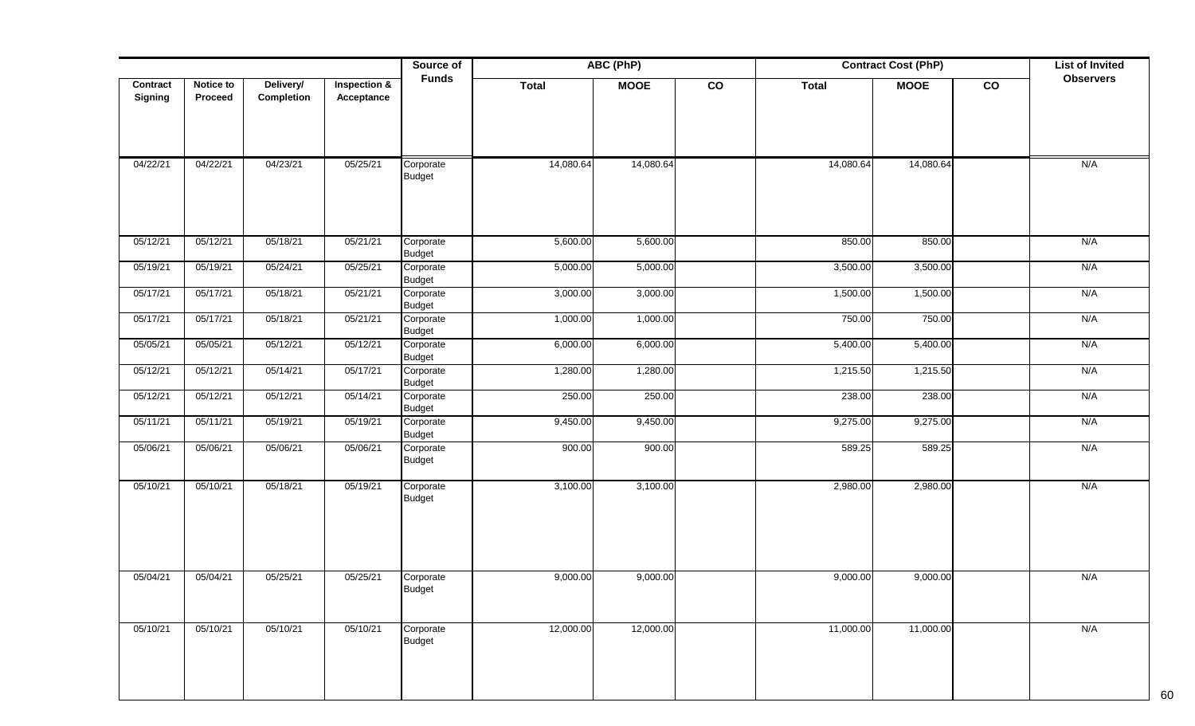|                     |                      |                         |                                       | Source of                  | ABC (PhP)    |             |    | <b>Contract Cost (PhP)</b> |             | <b>List of Invited</b> |                  |
|---------------------|----------------------|-------------------------|---------------------------------------|----------------------------|--------------|-------------|----|----------------------------|-------------|------------------------|------------------|
| Contract<br>Signing | Notice to<br>Proceed | Delivery/<br>Completion | <b>Inspection &amp;</b><br>Acceptance | <b>Funds</b>               | <b>Total</b> | <b>MOOE</b> | co | <b>Total</b>               | <b>MOOE</b> | co                     | <b>Observers</b> |
| 04/22/21            | 04/22/21             | 04/23/21                | 05/25/21                              | Corporate<br><b>Budget</b> | 14,080.64    | 14,080.64   |    | 14,080.64                  | 14,080.64   |                        | N/A              |
| 05/12/21            | 05/12/21             | 05/18/21                | 05/21/21                              | Corporate<br><b>Budget</b> | 5,600.00     | 5,600.00    |    | 850.00                     | 850.00      |                        | N/A              |
| 05/19/21            | 05/19/21             | 05/24/21                | 05/25/21                              | Corporate<br><b>Budget</b> | 5,000.00     | 5,000.00    |    | 3,500.00                   | 3,500.00    |                        | N/A              |
| 05/17/21            | 05/17/21             | 05/18/21                | 05/21/21                              | Corporate<br><b>Budget</b> | 3,000.00     | 3,000.00    |    | 1,500.00                   | 1,500.00    |                        | N/A              |
| 05/17/21            | 05/17/21             | 05/18/21                | 05/21/21                              | Corporate<br><b>Budget</b> | 1,000.00     | 1,000.00    |    | 750.00                     | 750.00      |                        | N/A              |
| 05/05/21            | 05/05/21             | 05/12/21                | 05/12/21                              | Corporate<br><b>Budget</b> | 6,000.00     | 6,000.00    |    | 5,400.00                   | 5,400.00    |                        | N/A              |
| 05/12/21            | 05/12/21             | 05/14/21                | 05/17/21                              | Corporate<br><b>Budget</b> | 1,280.00     | 1,280.00    |    | 1,215.50                   | 1,215.50    |                        | N/A              |
| 05/12/21            | 05/12/21             | 05/12/21                | 05/14/21                              | Corporate<br><b>Budget</b> | 250.00       | 250.00      |    | 238.00                     | 238.00      |                        | N/A              |
| 05/11/21            | 05/11/21             | 05/19/21                | 05/19/21                              | Corporate<br><b>Budget</b> | 9,450.00     | 9,450.00    |    | 9,275.00                   | 9,275.00    |                        | N/A              |
| 05/06/21            | 05/06/21             | 05/06/21                | 05/06/21                              | Corporate<br><b>Budget</b> | 900.00       | 900.00      |    | 589.25                     | 589.25      |                        | N/A              |
| 05/10/21            | 05/10/21             | 05/18/21                | 05/19/21                              | Corporate<br><b>Budget</b> | 3,100.00     | 3,100.00    |    | 2,980.00                   | 2,980.00    |                        | N/A              |
| 05/04/21            | 05/04/21             | 05/25/21                | 05/25/21                              | Corporate<br><b>Budget</b> | 9,000.00     | 9,000.00    |    | 9,000.00                   | 9,000.00    |                        | N/A              |
| 05/10/21            | 05/10/21             | 05/10/21                | 05/10/21                              | Corporate<br>Budget        | 12,000.00    | 12,000.00   |    | 11,000.00                  | 11,000.00   |                        | N/A              |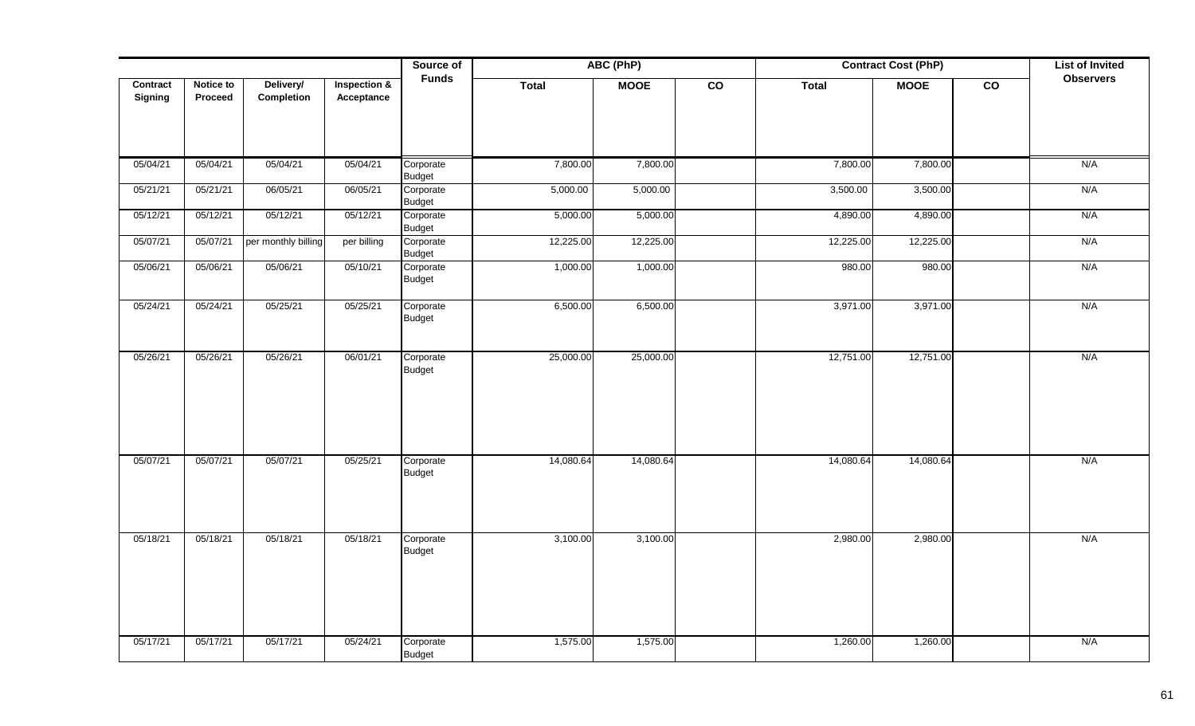|                     |                      |                         |                            | Source of                  | ABC (PhP)<br><b>Contract Cost (PhP)</b> |             |                 |           |             |                 | <b>List of Invited</b> |
|---------------------|----------------------|-------------------------|----------------------------|----------------------------|-----------------------------------------|-------------|-----------------|-----------|-------------|-----------------|------------------------|
| Contract<br>Signing | Notice to<br>Proceed | Delivery/<br>Completion | Inspection &<br>Acceptance | <b>Funds</b>               | Total                                   | <b>MOOE</b> | $\overline{co}$ | Total     | <b>MOOE</b> | $\overline{co}$ | <b>Observers</b>       |
| 05/04/21            | 05/04/21             | 05/04/21                | 05/04/21                   | Corporate<br><b>Budget</b> | 7,800.00                                | 7,800.00    |                 | 7,800.00  | 7,800.00    |                 | N/A                    |
| 05/21/21            | 05/21/21             | 06/05/21                | 06/05/21                   | Corporate<br><b>Budget</b> | 5,000.00                                | 5,000.00    |                 | 3,500.00  | 3,500.00    |                 | N/A                    |
| 05/12/21            | 05/12/21             | 05/12/21                | 05/12/21                   | Corporate<br><b>Budget</b> | 5,000.00                                | 5,000.00    |                 | 4,890.00  | 4,890.00    |                 | N/A                    |
| 05/07/21            | 05/07/21             | per monthly billing     | per billing                | Corporate<br><b>Budget</b> | 12,225.00                               | 12,225.00   |                 | 12,225.00 | 12,225.00   |                 | N/A                    |
| 05/06/21            | 05/06/21             | 05/06/21                | 05/10/21                   | Corporate<br><b>Budget</b> | 1,000.00                                | 1,000.00    |                 | 980.00    | 980.00      |                 | N/A                    |
| 05/24/21            | 05/24/21             | 05/25/21                | 05/25/21                   | Corporate<br><b>Budget</b> | 6,500.00                                | 6,500.00    |                 | 3,971.00  | 3,971.00    |                 | N/A                    |
| 05/26/21            | 05/26/21             | 05/26/21                | 06/01/21                   | Corporate<br><b>Budget</b> | 25,000.00                               | 25,000.00   |                 | 12,751.00 | 12,751.00   |                 | N/A                    |
| 05/07/21            | 05/07/21             | 05/07/21                | 05/25/21                   | Corporate<br><b>Budget</b> | 14,080.64                               | 14,080.64   |                 | 14,080.64 | 14,080.64   |                 | N/A                    |
| 05/18/21            | 05/18/21             | 05/18/21                | 05/18/21                   | Corporate<br><b>Budget</b> | 3,100.00                                | 3,100.00    |                 | 2,980.00  | 2,980.00    |                 | N/A                    |
| 05/17/21            | 05/17/21             | 05/17/21                | 05/24/21                   | Corporate<br><b>Budget</b> | 1,575.00                                | 1,575.00    |                 | 1,260.00  | 1,260.00    |                 | N/A                    |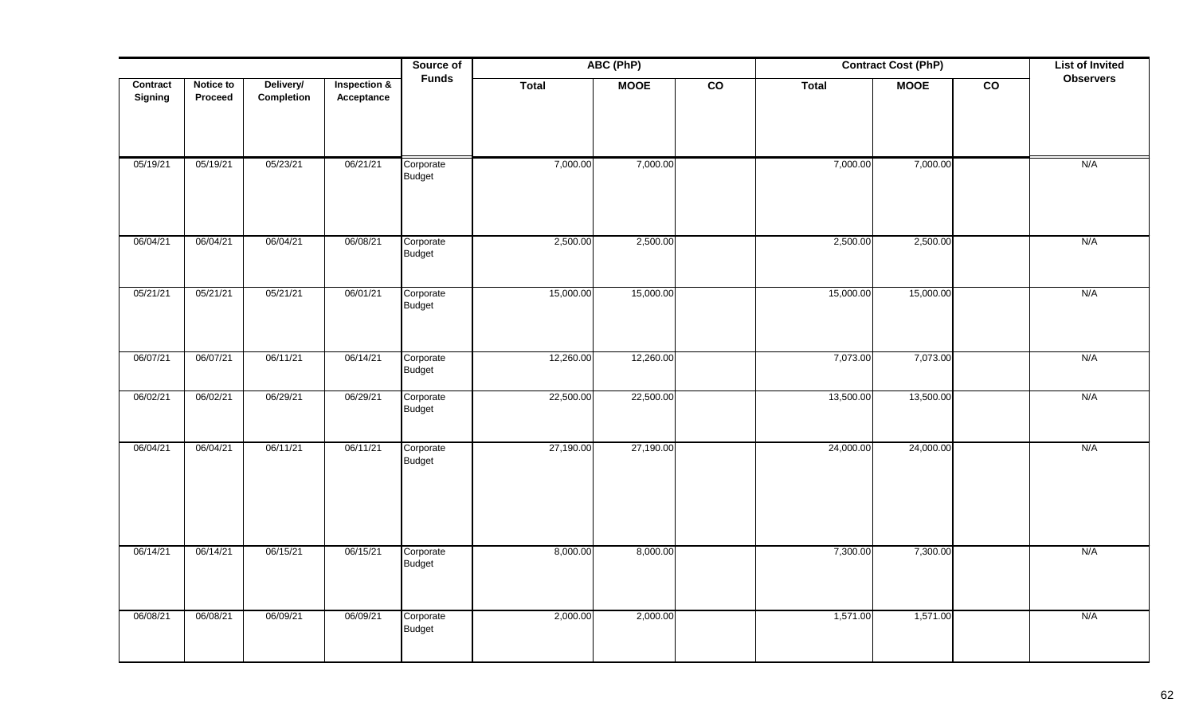|                     |                             |                         |                            | Source of<br>ABC (PhP)<br><b>Funds</b> |              |             |                 | <b>Contract Cost (PhP)</b> |             |                 | <b>List of Invited</b> |
|---------------------|-----------------------------|-------------------------|----------------------------|----------------------------------------|--------------|-------------|-----------------|----------------------------|-------------|-----------------|------------------------|
| Contract<br>Signing | <b>Notice to</b><br>Proceed | Delivery/<br>Completion | Inspection &<br>Acceptance |                                        | <b>Total</b> | <b>MOOE</b> | $\overline{co}$ | Total                      | <b>MOOE</b> | $\overline{co}$ | <b>Observers</b>       |
| 05/19/21            | 05/19/21                    | 05/23/21                | 06/21/21                   | Corporate<br>Budget                    | 7,000.00     | 7,000.00    |                 | 7,000.00                   | 7,000.00    |                 | N/A                    |
| 06/04/21            | 06/04/21                    | 06/04/21                | 06/08/21                   | Corporate<br>Budget                    | 2,500.00     | 2,500.00    |                 | 2,500.00                   | 2,500.00    |                 | N/A                    |
| 05/21/21            | 05/21/21                    | 05/21/21                | 06/01/21                   | Corporate<br><b>Budget</b>             | 15,000.00    | 15,000.00   |                 | 15,000.00                  | 15,000.00   |                 | N/A                    |
| 06/07/21            | 06/07/21                    | 06/11/21                | 06/14/21                   | Corporate<br><b>Budget</b>             | 12,260.00    | 12,260.00   |                 | 7,073.00                   | 7,073.00    |                 | N/A                    |
| 06/02/21            | 06/02/21                    | 06/29/21                | 06/29/21                   | Corporate<br><b>Budget</b>             | 22,500.00    | 22,500.00   |                 | 13,500.00                  | 13,500.00   |                 | N/A                    |
| 06/04/21            | 06/04/21                    | 06/11/21                | 06/11/21                   | Corporate<br><b>Budget</b>             | 27,190.00    | 27,190.00   |                 | 24,000.00                  | 24,000.00   |                 | N/A                    |
| 06/14/21            | 06/14/21                    | 06/15/21                | 06/15/21                   | Corporate<br><b>Budget</b>             | 8,000.00     | 8,000.00    |                 | 7,300.00                   | 7,300.00    |                 | N/A                    |
| 06/08/21            | 06/08/21                    | 06/09/21                | 06/09/21                   | Corporate<br><b>Budget</b>             | 2,000.00     | 2,000.00    |                 | 1,571.00                   | 1,571.00    |                 | N/A                    |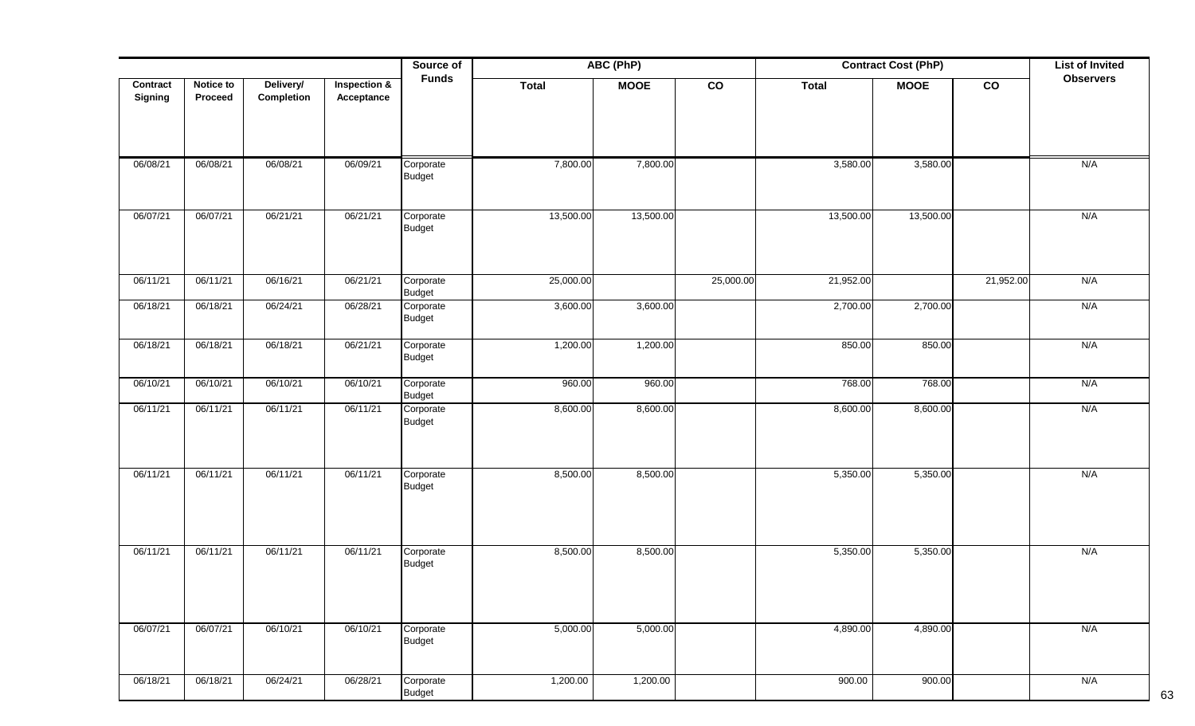|                     |                      |                         |                                       | Source of                  |              | ABC (PhP)   |               | <b>Contract Cost (PhP)</b> |             |           | <b>List of Invited</b> |
|---------------------|----------------------|-------------------------|---------------------------------------|----------------------------|--------------|-------------|---------------|----------------------------|-------------|-----------|------------------------|
| Contract<br>Signing | Notice to<br>Proceed | Delivery/<br>Completion | <b>Inspection &amp;</b><br>Acceptance | <b>Funds</b>               | <b>Total</b> | <b>MOOE</b> | $\mathsf{co}$ | <b>Total</b>               | <b>MOOE</b> | co        | <b>Observers</b>       |
| 06/08/21            | 06/08/21             | 06/08/21                | 06/09/21                              | Corporate<br>Budget        | 7,800.00     | 7,800.00    |               | 3,580.00                   | 3,580.00    |           | N/A                    |
| 06/07/21            | 06/07/21             | 06/21/21                | 06/21/21                              | Corporate<br>Budget        | 13,500.00    | 13,500.00   |               | 13,500.00                  | 13,500.00   |           | N/A                    |
| 06/11/21            | 06/11/21             | 06/16/21                | 06/21/21                              | Corporate<br>Budget        | 25,000.00    |             | 25,000.00     | 21,952.00                  |             | 21,952.00 | N/A                    |
| 06/18/21            | 06/18/21             | 06/24/21                | 06/28/21                              | Corporate<br><b>Budget</b> | 3,600.00     | 3,600.00    |               | 2,700.00                   | 2,700.00    |           | N/A                    |
| 06/18/21            | 06/18/21             | 06/18/21                | 06/21/21                              | Corporate<br><b>Budget</b> | 1,200.00     | 1,200.00    |               | 850.00                     | 850.00      |           | N/A                    |
| 06/10/21            | 06/10/21             | 06/10/21                | 06/10/21                              | Corporate<br><b>Budget</b> | 960.00       | 960.00      |               | 768.00                     | 768.00      |           | N/A                    |
| 06/11/21            | 06/11/21             | 06/11/21                | 06/11/21                              | Corporate<br><b>Budget</b> | 8,600.00     | 8,600.00    |               | 8,600.00                   | 8,600.00    |           | N/A                    |
| 06/11/21            | 06/11/21             | 06/11/21                | 06/11/21                              | Corporate<br>Budget        | 8,500.00     | 8,500.00    |               | 5,350.00                   | 5,350.00    |           | N/A                    |
| 06/11/21            | 06/11/21             | 06/11/21                | 06/11/21                              | Corporate<br><b>Budget</b> | 8,500.00     | 8,500.00    |               | 5,350.00                   | 5,350.00    |           | N/A                    |
| 06/07/21            | 06/07/21             | 06/10/21                | 06/10/21                              | Corporate<br><b>Budget</b> | 5,000.00     | 5,000.00    |               | 4,890.00                   | 4,890.00    |           | N/A                    |
| 06/18/21            | 06/18/21             | 06/24/21                | 06/28/21                              | Corporate<br><b>Budget</b> | 1,200.00     | 1,200.00    |               | 900.00                     | 900.00      |           | N/A                    |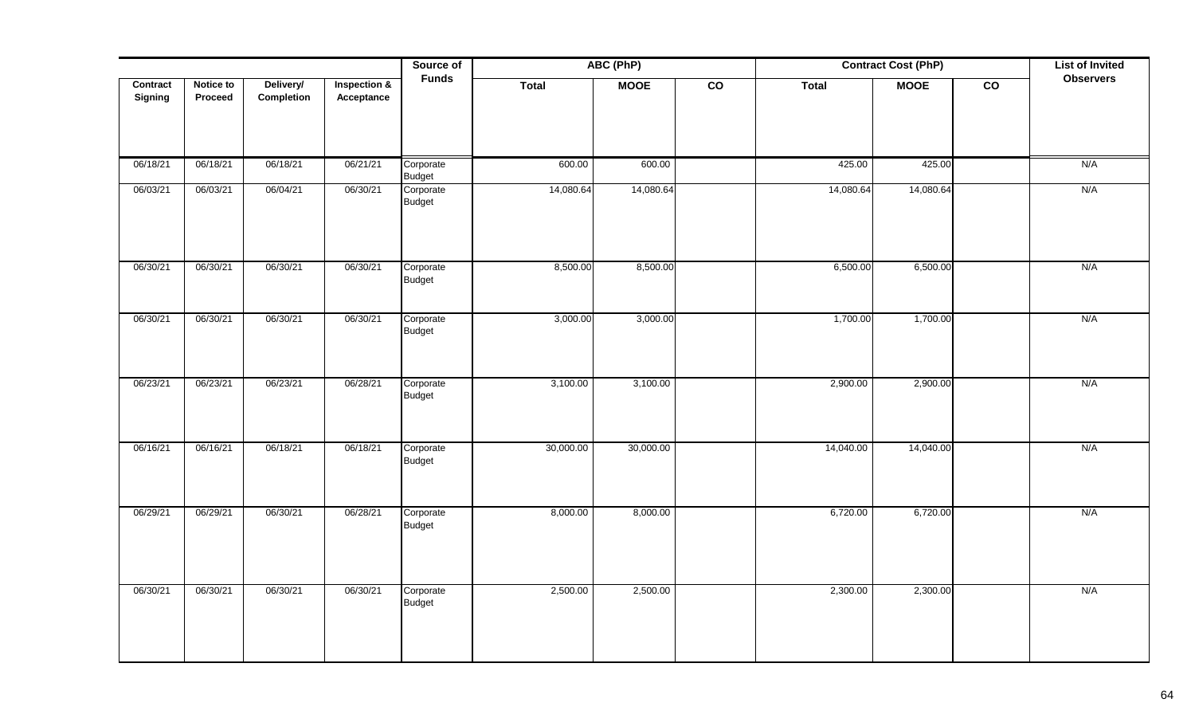|                            |                      |                         |                                       | Source of                  | ABC (PhP)<br><b>Contract Cost (PhP)</b> |             |                 |              | <b>List of Invited</b> |                 |                  |
|----------------------------|----------------------|-------------------------|---------------------------------------|----------------------------|-----------------------------------------|-------------|-----------------|--------------|------------------------|-----------------|------------------|
| Contract<br><b>Signing</b> | Notice to<br>Proceed | Delivery/<br>Completion | <b>Inspection &amp;</b><br>Acceptance | <b>Funds</b>               | Total                                   | <b>MOOE</b> | $\overline{co}$ | <b>Total</b> | <b>MOOE</b>            | $\overline{co}$ | <b>Observers</b> |
| 06/18/21                   | 06/18/21             | 06/18/21                | 06/21/21                              | Corporate<br><b>Budget</b> | 600.00                                  | 600.00      |                 | 425.00       | 425.00                 |                 | N/A              |
| 06/03/21                   | 06/03/21             | 06/04/21                | 06/30/21                              | Corporate<br>Budget        | 14,080.64                               | 14,080.64   |                 | 14,080.64    | 14,080.64              |                 | N/A              |
| 06/30/21                   | 06/30/21             | 06/30/21                | 06/30/21                              | Corporate<br>Budget        | 8,500.00                                | 8,500.00    |                 | 6,500.00     | 6,500.00               |                 | N/A              |
| 06/30/21                   | 06/30/21             | 06/30/21                | 06/30/21                              | Corporate<br>Budget        | 3,000.00                                | 3,000.00    |                 | 1,700.00     | 1,700.00               |                 | N/A              |
| 06/23/21                   | 06/23/21             | 06/23/21                | 06/28/21                              | Corporate<br><b>Budget</b> | 3,100.00                                | 3,100.00    |                 | 2,900.00     | 2,900.00               |                 | N/A              |
| 06/16/21                   | 06/16/21             | 06/18/21                | 06/18/21                              | Corporate<br>Budget        | 30,000.00                               | 30,000.00   |                 | 14,040.00    | 14,040.00              |                 | N/A              |
| 06/29/21                   | 06/29/21             | 06/30/21                | 06/28/21                              | Corporate<br><b>Budget</b> | 8,000.00                                | 8,000.00    |                 | 6,720.00     | 6,720.00               |                 | N/A              |
| 06/30/21                   | 06/30/21             | 06/30/21                | 06/30/21                              | Corporate<br><b>Budget</b> | 2,500.00                                | 2,500.00    |                 | 2,300.00     | 2,300.00               |                 | N/A              |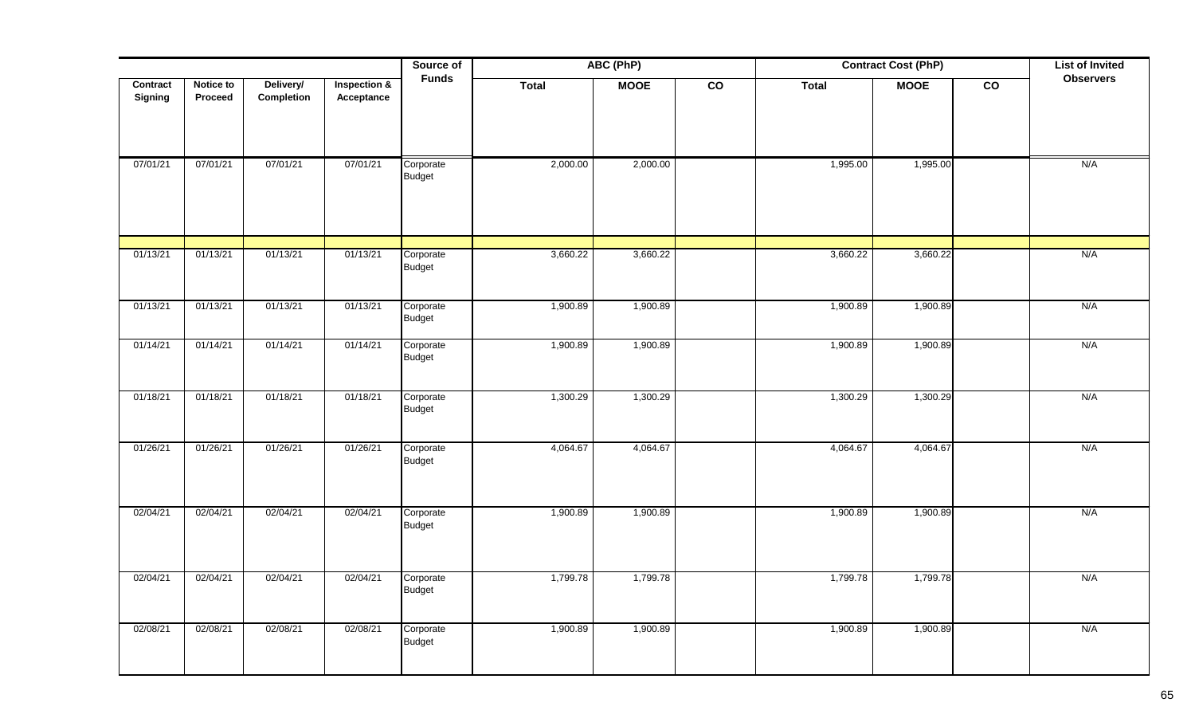|                     |                      |                         |                            | Source of                  |          | ABC (PhP)<br><b>Contract Cost (PhP)</b> |                 |              |             |                 | <b>List of Invited</b> |
|---------------------|----------------------|-------------------------|----------------------------|----------------------------|----------|-----------------------------------------|-----------------|--------------|-------------|-----------------|------------------------|
| Contract<br>Signing | Notice to<br>Proceed | Delivery/<br>Completion | Inspection &<br>Acceptance | <b>Funds</b>               | Total    | <b>MOOE</b>                             | $\overline{co}$ | <b>Total</b> | <b>MOOE</b> | $\overline{co}$ | <b>Observers</b>       |
| 07/01/21            | 07/01/21             | 07/01/21                | 07/01/21                   | Corporate<br>Budget        | 2,000.00 | 2,000.00                                |                 | 1,995.00     | 1,995.00    |                 | N/A                    |
| 01/13/21            | 01/13/21             | 01/13/21                | 01/13/21                   | Corporate<br>Budget        | 3,660.22 | 3,660.22                                |                 | 3,660.22     | 3,660.22    |                 | N/A                    |
| 01/13/21            | 01/13/21             | 01/13/21                | 01/13/21                   | Corporate<br>Budget        | 1,900.89 | 1,900.89                                |                 | 1,900.89     | 1,900.89    |                 | N/A                    |
| 01/14/21            | 01/14/21             | 01/14/21                | 01/14/21                   | Corporate<br>Budget        | 1,900.89 | 1,900.89                                |                 | 1,900.89     | 1,900.89    |                 | N/A                    |
| 01/18/21            | 01/18/21             | 01/18/21                | 01/18/21                   | Corporate<br><b>Budget</b> | 1,300.29 | 1,300.29                                |                 | 1,300.29     | 1,300.29    |                 | N/A                    |
| 01/26/21            | 01/26/21             | 01/26/21                | 01/26/21                   | Corporate<br>Budget        | 4,064.67 | 4,064.67                                |                 | 4,064.67     | 4,064.67    |                 | N/A                    |
| 02/04/21            | 02/04/21             | 02/04/21                | 02/04/21                   | Corporate<br>Budget        | 1,900.89 | 1,900.89                                |                 | 1,900.89     | 1,900.89    |                 | N/A                    |
| 02/04/21            | 02/04/21             | 02/04/21                | 02/04/21                   | Corporate<br>Budget        | 1,799.78 | 1,799.78                                |                 | 1,799.78     | 1,799.78    |                 | N/A                    |
| 02/08/21            | 02/08/21             | 02/08/21                | 02/08/21                   | Corporate<br>Budget        | 1,900.89 | 1,900.89                                |                 | 1,900.89     | 1,900.89    |                 | N/A                    |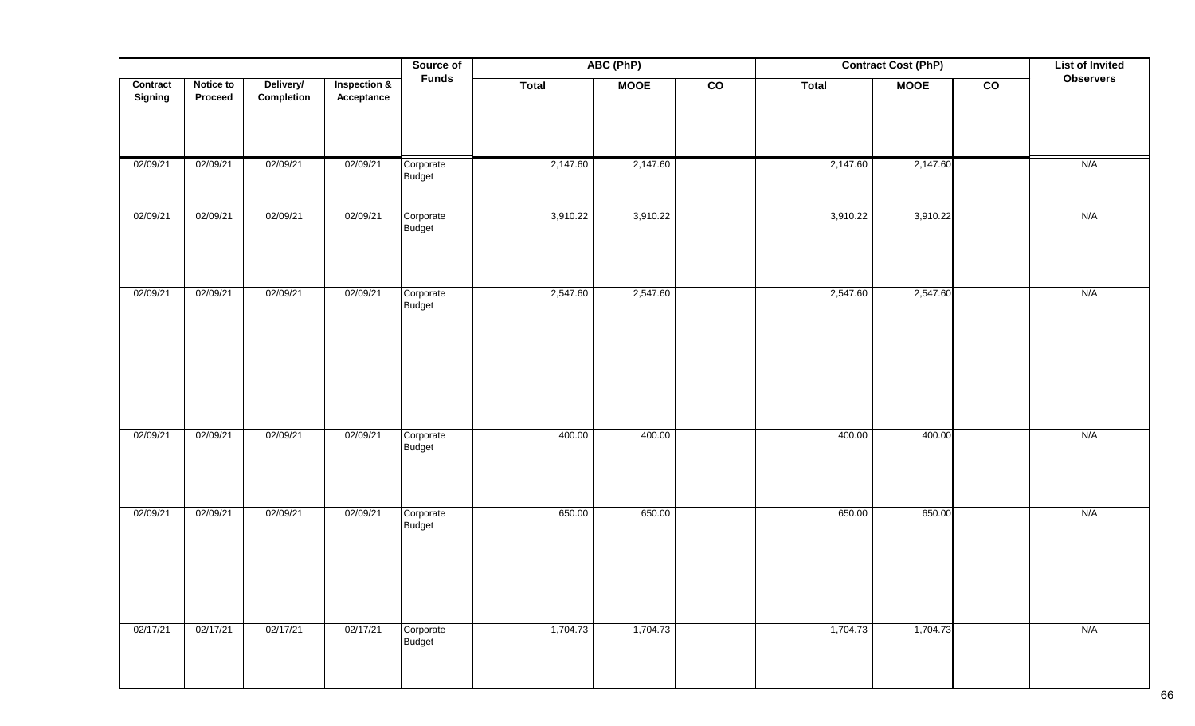|                |                  |            |                         | Source of                  | ABC (PhP)    |             | <b>Contract Cost (PhP)</b> |              | <b>List of Invited</b> |               |                  |
|----------------|------------------|------------|-------------------------|----------------------------|--------------|-------------|----------------------------|--------------|------------------------|---------------|------------------|
| Contract       | <b>Notice to</b> | Delivery/  | <b>Inspection &amp;</b> | <b>Funds</b>               | <b>Total</b> | <b>MOOE</b> | $\overline{c}$             | <b>Total</b> | <b>MOOE</b>            | $\mathsf{co}$ | <b>Observers</b> |
| <b>Signing</b> | Proceed          | Completion | Acceptance              |                            |              |             |                            |              |                        |               |                  |
|                |                  |            |                         |                            |              |             |                            |              |                        |               |                  |
|                |                  |            |                         |                            |              |             |                            |              |                        |               |                  |
| 02/09/21       | 02/09/21         | 02/09/21   | 02/09/21                | Corporate                  | 2,147.60     | 2,147.60    |                            | 2,147.60     | 2,147.60               |               | N/A              |
|                |                  |            |                         | <b>Budget</b>              |              |             |                            |              |                        |               |                  |
|                |                  |            |                         |                            |              |             |                            |              |                        |               |                  |
| 02/09/21       | 02/09/21         | 02/09/21   | 02/09/21                | Corporate<br><b>Budget</b> | 3,910.22     | 3,910.22    |                            | 3,910.22     | 3,910.22               |               | N/A              |
|                |                  |            |                         |                            |              |             |                            |              |                        |               |                  |
|                |                  |            |                         |                            |              |             |                            |              |                        |               |                  |
|                |                  |            |                         |                            |              |             |                            |              |                        |               |                  |
| 02/09/21       | 02/09/21         | 02/09/21   | 02/09/21                | Corporate<br><b>Budget</b> | 2,547.60     | 2,547.60    |                            | 2,547.60     | 2,547.60               |               | N/A              |
|                |                  |            |                         |                            |              |             |                            |              |                        |               |                  |
|                |                  |            |                         |                            |              |             |                            |              |                        |               |                  |
|                |                  |            |                         |                            |              |             |                            |              |                        |               |                  |
|                |                  |            |                         |                            |              |             |                            |              |                        |               |                  |
|                |                  |            |                         |                            |              |             |                            |              |                        |               |                  |
|                |                  |            |                         |                            |              |             |                            |              |                        |               |                  |
| 02/09/21       | 02/09/21         | 02/09/21   | 02/09/21                | Corporate                  | 400.00       | 400.00      |                            | 400.00       | 400.00                 |               | N/A              |
|                |                  |            |                         | <b>Budget</b>              |              |             |                            |              |                        |               |                  |
|                |                  |            |                         |                            |              |             |                            |              |                        |               |                  |
|                |                  |            |                         |                            |              |             |                            |              |                        |               |                  |
| 02/09/21       | 02/09/21         | 02/09/21   | 02/09/21                | Corporate                  | 650.00       | 650.00      |                            | 650.00       | 650.00                 |               | N/A              |
|                |                  |            |                         | Budget                     |              |             |                            |              |                        |               |                  |
|                |                  |            |                         |                            |              |             |                            |              |                        |               |                  |
|                |                  |            |                         |                            |              |             |                            |              |                        |               |                  |
|                |                  |            |                         |                            |              |             |                            |              |                        |               |                  |
|                |                  |            |                         |                            |              |             |                            |              |                        |               |                  |
| 02/17/21       | 02/17/21         | 02/17/21   | 02/17/21                | Corporate                  | 1,704.73     | 1,704.73    |                            | 1,704.73     | 1,704.73               |               | N/A              |
|                |                  |            |                         | Budget                     |              |             |                            |              |                        |               |                  |
|                |                  |            |                         |                            |              |             |                            |              |                        |               |                  |
|                |                  |            |                         |                            |              |             |                            |              |                        |               |                  |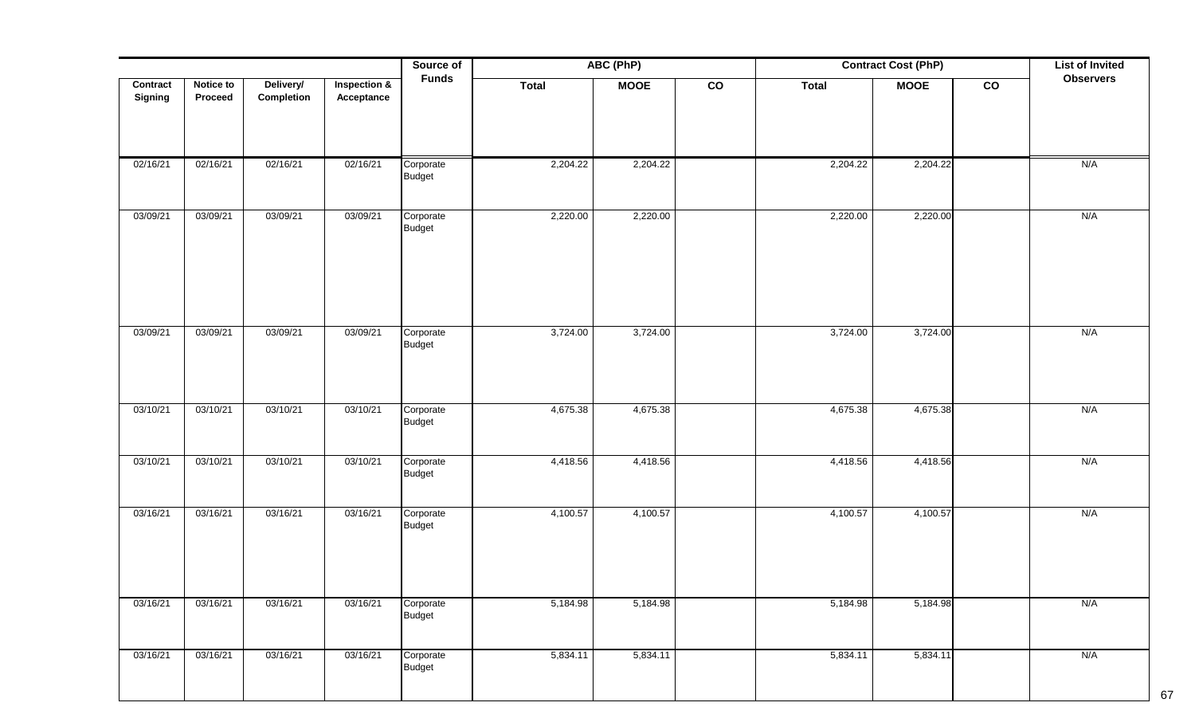|                            |                      |                         |                                       | Source of                  | ABC (PhP)<br><b>Contract Cost (PhP)</b> |             |                | <b>List of Invited</b> |             |                |                  |
|----------------------------|----------------------|-------------------------|---------------------------------------|----------------------------|-----------------------------------------|-------------|----------------|------------------------|-------------|----------------|------------------|
| Contract<br><b>Signing</b> | Notice to<br>Proceed | Delivery/<br>Completion | <b>Inspection &amp;</b><br>Acceptance | <b>Funds</b>               | <b>Total</b>                            | <b>MOOE</b> | $\overline{c}$ | <b>Total</b>           | <b>MOOE</b> | $\overline{c}$ | <b>Observers</b> |
| 02/16/21                   | 02/16/21             | 02/16/21                | 02/16/21                              | Corporate                  | 2,204.22                                | 2,204.22    |                | 2,204.22               | 2,204.22    |                | N/A              |
|                            |                      |                         |                                       | Budget                     |                                         |             |                |                        |             |                |                  |
| 03/09/21                   | 03/09/21             | 03/09/21                | 03/09/21                              | Corporate<br><b>Budget</b> | 2,220.00                                | 2,220.00    |                | 2,220.00               | 2,220.00    |                | N/A              |
| 03/09/21                   | 03/09/21             | 03/09/21                | 03/09/21                              | Corporate<br>Budget        | 3,724.00                                | 3,724.00    |                | 3,724.00               | 3,724.00    |                | N/A              |
| 03/10/21                   | 03/10/21             | 03/10/21                | 03/10/21                              | Corporate<br>Budget        | 4,675.38                                | 4,675.38    |                | 4,675.38               | 4,675.38    |                | N/A              |
| 03/10/21                   | 03/10/21             | 03/10/21                | 03/10/21                              | Corporate<br><b>Budget</b> | 4,418.56                                | 4,418.56    |                | 4,418.56               | 4,418.56    |                | N/A              |
| 03/16/21                   | 03/16/21             | 03/16/21                | 03/16/21                              | Corporate<br><b>Budget</b> | 4,100.57                                | 4,100.57    |                | 4,100.57               | 4,100.57    |                | N/A              |
| 03/16/21                   | 03/16/21             | 03/16/21                | 03/16/21                              | Corporate<br><b>Budget</b> | 5,184.98                                | 5,184.98    |                | 5,184.98               | 5,184.98    |                | N/A              |
| 03/16/21                   | 03/16/21             | 03/16/21                | 03/16/21                              | Corporate<br><b>Budget</b> | 5,834.11                                | 5,834.11    |                | 5,834.11               | 5,834.11    |                | N/A              |

67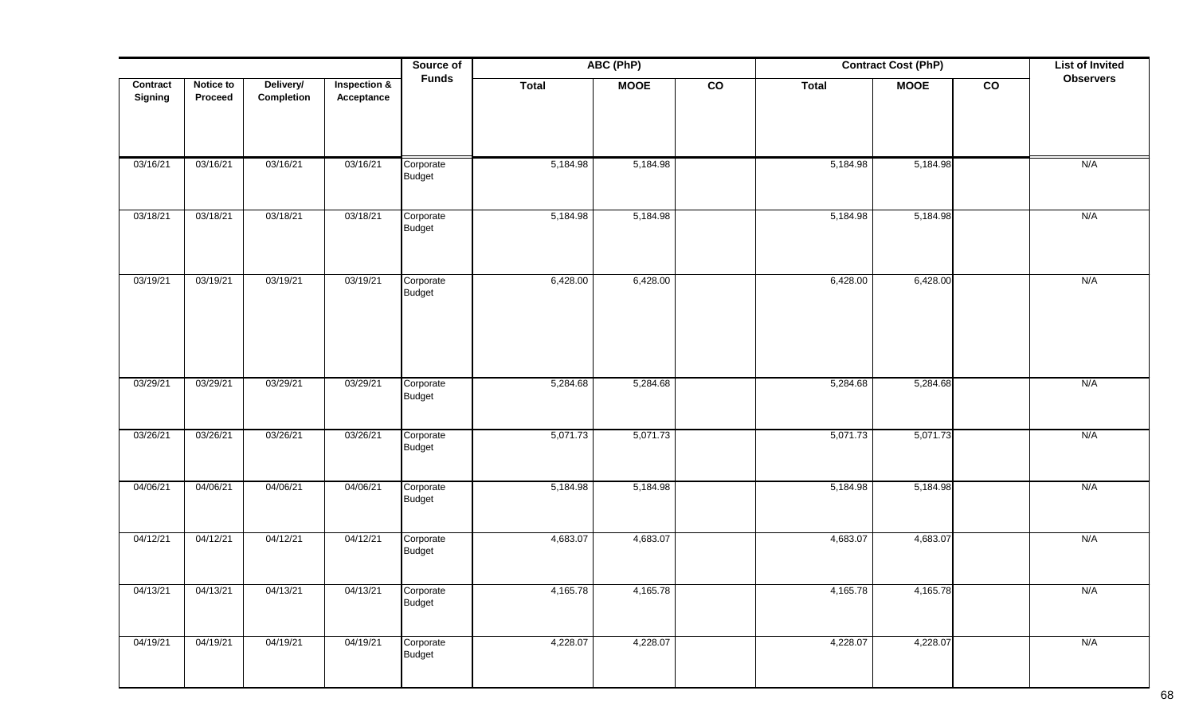|          |           |            |                         | Source of                  |              | ABC (PhP)   |               |              | <b>Contract Cost (PhP)</b> |               | <b>List of Invited</b> |
|----------|-----------|------------|-------------------------|----------------------------|--------------|-------------|---------------|--------------|----------------------------|---------------|------------------------|
| Contract | Notice to | Delivery/  | <b>Inspection &amp;</b> | <b>Funds</b>               | <b>Total</b> | <b>MOOE</b> | $\mathsf{co}$ | <b>Total</b> | <b>MOOE</b>                | $\mathbf{co}$ | <b>Observers</b>       |
| Signing  | Proceed   | Completion | Acceptance              |                            |              |             |               |              |                            |               |                        |
|          |           |            |                         |                            |              |             |               |              |                            |               |                        |
|          |           |            |                         |                            |              |             |               |              |                            |               |                        |
| 03/16/21 | 03/16/21  | 03/16/21   | 03/16/21                | Corporate                  | 5,184.98     | 5,184.98    |               | 5,184.98     | 5,184.98                   |               | N/A                    |
|          |           |            |                         | <b>Budget</b>              |              |             |               |              |                            |               |                        |
| 03/18/21 | 03/18/21  | 03/18/21   | 03/18/21                | Corporate                  | 5,184.98     | 5,184.98    |               | 5,184.98     | 5,184.98                   |               | N/A                    |
|          |           |            |                         | Budget                     |              |             |               |              |                            |               |                        |
|          |           |            |                         |                            |              |             |               |              |                            |               |                        |
|          |           |            |                         |                            |              |             |               |              |                            |               |                        |
| 03/19/21 | 03/19/21  | 03/19/21   | 03/19/21                | Corporate<br><b>Budget</b> | 6,428.00     | 6,428.00    |               | 6,428.00     | 6,428.00                   |               | N/A                    |
|          |           |            |                         |                            |              |             |               |              |                            |               |                        |
|          |           |            |                         |                            |              |             |               |              |                            |               |                        |
|          |           |            |                         |                            |              |             |               |              |                            |               |                        |
|          |           |            |                         |                            |              |             |               |              |                            |               |                        |
| 03/29/21 | 03/29/21  | 03/29/21   | 03/29/21                | Corporate<br><b>Budget</b> | 5,284.68     | 5,284.68    |               | 5,284.68     | 5,284.68                   |               | N/A                    |
|          |           |            |                         |                            |              |             |               |              |                            |               |                        |
| 03/26/21 | 03/26/21  | 03/26/21   | 03/26/21                | Corporate                  | 5,071.73     | 5,071.73    |               | 5,071.73     | 5,071.73                   |               | N/A                    |
|          |           |            |                         | <b>Budget</b>              |              |             |               |              |                            |               |                        |
|          |           |            |                         |                            |              |             |               |              |                            |               |                        |
| 04/06/21 | 04/06/21  | 04/06/21   | 04/06/21                | Corporate                  | 5,184.98     | 5,184.98    |               | 5,184.98     | 5,184.98                   |               | N/A                    |
|          |           |            |                         | <b>Budget</b>              |              |             |               |              |                            |               |                        |
|          |           |            |                         |                            |              |             |               |              |                            |               |                        |
| 04/12/21 | 04/12/21  | 04/12/21   | 04/12/21                | Corporate<br><b>Budget</b> | 4,683.07     | 4,683.07    |               | 4,683.07     | 4,683.07                   |               | N/A                    |
|          |           |            |                         |                            |              |             |               |              |                            |               |                        |
| 04/13/21 | 04/13/21  | 04/13/21   | 04/13/21                | Corporate                  | 4,165.78     | 4,165.78    |               | 4,165.78     | 4,165.78                   |               | N/A                    |
|          |           |            |                         | <b>Budget</b>              |              |             |               |              |                            |               |                        |
|          |           |            |                         |                            |              |             |               |              |                            |               |                        |
| 04/19/21 | 04/19/21  | 04/19/21   | 04/19/21                | Corporate<br><b>Budget</b> | 4,228.07     | 4,228.07    |               | 4,228.07     | 4,228.07                   |               | N/A                    |
|          |           |            |                         |                            |              |             |               |              |                            |               |                        |
|          |           |            |                         |                            |              |             |               |              |                            |               |                        |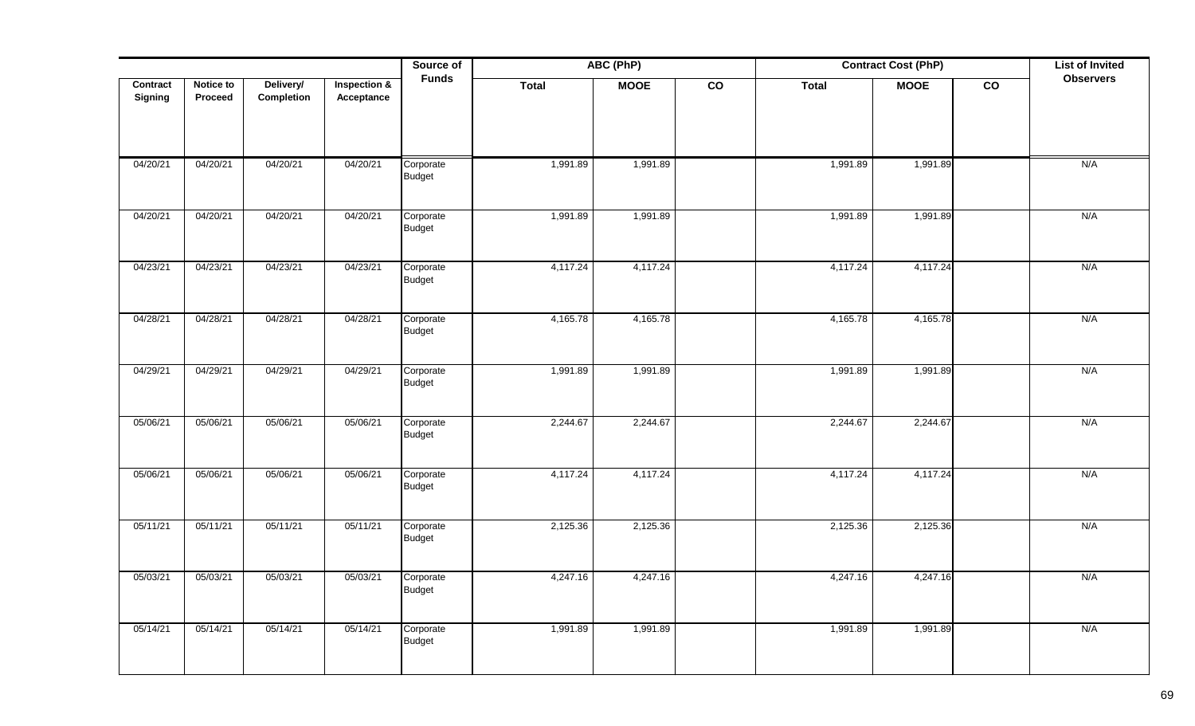|                     |                      |                         |                            | Source of                  |              | ABC (PhP)   |                 | <b>Contract Cost (PhP)</b> |             | <b>List of Invited</b> |                  |
|---------------------|----------------------|-------------------------|----------------------------|----------------------------|--------------|-------------|-----------------|----------------------------|-------------|------------------------|------------------|
| Contract<br>Signing | Notice to<br>Proceed | Delivery/<br>Completion | Inspection &<br>Acceptance | <b>Funds</b>               | <b>Total</b> | <b>MOOE</b> | $\overline{co}$ | <b>Total</b>               | <b>MOOE</b> | $\overline{co}$        | <b>Observers</b> |
| 04/20/21            | 04/20/21             | 04/20/21                | 04/20/21                   | Corporate<br>Budget        | 1,991.89     | 1,991.89    |                 | 1,991.89                   | 1,991.89    |                        | N/A              |
| 04/20/21            | 04/20/21             | 04/20/21                | 04/20/21                   | Corporate<br><b>Budget</b> | 1,991.89     | 1,991.89    |                 | 1,991.89                   | 1,991.89    |                        | N/A              |
| 04/23/21            | 04/23/21             | 04/23/21                | 04/23/21                   | Corporate<br><b>Budget</b> | 4,117.24     | 4,117.24    |                 | 4,117.24                   | 4,117.24    |                        | N/A              |
| 04/28/21            | 04/28/21             | 04/28/21                | 04/28/21                   | Corporate<br>Budget        | 4,165.78     | 4,165.78    |                 | 4,165.78                   | 4,165.78    |                        | N/A              |
| 04/29/21            | 04/29/21             | 04/29/21                | 04/29/21                   | Corporate<br><b>Budget</b> | 1,991.89     | 1,991.89    |                 | 1,991.89                   | 1,991.89    |                        | N/A              |
| 05/06/21            | 05/06/21             | 05/06/21                | 05/06/21                   | Corporate<br>Budget        | 2,244.67     | 2,244.67    |                 | 2,244.67                   | 2,244.67    |                        | N/A              |
| 05/06/21            | 05/06/21             | 05/06/21                | 05/06/21                   | Corporate<br>Budget        | 4,117.24     | 4,117.24    |                 | 4,117.24                   | 4,117.24    |                        | N/A              |
| 05/11/21            | 05/11/21             | 05/11/21                | 05/11/21                   | Corporate<br>Budget        | 2,125.36     | 2,125.36    |                 | 2,125.36                   | 2,125.36    |                        | N/A              |
| 05/03/21            | 05/03/21             | 05/03/21                | 05/03/21                   | Corporate<br>Budget        | 4,247.16     | 4,247.16    |                 | 4,247.16                   | 4,247.16    |                        | N/A              |
| 05/14/21            | 05/14/21             | 05/14/21                | 05/14/21                   | Corporate<br>Budget        | 1,991.89     | 1,991.89    |                 | 1,991.89                   | 1,991.89    |                        | N/A              |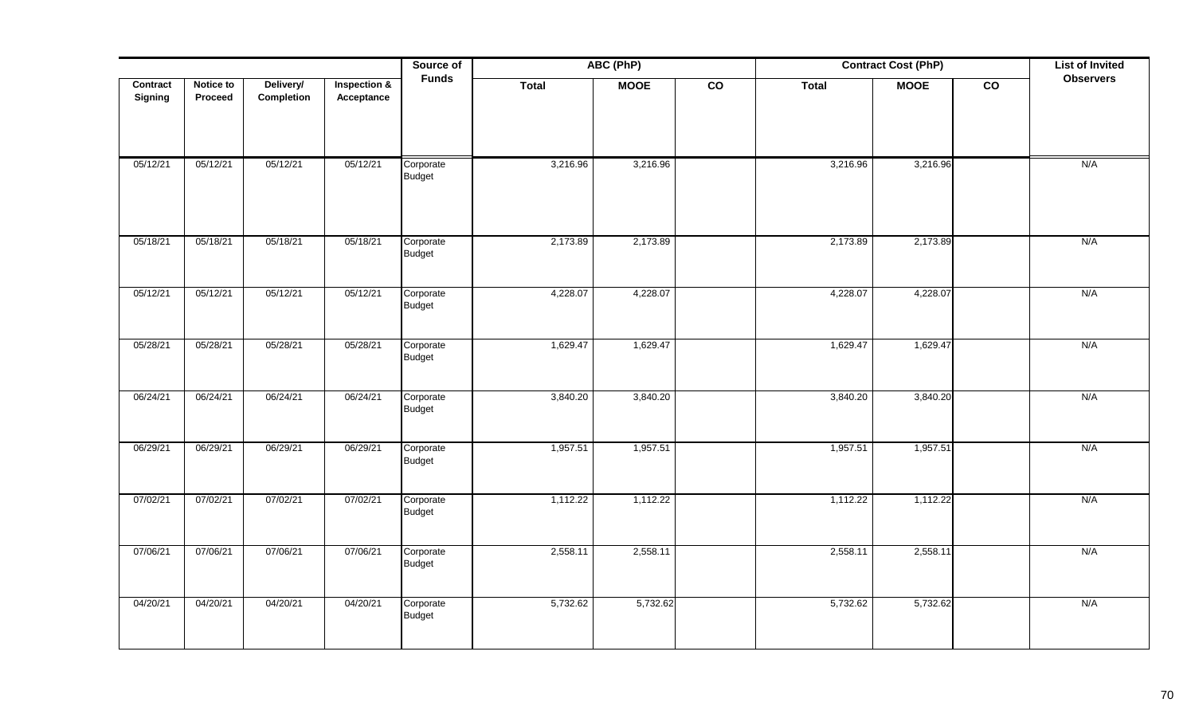|                     |                      |                         |                            | Source of                  | ABC (PhP)<br><b>Contract Cost (PhP)</b> |             |                 |              |             |                 | <b>List of Invited</b> |
|---------------------|----------------------|-------------------------|----------------------------|----------------------------|-----------------------------------------|-------------|-----------------|--------------|-------------|-----------------|------------------------|
| Contract<br>Signing | Notice to<br>Proceed | Delivery/<br>Completion | Inspection &<br>Acceptance | <b>Funds</b>               | <b>Total</b>                            | <b>MOOE</b> | $\overline{co}$ | <b>Total</b> | <b>MOOE</b> | $\overline{co}$ | <b>Observers</b>       |
| 05/12/21            | 05/12/21             | 05/12/21                | 05/12/21                   | Corporate<br><b>Budget</b> | 3,216.96                                | 3,216.96    |                 | 3,216.96     | 3,216.96    |                 | N/A                    |
| 05/18/21            | 05/18/21             | 05/18/21                | 05/18/21                   | Corporate<br>Budget        | 2,173.89                                | 2,173.89    |                 | 2,173.89     | 2,173.89    |                 | N/A                    |
| 05/12/21            | 05/12/21             | 05/12/21                | 05/12/21                   | Corporate<br>Budget        | 4,228.07                                | 4,228.07    |                 | 4,228.07     | 4,228.07    |                 | N/A                    |
| 05/28/21            | 05/28/21             | 05/28/21                | 05/28/21                   | Corporate<br>Budget        | 1,629.47                                | 1,629.47    |                 | 1,629.47     | 1,629.47    |                 | N/A                    |
| 06/24/21            | 06/24/21             | 06/24/21                | 06/24/21                   | Corporate<br>Budget        | 3,840.20                                | 3,840.20    |                 | 3,840.20     | 3,840.20    |                 | N/A                    |
| 06/29/21            | 06/29/21             | 06/29/21                | 06/29/21                   | Corporate<br>Budget        | 1,957.51                                | 1,957.51    |                 | 1,957.51     | 1,957.51    |                 | N/A                    |
| 07/02/21            | 07/02/21             | 07/02/21                | 07/02/21                   | Corporate<br>Budget        | 1,112.22                                | 1,112.22    |                 | 1,112.22     | 1,112.22    |                 | N/A                    |
| 07/06/21            | 07/06/21             | 07/06/21                | 07/06/21                   | Corporate<br>Budget        | 2,558.11                                | 2,558.11    |                 | 2,558.11     | 2,558.11    |                 | N/A                    |
| 04/20/21            | 04/20/21             | 04/20/21                | 04/20/21                   | Corporate<br><b>Budget</b> | 5,732.62                                | 5,732.62    |                 | 5,732.62     | 5,732.62    |                 | N/A                    |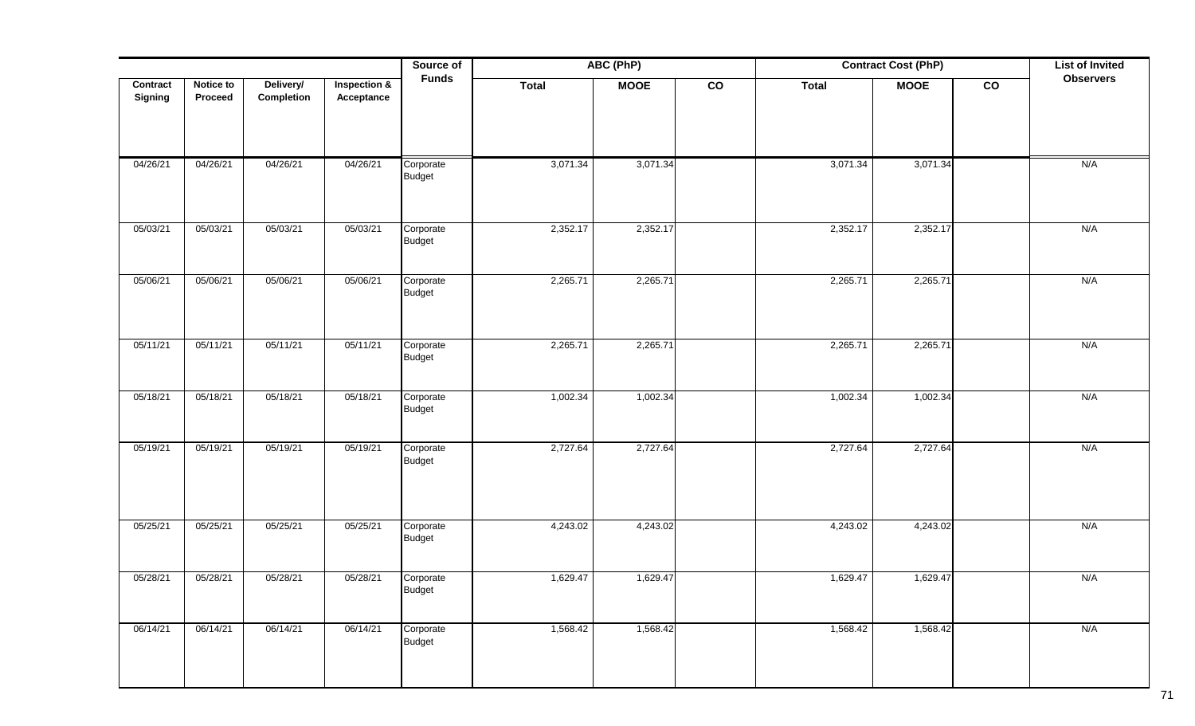|                |           |            |                         | Source of           |              | ABC (PhP)   |                |              | <b>Contract Cost (PhP)</b> |                | <b>List of Invited</b> |
|----------------|-----------|------------|-------------------------|---------------------|--------------|-------------|----------------|--------------|----------------------------|----------------|------------------------|
| Contract       | Notice to | Delivery/  | <b>Inspection &amp;</b> | <b>Funds</b>        | <b>Total</b> | <b>MOOE</b> | $\overline{c}$ | <b>Total</b> | <b>MOOE</b>                | $\overline{c}$ | <b>Observers</b>       |
| <b>Signing</b> | Proceed   | Completion | Acceptance              |                     |              |             |                |              |                            |                |                        |
|                |           |            |                         |                     |              |             |                |              |                            |                |                        |
|                |           |            |                         |                     |              |             |                |              |                            |                |                        |
| 04/26/21       | 04/26/21  | 04/26/21   | 04/26/21                | Corporate           | 3,071.34     | 3,071.34    |                | 3,071.34     | 3,071.34                   |                | N/A                    |
|                |           |            |                         | Budget              |              |             |                |              |                            |                |                        |
|                |           |            |                         |                     |              |             |                |              |                            |                |                        |
| 05/03/21       | 05/03/21  | 05/03/21   | 05/03/21                | Corporate           | 2,352.17     | 2,352.17    |                | 2,352.17     | 2,352.17                   |                | N/A                    |
|                |           |            |                         | Budget              |              |             |                |              |                            |                |                        |
|                |           |            |                         |                     |              |             |                |              |                            |                |                        |
| 05/06/21       | 05/06/21  | 05/06/21   | 05/06/21                | Corporate           | 2,265.71     | 2,265.71    |                | 2,265.71     | 2,265.71                   |                | N/A                    |
|                |           |            |                         | <b>Budget</b>       |              |             |                |              |                            |                |                        |
|                |           |            |                         |                     |              |             |                |              |                            |                |                        |
| 05/11/21       | 05/11/21  | 05/11/21   | 05/11/21                | Corporate           | 2,265.71     | 2,265.71    |                | 2,265.71     | 2,265.71                   |                | N/A                    |
|                |           |            |                         | Budget              |              |             |                |              |                            |                |                        |
|                |           |            |                         |                     |              |             |                |              |                            |                |                        |
| 05/18/21       | 05/18/21  | 05/18/21   | 05/18/21                | Corporate           | 1,002.34     | 1,002.34    |                | 1,002.34     | 1,002.34                   |                | N/A                    |
|                |           |            |                         | Budget              |              |             |                |              |                            |                |                        |
|                |           |            |                         |                     |              |             |                |              |                            |                |                        |
| 05/19/21       | 05/19/21  | 05/19/21   | 05/19/21                | Corporate<br>Budget | 2,727.64     | 2,727.64    |                | 2,727.64     | 2,727.64                   |                | N/A                    |
|                |           |            |                         |                     |              |             |                |              |                            |                |                        |
|                |           |            |                         |                     |              |             |                |              |                            |                |                        |
|                |           |            |                         |                     |              |             |                |              |                            |                |                        |
| 05/25/21       | 05/25/21  | 05/25/21   | 05/25/21                | Corporate<br>Budget | 4,243.02     | 4,243.02    |                | 4,243.02     | 4,243.02                   |                | N/A                    |
|                |           |            |                         |                     |              |             |                |              |                            |                |                        |
| 05/28/21       | 05/28/21  | 05/28/21   | 05/28/21                | Corporate           | 1,629.47     | 1,629.47    |                | 1,629.47     | 1,629.47                   |                | N/A                    |
|                |           |            |                         | Budget              |              |             |                |              |                            |                |                        |
|                |           |            |                         |                     |              |             |                |              |                            |                |                        |
| 06/14/21       | 06/14/21  | 06/14/21   | 06/14/21                | Corporate<br>Budget | 1,568.42     | 1,568.42    |                | 1,568.42     | 1,568.42                   |                | N/A                    |
|                |           |            |                         |                     |              |             |                |              |                            |                |                        |
|                |           |            |                         |                     |              |             |                |              |                            |                |                        |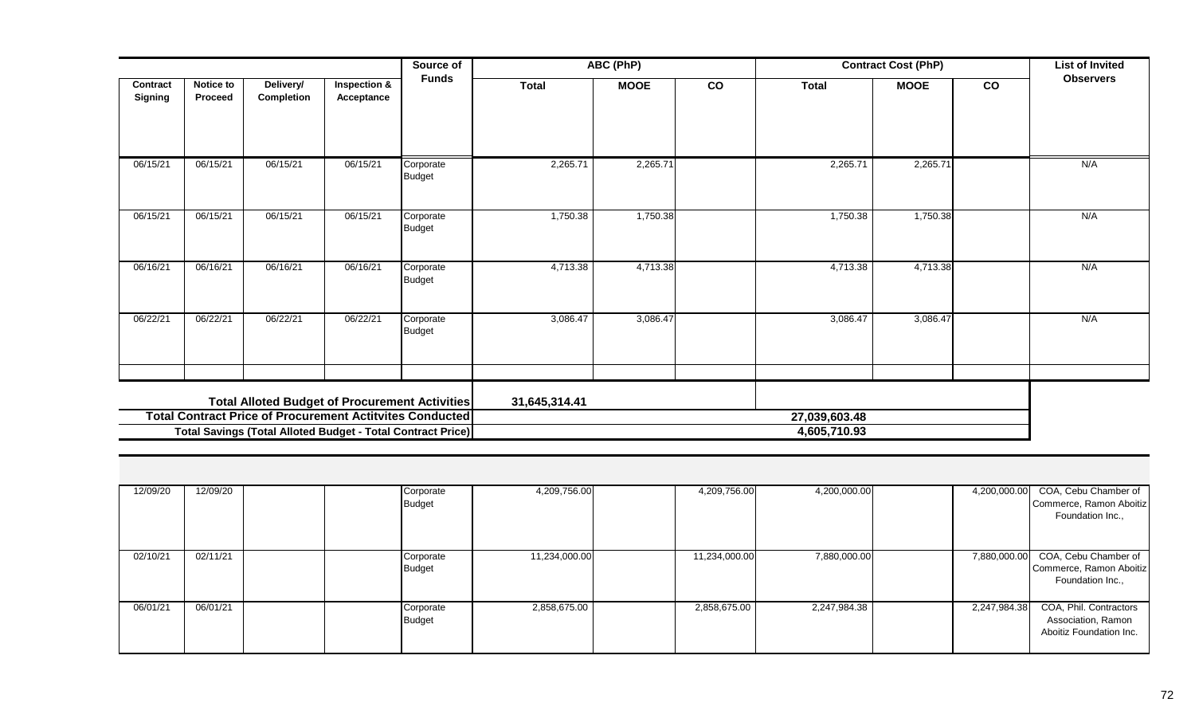|                                                                                                                                |                             |                                |                                       | Source of                  | ABC (PhP)     |             |                               | <b>Contract Cost (PhP)</b> |             |    | <b>List of Invited</b> |
|--------------------------------------------------------------------------------------------------------------------------------|-----------------------------|--------------------------------|---------------------------------------|----------------------------|---------------|-------------|-------------------------------|----------------------------|-------------|----|------------------------|
| Contract<br><b>Signing</b>                                                                                                     | <b>Notice to</b><br>Proceed | Delivery/<br><b>Completion</b> | <b>Inspection &amp;</b><br>Acceptance | <b>Funds</b>               | <b>Total</b>  | <b>MOOE</b> | co                            | <b>Total</b>               | <b>MOOE</b> | co | <b>Observers</b>       |
| 06/15/21                                                                                                                       | 06/15/21                    | 06/15/21                       | 06/15/21                              | Corporate<br><b>Budget</b> | 2,265.71      | 2,265.71    |                               | 2,265.71                   | 2,265.71    |    | N/A                    |
| 06/15/21                                                                                                                       | 06/15/21                    | 06/15/21                       | 06/15/21                              | Corporate<br><b>Budget</b> | 1,750.38      | 1,750.38    |                               | 1,750.38                   | 1,750.38    |    | N/A                    |
| 06/16/21                                                                                                                       | 06/16/21                    | 06/16/21                       | 06/16/21                              | Corporate<br><b>Budget</b> | 4,713.38      | 4,713.38    |                               | 4,713.38                   | 4,713.38    |    | N/A                    |
| 06/22/21                                                                                                                       | 06/22/21                    | 06/22/21                       | 06/22/21                              | Corporate<br>Budget        | 3,086.47      | 3,086.47    |                               | 3,086.47                   | 3,086.47    |    | N/A                    |
| <b>Total Alloted Budget of Procurement Activities</b>                                                                          |                             |                                |                                       |                            | 31,645,314.41 |             |                               |                            |             |    |                        |
| <b>Total Contract Price of Procurement Actitvites Conducted</b><br>Total Savings (Total Alloted Budget - Total Contract Price) |                             |                                |                                       |                            |               |             | 27,039,603.48<br>4,605,710.93 |                            |             |    |                        |

| 12/09/20 | 12/09/20 | Corporate<br>Budget | 4,209,756.00  | 4,209,756.00  | 4,200,000.00 |              | 4,200,000.00 COA, Cebu Chamber of<br>Commerce, Ramon Aboitiz<br>Foundation Inc., |
|----------|----------|---------------------|---------------|---------------|--------------|--------------|----------------------------------------------------------------------------------|
| 02/10/21 | 02/11/21 | Corporate<br>Budget | 11,234,000.00 | 11,234,000.00 | 7,880,000.00 |              | 7,880,000.00 COA, Cebu Chamber of<br>Commerce, Ramon Aboitiz<br>Foundation Inc., |
| 06/01/21 | 06/01/21 | Corporate<br>Budget | 2,858,675.00  | 2,858,675.00  | 2,247,984.38 | 2,247,984.38 | COA, Phil. Contractors<br>Association, Ramon<br>Aboitiz Foundation Inc.          |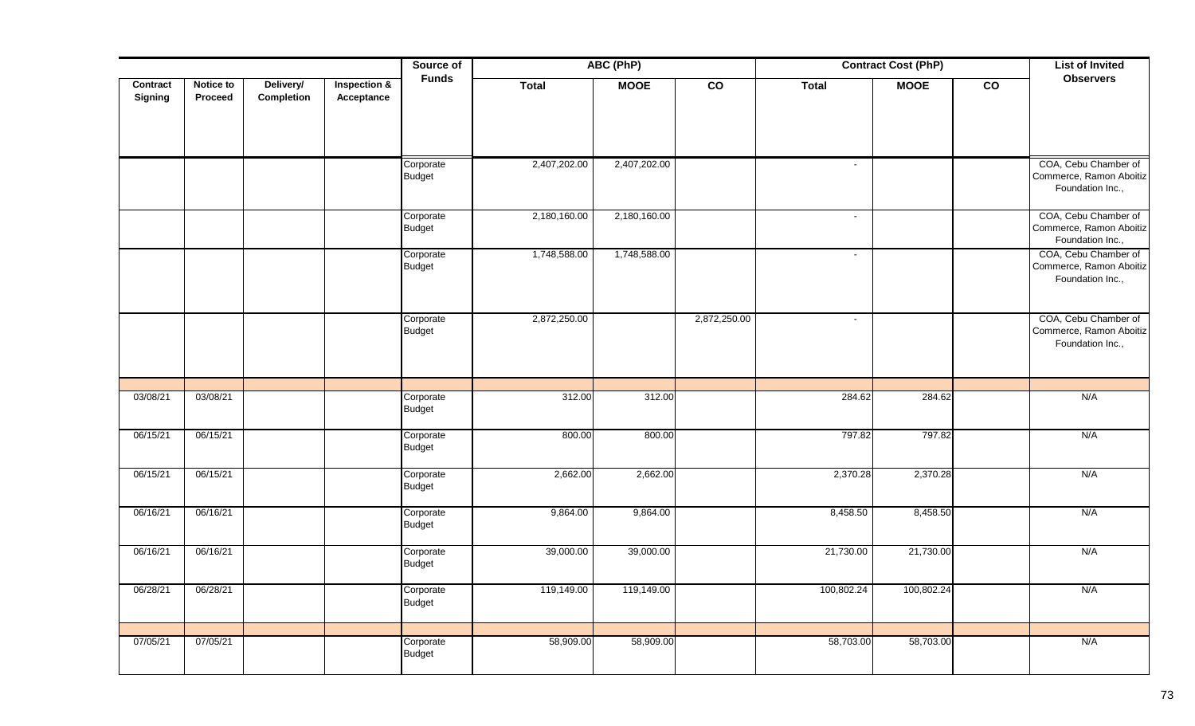|                |           |            |              | Source of                  | ABC (PhP)    |              |                 | <b>Contract Cost (PhP)</b> |             |                 | <b>List of Invited</b>                          |
|----------------|-----------|------------|--------------|----------------------------|--------------|--------------|-----------------|----------------------------|-------------|-----------------|-------------------------------------------------|
| Contract       | Notice to | Delivery/  | Inspection & | <b>Funds</b>               | <b>Total</b> | <b>MOOE</b>  | $\overline{co}$ | <b>Total</b>               | <b>MOOE</b> | $\overline{co}$ | <b>Observers</b>                                |
| <b>Signing</b> | Proceed   | Completion | Acceptance   |                            |              |              |                 |                            |             |                 |                                                 |
|                |           |            |              |                            |              |              |                 |                            |             |                 |                                                 |
|                |           |            |              |                            |              |              |                 |                            |             |                 |                                                 |
|                |           |            |              | Corporate                  | 2,407,202.00 | 2,407,202.00 |                 |                            |             |                 | COA, Cebu Chamber of                            |
|                |           |            |              | <b>Budget</b>              |              |              |                 |                            |             |                 | Commerce, Ramon Aboitiz<br>Foundation Inc.,     |
|                |           |            |              | Corporate                  | 2,180,160.00 | 2,180,160.00 |                 | $\blacksquare$             |             |                 | COA, Cebu Chamber of                            |
|                |           |            |              | <b>Budget</b>              |              |              |                 |                            |             |                 | Commerce, Ramon Aboitiz<br>Foundation Inc.,     |
|                |           |            |              | Corporate<br><b>Budget</b> | 1,748,588.00 | 1,748,588.00 |                 | $\sim$                     |             |                 | COA, Cebu Chamber of<br>Commerce, Ramon Aboitiz |
|                |           |            |              |                            |              |              |                 |                            |             |                 | Foundation Inc.,                                |
|                |           |            |              | Corporate                  | 2,872,250.00 |              | 2,872,250.00    | $\blacksquare$             |             |                 | COA, Cebu Chamber of                            |
|                |           |            |              | <b>Budget</b>              |              |              |                 |                            |             |                 | Commerce, Ramon Aboitiz<br>Foundation Inc.,     |
|                |           |            |              |                            |              |              |                 |                            |             |                 |                                                 |
|                |           |            |              |                            |              |              |                 |                            |             |                 |                                                 |
| 03/08/21       | 03/08/21  |            |              | Corporate<br><b>Budget</b> | 312.00       | 312.00       |                 | 284.62                     | 284.62      |                 | N/A                                             |
| 06/15/21       | 06/15/21  |            |              | Corporate                  | 800.00       | 800.00       |                 | 797.82                     | 797.82      |                 | N/A                                             |
|                |           |            |              | <b>Budget</b>              |              |              |                 |                            |             |                 |                                                 |
| 06/15/21       | 06/15/21  |            |              | Corporate                  | 2,662.00     | 2,662.00     |                 | 2,370.28                   | 2,370.28    |                 | N/A                                             |
|                |           |            |              | <b>Budget</b>              |              |              |                 |                            |             |                 |                                                 |
| 06/16/21       | 06/16/21  |            |              | Corporate                  | 9,864.00     | 9,864.00     |                 | 8,458.50                   | 8,458.50    |                 | N/A                                             |
|                |           |            |              | <b>Budget</b>              |              |              |                 |                            |             |                 |                                                 |
| 06/16/21       | 06/16/21  |            |              | Corporate                  | 39,000.00    | 39,000.00    |                 | 21,730.00                  | 21,730.00   |                 | N/A                                             |
|                |           |            |              | <b>Budget</b>              |              |              |                 |                            |             |                 |                                                 |
| 06/28/21       | 06/28/21  |            |              | Corporate                  | 119,149.00   | 119,149.00   |                 | 100,802.24                 | 100,802.24  |                 | N/A                                             |
|                |           |            |              | <b>Budget</b>              |              |              |                 |                            |             |                 |                                                 |
|                |           |            |              |                            |              |              |                 |                            |             |                 |                                                 |
| 07/05/21       | 07/05/21  |            |              | Corporate<br><b>Budget</b> | 58,909.00    | 58,909.00    |                 | 58,703.00                  | 58,703.00   |                 | N/A                                             |
|                |           |            |              |                            |              |              |                 |                            |             |                 |                                                 |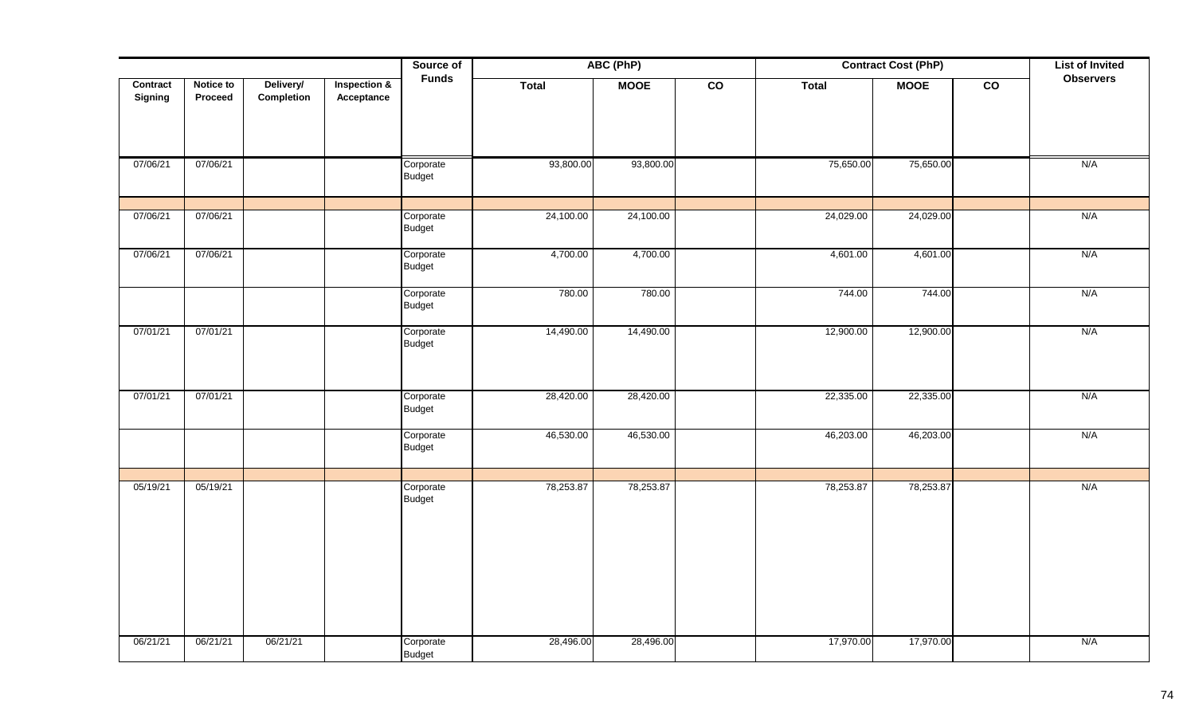|                            |                      | Source of<br>ABC (PhP)  |                            |                            | <b>Contract Cost (PhP)</b> |             |                 | <b>List of Invited</b> |             |                 |                  |
|----------------------------|----------------------|-------------------------|----------------------------|----------------------------|----------------------------|-------------|-----------------|------------------------|-------------|-----------------|------------------|
| Contract<br><b>Signing</b> | Notice to<br>Proceed | Delivery/<br>Completion | Inspection &<br>Acceptance | <b>Funds</b>               | <b>Total</b>               | <b>MOOE</b> | $\overline{co}$ | <b>Total</b>           | <b>MOOE</b> | $\overline{co}$ | <b>Observers</b> |
| 07/06/21                   | 07/06/21             |                         |                            | Corporate<br><b>Budget</b> | 93,800.00                  | 93,800.00   |                 | 75,650.00              | 75,650.00   |                 | N/A              |
| 07/06/21                   | 07/06/21             |                         |                            | Corporate<br><b>Budget</b> | 24,100.00                  | 24,100.00   |                 | 24,029.00              | 24,029.00   |                 | N/A              |
| 07/06/21                   | 07/06/21             |                         |                            | Corporate<br><b>Budget</b> | 4,700.00                   | 4,700.00    |                 | 4,601.00               | 4,601.00    |                 | N/A              |
|                            |                      |                         |                            | Corporate<br><b>Budget</b> | 780.00                     | 780.00      |                 | 744.00                 | 744.00      |                 | N/A              |
| 07/01/21                   | 07/01/21             |                         |                            | Corporate<br><b>Budget</b> | 14,490.00                  | 14,490.00   |                 | 12,900.00              | 12,900.00   |                 | N/A              |
| 07/01/21                   | 07/01/21             |                         |                            | Corporate<br><b>Budget</b> | 28,420.00                  | 28,420.00   |                 | 22,335.00              | 22,335.00   |                 | N/A              |
|                            |                      |                         |                            | Corporate<br><b>Budget</b> | 46,530.00                  | 46,530.00   |                 | 46,203.00              | 46,203.00   |                 | N/A              |
| 05/19/21                   | 05/19/21             |                         |                            | Corporate<br><b>Budget</b> | 78,253.87                  | 78,253.87   |                 | 78,253.87              | 78,253.87   |                 | N/A              |
| 06/21/21                   | 06/21/21             | 06/21/21                |                            | Corporate<br><b>Budget</b> | 28,496.00                  | 28,496.00   |                 | 17,970.00              | 17,970.00   |                 | N/A              |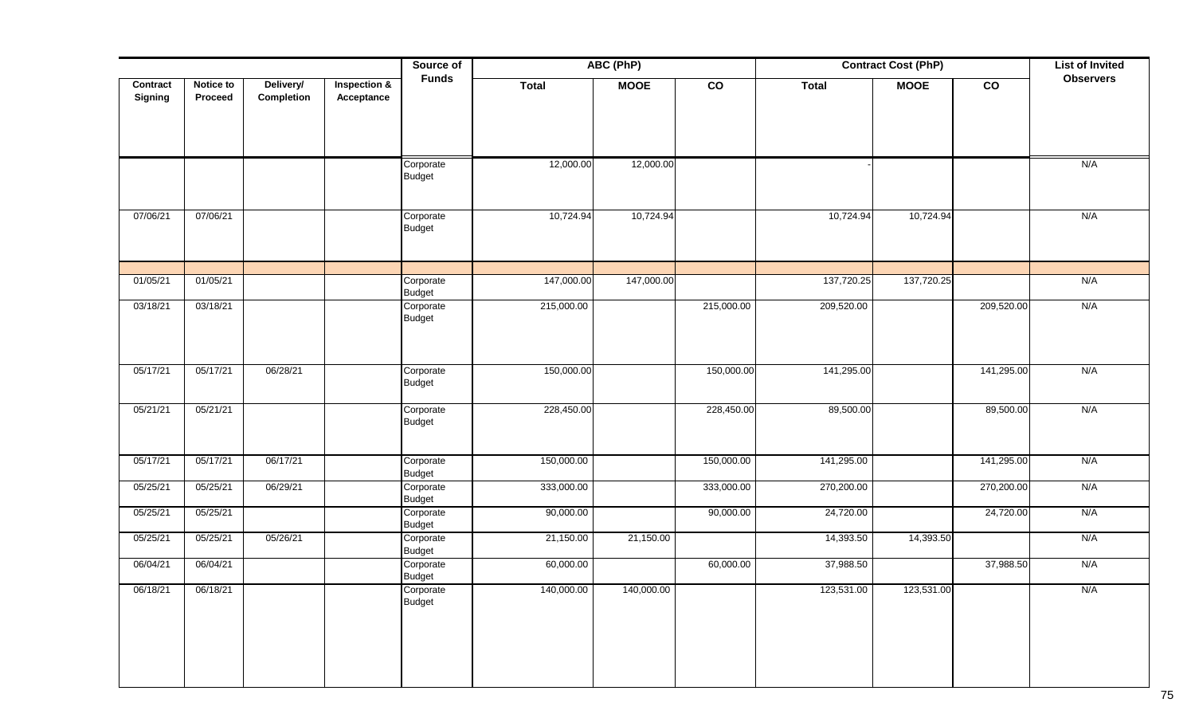|                     |                             |                         |                                       | Source of                  | <b>ABC (PhP)</b> |             |               | <b>Contract Cost (PhP)</b> |             | <b>List of Invited</b> |                  |
|---------------------|-----------------------------|-------------------------|---------------------------------------|----------------------------|------------------|-------------|---------------|----------------------------|-------------|------------------------|------------------|
| Contract<br>Signing | Notice to<br><b>Proceed</b> | Delivery/<br>Completion | <b>Inspection &amp;</b><br>Acceptance | <b>Funds</b>               | <b>Total</b>     | <b>MOOE</b> | $\mathsf{co}$ | <b>Total</b>               | <b>MOOE</b> | co                     | <b>Observers</b> |
|                     |                             |                         |                                       |                            |                  |             |               |                            |             |                        |                  |
|                     |                             |                         |                                       | Corporate<br><b>Budget</b> | 12,000.00        | 12,000.00   |               |                            |             |                        | N/A              |
| 07/06/21            | 07/06/21                    |                         |                                       | Corporate<br><b>Budget</b> | 10,724.94        | 10,724.94   |               | 10,724.94                  | 10,724.94   |                        | N/A              |
| 01/05/21            | 01/05/21                    |                         |                                       | Corporate<br>Budget        | 147,000.00       | 147,000.00  |               | 137,720.25                 | 137,720.25  |                        | N/A              |
| 03/18/21            | 03/18/21                    |                         |                                       | Corporate<br><b>Budget</b> | 215,000.00       |             | 215,000.00    | 209,520.00                 |             | 209,520.00             | N/A              |
| 05/17/21            | 05/17/21                    | 06/28/21                |                                       | Corporate<br><b>Budget</b> | 150,000.00       |             | 150,000.00    | 141,295.00                 |             | 141,295.00             | N/A              |
| 05/21/21            | 05/21/21                    |                         |                                       | Corporate<br><b>Budget</b> | 228,450.00       |             | 228,450.00    | 89,500.00                  |             | 89,500.00              | N/A              |
| 05/17/21            | 05/17/21                    | 06/17/21                |                                       | Corporate<br><b>Budget</b> | 150,000.00       |             | 150,000.00    | 141,295.00                 |             | 141,295.00             | N/A              |
| 05/25/21            | 05/25/21                    | 06/29/21                |                                       | Corporate<br>Budget        | 333,000.00       |             | 333,000.00    | 270,200.00                 |             | 270,200.00             | N/A              |
| 05/25/21            | 05/25/21                    |                         |                                       | Corporate<br><b>Budget</b> | 90,000.00        |             | 90,000.00     | 24,720.00                  |             | 24,720.00              | N/A              |
| 05/25/21            | 05/25/21                    | 05/26/21                |                                       | Corporate<br><b>Budget</b> | 21,150.00        | 21,150.00   |               | 14,393.50                  | 14,393.50   |                        | N/A              |
| 06/04/21            | 06/04/21                    |                         |                                       | Corporate<br><b>Budget</b> | 60,000.00        |             | 60,000.00     | 37,988.50                  |             | 37,988.50              | N/A              |
| 06/18/21            | 06/18/21                    |                         |                                       | Corporate<br><b>Budget</b> | 140,000.00       | 140,000.00  |               | 123,531.00                 | 123,531.00  |                        | N/A              |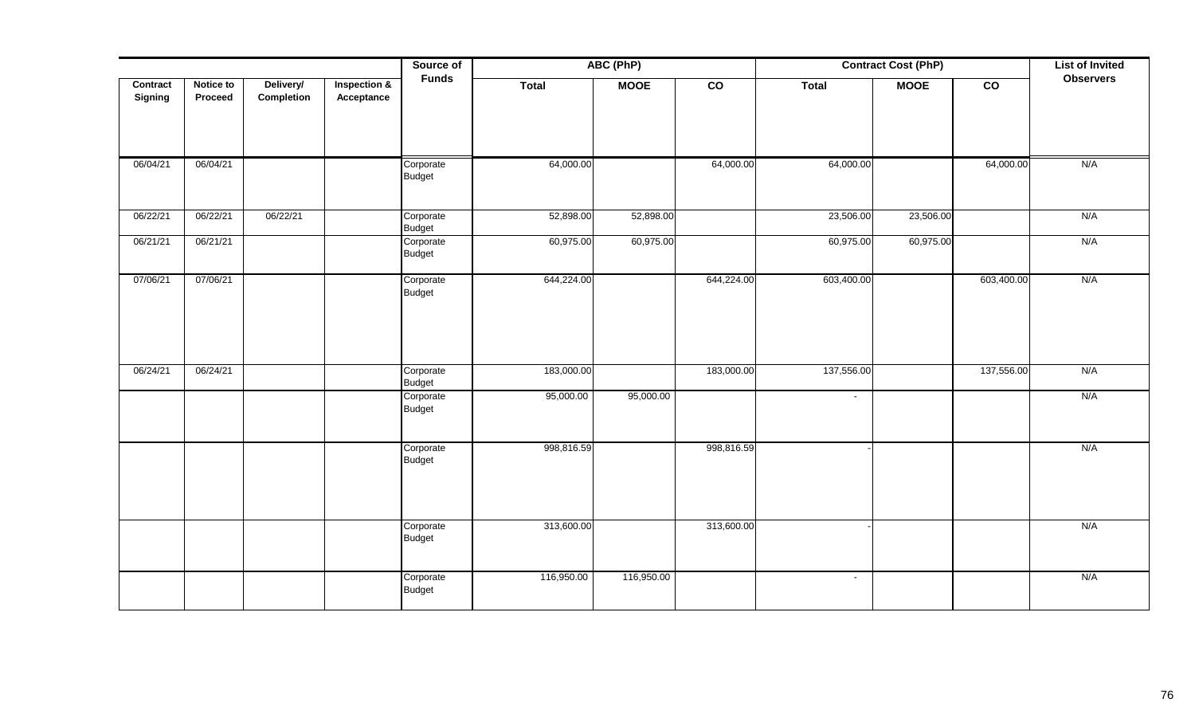|                     |                      |                         |                                       | ABC (PhP)<br>Source of     |              |             |                | <b>Contract Cost (PhP)</b> | <b>List of Invited</b> |                |                  |
|---------------------|----------------------|-------------------------|---------------------------------------|----------------------------|--------------|-------------|----------------|----------------------------|------------------------|----------------|------------------|
| Contract<br>Signing | Notice to<br>Proceed | Delivery/<br>Completion | <b>Inspection &amp;</b><br>Acceptance | <b>Funds</b>               | <b>Total</b> | <b>MOOE</b> | $\overline{c}$ | <b>Total</b>               | <b>MOOE</b>            | $\overline{c}$ | <b>Observers</b> |
| 06/04/21            | 06/04/21             |                         |                                       | Corporate<br><b>Budget</b> | 64,000.00    |             | 64,000.00      | 64,000.00                  |                        | 64,000.00      | N/A              |
| 06/22/21            | 06/22/21             | 06/22/21                |                                       | Corporate<br><b>Budget</b> | 52,898.00    | 52,898.00   |                | 23,506.00                  | 23,506.00              |                | N/A              |
| 06/21/21            | 06/21/21             |                         |                                       | Corporate<br><b>Budget</b> | 60,975.00    | 60,975.00   |                | 60,975.00                  | 60,975.00              |                | N/A              |
| 07/06/21            | 07/06/21             |                         |                                       | Corporate<br><b>Budget</b> | 644,224.00   |             | 644,224.00     | 603,400.00                 |                        | 603,400.00     | N/A              |
| 06/24/21            | 06/24/21             |                         |                                       | Corporate<br><b>Budget</b> | 183,000.00   |             | 183,000.00     | 137,556.00                 |                        | 137,556.00     | N/A              |
|                     |                      |                         |                                       | Corporate<br><b>Budget</b> | 95,000.00    | 95,000.00   |                | $\blacksquare$             |                        |                | N/A              |
|                     |                      |                         |                                       | Corporate<br><b>Budget</b> | 998,816.59   |             | 998,816.59     |                            |                        |                | N/A              |
|                     |                      |                         |                                       | Corporate<br><b>Budget</b> | 313,600.00   |             | 313,600.00     |                            |                        |                | N/A              |
|                     |                      |                         |                                       | Corporate<br><b>Budget</b> | 116,950.00   | 116,950.00  |                | $\blacksquare$             |                        |                | N/A              |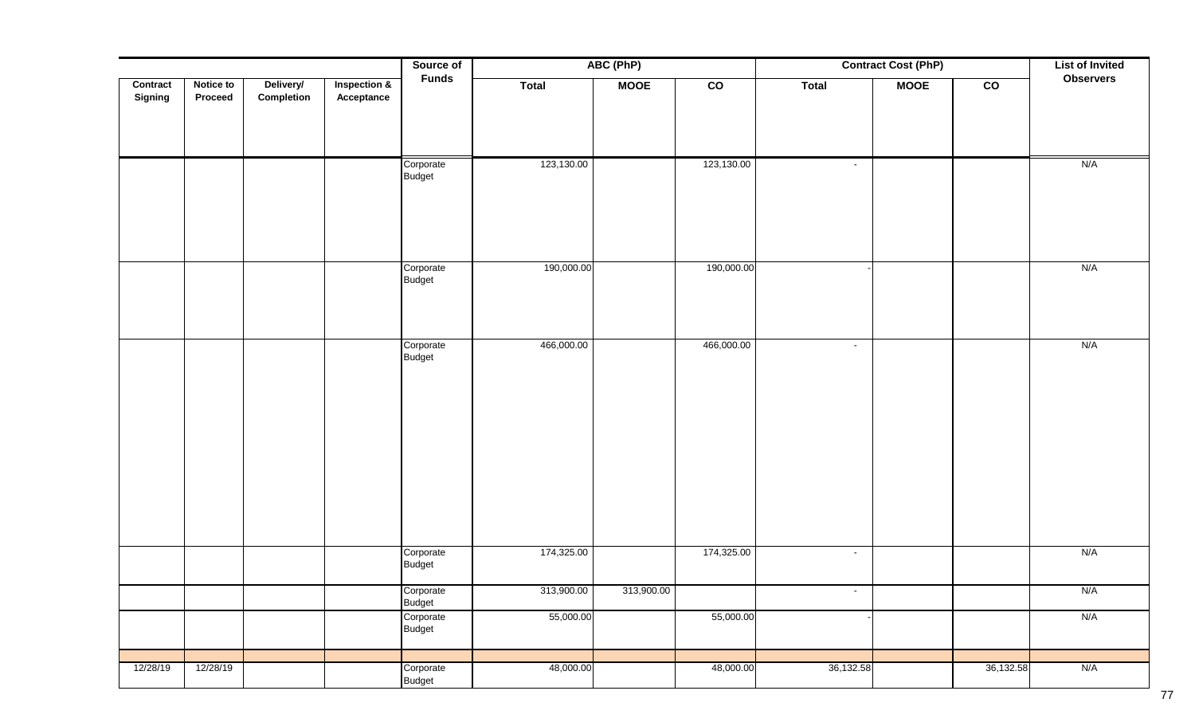|          |           | Source of<br>ABC (PhP) |                         | <b>Contract Cost (PhP)</b> |              |             | <b>List of Invited</b> |              |             |                |                  |
|----------|-----------|------------------------|-------------------------|----------------------------|--------------|-------------|------------------------|--------------|-------------|----------------|------------------|
| Contract | Notice to | Delivery/              | <b>Inspection &amp;</b> | <b>Funds</b>               | <b>Total</b> | <b>MOOE</b> | $\overline{c}$         | <b>Total</b> | <b>MOOE</b> | $\overline{c}$ | <b>Observers</b> |
| Signing  | Proceed   | Completion             | Acceptance              |                            |              |             |                        |              |             |                |                  |
|          |           |                        |                         |                            |              |             |                        |              |             |                |                  |
|          |           |                        |                         |                            |              |             |                        |              |             |                |                  |
|          |           |                        |                         | Corporate                  | 123,130.00   |             | 123,130.00             | $\sim$       |             |                | N/A              |
|          |           |                        |                         | <b>Budget</b>              |              |             |                        |              |             |                |                  |
|          |           |                        |                         |                            |              |             |                        |              |             |                |                  |
|          |           |                        |                         |                            |              |             |                        |              |             |                |                  |
|          |           |                        |                         |                            |              |             |                        |              |             |                |                  |
|          |           |                        |                         | Corporate                  | 190,000.00   |             | 190,000.00             |              |             |                | N/A              |
|          |           |                        |                         | <b>Budget</b>              |              |             |                        |              |             |                |                  |
|          |           |                        |                         |                            |              |             |                        |              |             |                |                  |
|          |           |                        |                         |                            |              |             |                        |              |             |                |                  |
|          |           |                        |                         | Corporate                  | 466,000.00   |             | 466,000.00             | $\sim$       |             |                | N/A              |
|          |           |                        |                         | <b>Budget</b>              |              |             |                        |              |             |                |                  |
|          |           |                        |                         |                            |              |             |                        |              |             |                |                  |
|          |           |                        |                         |                            |              |             |                        |              |             |                |                  |
|          |           |                        |                         |                            |              |             |                        |              |             |                |                  |
|          |           |                        |                         |                            |              |             |                        |              |             |                |                  |
|          |           |                        |                         |                            |              |             |                        |              |             |                |                  |
|          |           |                        |                         |                            |              |             |                        |              |             |                |                  |
|          |           |                        |                         |                            |              |             |                        |              |             |                |                  |
|          |           |                        |                         |                            |              |             |                        |              |             |                |                  |
|          |           |                        |                         |                            |              |             |                        |              |             |                |                  |
|          |           |                        |                         | Corporate                  | 174,325.00   |             | 174,325.00             | $\sim$       |             |                | N/A              |
|          |           |                        |                         | Budget                     |              |             |                        |              |             |                |                  |
|          |           |                        |                         | Corporate                  | 313,900.00   | 313,900.00  |                        | $\sim$       |             |                | N/A              |
|          |           |                        |                         | Budget<br>Corporate        | 55,000.00    |             | 55,000.00              |              |             |                | N/A              |
|          |           |                        |                         | Budget                     |              |             |                        |              |             |                |                  |
|          |           |                        |                         |                            |              |             |                        |              |             |                |                  |
| 12/28/19 | 12/28/19  |                        |                         | Corporate                  | 48,000.00    |             | 48,000.00              | 36,132.58    |             | 36,132.58      | N/A              |
|          |           |                        |                         | Budget                     |              |             |                        |              |             |                |                  |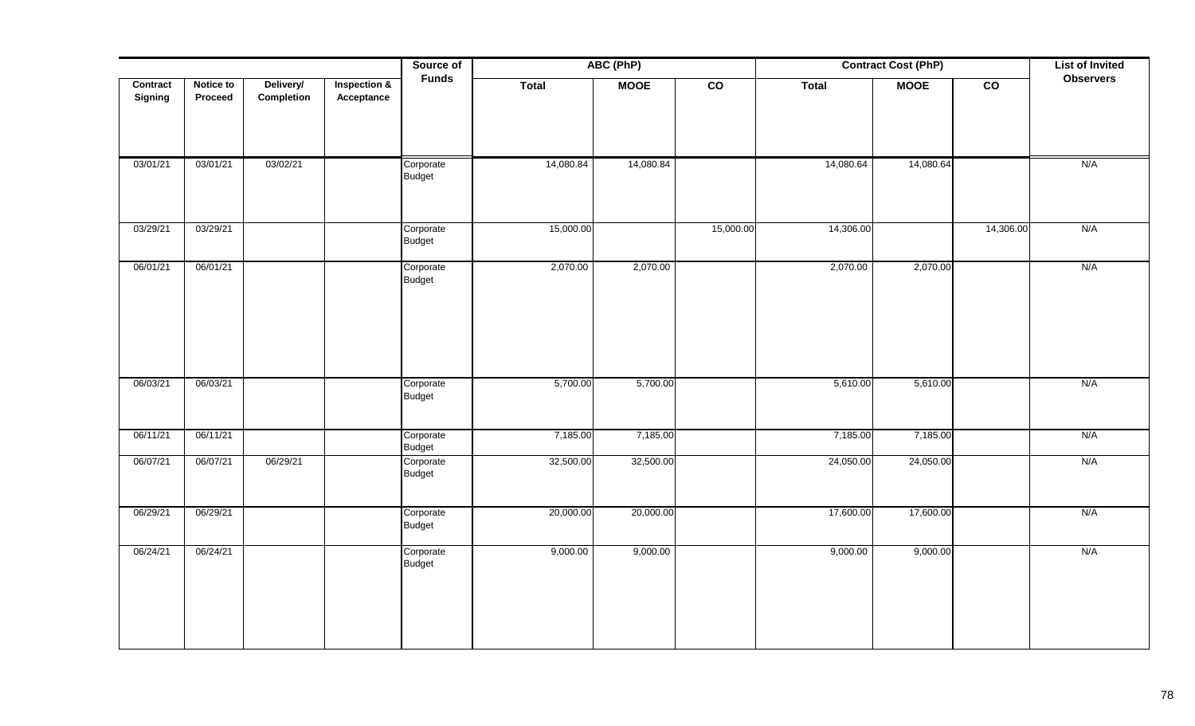|                     |                      |                         |                            | Source of                  |              | ABC (PhP)   |                 |              | <b>Contract Cost (PhP)</b> |                 | <b>List of Invited</b> |
|---------------------|----------------------|-------------------------|----------------------------|----------------------------|--------------|-------------|-----------------|--------------|----------------------------|-----------------|------------------------|
| Contract<br>Signing | Notice to<br>Proceed | Delivery/<br>Completion | Inspection &<br>Acceptance | <b>Funds</b>               | <b>Total</b> | <b>MOOE</b> | $\overline{co}$ | <b>Total</b> | <b>MOOE</b>                | $\overline{co}$ | <b>Observers</b>       |
| 03/01/21            | 03/01/21             | 03/02/21                |                            | Corporate<br><b>Budget</b> | 14,080.84    | 14,080.84   |                 | 14,080.64    | 14,080.64                  |                 | N/A                    |
| 03/29/21            | 03/29/21             |                         |                            | Corporate<br>Budget        | 15,000.00    |             | 15,000.00       | 14,306.00    |                            | 14,306.00       | N/A                    |
| 06/01/21            | 06/01/21             |                         |                            | Corporate<br><b>Budget</b> | 2,070.00     | 2,070.00    |                 | 2,070.00     | 2,070.00                   |                 | N/A                    |
| 06/03/21            | 06/03/21             |                         |                            | Corporate<br>Budget        | 5,700.00     | 5,700.00    |                 | 5,610.00     | 5,610.00                   |                 | N/A                    |
| 06/11/21            | 06/11/21             |                         |                            | Corporate<br><b>Budget</b> | 7,185.00     | 7,185.00    |                 | 7,185.00     | 7,185.00                   |                 | N/A                    |
| 06/07/21            | 06/07/21             | 06/29/21                |                            | Corporate<br>Budget        | 32,500.00    | 32,500.00   |                 | 24,050.00    | 24,050.00                  |                 | N/A                    |
| 06/29/21            | 06/29/21             |                         |                            | Corporate<br><b>Budget</b> | 20,000.00    | 20,000.00   |                 | 17,600.00    | 17,600.00                  |                 | N/A                    |
| 06/24/21            | 06/24/21             |                         |                            | Corporate<br>Budget        | 9,000.00     | 9,000.00    |                 | 9,000.00     | 9,000.00                   |                 | N/A                    |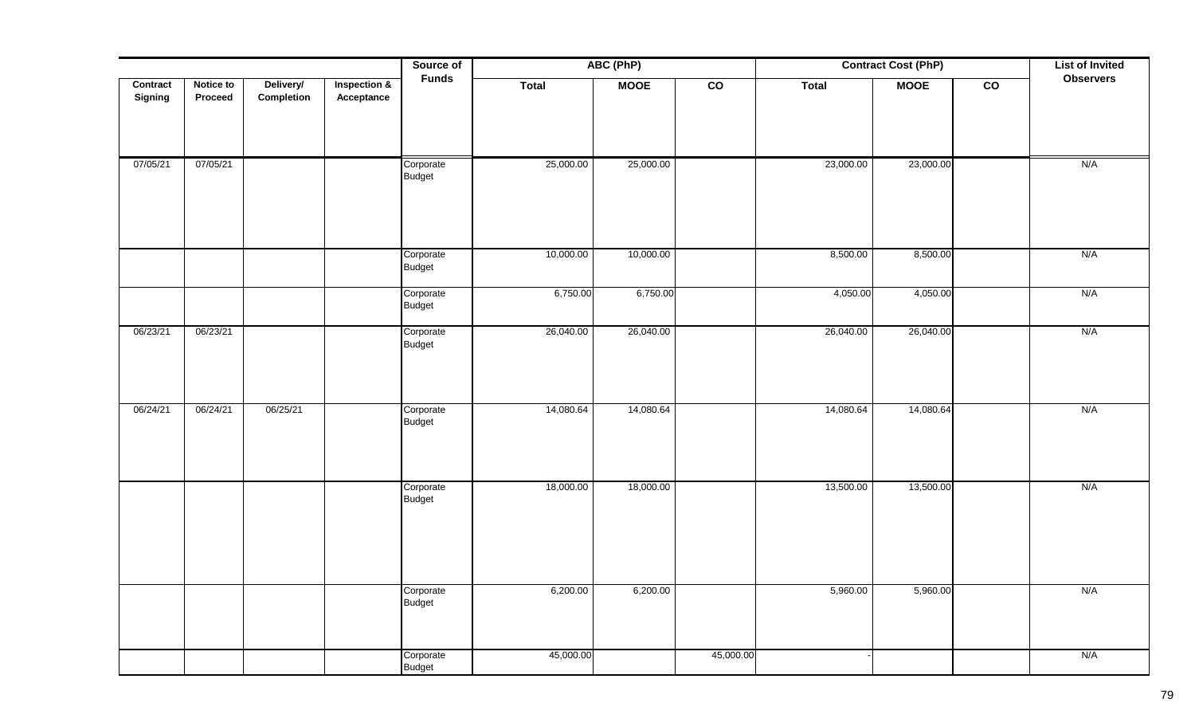|          |           |            |              | Source of                  | ABC (PhP) |             |                 | <b>Contract Cost (PhP)</b> | <b>List of Invited</b> |                 |                  |
|----------|-----------|------------|--------------|----------------------------|-----------|-------------|-----------------|----------------------------|------------------------|-----------------|------------------|
| Contract | Notice to | Delivery/  | Inspection & | <b>Funds</b>               | Total     | <b>MOOE</b> | $\overline{co}$ | <b>Total</b>               | <b>MOOE</b>            | $\overline{co}$ | <b>Observers</b> |
| Signing  | Proceed   | Completion | Acceptance   |                            |           |             |                 |                            |                        |                 |                  |
|          |           |            |              |                            |           |             |                 |                            |                        |                 |                  |
|          |           |            |              |                            |           |             |                 |                            |                        |                 |                  |
| 07/05/21 | 07/05/21  |            |              | Corporate                  | 25,000.00 | 25,000.00   |                 | 23,000.00                  | 23,000.00              |                 | N/A              |
|          |           |            |              | <b>Budget</b>              |           |             |                 |                            |                        |                 |                  |
|          |           |            |              |                            |           |             |                 |                            |                        |                 |                  |
|          |           |            |              |                            |           |             |                 |                            |                        |                 |                  |
|          |           |            |              |                            |           |             |                 |                            |                        |                 |                  |
|          |           |            |              | Corporate<br>Budget        | 10,000.00 | 10,000.00   |                 | 8,500.00                   | 8,500.00               |                 | N/A              |
|          |           |            |              |                            |           |             |                 |                            |                        |                 |                  |
|          |           |            |              | Corporate<br>Budget        | 6,750.00  | 6,750.00    |                 | 4,050.00                   | 4,050.00               |                 | N/A              |
|          |           |            |              |                            |           |             |                 |                            |                        |                 |                  |
| 06/23/21 | 06/23/21  |            |              | Corporate<br><b>Budget</b> | 26,040.00 | 26,040.00   |                 | 26,040.00                  | 26,040.00              |                 | N/A              |
|          |           |            |              |                            |           |             |                 |                            |                        |                 |                  |
|          |           |            |              |                            |           |             |                 |                            |                        |                 |                  |
| 06/24/21 | 06/24/21  | 06/25/21   |              | Corporate                  | 14,080.64 | 14,080.64   |                 | 14,080.64                  | 14,080.64              |                 | N/A              |
|          |           |            |              | <b>Budget</b>              |           |             |                 |                            |                        |                 |                  |
|          |           |            |              |                            |           |             |                 |                            |                        |                 |                  |
|          |           |            |              |                            |           |             |                 |                            |                        |                 |                  |
|          |           |            |              | Corporate                  | 18,000.00 | 18,000.00   |                 | 13,500.00                  | 13,500.00              |                 | N/A              |
|          |           |            |              | Budget                     |           |             |                 |                            |                        |                 |                  |
|          |           |            |              |                            |           |             |                 |                            |                        |                 |                  |
|          |           |            |              |                            |           |             |                 |                            |                        |                 |                  |
|          |           |            |              |                            |           |             |                 |                            |                        |                 |                  |
|          |           |            |              |                            |           |             |                 |                            |                        |                 |                  |
|          |           |            |              | Corporate<br>Budget        | 6,200.00  | 6,200.00    |                 | 5,960.00                   | 5,960.00               |                 | N/A              |
|          |           |            |              |                            |           |             |                 |                            |                        |                 |                  |
|          |           |            |              |                            |           |             |                 |                            |                        |                 |                  |
|          |           |            |              | Corporate                  | 45,000.00 |             | 45,000.00       |                            |                        |                 | N/A              |
|          |           |            |              | <b>Budget</b>              |           |             |                 |                            |                        |                 |                  |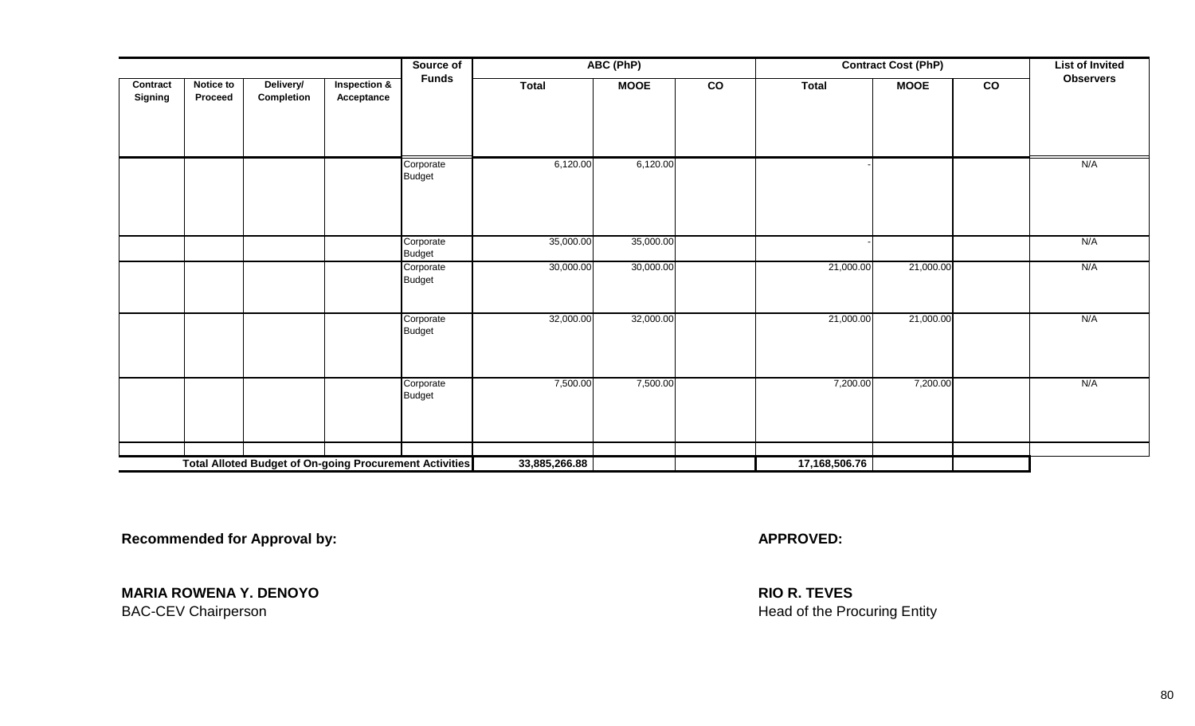|                            |                             |                                                                |                                       | Source of                  |               | ABC (PhP)   |                 |               | <b>Contract Cost (PhP)</b> |                 | <b>List of Invited</b> |
|----------------------------|-----------------------------|----------------------------------------------------------------|---------------------------------------|----------------------------|---------------|-------------|-----------------|---------------|----------------------------|-----------------|------------------------|
| Contract<br><b>Signing</b> | Notice to<br><b>Proceed</b> | Delivery/<br>Completion                                        | <b>Inspection &amp;</b><br>Acceptance | <b>Funds</b>               | <b>Total</b>  | <b>MOOE</b> | $\overline{co}$ | <b>Total</b>  | <b>MOOE</b>                | $\overline{co}$ | <b>Observers</b>       |
|                            |                             |                                                                |                                       | Corporate<br><b>Budget</b> | 6,120.00      | 6,120.00    |                 |               |                            |                 | N/A                    |
|                            |                             |                                                                |                                       | Corporate<br><b>Budget</b> | 35,000.00     | 35,000.00   |                 |               |                            |                 | N/A                    |
|                            |                             |                                                                |                                       | Corporate<br><b>Budget</b> | 30,000.00     | 30,000.00   |                 | 21,000.00     | 21,000.00                  |                 | N/A                    |
|                            |                             |                                                                |                                       | Corporate<br><b>Budget</b> | 32,000.00     | 32,000.00   |                 | 21,000.00     | 21,000.00                  |                 | N/A                    |
|                            |                             |                                                                |                                       | Corporate<br><b>Budget</b> | 7,500.00      | 7,500.00    |                 | 7,200.00      | 7,200.00                   |                 | N/A                    |
|                            |                             | <b>Total Alloted Budget of On-going Procurement Activities</b> |                                       |                            |               |             |                 |               |                            |                 |                        |
|                            |                             |                                                                |                                       |                            | 33,885,266.88 |             |                 | 17,168,506.76 |                            |                 |                        |

**Recommended for Approval by: APPROVED: APPROVED: APPROVED: APPROVED: APPROVED: APPROVED: APPROVED: APPROVED: APPROVED: APPROVED: APPROVED: APPROVED: APPROVED: APPROVED: APPROVED: A** 

**MARIA ROWENA Y. DENOYO RIO R. TEVES** BAC-CEV Chairperson **Entity** and the Procuring Entity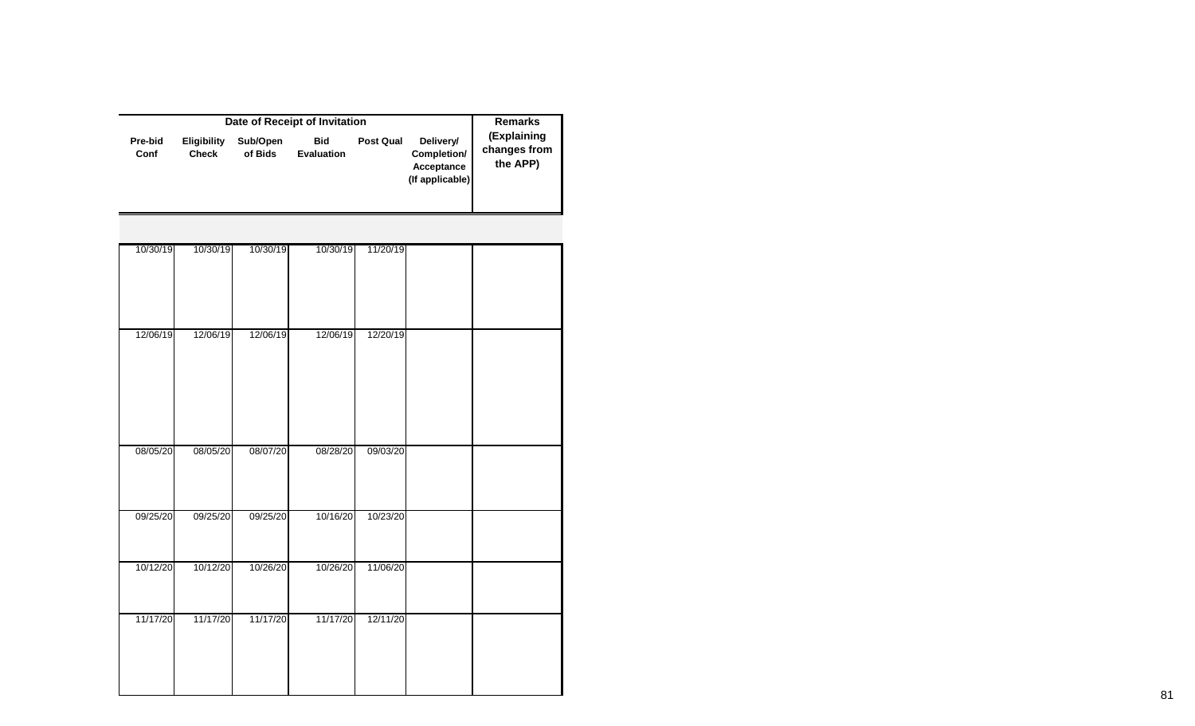|                 |                             | <b>Remarks</b>      |                                 |                  |                                                           |                                         |
|-----------------|-----------------------------|---------------------|---------------------------------|------------------|-----------------------------------------------------------|-----------------------------------------|
| Pre-bid<br>Conf | Eligibility<br><b>Check</b> | Sub/Open<br>of Bids | <b>Bid</b><br><b>Evaluation</b> | <b>Post Qual</b> | Delivery/<br>Completion/<br>Acceptance<br>(If applicable) | (Explaining<br>changes from<br>the APP) |
|                 |                             |                     |                                 |                  |                                                           |                                         |
| 10/30/19        | 10/30/19                    | 10/30/19            | 10/30/19                        | 11/20/19         |                                                           |                                         |
|                 |                             |                     |                                 |                  |                                                           |                                         |
| 12/06/19        | 12/06/19                    | 12/06/19            | 12/06/19                        | 12/20/19         |                                                           |                                         |
|                 |                             |                     |                                 |                  |                                                           |                                         |
|                 |                             |                     |                                 |                  |                                                           |                                         |
| 08/05/20        | 08/05/20                    | 08/07/20            | 08/28/20                        | 09/03/20         |                                                           |                                         |
|                 |                             |                     |                                 |                  |                                                           |                                         |
| 09/25/20        | 09/25/20                    | 09/25/20            | 10/16/20                        | 10/23/20         |                                                           |                                         |
|                 |                             |                     |                                 |                  |                                                           |                                         |
| 10/12/20        | 10/12/20                    | 10/26/20            | 10/26/20                        | 11/06/20         |                                                           |                                         |
| 11/17/20        | 11/17/20                    | 11/17/20            | 11/17/20                        | 12/11/20         |                                                           |                                         |
|                 |                             |                     |                                 |                  |                                                           |                                         |
|                 |                             |                     |                                 |                  |                                                           |                                         |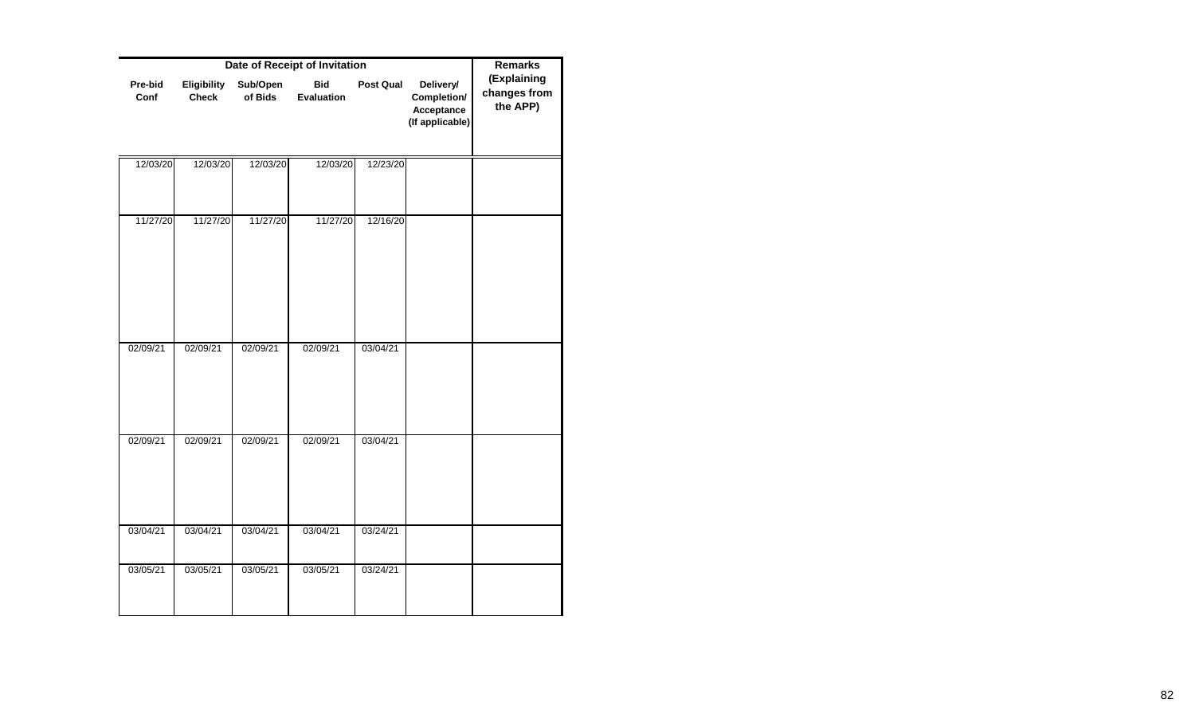|                 |                             | <b>Remarks</b>      |                          |           |                                                           |                                         |
|-----------------|-----------------------------|---------------------|--------------------------|-----------|-----------------------------------------------------------|-----------------------------------------|
| Pre-bid<br>Conf | Eligibility<br><b>Check</b> | Sub/Open<br>of Bids | <b>Bid</b><br>Evaluation | Post Qual | Delivery/<br>Completion/<br>Acceptance<br>(If applicable) | (Explaining<br>changes from<br>the APP) |
| 12/03/20        | 12/03/20                    | 12/03/20            | 12/03/20                 | 12/23/20  |                                                           |                                         |
|                 |                             |                     |                          |           |                                                           |                                         |
| 11/27/20        | 11/27/20                    | 11/27/20            | 11/27/20                 | 12/16/20  |                                                           |                                         |
| 02/09/21        | 02/09/21                    | 02/09/21            | 02/09/21                 | 03/04/21  |                                                           |                                         |
| 02/09/21        | 02/09/21                    | 02/09/21            | 02/09/21                 | 03/04/21  |                                                           |                                         |
| 03/04/21        | 03/04/21                    | 03/04/21            | 03/04/21                 | 03/24/21  |                                                           |                                         |
| 03/05/21        | 03/05/21                    | 03/05/21            | 03/05/21                 | 03/24/21  |                                                           |                                         |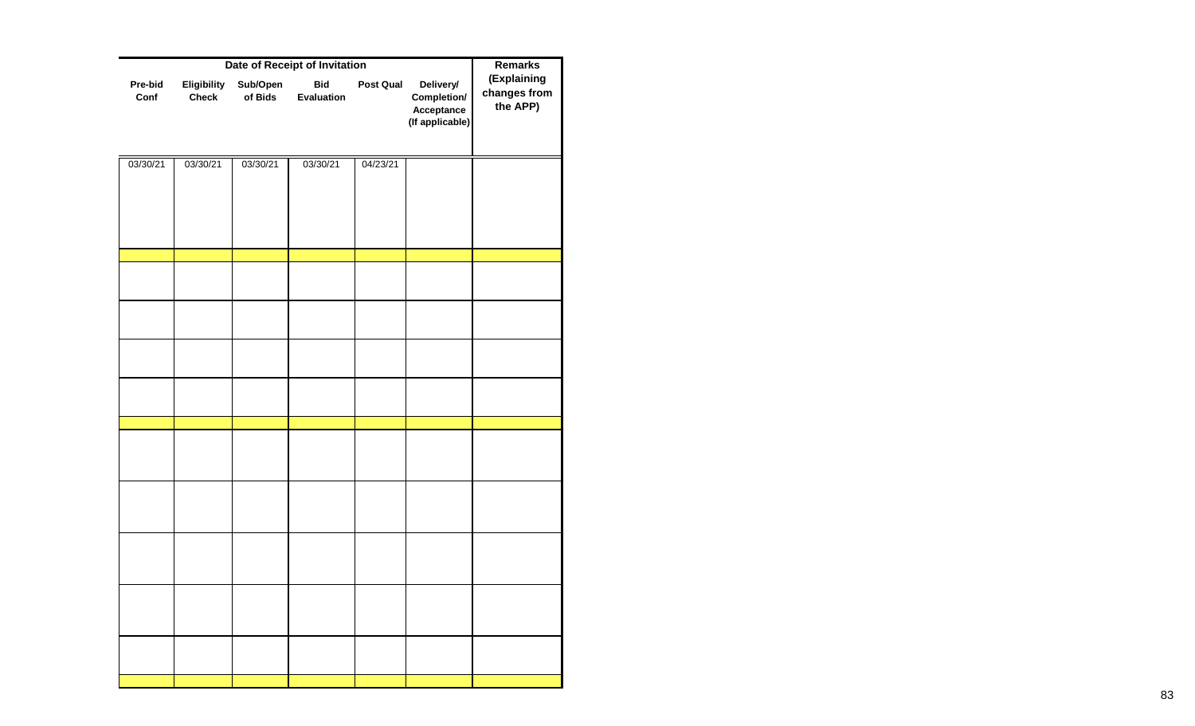|                 | <b>Remarks</b>              |                     |                          |                  |                                                           |                                         |
|-----------------|-----------------------------|---------------------|--------------------------|------------------|-----------------------------------------------------------|-----------------------------------------|
| Pre-bid<br>Conf | Eligibility<br><b>Check</b> | Sub/Open<br>of Bids | <b>Bid</b><br>Evaluation | <b>Post Qual</b> | Delivery/<br>Completion/<br>Acceptance<br>(If applicable) | (Explaining<br>changes from<br>the APP) |
| 03/30/21        | 03/30/21                    | 03/30/21            | 03/30/21                 | 04/23/21         |                                                           |                                         |
|                 |                             |                     |                          |                  |                                                           |                                         |
|                 |                             |                     |                          |                  |                                                           |                                         |
|                 |                             |                     |                          |                  |                                                           |                                         |
|                 |                             |                     |                          |                  |                                                           |                                         |
|                 |                             |                     |                          |                  |                                                           |                                         |
|                 |                             |                     |                          |                  |                                                           |                                         |
|                 |                             |                     |                          |                  |                                                           |                                         |
|                 |                             |                     |                          |                  |                                                           |                                         |
|                 |                             |                     |                          |                  |                                                           |                                         |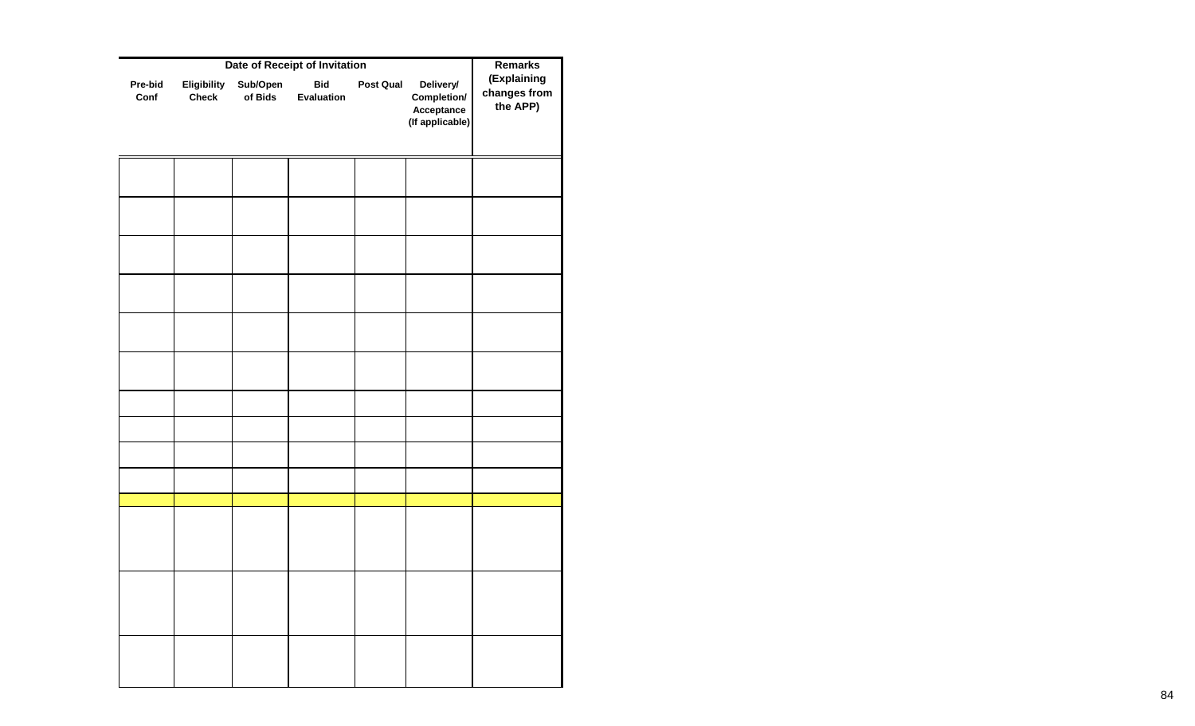|                 | <b>Remarks</b>              |                     |                          |           |                                                           |                                         |
|-----------------|-----------------------------|---------------------|--------------------------|-----------|-----------------------------------------------------------|-----------------------------------------|
| Pre-bid<br>Conf | Eligibility<br><b>Check</b> | Sub/Open<br>of Bids | <b>Bid</b><br>Evaluation | Post Qual | Delivery/<br>Completion/<br>Acceptance<br>(If applicable) | (Explaining<br>changes from<br>the APP) |
|                 |                             |                     |                          |           |                                                           |                                         |
|                 |                             |                     |                          |           |                                                           |                                         |
|                 |                             |                     |                          |           |                                                           |                                         |
|                 |                             |                     |                          |           |                                                           |                                         |
|                 |                             |                     |                          |           |                                                           |                                         |
|                 |                             |                     |                          |           |                                                           |                                         |
|                 |                             |                     |                          |           |                                                           |                                         |
|                 |                             |                     |                          |           |                                                           |                                         |
|                 |                             |                     |                          |           |                                                           |                                         |
|                 |                             |                     |                          |           |                                                           |                                         |
|                 |                             |                     |                          |           |                                                           |                                         |
|                 |                             |                     |                          |           |                                                           |                                         |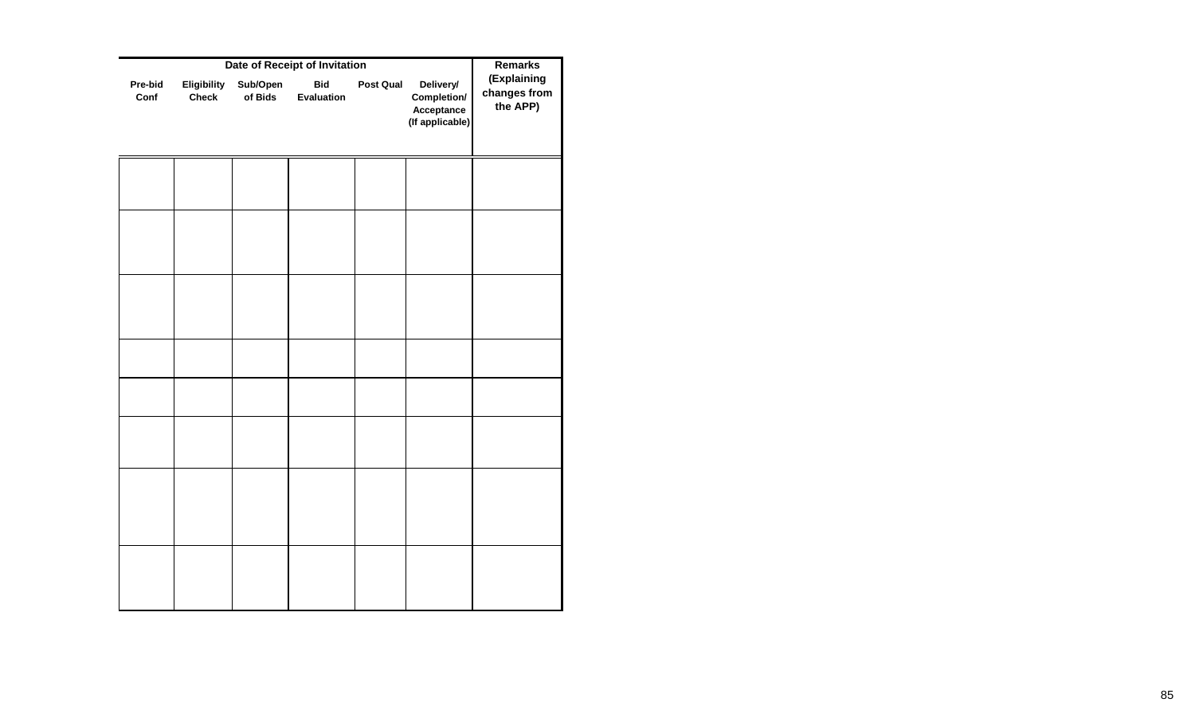| Pre-bid<br>Conf | Eligibility<br><b>Check</b> | Sub/Open | <b>Bid</b> | Post Qual | Delivery/                                    | (Explaining              |
|-----------------|-----------------------------|----------|------------|-----------|----------------------------------------------|--------------------------|
|                 |                             | of Bids  | Evaluation |           | Completion/<br>Acceptance<br>(If applicable) | changes from<br>the APP) |
|                 |                             |          |            |           |                                              |                          |
|                 |                             |          |            |           |                                              |                          |
|                 |                             |          |            |           |                                              |                          |
|                 |                             |          |            |           |                                              |                          |
|                 |                             |          |            |           |                                              |                          |
|                 |                             |          |            |           |                                              |                          |
|                 |                             |          |            |           |                                              |                          |
|                 |                             |          |            |           |                                              |                          |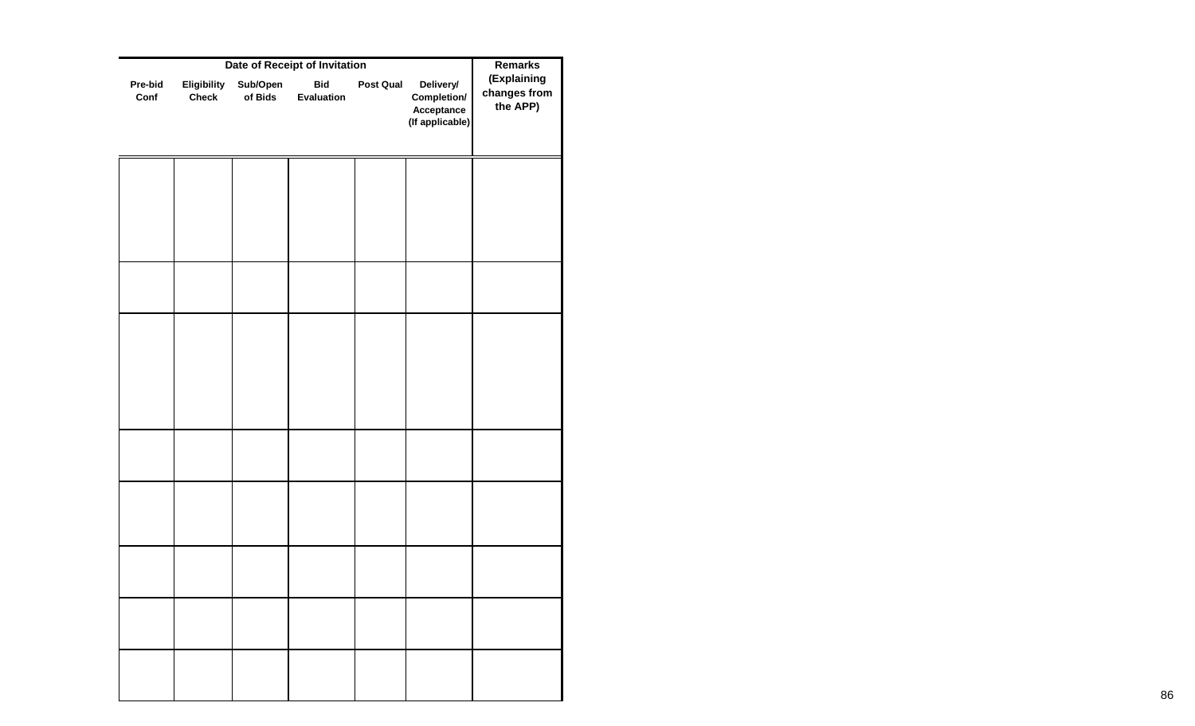|                 | <b>Remarks</b>              |                     |                          |                  |                                                           |                                         |
|-----------------|-----------------------------|---------------------|--------------------------|------------------|-----------------------------------------------------------|-----------------------------------------|
| Pre-bid<br>Conf | Eligibility<br><b>Check</b> | Sub/Open<br>of Bids | <b>Bid</b><br>Evaluation | <b>Post Qual</b> | Delivery/<br>Completion/<br>Acceptance<br>(If applicable) | (Explaining<br>changes from<br>the APP) |
|                 |                             |                     |                          |                  |                                                           |                                         |
|                 |                             |                     |                          |                  |                                                           |                                         |
|                 |                             |                     |                          |                  |                                                           |                                         |
|                 |                             |                     |                          |                  |                                                           |                                         |
|                 |                             |                     |                          |                  |                                                           |                                         |
|                 |                             |                     |                          |                  |                                                           |                                         |
|                 |                             |                     |                          |                  |                                                           |                                         |
|                 |                             |                     |                          |                  |                                                           |                                         |
|                 |                             |                     |                          |                  |                                                           |                                         |
|                 |                             |                     |                          |                  |                                                           |                                         |
|                 |                             |                     |                          |                  |                                                           |                                         |
|                 |                             |                     |                          |                  |                                                           |                                         |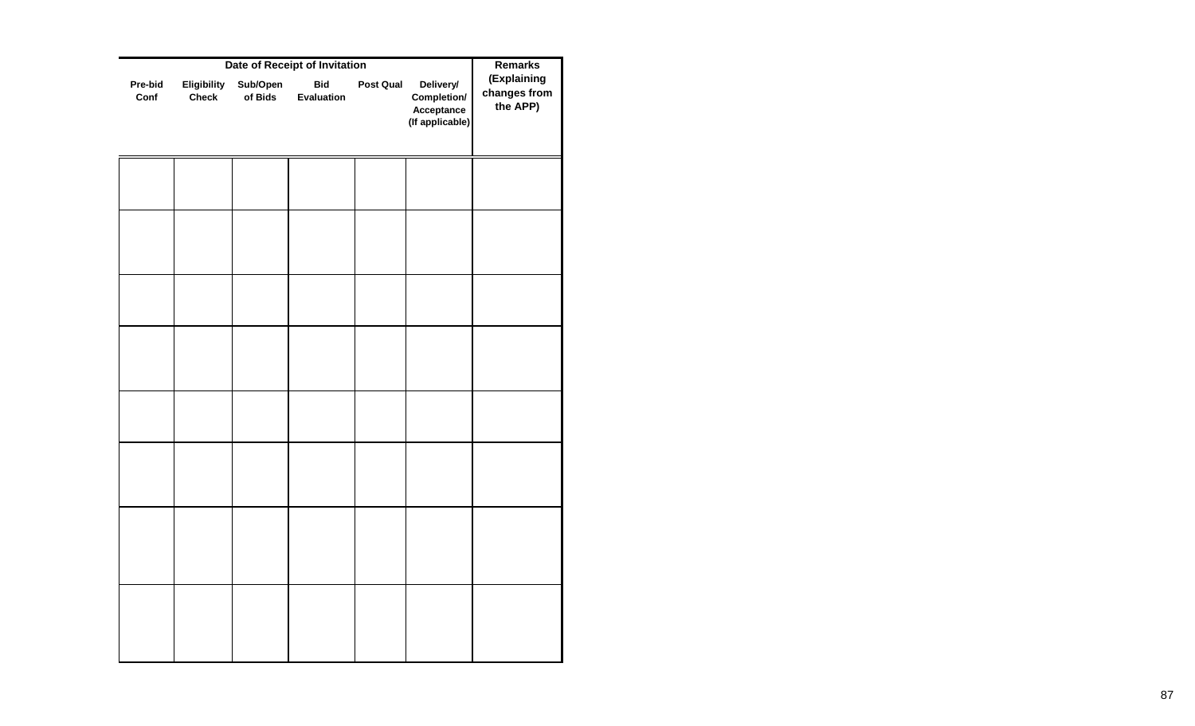|                 | Remarks                     |                     |                          |           |                                                           |                                         |
|-----------------|-----------------------------|---------------------|--------------------------|-----------|-----------------------------------------------------------|-----------------------------------------|
| Pre-bid<br>Conf | Eligibility<br><b>Check</b> | Sub/Open<br>of Bids | <b>Bid</b><br>Evaluation | Post Qual | Delivery/<br>Completion/<br>Acceptance<br>(If applicable) | (Explaining<br>changes from<br>the APP) |
|                 |                             |                     |                          |           |                                                           |                                         |
|                 |                             |                     |                          |           |                                                           |                                         |
|                 |                             |                     |                          |           |                                                           |                                         |
|                 |                             |                     |                          |           |                                                           |                                         |
|                 |                             |                     |                          |           |                                                           |                                         |
|                 |                             |                     |                          |           |                                                           |                                         |
|                 |                             |                     |                          |           |                                                           |                                         |
|                 |                             |                     |                          |           |                                                           |                                         |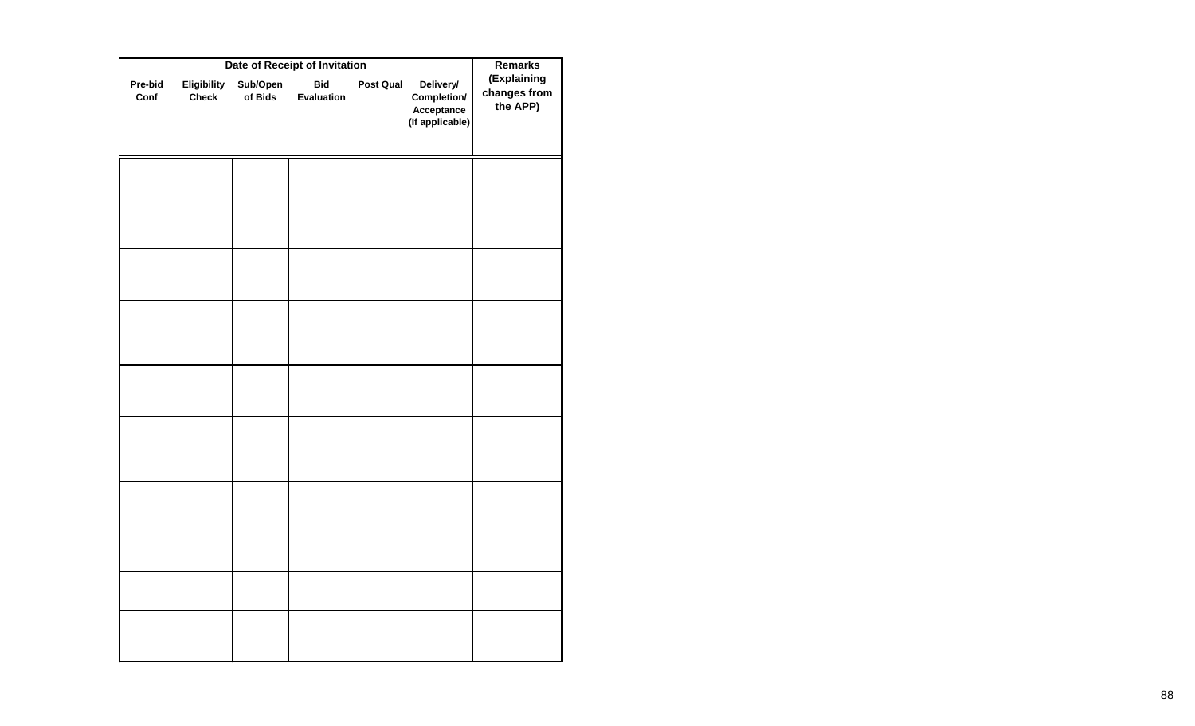|                 | Remarks                     |                     |                          |                  |                                                           |                                         |
|-----------------|-----------------------------|---------------------|--------------------------|------------------|-----------------------------------------------------------|-----------------------------------------|
| Pre-bid<br>Conf | Eligibility<br><b>Check</b> | Sub/Open<br>of Bids | <b>Bid</b><br>Evaluation | <b>Post Qual</b> | Delivery/<br>Completion/<br>Acceptance<br>(If applicable) | (Explaining<br>changes from<br>the APP) |
|                 |                             |                     |                          |                  |                                                           |                                         |
|                 |                             |                     |                          |                  |                                                           |                                         |
|                 |                             |                     |                          |                  |                                                           |                                         |
|                 |                             |                     |                          |                  |                                                           |                                         |
|                 |                             |                     |                          |                  |                                                           |                                         |
|                 |                             |                     |                          |                  |                                                           |                                         |
|                 |                             |                     |                          |                  |                                                           |                                         |
|                 |                             |                     |                          |                  |                                                           |                                         |
|                 |                             |                     |                          |                  |                                                           |                                         |
|                 |                             |                     |                          |                  |                                                           |                                         |
|                 |                             |                     |                          |                  |                                                           |                                         |
|                 |                             |                     |                          |                  |                                                           |                                         |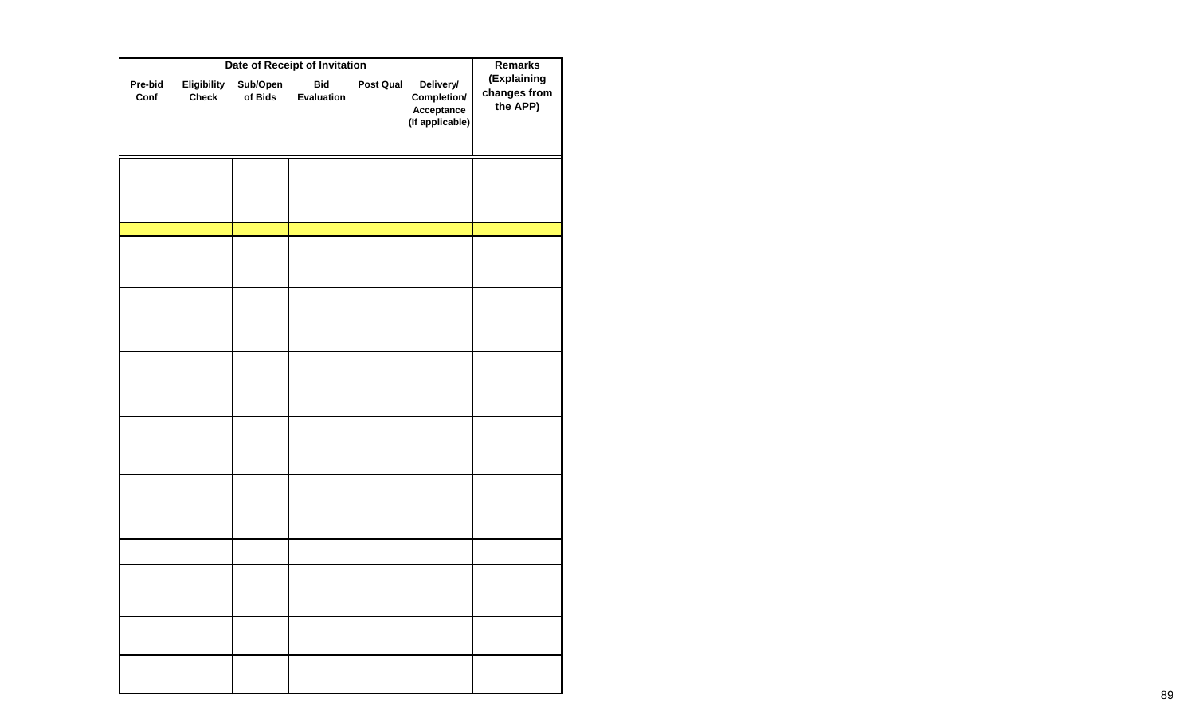|                 | <b>Remarks</b>              |                     |                          |           |                                                           |                                         |
|-----------------|-----------------------------|---------------------|--------------------------|-----------|-----------------------------------------------------------|-----------------------------------------|
| Pre-bid<br>Conf | Eligibility<br><b>Check</b> | Sub/Open<br>of Bids | <b>Bid</b><br>Evaluation | Post Qual | Delivery/<br>Completion/<br>Acceptance<br>(If applicable) | (Explaining<br>changes from<br>the APP) |
|                 |                             |                     |                          |           |                                                           |                                         |
|                 |                             |                     |                          |           |                                                           |                                         |
|                 |                             |                     |                          |           |                                                           |                                         |
|                 |                             |                     |                          |           |                                                           |                                         |
|                 |                             |                     |                          |           |                                                           |                                         |
|                 |                             |                     |                          |           |                                                           |                                         |
|                 |                             |                     |                          |           |                                                           |                                         |
|                 |                             |                     |                          |           |                                                           |                                         |
|                 |                             |                     |                          |           |                                                           |                                         |
|                 |                             |                     |                          |           |                                                           |                                         |
|                 |                             |                     |                          |           |                                                           |                                         |
|                 |                             |                     |                          |           |                                                           |                                         |
|                 |                             |                     |                          |           |                                                           |                                         |
|                 |                             |                     |                          |           |                                                           |                                         |
|                 |                             |                     |                          |           |                                                           |                                         |
|                 |                             |                     |                          |           |                                                           |                                         |
|                 |                             |                     |                          |           |                                                           |                                         |
|                 |                             |                     |                          |           |                                                           |                                         |
|                 |                             |                     |                          |           |                                                           |                                         |
|                 |                             |                     |                          |           |                                                           |                                         |
|                 |                             |                     |                          |           |                                                           |                                         |
|                 |                             |                     |                          |           |                                                           |                                         |
|                 |                             |                     |                          |           |                                                           |                                         |
|                 |                             |                     |                          |           |                                                           |                                         |
|                 |                             |                     |                          |           |                                                           |                                         |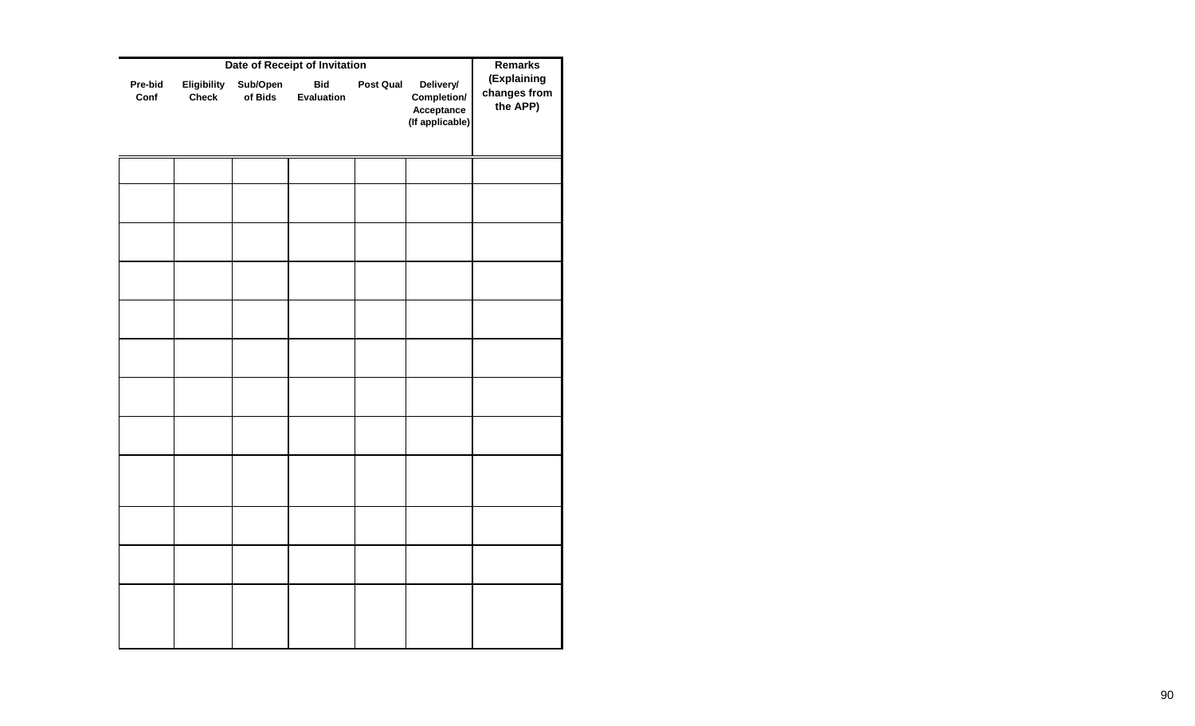|                 | <b>Remarks</b>              |                     |                          |           |                                                           |                                         |
|-----------------|-----------------------------|---------------------|--------------------------|-----------|-----------------------------------------------------------|-----------------------------------------|
| Pre-bid<br>Conf | Eligibility<br><b>Check</b> | Sub/Open<br>of Bids | <b>Bid</b><br>Evaluation | Post Qual | Delivery/<br>Completion/<br>Acceptance<br>(If applicable) | (Explaining<br>changes from<br>the APP) |
|                 |                             |                     |                          |           |                                                           |                                         |
|                 |                             |                     |                          |           |                                                           |                                         |
|                 |                             |                     |                          |           |                                                           |                                         |
|                 |                             |                     |                          |           |                                                           |                                         |
|                 |                             |                     |                          |           |                                                           |                                         |
|                 |                             |                     |                          |           |                                                           |                                         |
|                 |                             |                     |                          |           |                                                           |                                         |
|                 |                             |                     |                          |           |                                                           |                                         |
|                 |                             |                     |                          |           |                                                           |                                         |
|                 |                             |                     |                          |           |                                                           |                                         |
|                 |                             |                     |                          |           |                                                           |                                         |
|                 |                             |                     |                          |           |                                                           |                                         |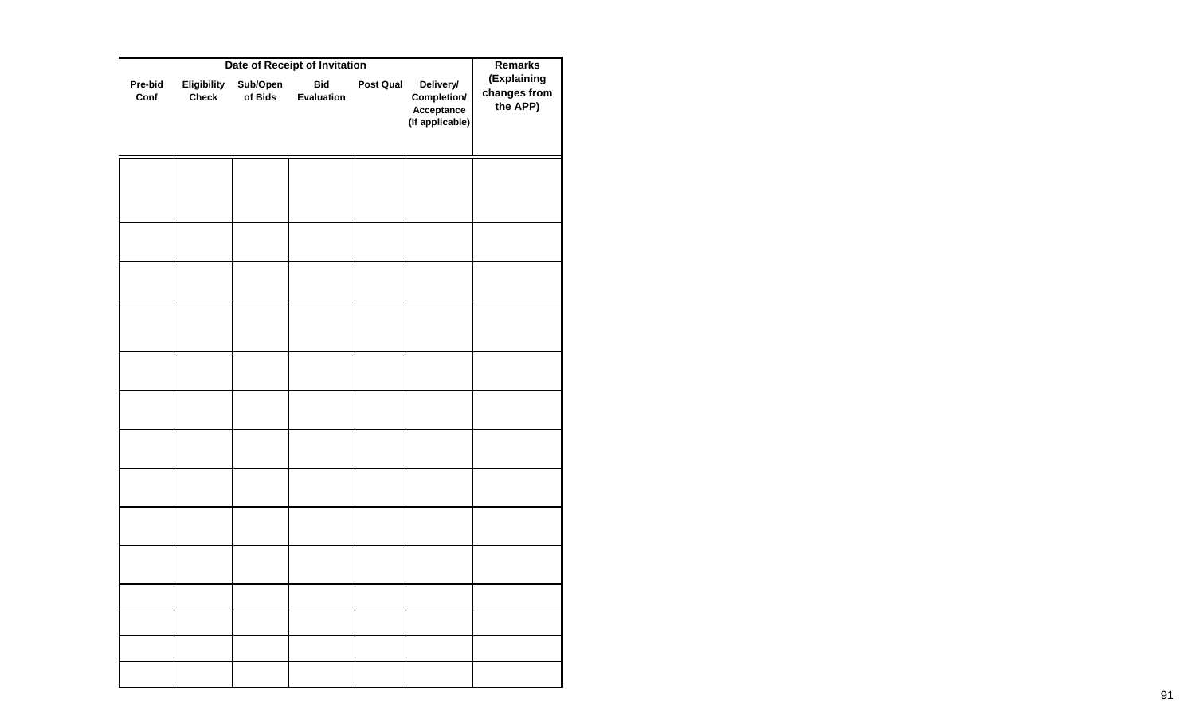|                 |                             | <b>Remarks</b>      |                          |           |                                                           |                                         |
|-----------------|-----------------------------|---------------------|--------------------------|-----------|-----------------------------------------------------------|-----------------------------------------|
| Pre-bid<br>Conf | Eligibility<br><b>Check</b> | Sub/Open<br>of Bids | <b>Bid</b><br>Evaluation | Post Qual | Delivery/<br>Completion/<br>Acceptance<br>(If applicable) | (Explaining<br>changes from<br>the APP) |
|                 |                             |                     |                          |           |                                                           |                                         |
|                 |                             |                     |                          |           |                                                           |                                         |
|                 |                             |                     |                          |           |                                                           |                                         |
|                 |                             |                     |                          |           |                                                           |                                         |
|                 |                             |                     |                          |           |                                                           |                                         |
|                 |                             |                     |                          |           |                                                           |                                         |
|                 |                             |                     |                          |           |                                                           |                                         |
|                 |                             |                     |                          |           |                                                           |                                         |
|                 |                             |                     |                          |           |                                                           |                                         |
|                 |                             |                     |                          |           |                                                           |                                         |
|                 |                             |                     |                          |           |                                                           |                                         |
|                 |                             |                     |                          |           |                                                           |                                         |
|                 |                             |                     |                          |           |                                                           |                                         |
|                 |                             |                     |                          |           |                                                           |                                         |
|                 |                             |                     |                          |           |                                                           |                                         |
|                 |                             |                     |                          |           |                                                           |                                         |
|                 |                             |                     |                          |           |                                                           |                                         |
|                 |                             |                     |                          |           |                                                           |                                         |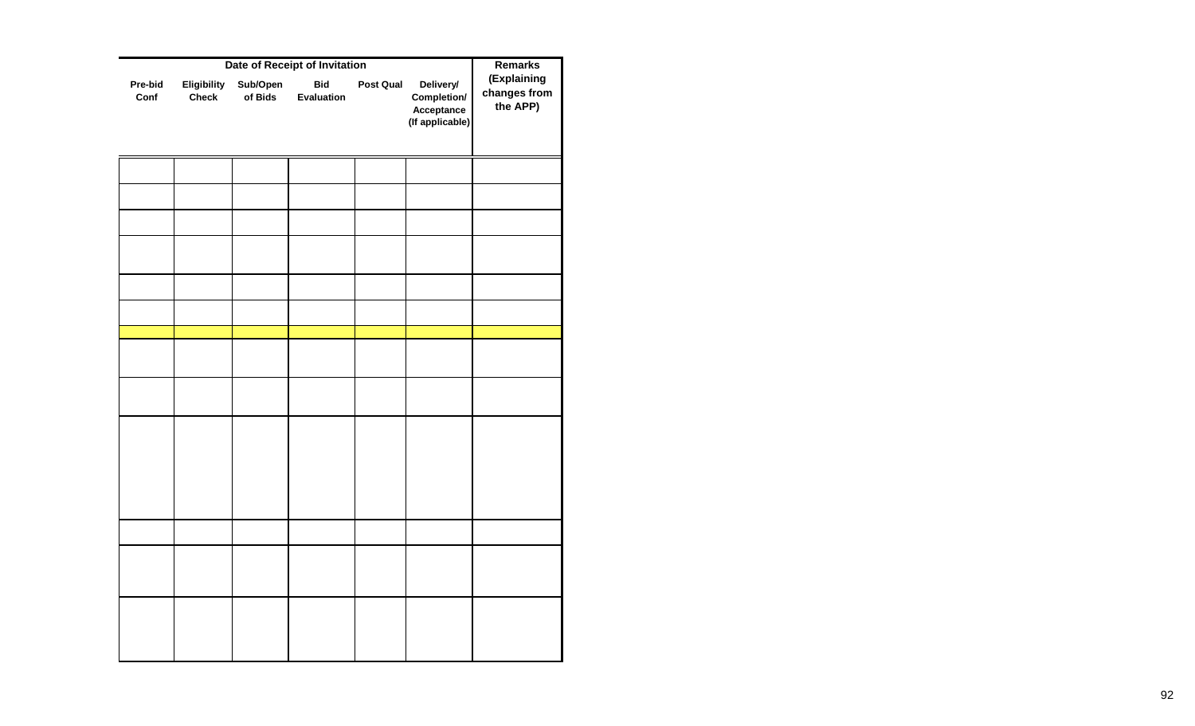|                 | <b>Remarks</b>              |                     |                          |           |                                                           |                                         |
|-----------------|-----------------------------|---------------------|--------------------------|-----------|-----------------------------------------------------------|-----------------------------------------|
| Pre-bid<br>Conf | Eligibility<br><b>Check</b> | Sub/Open<br>of Bids | <b>Bid</b><br>Evaluation | Post Qual | Delivery/<br>Completion/<br>Acceptance<br>(If applicable) | (Explaining<br>changes from<br>the APP) |
|                 |                             |                     |                          |           |                                                           |                                         |
|                 |                             |                     |                          |           |                                                           |                                         |
|                 |                             |                     |                          |           |                                                           |                                         |
|                 |                             |                     |                          |           |                                                           |                                         |
|                 |                             |                     |                          |           |                                                           |                                         |
|                 |                             |                     |                          |           |                                                           |                                         |
|                 |                             |                     |                          |           |                                                           |                                         |
|                 |                             |                     |                          |           |                                                           |                                         |
|                 |                             |                     |                          |           |                                                           |                                         |
|                 |                             |                     |                          |           |                                                           |                                         |
|                 |                             |                     |                          |           |                                                           |                                         |
|                 |                             |                     |                          |           |                                                           |                                         |
|                 |                             |                     |                          |           |                                                           |                                         |
|                 |                             |                     |                          |           |                                                           |                                         |
|                 |                             |                     |                          |           |                                                           |                                         |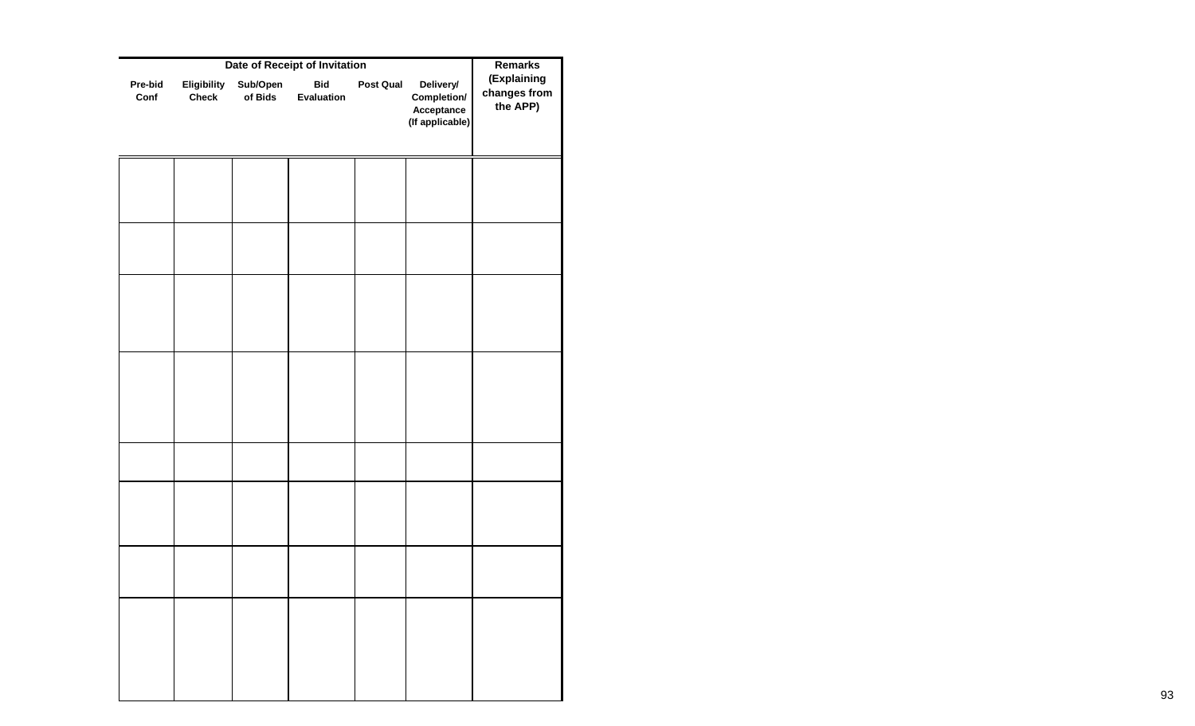|                 | <b>Remarks</b>              |                     |                          |           |                                                           |                                         |
|-----------------|-----------------------------|---------------------|--------------------------|-----------|-----------------------------------------------------------|-----------------------------------------|
| Pre-bid<br>Conf | Eligibility<br><b>Check</b> | Sub/Open<br>of Bids | <b>Bid</b><br>Evaluation | Post Qual | Delivery/<br>Completion/<br>Acceptance<br>(If applicable) | (Explaining<br>changes from<br>the APP) |
|                 |                             |                     |                          |           |                                                           |                                         |
|                 |                             |                     |                          |           |                                                           |                                         |
|                 |                             |                     |                          |           |                                                           |                                         |
|                 |                             |                     |                          |           |                                                           |                                         |
|                 |                             |                     |                          |           |                                                           |                                         |
|                 |                             |                     |                          |           |                                                           |                                         |
|                 |                             |                     |                          |           |                                                           |                                         |
|                 |                             |                     |                          |           |                                                           |                                         |
|                 |                             |                     |                          |           |                                                           |                                         |
|                 |                             |                     |                          |           |                                                           |                                         |
|                 |                             |                     |                          |           |                                                           |                                         |
|                 |                             |                     |                          |           |                                                           |                                         |
|                 |                             |                     |                          |           |                                                           |                                         |
|                 |                             |                     |                          |           |                                                           |                                         |
|                 |                             |                     |                          |           |                                                           |                                         |
|                 |                             |                     |                          |           |                                                           |                                         |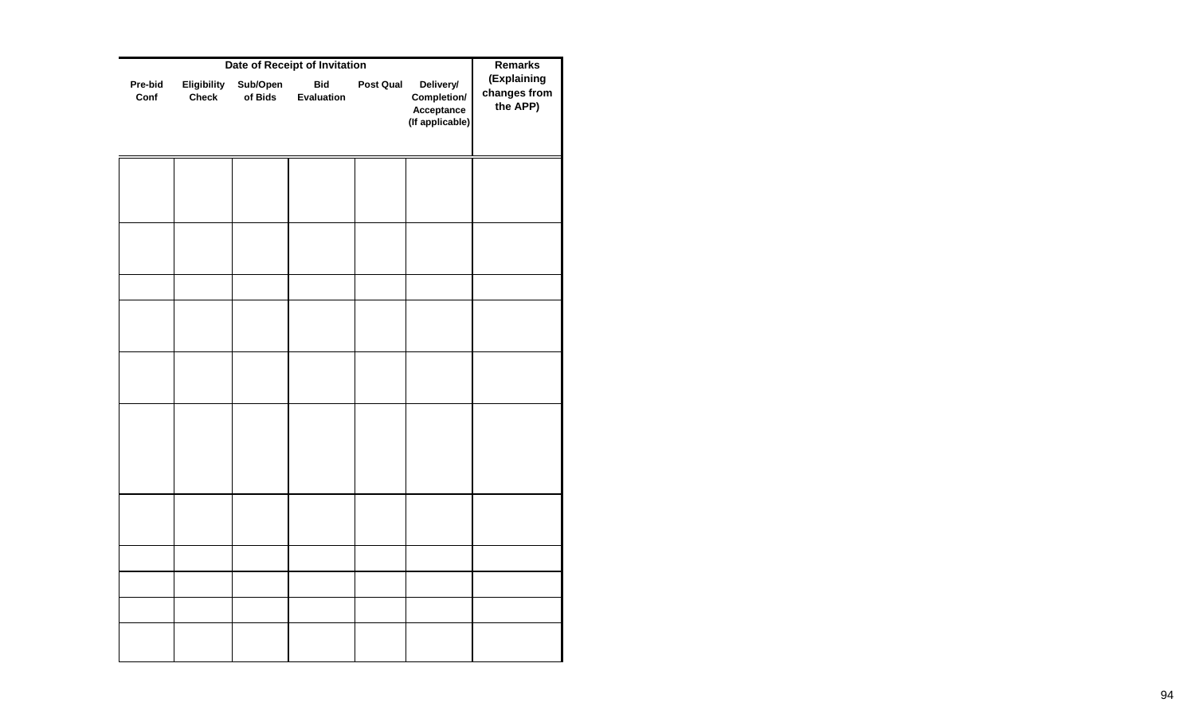|                 | <b>Remarks</b>              |                     |                          |           |                                                           |                                         |
|-----------------|-----------------------------|---------------------|--------------------------|-----------|-----------------------------------------------------------|-----------------------------------------|
| Pre-bid<br>Conf | Eligibility<br><b>Check</b> | Sub/Open<br>of Bids | <b>Bid</b><br>Evaluation | Post Qual | Delivery/<br>Completion/<br>Acceptance<br>(If applicable) | (Explaining<br>changes from<br>the APP) |
|                 |                             |                     |                          |           |                                                           |                                         |
|                 |                             |                     |                          |           |                                                           |                                         |
|                 |                             |                     |                          |           |                                                           |                                         |
|                 |                             |                     |                          |           |                                                           |                                         |
|                 |                             |                     |                          |           |                                                           |                                         |
|                 |                             |                     |                          |           |                                                           |                                         |
|                 |                             |                     |                          |           |                                                           |                                         |
|                 |                             |                     |                          |           |                                                           |                                         |
|                 |                             |                     |                          |           |                                                           |                                         |
|                 |                             |                     |                          |           |                                                           |                                         |
|                 |                             |                     |                          |           |                                                           |                                         |
|                 |                             |                     |                          |           |                                                           |                                         |
|                 |                             |                     |                          |           |                                                           |                                         |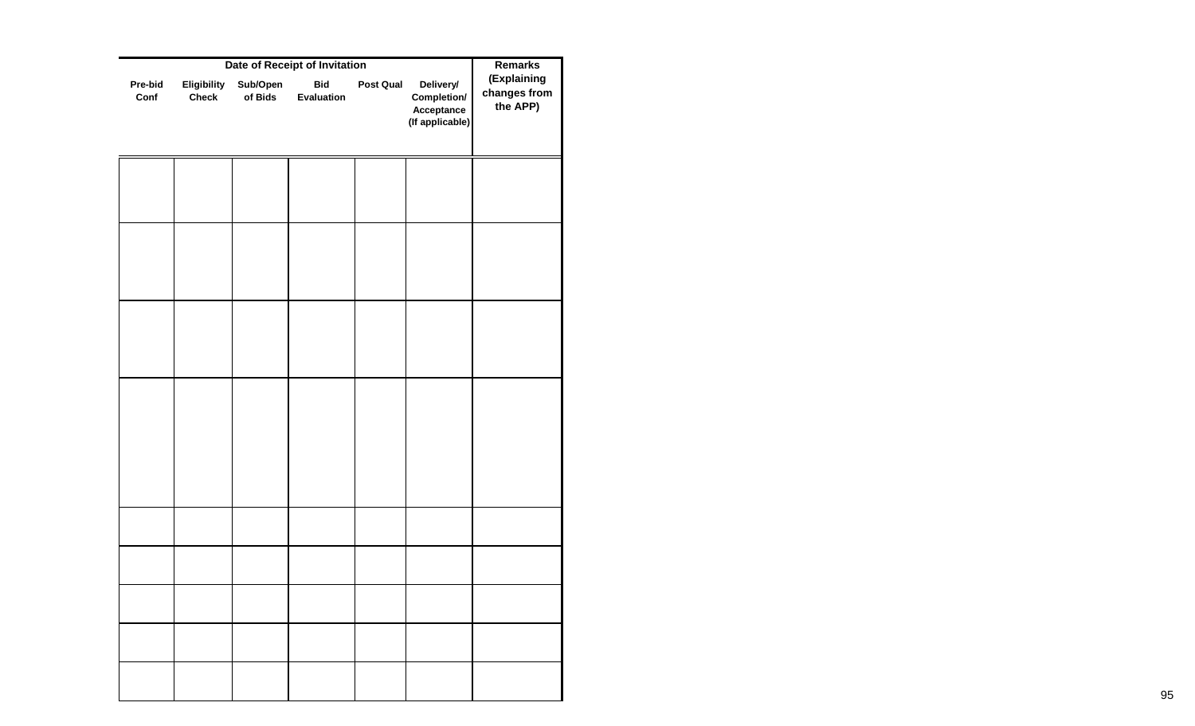|                 | <b>Remarks</b>              |                     |                          |           |                                                           |                                         |
|-----------------|-----------------------------|---------------------|--------------------------|-----------|-----------------------------------------------------------|-----------------------------------------|
| Pre-bid<br>Conf | Eligibility<br><b>Check</b> | Sub/Open<br>of Bids | <b>Bid</b><br>Evaluation | Post Qual | Delivery/<br>Completion/<br>Acceptance<br>(If applicable) | (Explaining<br>changes from<br>the APP) |
|                 |                             |                     |                          |           |                                                           |                                         |
|                 |                             |                     |                          |           |                                                           |                                         |
|                 |                             |                     |                          |           |                                                           |                                         |
|                 |                             |                     |                          |           |                                                           |                                         |
|                 |                             |                     |                          |           |                                                           |                                         |
|                 |                             |                     |                          |           |                                                           |                                         |
|                 |                             |                     |                          |           |                                                           |                                         |
|                 |                             |                     |                          |           |                                                           |                                         |
|                 |                             |                     |                          |           |                                                           |                                         |
|                 |                             |                     |                          |           |                                                           |                                         |
|                 |                             |                     |                          |           |                                                           |                                         |
|                 |                             |                     |                          |           |                                                           |                                         |
|                 |                             |                     |                          |           |                                                           |                                         |
|                 |                             |                     |                          |           |                                                           |                                         |
|                 |                             |                     |                          |           |                                                           |                                         |
|                 |                             |                     |                          |           |                                                           |                                         |
|                 |                             |                     |                          |           |                                                           |                                         |
|                 |                             |                     |                          |           |                                                           |                                         |
|                 |                             |                     |                          |           |                                                           |                                         |
|                 |                             |                     |                          |           |                                                           |                                         |
|                 |                             |                     |                          |           |                                                           |                                         |
|                 |                             |                     |                          |           |                                                           |                                         |
|                 |                             |                     |                          |           |                                                           |                                         |
|                 |                             |                     |                          |           |                                                           |                                         |
|                 |                             |                     |                          |           |                                                           |                                         |
|                 |                             |                     |                          |           |                                                           |                                         |
|                 |                             |                     |                          |           |                                                           |                                         |
|                 |                             |                     |                          |           |                                                           |                                         |
|                 |                             |                     |                          |           |                                                           |                                         |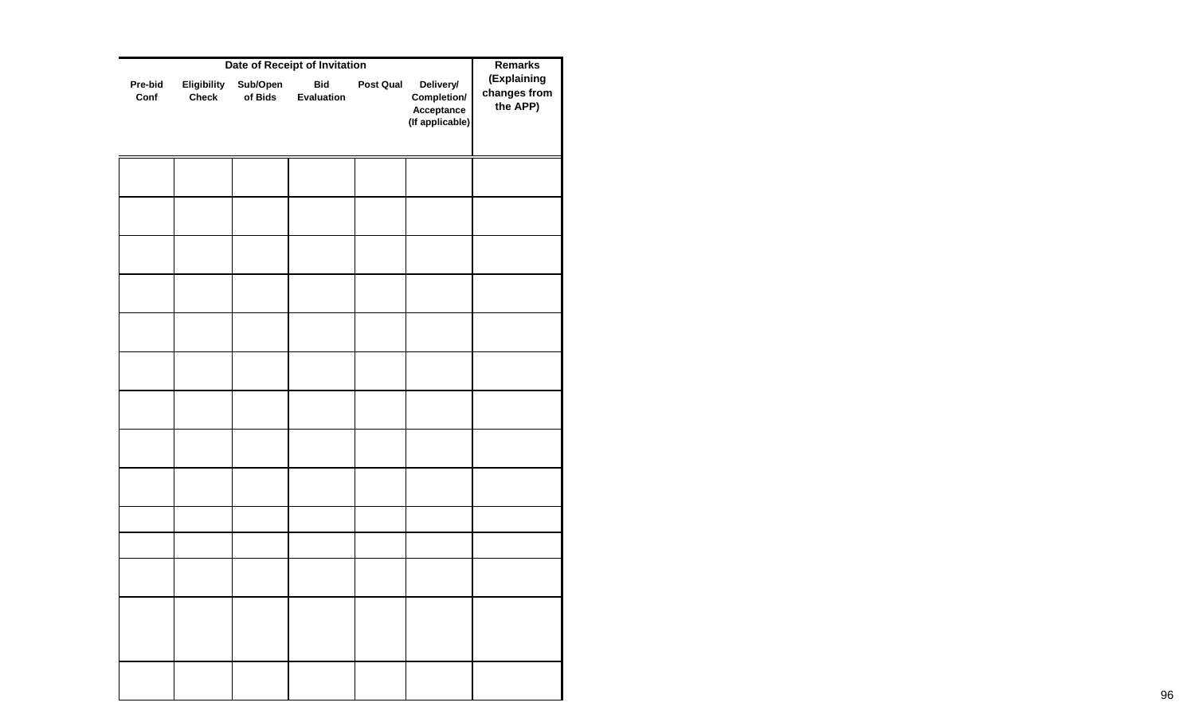|                 | Date of Receipt of Invitation |                     |                          |           |                                                           |                                         |  |  |  |
|-----------------|-------------------------------|---------------------|--------------------------|-----------|-----------------------------------------------------------|-----------------------------------------|--|--|--|
| Pre-bid<br>Conf | Eligibility<br><b>Check</b>   | Sub/Open<br>of Bids | <b>Bid</b><br>Evaluation | Post Qual | Delivery/<br>Completion/<br>Acceptance<br>(If applicable) | (Explaining<br>changes from<br>the APP) |  |  |  |
|                 |                               |                     |                          |           |                                                           |                                         |  |  |  |
|                 |                               |                     |                          |           |                                                           |                                         |  |  |  |
|                 |                               |                     |                          |           |                                                           |                                         |  |  |  |
|                 |                               |                     |                          |           |                                                           |                                         |  |  |  |
|                 |                               |                     |                          |           |                                                           |                                         |  |  |  |
|                 |                               |                     |                          |           |                                                           |                                         |  |  |  |
|                 |                               |                     |                          |           |                                                           |                                         |  |  |  |
|                 |                               |                     |                          |           |                                                           |                                         |  |  |  |
|                 |                               |                     |                          |           |                                                           |                                         |  |  |  |
|                 |                               |                     |                          |           |                                                           |                                         |  |  |  |
|                 |                               |                     |                          |           |                                                           |                                         |  |  |  |
|                 |                               |                     |                          |           |                                                           |                                         |  |  |  |
|                 |                               |                     |                          |           |                                                           |                                         |  |  |  |
|                 |                               |                     |                          |           |                                                           |                                         |  |  |  |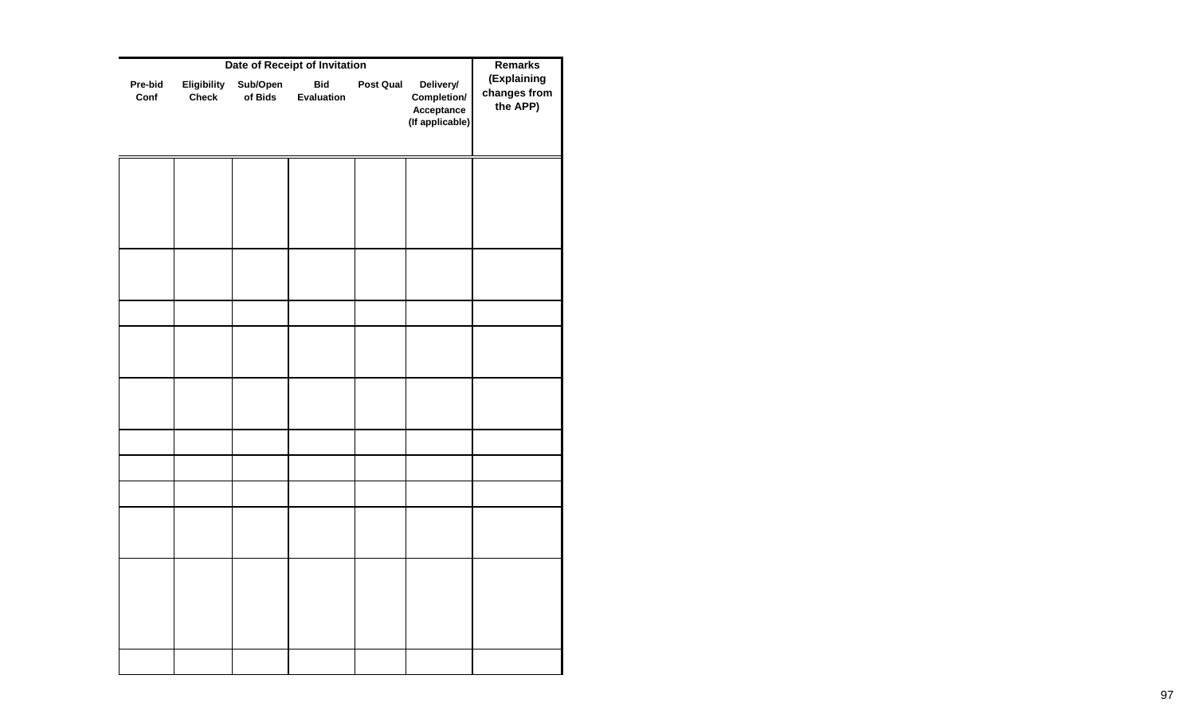|                 | <b>Remarks</b>              |                     |                          |                  |                                                           |                                         |
|-----------------|-----------------------------|---------------------|--------------------------|------------------|-----------------------------------------------------------|-----------------------------------------|
| Pre-bid<br>Conf | Eligibility<br><b>Check</b> | Sub/Open<br>of Bids | <b>Bid</b><br>Evaluation | <b>Post Qual</b> | Delivery/<br>Completion/<br>Acceptance<br>(If applicable) | (Explaining<br>changes from<br>the APP) |
|                 |                             |                     |                          |                  |                                                           |                                         |
|                 |                             |                     |                          |                  |                                                           |                                         |
|                 |                             |                     |                          |                  |                                                           |                                         |
|                 |                             |                     |                          |                  |                                                           |                                         |
|                 |                             |                     |                          |                  |                                                           |                                         |
|                 |                             |                     |                          |                  |                                                           |                                         |
|                 |                             |                     |                          |                  |                                                           |                                         |
|                 |                             |                     |                          |                  |                                                           |                                         |
|                 |                             |                     |                          |                  |                                                           |                                         |
|                 |                             |                     |                          |                  |                                                           |                                         |
|                 |                             |                     |                          |                  |                                                           |                                         |
|                 |                             |                     |                          |                  |                                                           |                                         |
|                 |                             |                     |                          |                  |                                                           |                                         |
|                 |                             |                     |                          |                  |                                                           |                                         |
|                 |                             |                     |                          |                  |                                                           |                                         |
|                 |                             |                     |                          |                  |                                                           |                                         |
|                 |                             |                     |                          |                  |                                                           |                                         |
|                 |                             |                     |                          |                  |                                                           |                                         |
|                 |                             |                     |                          |                  |                                                           |                                         |
|                 |                             |                     |                          |                  |                                                           |                                         |
|                 |                             |                     |                          |                  |                                                           |                                         |
|                 |                             |                     |                          |                  |                                                           |                                         |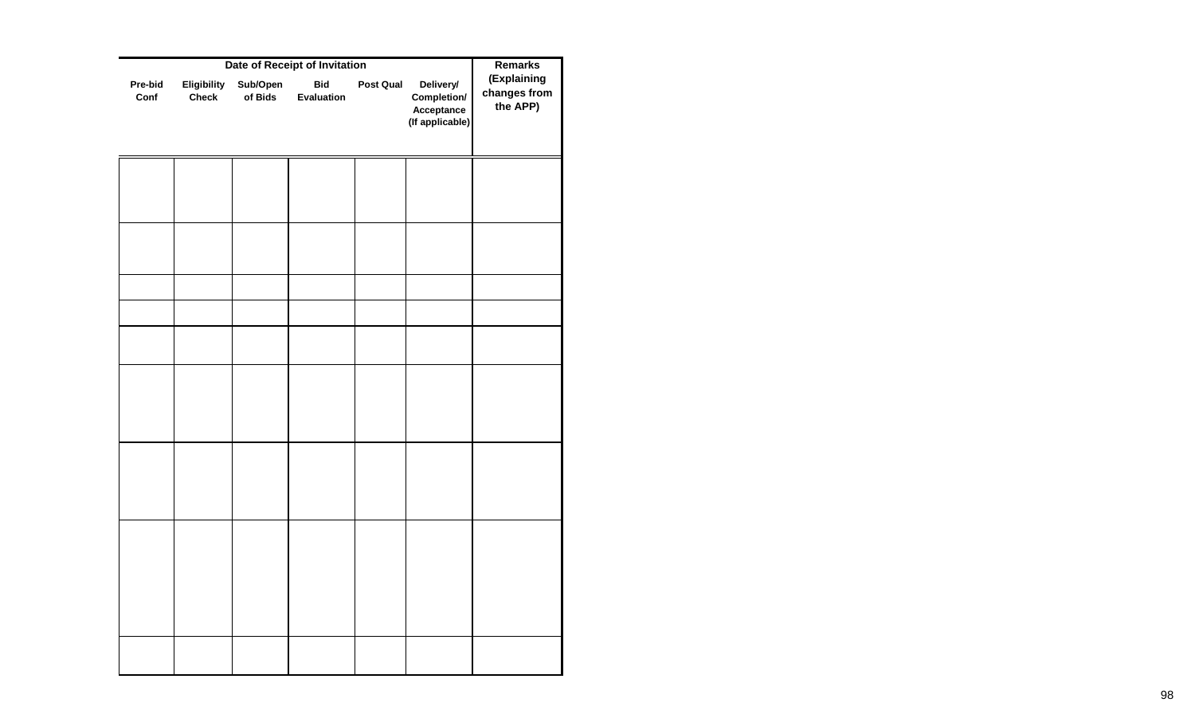|                 | <b>Remarks</b>              |                     |                          |                  |                                                           |                                         |
|-----------------|-----------------------------|---------------------|--------------------------|------------------|-----------------------------------------------------------|-----------------------------------------|
| Pre-bid<br>Conf | Eligibility<br><b>Check</b> | Sub/Open<br>of Bids | <b>Bid</b><br>Evaluation | <b>Post Qual</b> | Delivery/<br>Completion/<br>Acceptance<br>(If applicable) | (Explaining<br>changes from<br>the APP) |
|                 |                             |                     |                          |                  |                                                           |                                         |
|                 |                             |                     |                          |                  |                                                           |                                         |
|                 |                             |                     |                          |                  |                                                           |                                         |
|                 |                             |                     |                          |                  |                                                           |                                         |
|                 |                             |                     |                          |                  |                                                           |                                         |
|                 |                             |                     |                          |                  |                                                           |                                         |
|                 |                             |                     |                          |                  |                                                           |                                         |
|                 |                             |                     |                          |                  |                                                           |                                         |
|                 |                             |                     |                          |                  |                                                           |                                         |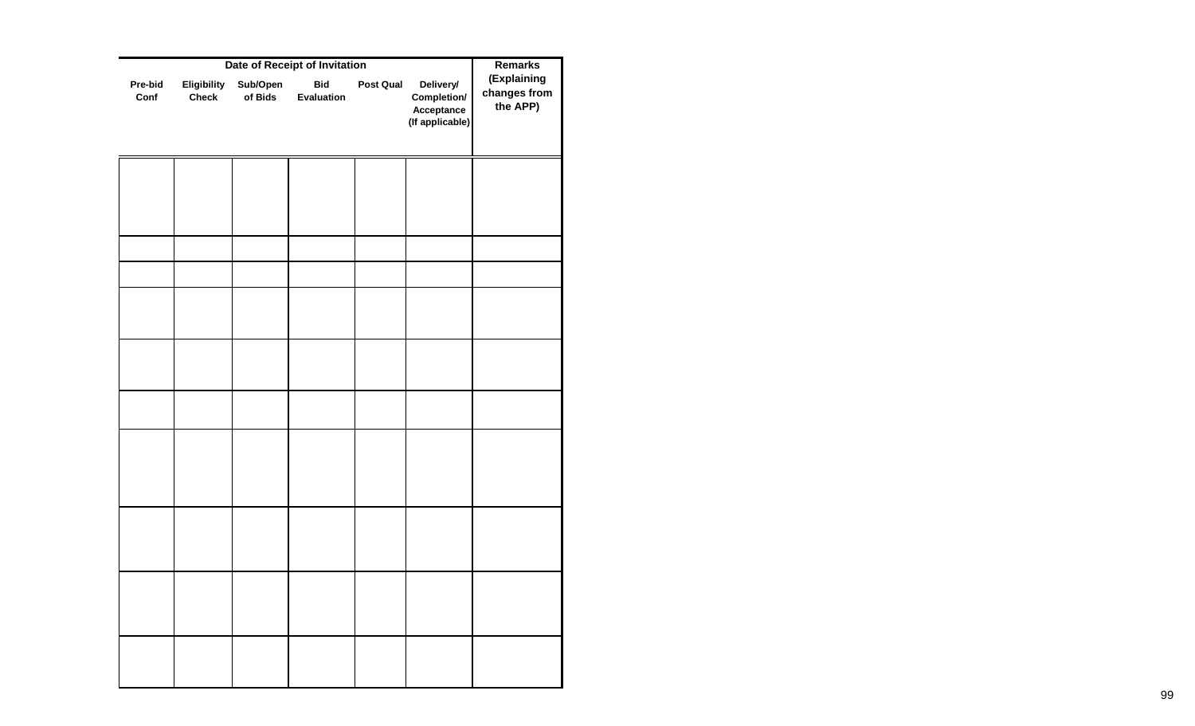| Eligibility  |                     |                          |           |                                                           |                                         |
|--------------|---------------------|--------------------------|-----------|-----------------------------------------------------------|-----------------------------------------|
| <b>Check</b> | Sub/Open<br>of Bids | <b>Bid</b><br>Evaluation | Post Qual | Delivery/<br>Completion/<br>Acceptance<br>(If applicable) | (Explaining<br>changes from<br>the APP) |
|              |                     |                          |           |                                                           |                                         |
|              |                     |                          |           |                                                           |                                         |
|              |                     |                          |           |                                                           |                                         |
|              |                     |                          |           |                                                           |                                         |
|              |                     |                          |           |                                                           |                                         |
|              |                     |                          |           |                                                           |                                         |
|              |                     |                          |           |                                                           |                                         |
|              |                     |                          |           |                                                           |                                         |
|              |                     |                          |           |                                                           |                                         |
|              |                     |                          |           |                                                           |                                         |
|              |                     |                          |           |                                                           |                                         |
|              |                     |                          |           |                                                           |                                         |
|              |                     |                          |           |                                                           |                                         |
|              |                     |                          |           |                                                           |                                         |
|              |                     |                          |           |                                                           |                                         |
|              |                     |                          |           |                                                           |                                         |
|              |                     |                          |           |                                                           |                                         |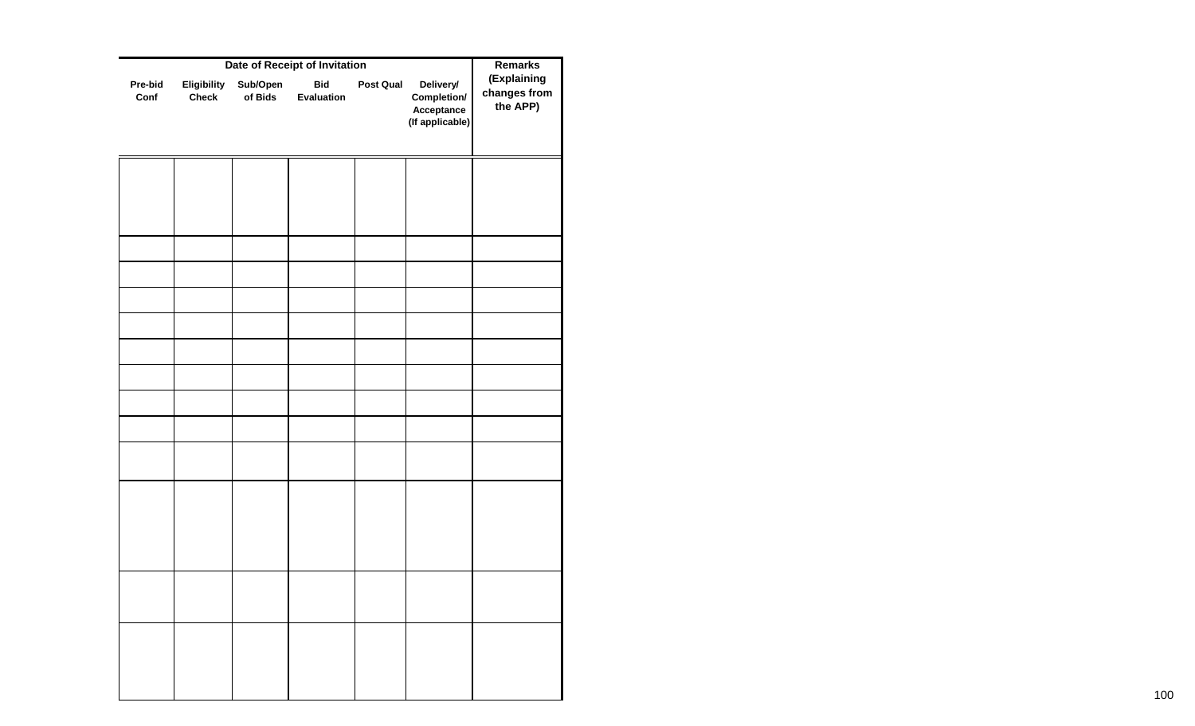|                 | Date of Receipt of Invitation |                     |                          |           |                                                           |                                         |  |  |
|-----------------|-------------------------------|---------------------|--------------------------|-----------|-----------------------------------------------------------|-----------------------------------------|--|--|
| Pre-bid<br>Conf | Eligibility<br><b>Check</b>   | Sub/Open<br>of Bids | <b>Bid</b><br>Evaluation | Post Qual | Delivery/<br>Completion/<br>Acceptance<br>(If applicable) | (Explaining<br>changes from<br>the APP) |  |  |
|                 |                               |                     |                          |           |                                                           |                                         |  |  |
|                 |                               |                     |                          |           |                                                           |                                         |  |  |
|                 |                               |                     |                          |           |                                                           |                                         |  |  |
|                 |                               |                     |                          |           |                                                           |                                         |  |  |
|                 |                               |                     |                          |           |                                                           |                                         |  |  |
|                 |                               |                     |                          |           |                                                           |                                         |  |  |
|                 |                               |                     |                          |           |                                                           |                                         |  |  |
|                 |                               |                     |                          |           |                                                           |                                         |  |  |
|                 |                               |                     |                          |           |                                                           |                                         |  |  |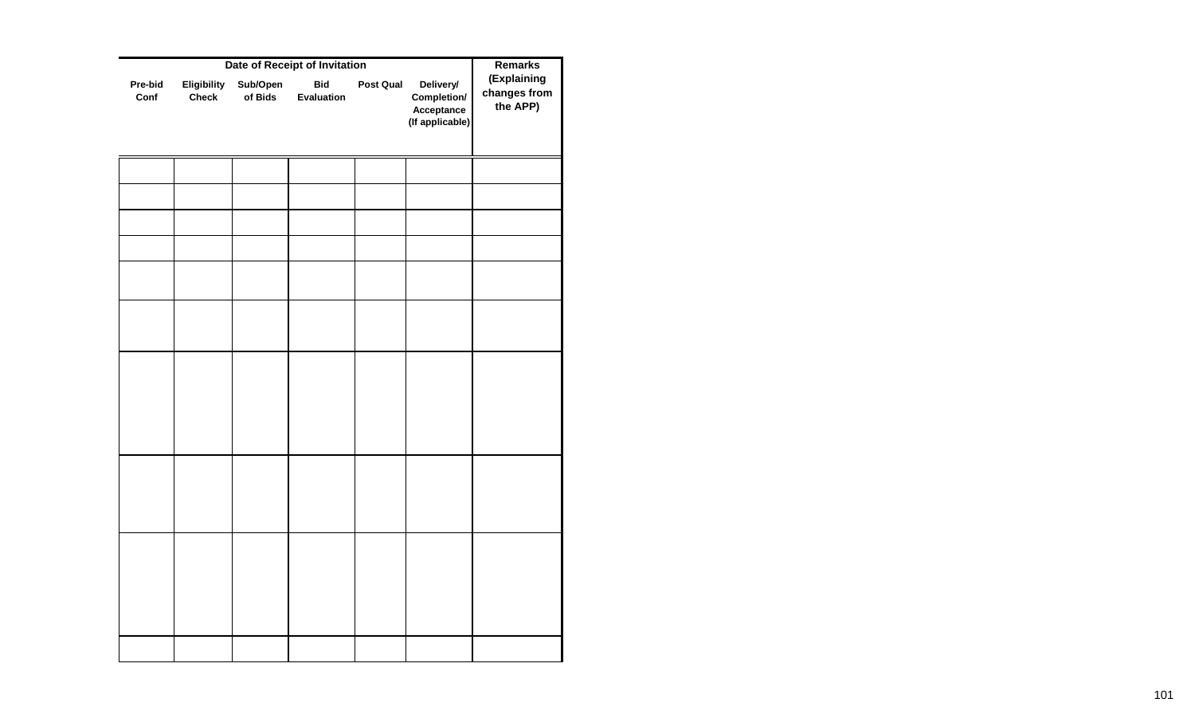|                 | <b>Remarks</b>              |                     |                          |           |                                                           |                                         |
|-----------------|-----------------------------|---------------------|--------------------------|-----------|-----------------------------------------------------------|-----------------------------------------|
| Pre-bid<br>Conf | Eligibility<br><b>Check</b> | Sub/Open<br>of Bids | <b>Bid</b><br>Evaluation | Post Qual | Delivery/<br>Completion/<br>Acceptance<br>(If applicable) | (Explaining<br>changes from<br>the APP) |
|                 |                             |                     |                          |           |                                                           |                                         |
|                 |                             |                     |                          |           |                                                           |                                         |
|                 |                             |                     |                          |           |                                                           |                                         |
|                 |                             |                     |                          |           |                                                           |                                         |
|                 |                             |                     |                          |           |                                                           |                                         |
|                 |                             |                     |                          |           |                                                           |                                         |
|                 |                             |                     |                          |           |                                                           |                                         |
|                 |                             |                     |                          |           |                                                           |                                         |
|                 |                             |                     |                          |           |                                                           |                                         |
|                 |                             |                     |                          |           |                                                           |                                         |
|                 |                             |                     |                          |           |                                                           |                                         |
|                 |                             |                     |                          |           |                                                           |                                         |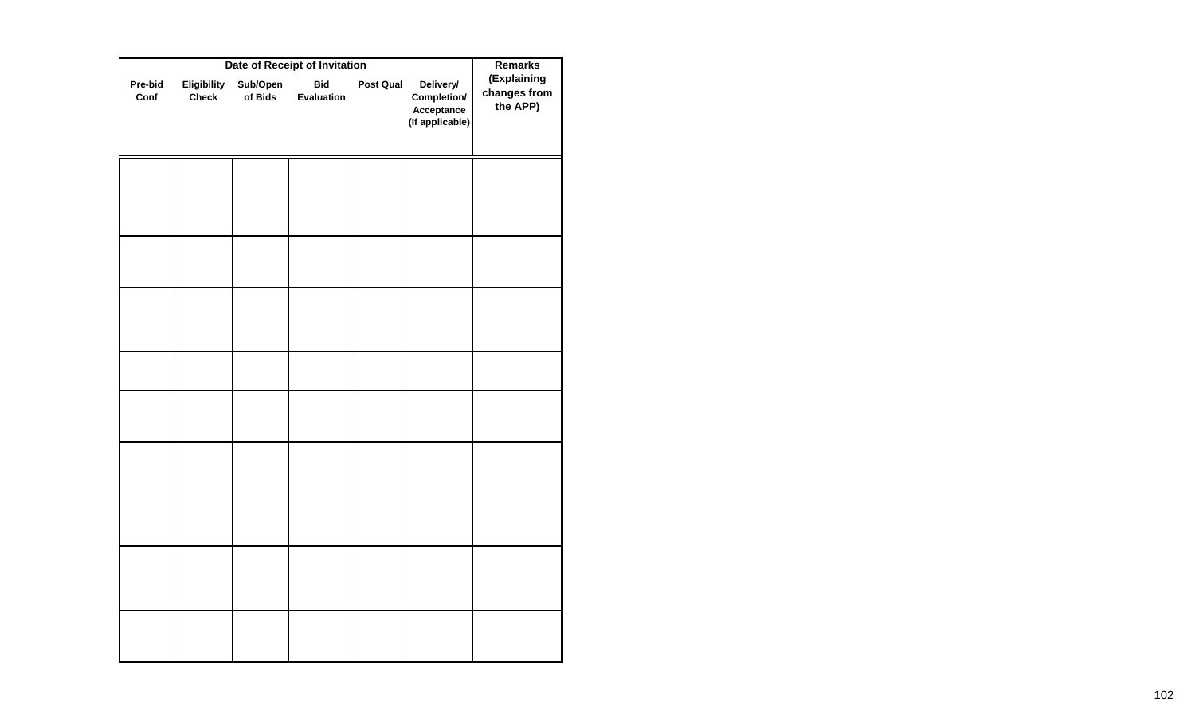|                 | <b>Remarks</b>              |                     |                          |                  |                                                           |                                         |
|-----------------|-----------------------------|---------------------|--------------------------|------------------|-----------------------------------------------------------|-----------------------------------------|
| Pre-bid<br>Conf | Eligibility<br><b>Check</b> | Sub/Open<br>of Bids | <b>Bid</b><br>Evaluation | <b>Post Qual</b> | Delivery/<br>Completion/<br>Acceptance<br>(If applicable) | (Explaining<br>changes from<br>the APP) |
|                 |                             |                     |                          |                  |                                                           |                                         |
|                 |                             |                     |                          |                  |                                                           |                                         |
|                 |                             |                     |                          |                  |                                                           |                                         |
|                 |                             |                     |                          |                  |                                                           |                                         |
|                 |                             |                     |                          |                  |                                                           |                                         |
|                 |                             |                     |                          |                  |                                                           |                                         |
|                 |                             |                     |                          |                  |                                                           |                                         |
|                 |                             |                     |                          |                  |                                                           |                                         |
|                 |                             |                     |                          |                  |                                                           |                                         |
|                 |                             |                     |                          |                  |                                                           |                                         |
|                 |                             |                     |                          |                  |                                                           |                                         |
|                 |                             |                     |                          |                  |                                                           |                                         |
|                 |                             |                     |                          |                  |                                                           |                                         |
|                 |                             |                     |                          |                  |                                                           |                                         |
|                 |                             |                     |                          |                  |                                                           |                                         |
|                 |                             |                     |                          |                  |                                                           |                                         |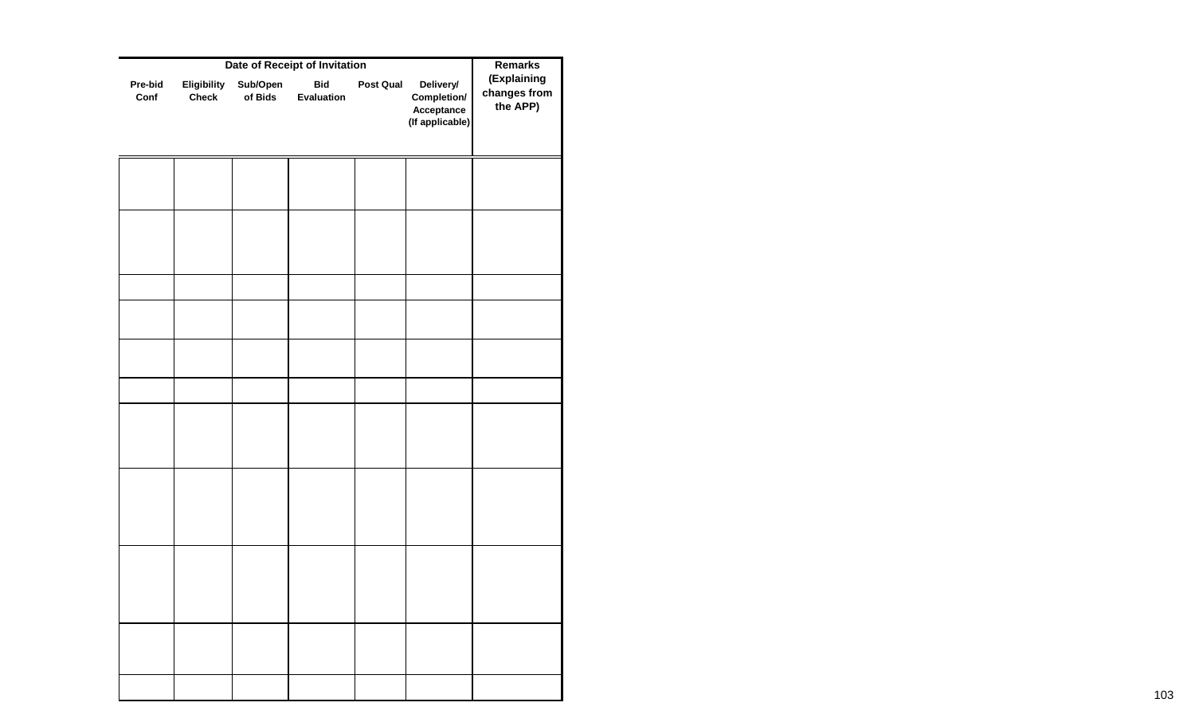|                 | <b>Remarks</b>              |                     |                          |           |                                                           |                                         |
|-----------------|-----------------------------|---------------------|--------------------------|-----------|-----------------------------------------------------------|-----------------------------------------|
| Pre-bid<br>Conf | Eligibility<br><b>Check</b> | Sub/Open<br>of Bids | <b>Bid</b><br>Evaluation | Post Qual | Delivery/<br>Completion/<br>Acceptance<br>(If applicable) | (Explaining<br>changes from<br>the APP) |
|                 |                             |                     |                          |           |                                                           |                                         |
|                 |                             |                     |                          |           |                                                           |                                         |
|                 |                             |                     |                          |           |                                                           |                                         |
|                 |                             |                     |                          |           |                                                           |                                         |
|                 |                             |                     |                          |           |                                                           |                                         |
|                 |                             |                     |                          |           |                                                           |                                         |
|                 |                             |                     |                          |           |                                                           |                                         |
|                 |                             |                     |                          |           |                                                           |                                         |
|                 |                             |                     |                          |           |                                                           |                                         |
|                 |                             |                     |                          |           |                                                           |                                         |
|                 |                             |                     |                          |           |                                                           |                                         |
|                 |                             |                     |                          |           |                                                           |                                         |
|                 |                             |                     |                          |           |                                                           |                                         |
|                 |                             |                     |                          |           |                                                           |                                         |
|                 |                             |                     |                          |           |                                                           |                                         |
|                 |                             |                     |                          |           |                                                           |                                         |
|                 |                             |                     |                          |           |                                                           |                                         |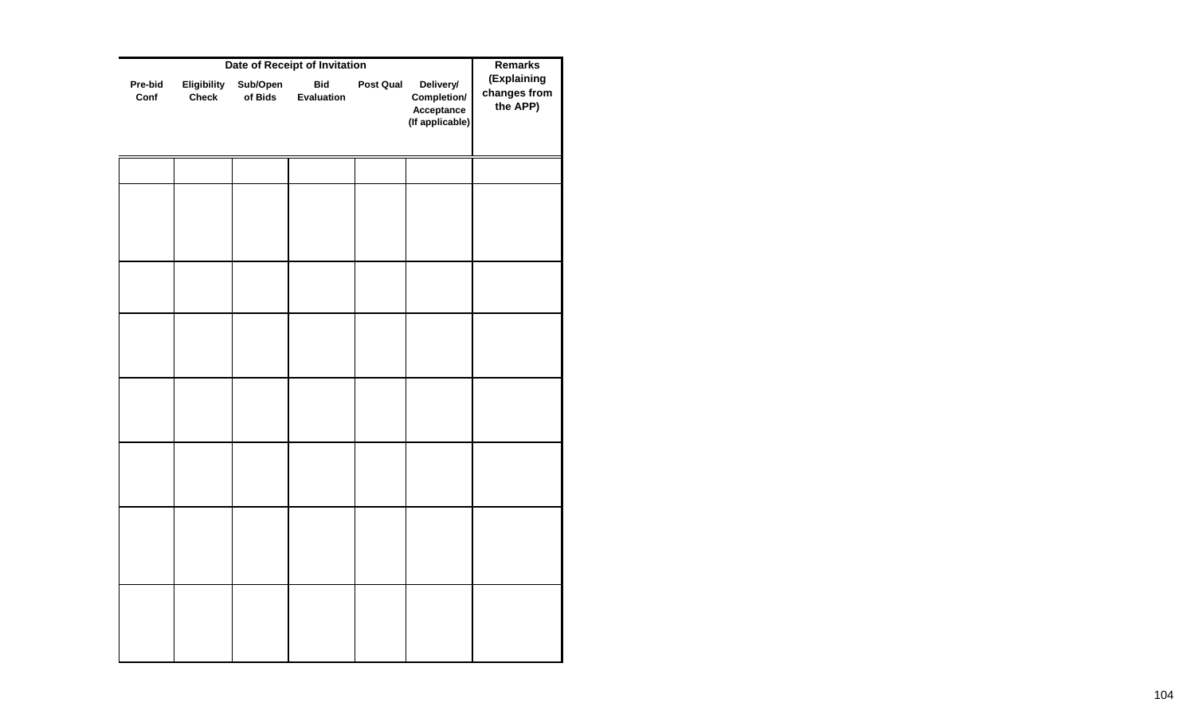| Date of Receipt of Invitation |                     |                          |  |                                                           |                                         |  |  |
|-------------------------------|---------------------|--------------------------|--|-----------------------------------------------------------|-----------------------------------------|--|--|
| Eligibility<br><b>Check</b>   | Sub/Open<br>of Bids | <b>Bid</b><br>Evaluation |  | Delivery/<br>Completion/<br>Acceptance<br>(If applicable) | (Explaining<br>changes from<br>the APP) |  |  |
|                               |                     |                          |  |                                                           |                                         |  |  |
|                               |                     |                          |  |                                                           |                                         |  |  |
|                               |                     |                          |  |                                                           |                                         |  |  |
|                               |                     |                          |  |                                                           |                                         |  |  |
|                               |                     |                          |  |                                                           |                                         |  |  |
|                               |                     |                          |  |                                                           |                                         |  |  |
|                               |                     |                          |  |                                                           |                                         |  |  |
|                               |                     |                          |  |                                                           |                                         |  |  |
|                               |                     |                          |  |                                                           |                                         |  |  |
|                               |                     |                          |  |                                                           |                                         |  |  |
|                               |                     |                          |  |                                                           | <b>Post Qual</b>                        |  |  |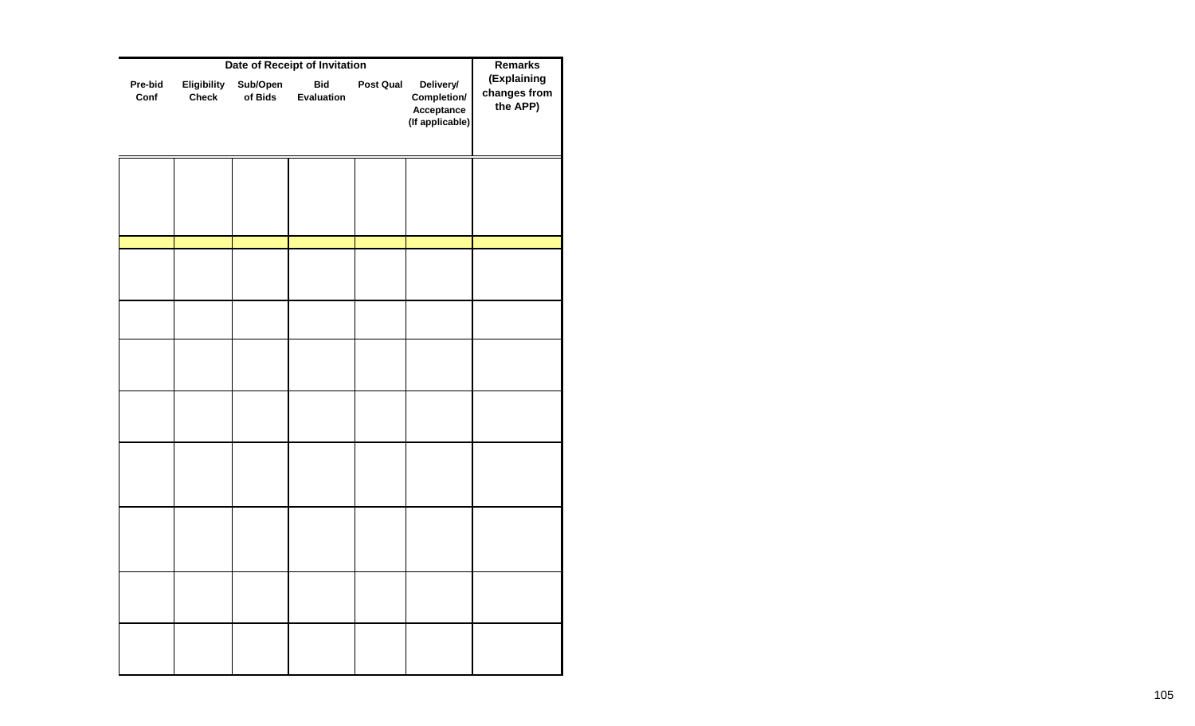|                 | <b>Remarks</b>              |                     |                          |                  |                                                           |                                         |
|-----------------|-----------------------------|---------------------|--------------------------|------------------|-----------------------------------------------------------|-----------------------------------------|
| Pre-bid<br>Conf | Eligibility<br><b>Check</b> | Sub/Open<br>of Bids | <b>Bid</b><br>Evaluation | <b>Post Qual</b> | Delivery/<br>Completion/<br>Acceptance<br>(If applicable) | (Explaining<br>changes from<br>the APP) |
|                 |                             |                     |                          |                  |                                                           |                                         |
|                 |                             |                     |                          |                  |                                                           |                                         |
|                 |                             |                     |                          |                  |                                                           |                                         |
|                 |                             |                     |                          |                  |                                                           |                                         |
|                 |                             |                     |                          |                  |                                                           |                                         |
|                 |                             |                     |                          |                  |                                                           |                                         |
|                 |                             |                     |                          |                  |                                                           |                                         |
|                 |                             |                     |                          |                  |                                                           |                                         |
|                 |                             |                     |                          |                  |                                                           |                                         |
|                 |                             |                     |                          |                  |                                                           |                                         |
|                 |                             |                     |                          |                  |                                                           |                                         |
|                 |                             |                     |                          |                  |                                                           |                                         |
|                 |                             |                     |                          |                  |                                                           |                                         |
|                 |                             |                     |                          |                  |                                                           |                                         |
|                 |                             |                     |                          |                  |                                                           |                                         |
|                 |                             |                     |                          |                  |                                                           |                                         |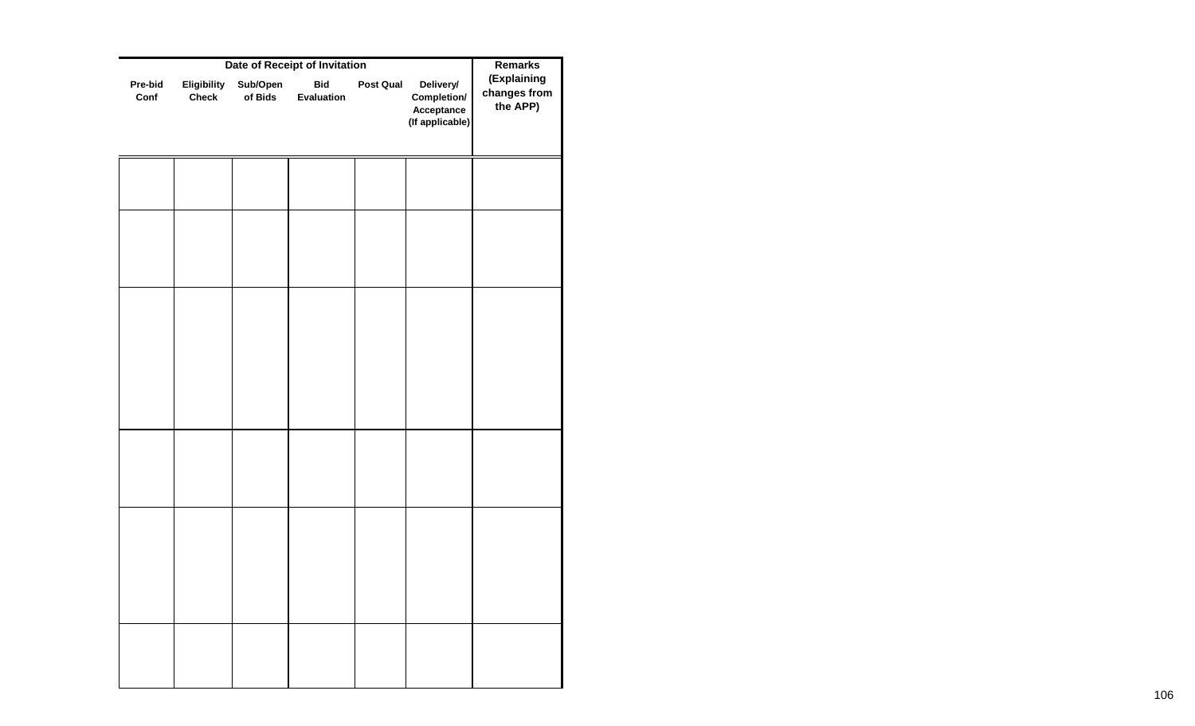|                 | <b>Remarks</b>              |                     |                                                           |           |                                                           |                                         |
|-----------------|-----------------------------|---------------------|-----------------------------------------------------------|-----------|-----------------------------------------------------------|-----------------------------------------|
| Pre-bid<br>Conf | Eligibility<br><b>Check</b> | Sub/Open<br>of Bids | Date of Receipt of Invitation<br><b>Bid</b><br>Evaluation | Post Qual | Delivery/<br>Completion/<br>Acceptance<br>(If applicable) | (Explaining<br>changes from<br>the APP) |
|                 |                             |                     |                                                           |           |                                                           |                                         |
|                 |                             |                     |                                                           |           |                                                           |                                         |
|                 |                             |                     |                                                           |           |                                                           |                                         |
|                 |                             |                     |                                                           |           |                                                           |                                         |
|                 |                             |                     |                                                           |           |                                                           |                                         |
|                 |                             |                     |                                                           |           |                                                           |                                         |
|                 |                             |                     |                                                           |           |                                                           |                                         |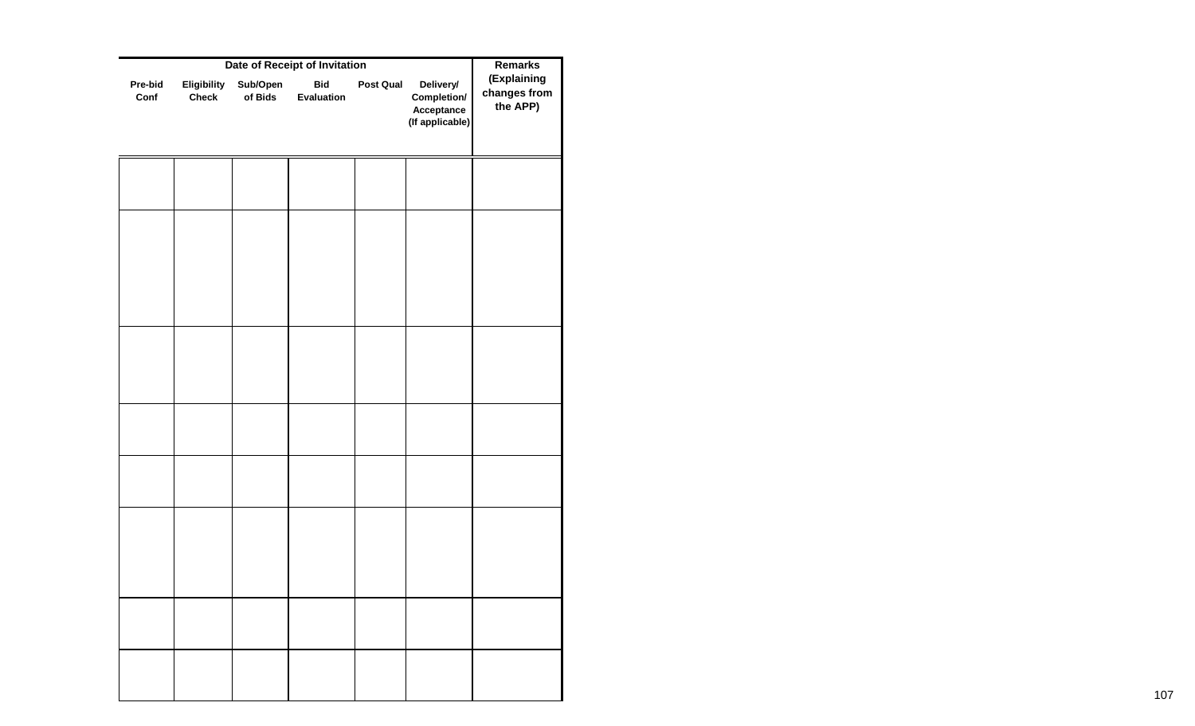|                 | <b>Remarks</b>              |                     |                                                           |           |                                                           |                                         |
|-----------------|-----------------------------|---------------------|-----------------------------------------------------------|-----------|-----------------------------------------------------------|-----------------------------------------|
| Pre-bid<br>Conf | Eligibility<br><b>Check</b> | Sub/Open<br>of Bids | Date of Receipt of Invitation<br><b>Bid</b><br>Evaluation | Post Qual | Delivery/<br>Completion/<br>Acceptance<br>(If applicable) | (Explaining<br>changes from<br>the APP) |
|                 |                             |                     |                                                           |           |                                                           |                                         |
|                 |                             |                     |                                                           |           |                                                           |                                         |
|                 |                             |                     |                                                           |           |                                                           |                                         |
|                 |                             |                     |                                                           |           |                                                           |                                         |
|                 |                             |                     |                                                           |           |                                                           |                                         |
|                 |                             |                     |                                                           |           |                                                           |                                         |
|                 |                             |                     |                                                           |           |                                                           |                                         |
|                 |                             |                     |                                                           |           |                                                           |                                         |
|                 |                             |                     |                                                           |           |                                                           |                                         |
|                 |                             |                     |                                                           |           |                                                           |                                         |
|                 |                             |                     |                                                           |           |                                                           |                                         |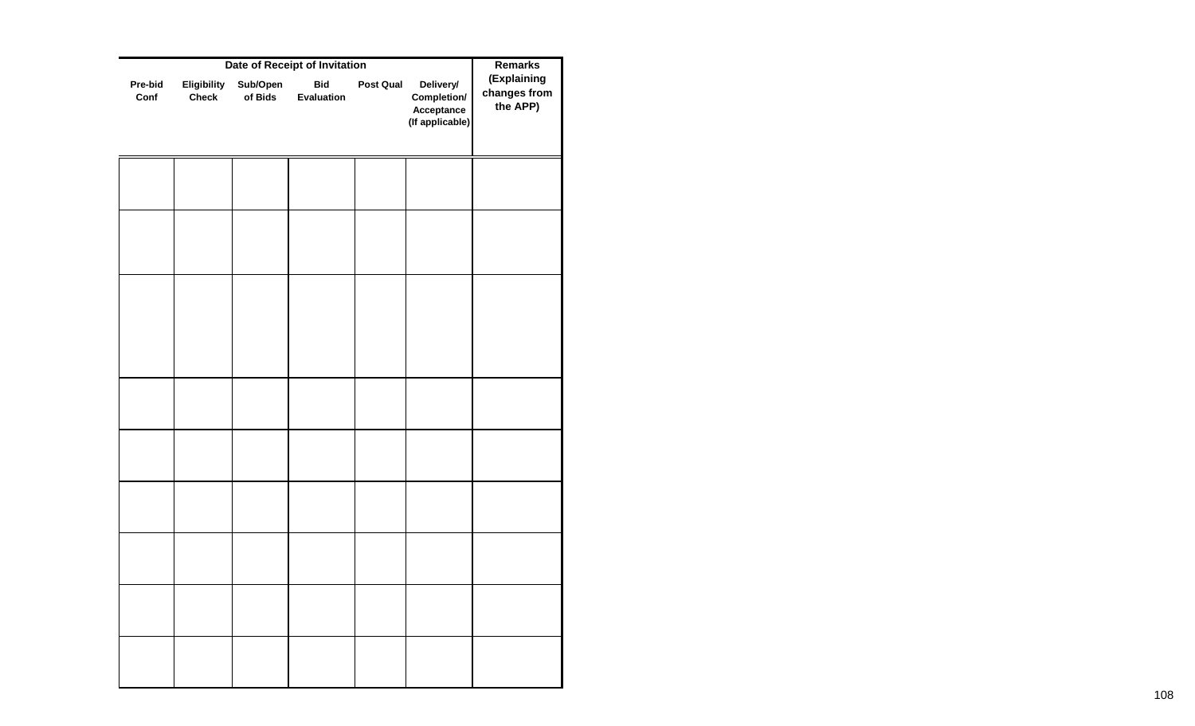|                 | <b>Remarks</b>              |                     |                          |           |                                                           |                                         |
|-----------------|-----------------------------|---------------------|--------------------------|-----------|-----------------------------------------------------------|-----------------------------------------|
| Pre-bid<br>Conf | Eligibility<br><b>Check</b> | Sub/Open<br>of Bids | <b>Bid</b><br>Evaluation | Post Qual | Delivery/<br>Completion/<br>Acceptance<br>(If applicable) | (Explaining<br>changes from<br>the APP) |
|                 |                             |                     |                          |           |                                                           |                                         |
|                 |                             |                     |                          |           |                                                           |                                         |
|                 |                             |                     |                          |           |                                                           |                                         |
|                 |                             |                     |                          |           |                                                           |                                         |
|                 |                             |                     |                          |           |                                                           |                                         |
|                 |                             |                     |                          |           |                                                           |                                         |
|                 |                             |                     |                          |           |                                                           |                                         |
|                 |                             |                     |                          |           |                                                           |                                         |
|                 |                             |                     |                          |           |                                                           |                                         |
|                 |                             |                     |                          |           |                                                           |                                         |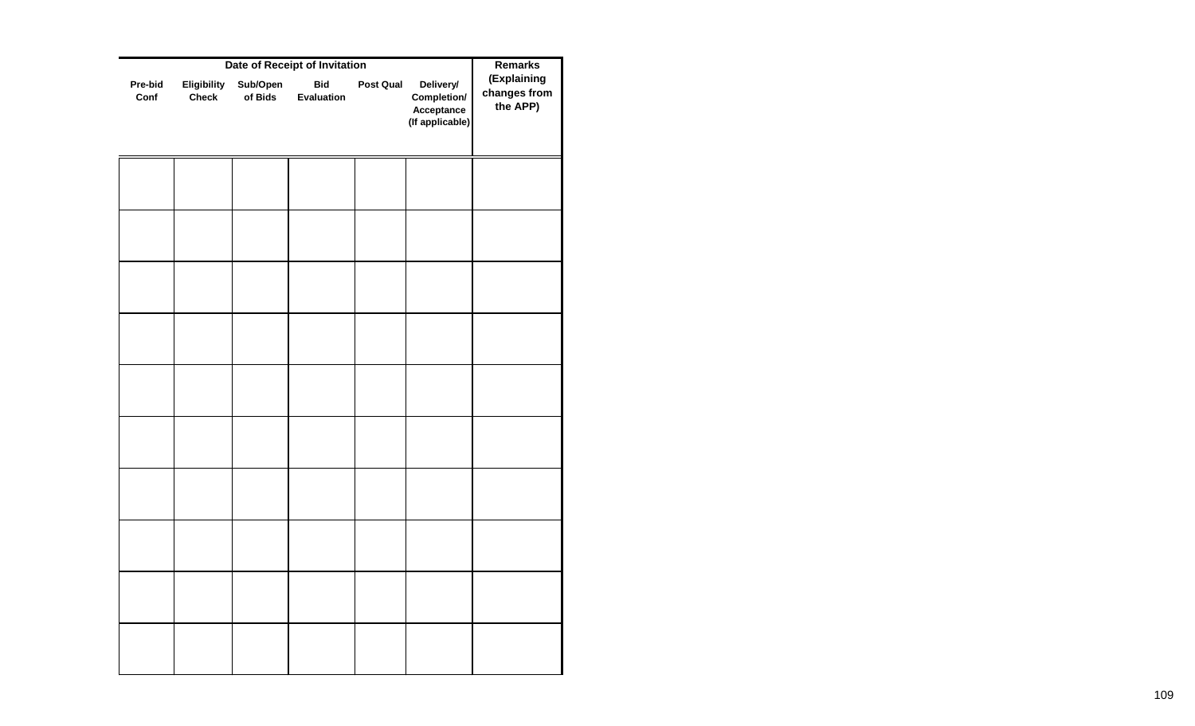|                 | <b>Remarks</b>              |                     |                          |                  |                                                           |                                         |
|-----------------|-----------------------------|---------------------|--------------------------|------------------|-----------------------------------------------------------|-----------------------------------------|
| Pre-bid<br>Conf | Eligibility<br><b>Check</b> | Sub/Open<br>of Bids | <b>Bid</b><br>Evaluation | <b>Post Qual</b> | Delivery/<br>Completion/<br>Acceptance<br>(If applicable) | (Explaining<br>changes from<br>the APP) |
|                 |                             |                     |                          |                  |                                                           |                                         |
|                 |                             |                     |                          |                  |                                                           |                                         |
|                 |                             |                     |                          |                  |                                                           |                                         |
|                 |                             |                     |                          |                  |                                                           |                                         |
|                 |                             |                     |                          |                  |                                                           |                                         |
|                 |                             |                     |                          |                  |                                                           |                                         |
|                 |                             |                     |                          |                  |                                                           |                                         |
|                 |                             |                     |                          |                  |                                                           |                                         |
|                 |                             |                     |                          |                  |                                                           |                                         |
|                 |                             |                     |                          |                  |                                                           |                                         |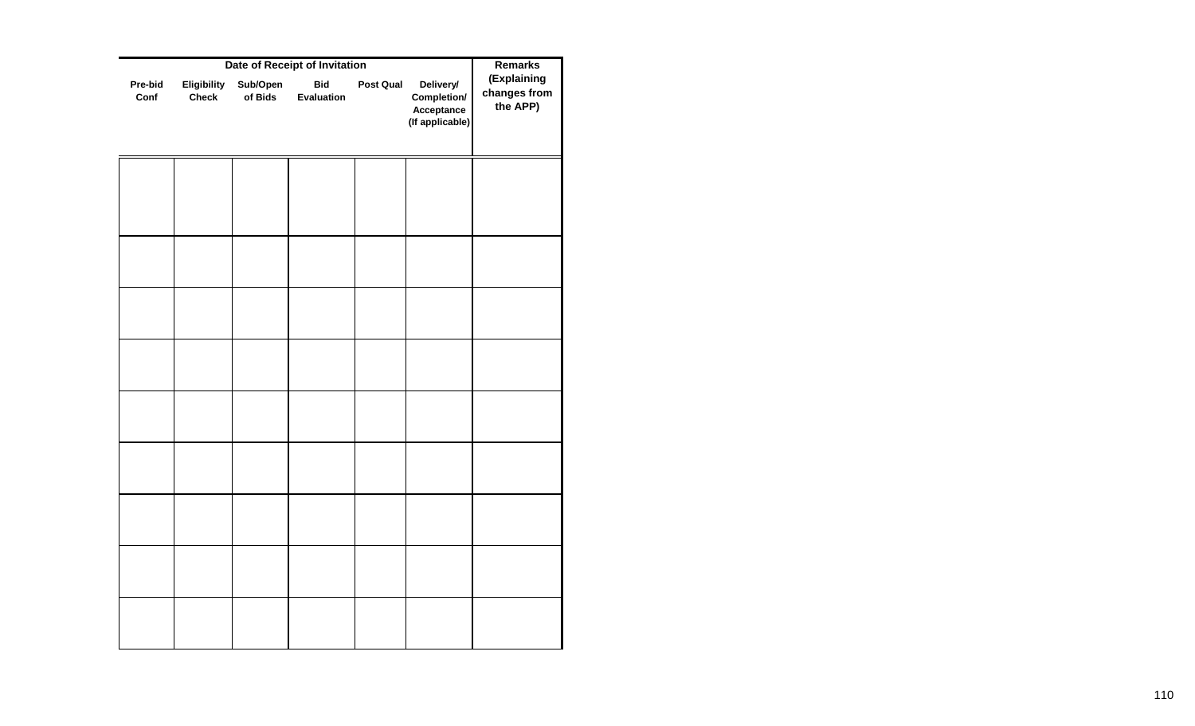|                 | <b>Remarks</b>              |                     |                          |                  |                                                           |                                         |
|-----------------|-----------------------------|---------------------|--------------------------|------------------|-----------------------------------------------------------|-----------------------------------------|
| Pre-bid<br>Conf | Eligibility<br><b>Check</b> | Sub/Open<br>of Bids | <b>Bid</b><br>Evaluation | <b>Post Qual</b> | Delivery/<br>Completion/<br>Acceptance<br>(If applicable) | (Explaining<br>changes from<br>the APP) |
|                 |                             |                     |                          |                  |                                                           |                                         |
|                 |                             |                     |                          |                  |                                                           |                                         |
|                 |                             |                     |                          |                  |                                                           |                                         |
|                 |                             |                     |                          |                  |                                                           |                                         |
|                 |                             |                     |                          |                  |                                                           |                                         |
|                 |                             |                     |                          |                  |                                                           |                                         |
|                 |                             |                     |                          |                  |                                                           |                                         |
|                 |                             |                     |                          |                  |                                                           |                                         |
|                 |                             |                     |                          |                  |                                                           |                                         |
|                 |                             |                     |                          |                  |                                                           |                                         |
|                 |                             |                     |                          |                  |                                                           |                                         |
|                 |                             |                     |                          |                  |                                                           |                                         |
|                 |                             |                     |                          |                  |                                                           |                                         |
|                 |                             |                     |                          |                  |                                                           |                                         |
|                 |                             |                     |                          |                  |                                                           |                                         |
|                 |                             |                     |                          |                  |                                                           |                                         |
|                 |                             |                     |                          |                  |                                                           |                                         |
|                 |                             |                     |                          |                  |                                                           |                                         |
|                 |                             |                     |                          |                  |                                                           |                                         |
|                 |                             |                     |                          |                  |                                                           |                                         |
|                 |                             |                     |                          |                  |                                                           |                                         |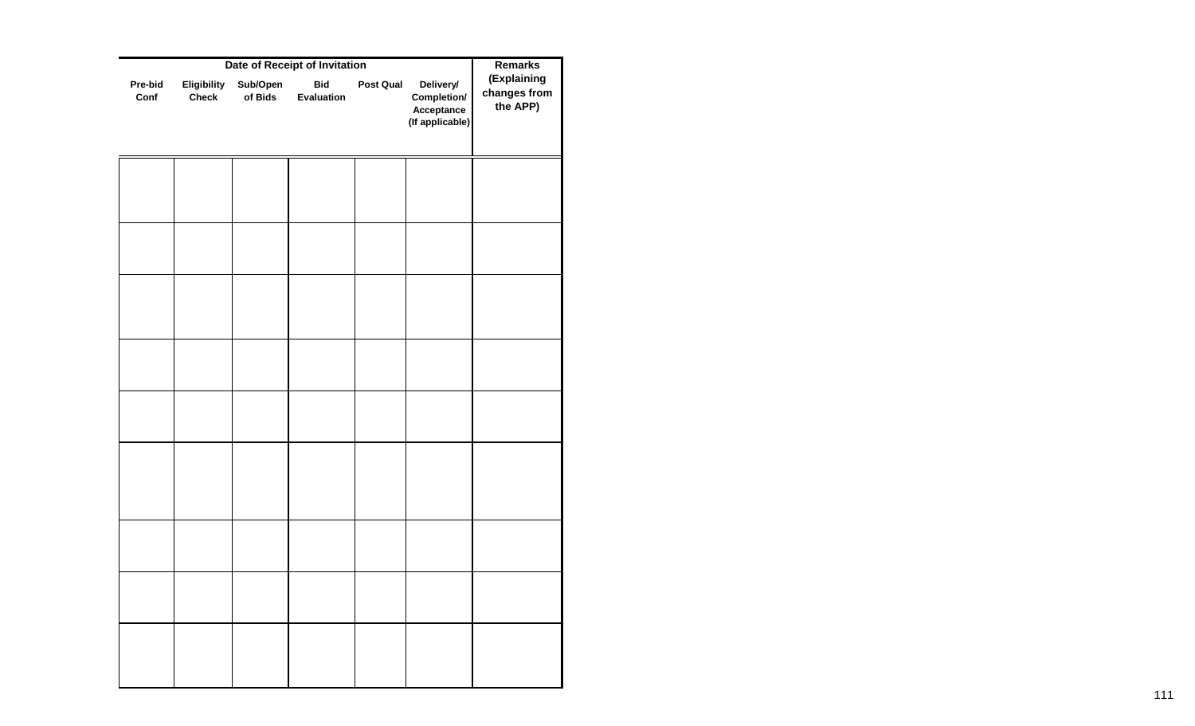|                 | <b>Remarks</b>              |                     |                          |           |                                                           |                                         |
|-----------------|-----------------------------|---------------------|--------------------------|-----------|-----------------------------------------------------------|-----------------------------------------|
| Pre-bid<br>Conf | Eligibility<br><b>Check</b> | Sub/Open<br>of Bids | <b>Bid</b><br>Evaluation | Post Qual | Delivery/<br>Completion/<br>Acceptance<br>(If applicable) | (Explaining<br>changes from<br>the APP) |
|                 |                             |                     |                          |           |                                                           |                                         |
|                 |                             |                     |                          |           |                                                           |                                         |
|                 |                             |                     |                          |           |                                                           |                                         |
|                 |                             |                     |                          |           |                                                           |                                         |
|                 |                             |                     |                          |           |                                                           |                                         |
|                 |                             |                     |                          |           |                                                           |                                         |
|                 |                             |                     |                          |           |                                                           |                                         |
|                 |                             |                     |                          |           |                                                           |                                         |
|                 |                             |                     |                          |           |                                                           |                                         |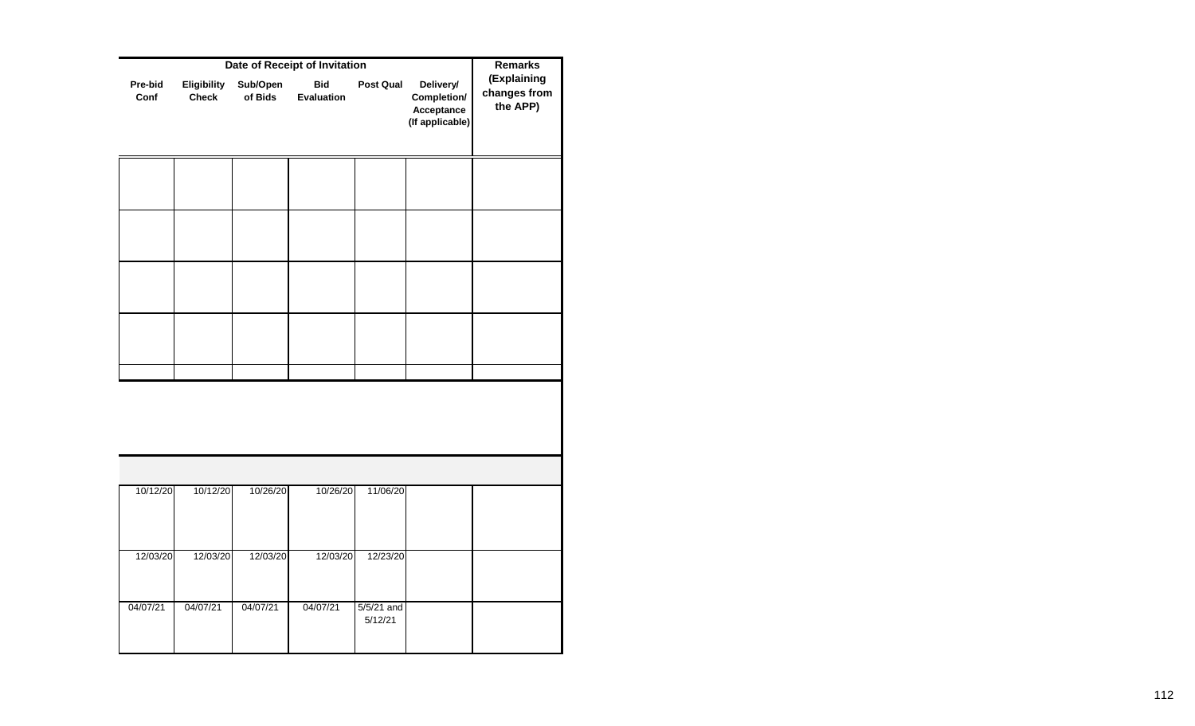|                 |                             | <b>Remarks</b>      |                          |                         |                                                           |                                         |
|-----------------|-----------------------------|---------------------|--------------------------|-------------------------|-----------------------------------------------------------|-----------------------------------------|
| Pre-bid<br>Conf | Eligibility<br><b>Check</b> | Sub/Open<br>of Bids | <b>Bid</b><br>Evaluation | Post Qual               | Delivery/<br>Completion/<br>Acceptance<br>(If applicable) | (Explaining<br>changes from<br>the APP) |
|                 |                             |                     |                          |                         |                                                           |                                         |
|                 |                             |                     |                          |                         |                                                           |                                         |
|                 |                             |                     |                          |                         |                                                           |                                         |
|                 |                             |                     |                          |                         |                                                           |                                         |
|                 |                             |                     |                          |                         |                                                           |                                         |
|                 |                             |                     |                          |                         |                                                           |                                         |
|                 |                             |                     |                          |                         |                                                           |                                         |
| 10/12/20        | 10/12/20                    | 10/26/20            | 10/26/20                 | 11/06/20                |                                                           |                                         |
| 12/03/20        | 12/03/20                    | 12/03/20            | 12/03/20                 | 12/23/20                |                                                           |                                         |
| 04/07/21        | 04/07/21                    | 04/07/21            | 04/07/21                 | $5/5/21$ and<br>5/12/21 |                                                           |                                         |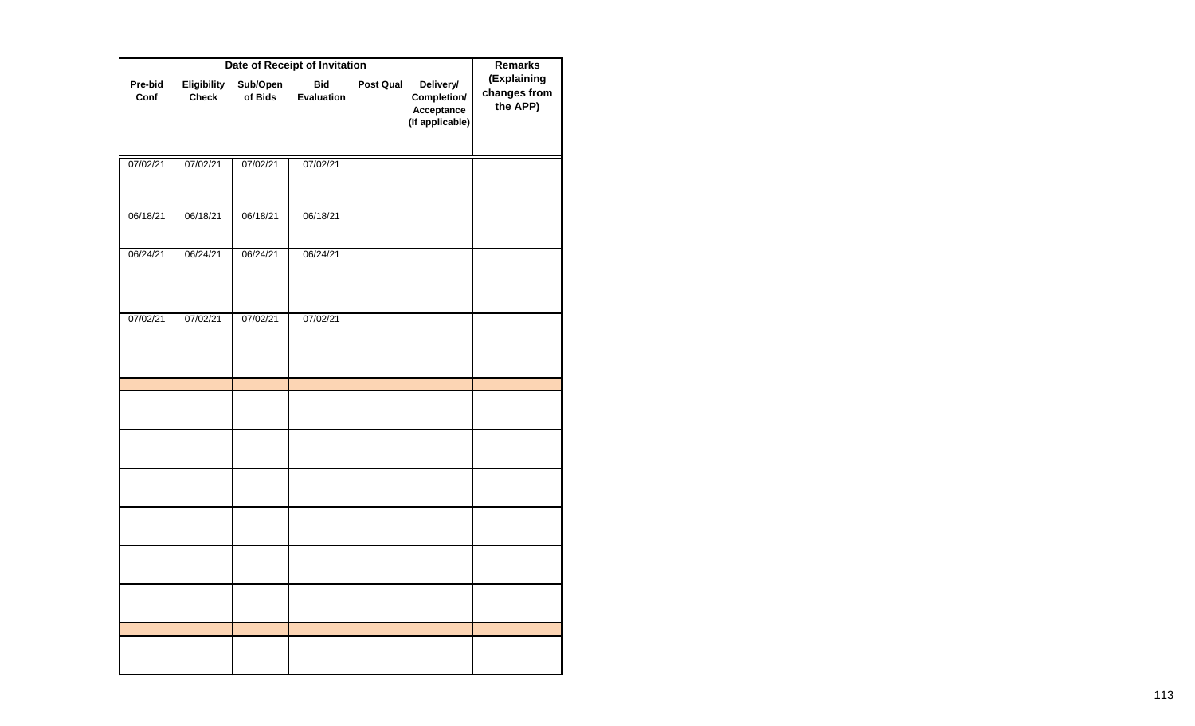|                 | <b>Remarks</b>              |                     |                          |           |                                                           |                                         |
|-----------------|-----------------------------|---------------------|--------------------------|-----------|-----------------------------------------------------------|-----------------------------------------|
| Pre-bid<br>Conf | Eligibility<br><b>Check</b> | Sub/Open<br>of Bids | <b>Bid</b><br>Evaluation | Post Qual | Delivery/<br>Completion/<br>Acceptance<br>(If applicable) | (Explaining<br>changes from<br>the APP) |
| 07/02/21        | 07/02/21                    | 07/02/21            | 07/02/21                 |           |                                                           |                                         |
| 06/18/21        | 06/18/21                    | 06/18/21            | 06/18/21                 |           |                                                           |                                         |
| 06/24/21        | 06/24/21                    | 06/24/21            | 06/24/21                 |           |                                                           |                                         |
| 07/02/21        | 07/02/21                    | 07/02/21            | 07/02/21                 |           |                                                           |                                         |
|                 |                             |                     |                          |           |                                                           |                                         |
|                 |                             |                     |                          |           |                                                           |                                         |
|                 |                             |                     |                          |           |                                                           |                                         |
|                 |                             |                     |                          |           |                                                           |                                         |
|                 |                             |                     |                          |           |                                                           |                                         |
|                 |                             |                     |                          |           |                                                           |                                         |
|                 |                             |                     |                          |           |                                                           |                                         |
|                 |                             |                     |                          |           |                                                           |                                         |
|                 |                             |                     |                          |           |                                                           |                                         |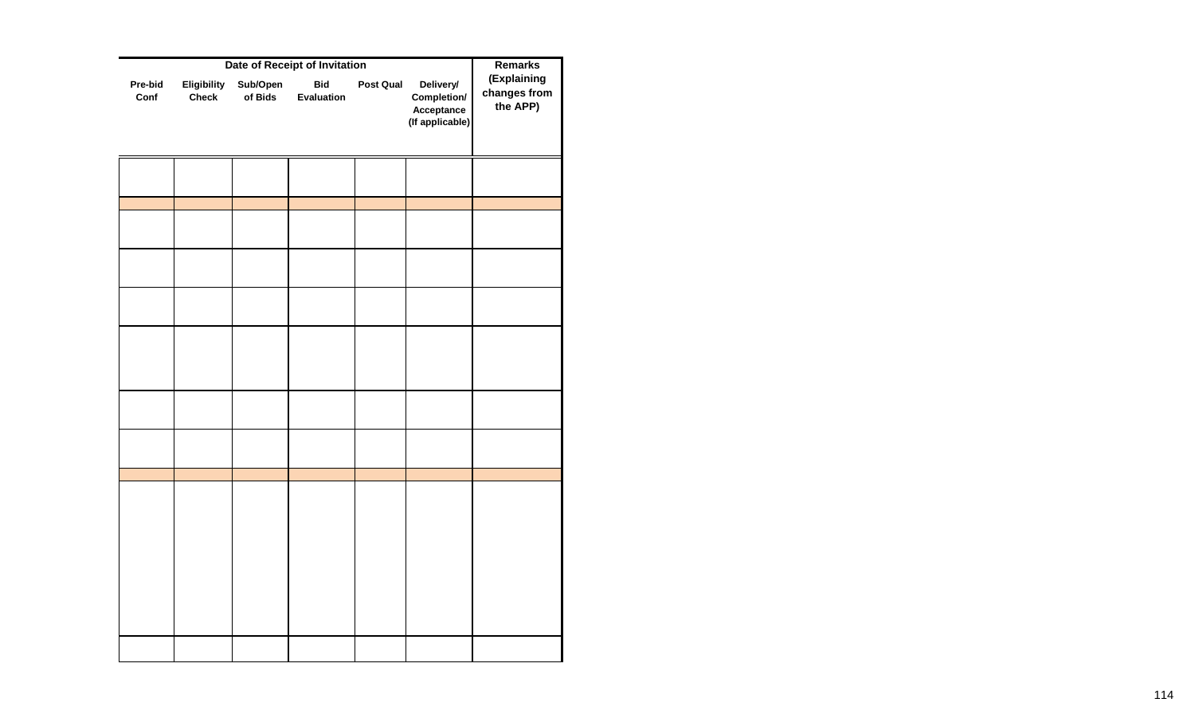|                 | Remarks                     |                     |                          |           |                                                           |                                         |
|-----------------|-----------------------------|---------------------|--------------------------|-----------|-----------------------------------------------------------|-----------------------------------------|
| Pre-bid<br>Conf | Eligibility<br><b>Check</b> | Sub/Open<br>of Bids | <b>Bid</b><br>Evaluation | Post Qual | Delivery/<br>Completion/<br>Acceptance<br>(If applicable) | (Explaining<br>changes from<br>the APP) |
|                 |                             |                     |                          |           |                                                           |                                         |
|                 |                             |                     |                          |           |                                                           |                                         |
|                 |                             |                     |                          |           |                                                           |                                         |
|                 |                             |                     |                          |           |                                                           |                                         |
|                 |                             |                     |                          |           |                                                           |                                         |
|                 |                             |                     |                          |           |                                                           |                                         |
|                 |                             |                     |                          |           |                                                           |                                         |
|                 |                             |                     |                          |           |                                                           |                                         |
|                 |                             |                     |                          |           |                                                           |                                         |
|                 |                             |                     |                          |           |                                                           |                                         |
|                 |                             |                     |                          |           |                                                           |                                         |
|                 |                             |                     |                          |           |                                                           |                                         |
|                 |                             |                     |                          |           |                                                           |                                         |
|                 |                             |                     |                          |           |                                                           |                                         |
|                 |                             |                     |                          |           |                                                           |                                         |
|                 |                             |                     |                          |           |                                                           |                                         |
|                 |                             |                     |                          |           |                                                           |                                         |
|                 |                             |                     |                          |           |                                                           |                                         |
|                 |                             |                     |                          |           |                                                           |                                         |
|                 |                             |                     |                          |           |                                                           |                                         |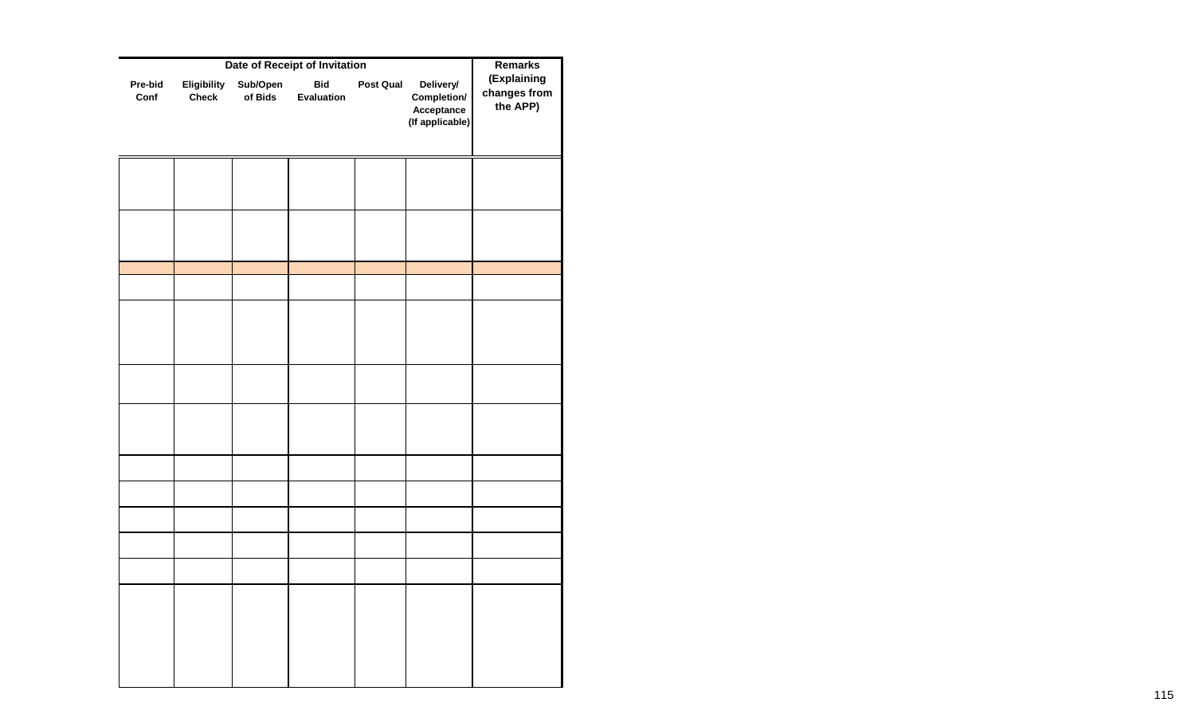|                 | <b>Remarks</b>              |                     |                          |           |                                                           |                                         |
|-----------------|-----------------------------|---------------------|--------------------------|-----------|-----------------------------------------------------------|-----------------------------------------|
| Pre-bid<br>Conf | Eligibility<br><b>Check</b> | Sub/Open<br>of Bids | <b>Bid</b><br>Evaluation | Post Qual | Delivery/<br>Completion/<br>Acceptance<br>(If applicable) | (Explaining<br>changes from<br>the APP) |
|                 |                             |                     |                          |           |                                                           |                                         |
|                 |                             |                     |                          |           |                                                           |                                         |
|                 |                             |                     |                          |           |                                                           |                                         |
|                 |                             |                     |                          |           |                                                           |                                         |
|                 |                             |                     |                          |           |                                                           |                                         |
|                 |                             |                     |                          |           |                                                           |                                         |
|                 |                             |                     |                          |           |                                                           |                                         |
|                 |                             |                     |                          |           |                                                           |                                         |
|                 |                             |                     |                          |           |                                                           |                                         |
|                 |                             |                     |                          |           |                                                           |                                         |
|                 |                             |                     |                          |           |                                                           |                                         |
|                 |                             |                     |                          |           |                                                           |                                         |
|                 |                             |                     |                          |           |                                                           |                                         |
|                 |                             |                     |                          |           |                                                           |                                         |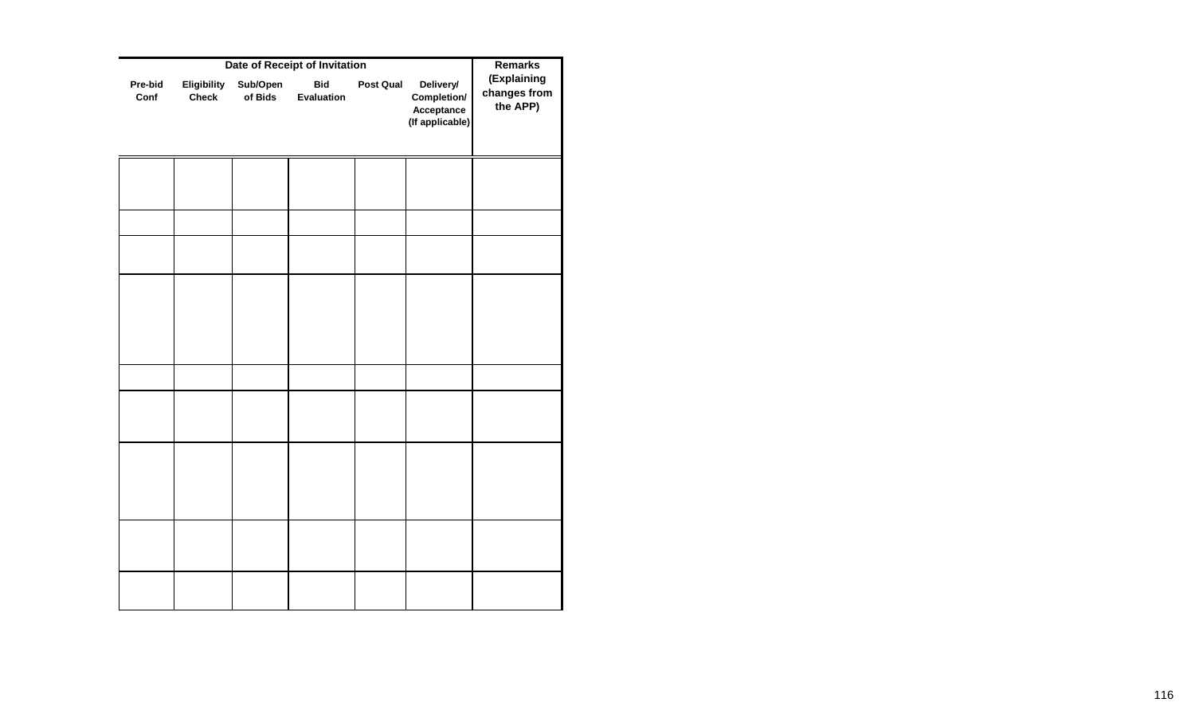|                 | <b>Remarks</b>              |                     |                          |                  |                                                           |                                         |
|-----------------|-----------------------------|---------------------|--------------------------|------------------|-----------------------------------------------------------|-----------------------------------------|
| Pre-bid<br>Conf | Eligibility<br><b>Check</b> | Sub/Open<br>of Bids | <b>Bid</b><br>Evaluation | <b>Post Qual</b> | Delivery/<br>Completion/<br>Acceptance<br>(If applicable) | (Explaining<br>changes from<br>the APP) |
|                 |                             |                     |                          |                  |                                                           |                                         |
|                 |                             |                     |                          |                  |                                                           |                                         |
|                 |                             |                     |                          |                  |                                                           |                                         |
|                 |                             |                     |                          |                  |                                                           |                                         |
|                 |                             |                     |                          |                  |                                                           |                                         |
|                 |                             |                     |                          |                  |                                                           |                                         |
|                 |                             |                     |                          |                  |                                                           |                                         |
|                 |                             |                     |                          |                  |                                                           |                                         |
|                 |                             |                     |                          |                  |                                                           |                                         |
|                 |                             |                     |                          |                  |                                                           |                                         |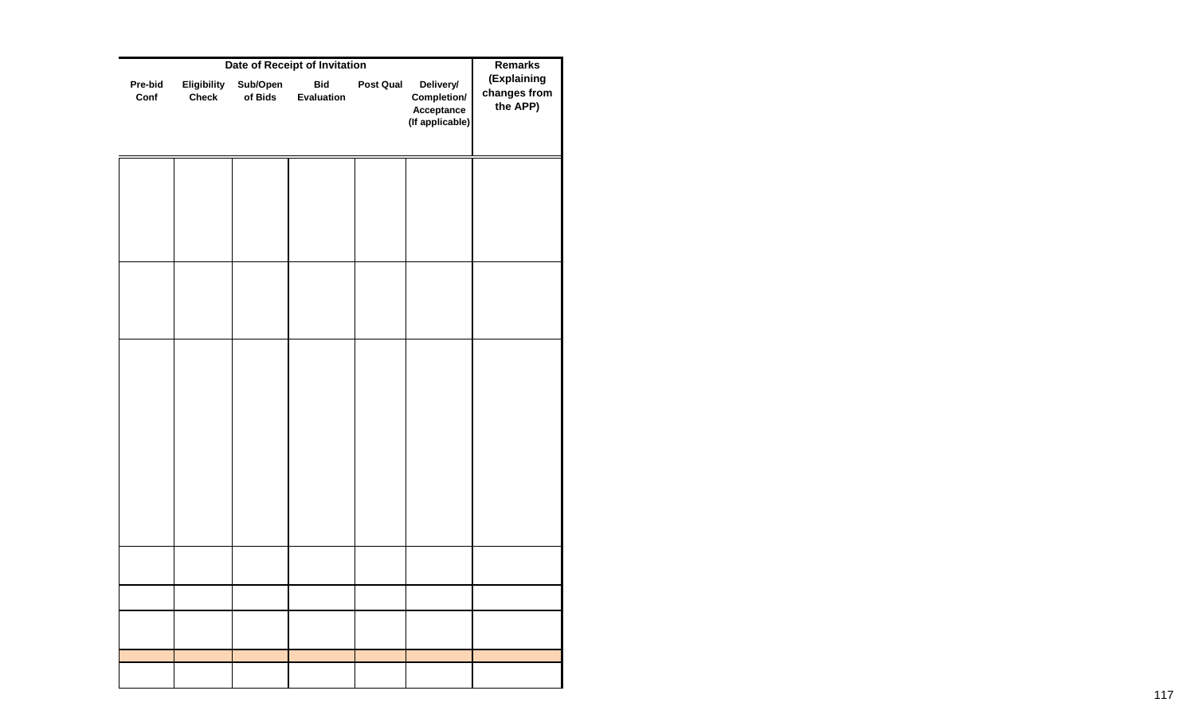|                 | <b>Remarks</b>              |                     |                          |           |                                                           |                                         |
|-----------------|-----------------------------|---------------------|--------------------------|-----------|-----------------------------------------------------------|-----------------------------------------|
| Pre-bid<br>Conf | Eligibility<br><b>Check</b> | Sub/Open<br>of Bids | <b>Bid</b><br>Evaluation | Post Qual | Delivery/<br>Completion/<br>Acceptance<br>(If applicable) | (Explaining<br>changes from<br>the APP) |
|                 |                             |                     |                          |           |                                                           |                                         |
|                 |                             |                     |                          |           |                                                           |                                         |
|                 |                             |                     |                          |           |                                                           |                                         |
|                 |                             |                     |                          |           |                                                           |                                         |
|                 |                             |                     |                          |           |                                                           |                                         |
|                 |                             |                     |                          |           |                                                           |                                         |
|                 |                             |                     |                          |           |                                                           |                                         |
|                 |                             |                     |                          |           |                                                           |                                         |
|                 |                             |                     |                          |           |                                                           |                                         |
|                 |                             |                     |                          |           |                                                           |                                         |
|                 |                             |                     |                          |           |                                                           |                                         |
|                 |                             |                     |                          |           |                                                           |                                         |
|                 |                             |                     |                          |           |                                                           |                                         |
|                 |                             |                     |                          |           |                                                           |                                         |
|                 |                             |                     |                          |           |                                                           |                                         |
|                 |                             |                     |                          |           |                                                           |                                         |
|                 |                             |                     |                          |           |                                                           |                                         |
|                 |                             |                     |                          |           |                                                           |                                         |
|                 |                             |                     |                          |           |                                                           |                                         |
|                 |                             |                     |                          |           |                                                           |                                         |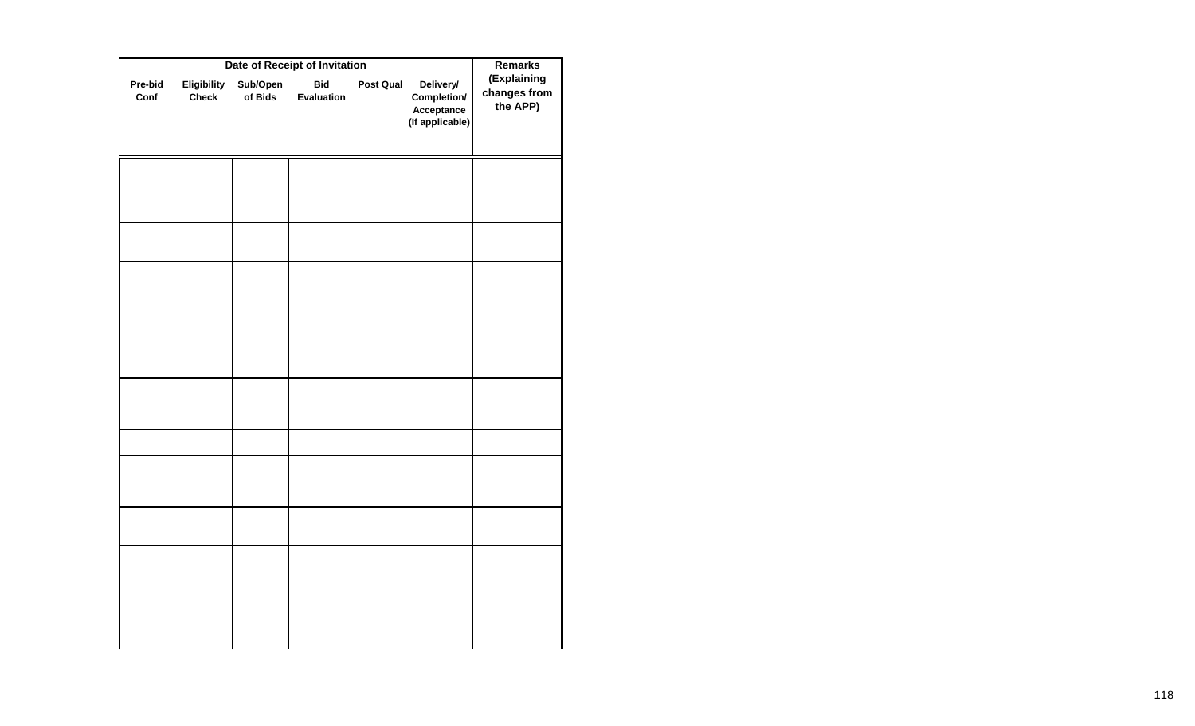|                 | <b>Remarks</b>              |                     |                          |                  |                                                           |                                         |
|-----------------|-----------------------------|---------------------|--------------------------|------------------|-----------------------------------------------------------|-----------------------------------------|
| Pre-bid<br>Conf | Eligibility<br><b>Check</b> | Sub/Open<br>of Bids | <b>Bid</b><br>Evaluation | <b>Post Qual</b> | Delivery/<br>Completion/<br>Acceptance<br>(If applicable) | (Explaining<br>changes from<br>the APP) |
|                 |                             |                     |                          |                  |                                                           |                                         |
|                 |                             |                     |                          |                  |                                                           |                                         |
|                 |                             |                     |                          |                  |                                                           |                                         |
|                 |                             |                     |                          |                  |                                                           |                                         |
|                 |                             |                     |                          |                  |                                                           |                                         |
|                 |                             |                     |                          |                  |                                                           |                                         |
|                 |                             |                     |                          |                  |                                                           |                                         |
|                 |                             |                     |                          |                  |                                                           |                                         |
|                 |                             |                     |                          |                  |                                                           |                                         |
|                 |                             |                     |                          |                  |                                                           |                                         |
|                 |                             |                     |                          |                  |                                                           |                                         |
|                 |                             |                     |                          |                  |                                                           |                                         |
|                 |                             |                     |                          |                  |                                                           |                                         |
|                 |                             |                     |                          |                  |                                                           |                                         |
|                 |                             |                     |                          |                  |                                                           |                                         |
|                 |                             |                     |                          |                  |                                                           |                                         |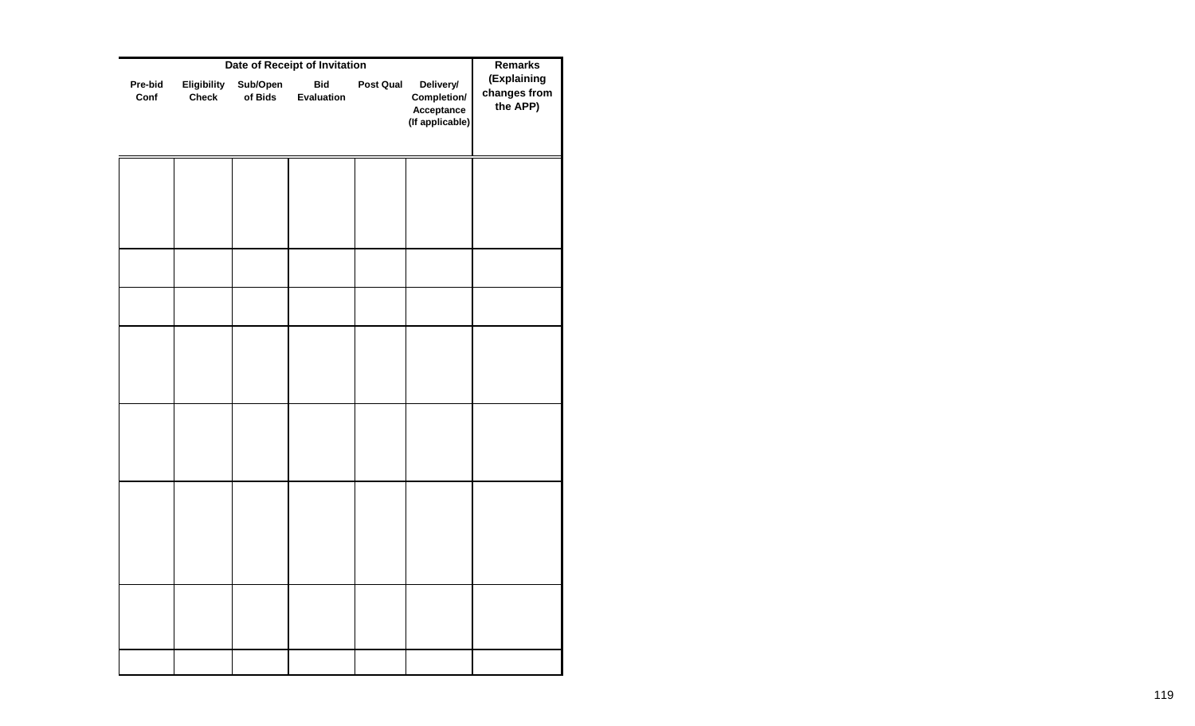|                 | <b>Remarks</b>              |                     |                          |           |                                                           |                                         |
|-----------------|-----------------------------|---------------------|--------------------------|-----------|-----------------------------------------------------------|-----------------------------------------|
| Pre-bid<br>Conf | Eligibility<br><b>Check</b> | Sub/Open<br>of Bids | <b>Bid</b><br>Evaluation | Post Qual | Delivery/<br>Completion/<br>Acceptance<br>(If applicable) | (Explaining<br>changes from<br>the APP) |
|                 |                             |                     |                          |           |                                                           |                                         |
|                 |                             |                     |                          |           |                                                           |                                         |
|                 |                             |                     |                          |           |                                                           |                                         |
|                 |                             |                     |                          |           |                                                           |                                         |
|                 |                             |                     |                          |           |                                                           |                                         |
|                 |                             |                     |                          |           |                                                           |                                         |
|                 |                             |                     |                          |           |                                                           |                                         |
|                 |                             |                     |                          |           |                                                           |                                         |
|                 |                             |                     |                          |           |                                                           |                                         |
|                 |                             |                     |                          |           |                                                           |                                         |
|                 |                             |                     |                          |           |                                                           |                                         |
|                 |                             |                     |                          |           |                                                           |                                         |
|                 |                             |                     |                          |           |                                                           |                                         |